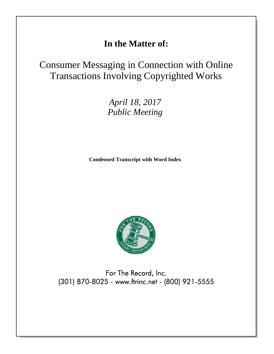## **In the Matter of:**

# Consumer Messaging in Connection with Online Transactions Involving Copyrighted Works

*April 18, 2017 Public Meeting*

**Condensed Transcript with Word Index**



For The Record, Inc. (301) 870-8025 - www.ftrinc.net - (800) 921-5555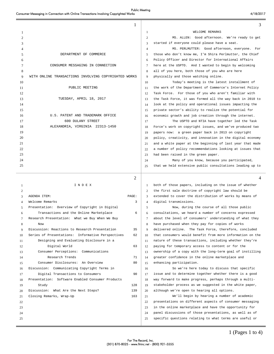#### Public Meeting Consumer Messaging in Connection with Online Transactions Involving Copyrighted Works 4/18/2017

|          | 1                                                       |                | 3                                                                                                                  |
|----------|---------------------------------------------------------|----------------|--------------------------------------------------------------------------------------------------------------------|
| 1        |                                                         | 1              | WELCOME REMARKS                                                                                                    |
| 2        |                                                         | 2              | MS. ALLEN: Good afternoon. We're ready to get                                                                      |
| 3        |                                                         | 3              | started if everyone could please have a seat.                                                                      |
| 4        |                                                         | $\overline{4}$ | MS. PERLMUTTER: Good afternoon, everyone. For                                                                      |
| 5        | DEPARTMENT OF COMMERCE                                  | 5              | those who don't know me, I'm Shira Perlmutter, the Chief                                                           |
| 6        |                                                         | 6              | Policy Officer and Director for International Affairs                                                              |
| 7        | CONSUMER MESSAGING IN CONNECTION                        | $\tau$         | here at the USPTO. And I wanted to begin by welcoming                                                              |
| 8        |                                                         | 8              | all of you here, both those of you who are here                                                                    |
| 9        | WITH ONLINE TRANSACTIONS INVOLVING COPYRIGHTED WORKS    | 9              | physically and those watching online.                                                                              |
| 10       |                                                         | 10             | Today's meeting is the latest installment of                                                                       |
| 11       | PUBLIC MEETING                                          | 11             | the work of the Department of Commerce's Internet Policy                                                           |
| 12       |                                                         | 12             | Task Force. For those of you who aren't familiar with                                                              |
| 13       | TUESDAY, APRIL 18, 2017                                 | 13             | the Task Force, it was formed all the way back in 2010 to                                                          |
| 14       |                                                         | 14             | look at the policy and operational issues impacting the                                                            |
| 15       |                                                         | 15             | private sector's ability to realize the potential for                                                              |
| 16       | U.S. PATENT AND TRADEMARK OFFICE                        | 16             | economic growth and job creation through the internet.                                                             |
| 17       | 600 DULANY STREET                                       | 17             | The USPTO and NTIA have together led the Task                                                                      |
| 18       | ALEXANDRIA, VIRGINIA 22313-1450                         | 18             | Force's work on copyright issues, and we've produced two                                                           |
| 19       |                                                         | 19             | papers now: a green paper back in 2013 on copyright                                                                |
| 20       |                                                         | 20             | policy, creativity, and innovation in the digital economy                                                          |
| 21       |                                                         | 21             | and a white paper at the beginning of last year that made                                                          |
| 22       |                                                         | 22             | a number of policy recommendations looking at issues that                                                          |
| 23       |                                                         | 23             | had been raised in the green paper.                                                                                |
| 24       |                                                         | 24             | Many of you know, because you participated,                                                                        |
| 25       |                                                         | 25             | that we held extensive public consultations leading up to                                                          |
|          |                                                         |                |                                                                                                                    |
|          |                                                         |                |                                                                                                                    |
|          | 2                                                       |                |                                                                                                                    |
| 1        | INDEX                                                   | -1             | both of those papers, including on the issue of whether                                                            |
| 2        |                                                         | 2              | the first sale doctrine of copyright law should be                                                                 |
| 3        | PAGE:<br>AGENDA ITEM:                                   | 3              | extended to cover the distribution of works by means of                                                            |
| 4        | 3<br>Welcome Remarks                                    | $\overline{4}$ | digital transmissions.                                                                                             |
| 5        | Presentation: Overview of Copyright in Digital          | 5              | Now, during the course of all those public                                                                         |
| 6        | Transactions and the Online Marketplace<br>6            | 6              | consultations, we heard a number of concerns expressed                                                             |
| 7        | Research Presentation: What we Buy When We Buy          | 7              | about the level of consumers' understanding of what they                                                           |
| 8        | Now                                                     | 8              | have purchased when they pay for copies of works                                                                   |
| 9        | Discussion: Reactions to Research Presentation<br>35    | 9              | delivered online. The Task Force, therefore, concluded                                                             |
| 10       | Series of Presentations: Informative Perspectives<br>62 | 10             | that consumers would benefit from more information on the                                                          |
| 11       | Designing and Evaluating Disclosure in a                | 11             | nature of these transactions, including whether they're                                                            |
| 12       | Digital World<br>63                                     | 12             | paying for temporary access to content or for the                                                                  |
| 13       | Consumer Perceptions: Communications                    | 13             | ownership of a copy with the long-term goal of instilling                                                          |
| 14       | Research Trends<br>71                                   | 14             | greater confidence in the online marketplace and                                                                   |
| 15       | Consumer Disclosures: An Overview<br>80                 | 15             | enhancing participation.                                                                                           |
| 16       | Discussion: Communicating Copyright Terms in<br>90      | 16             | So we're here today to discuss that specific                                                                       |
| 17       | Digital Transactions to Consumers                       | 17             | issue and to determine together whether there is a good                                                            |
| 18       | Presentation: Software Enabled Consumer Products        | 18             | way forward to make progress, perhaps through a multi-                                                             |
| 19       | Study<br>128                                            | 19             | stakeholder process as we suggested in the white paper,                                                            |
| 20       | Discussion: What Are the Next Steps?<br>139             | 20             | although we're open to hearing all options.                                                                        |
| 21       | 163<br>Closing Remarks, Wrap-Up                         | 21             | We'll begin by hearing a number of academic                                                                        |
| 22       |                                                         | 22             | presentations on different aspects of consumer messaging                                                           |
| 23       |                                                         | 23             | in the online marketplace and have the opportunity for                                                             |
| 24<br>25 |                                                         | 24<br>25       | panel discussions of those presentations, as well as of<br>specific questions relating to what terms are useful or |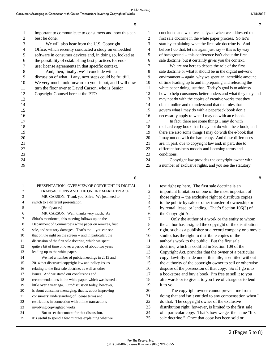÷

|                | 5                                                                                                    |                         | $\tau$                                                                                                            |
|----------------|------------------------------------------------------------------------------------------------------|-------------------------|-------------------------------------------------------------------------------------------------------------------|
| 1              | important to communicate to consumers and how this can                                               | $\mathbf{1}$            | concluded and what we analyzed when we addressed the                                                              |
| $\overline{c}$ | best be done.                                                                                        | $\sqrt{2}$              | first sale doctrine in the white paper process. So let's                                                          |
| 3              | We will also hear from the U.S. Copyright                                                            | $\mathfrak{Z}$          | start by explaining what the first sale doctrine is. And                                                          |
| 4              | Office, which recently conducted a study on embedded                                                 | $\overline{\mathbf{4}}$ | before I do that, let me again just say -- this is by way                                                         |
| 5              | software in consumer devices and, in doing so, looked at                                             | 5                       | of background -- this conference isn't about the first                                                            |
| 6              | the possibility of establishing best practices for end-                                              | $\epsilon$              | sale doctrine, but it certainly gives you the context.                                                            |
| 7              | user license agreements in that specific context.                                                    | $\boldsymbol{7}$        | We are not here to debate the role of the first                                                                   |
| 8              | And, then, finally, we'll conclude with a                                                            | $\,8\,$                 | sale doctrine or what it should be in the digital network                                                         |
| 9              | discussion of what, if any, next steps could be fruitful.                                            | 9                       | environment -- again, why we spent an incredible amount                                                           |
| 10             | We very much look forward to your input, and I will now                                              | 10                      | of time leading up to and in preparing and releasing the                                                          |
| 11             | turn the floor over to David Carson, who is Senior                                                   | 11                      | white paper doing just that. Today's goal is to address                                                           |
| 12             | Copyright Counsel here at the PTO.                                                                   | 12                      | how to help consumers better understand what they may and                                                         |
| 13             |                                                                                                      | 13                      | may not do with the copies of creative works that they                                                            |
| 14             |                                                                                                      | 14                      | obtain online and to understand that the rules that                                                               |
| 15             |                                                                                                      | 15                      | govern what I may do with a paperback book don't                                                                  |
| 16             |                                                                                                      | 16                      | necessarily apply to what I may do with an e-book.                                                                |
| 17             |                                                                                                      | 17                      | In fact, there are some things I may do with                                                                      |
| 18             |                                                                                                      | 18                      | the hard copy book that I may not do with the e-book; and                                                         |
| 19             |                                                                                                      | 19                      | there are also some things I may do with the e-book that                                                          |
| 20             |                                                                                                      | 20                      | I may not do with the hard copy. And those differences                                                            |
| 21             |                                                                                                      | 21                      | are, in part, due to copyright law and, in part, due to                                                           |
| 22             |                                                                                                      | 22                      | different business models and licensing terms and                                                                 |
| 23             |                                                                                                      | 23                      | conditions.                                                                                                       |
| 24             |                                                                                                      | 24<br>25                | Copyright law provides the copyright owner with                                                                   |
| 25             |                                                                                                      |                         | a number of exclusive rights, and you see the statutory                                                           |
|                |                                                                                                      |                         |                                                                                                                   |
|                | 6                                                                                                    |                         | 8                                                                                                                 |
| $\mathbf{1}$   | PRESENTATION: OVERVIEW OF COPYRIGHT IN DIGITAL                                                       |                         |                                                                                                                   |
| 2              | TRANSACTIONS AND THE ONLINE MARKETPLACE                                                              | $\mathbf{1}$            | text right up here. The first sale doctrine is an                                                                 |
| 3              | MR. CARSON: Thank you, Shira. We just need to                                                        | $\boldsymbol{2}$<br>3   | important limitation on one of the most important of                                                              |
| 4              | switch to a different presentation.                                                                  | $\overline{\mathbf{4}}$ | those rights -- the exclusive right to distribute copies                                                          |
| 5              | (Brief pause.)                                                                                       | 5                       | to the public by sale or other transfer of ownership or<br>by rental, lease, or lending. That's Section 106(3) of |
| 6              | MR. CARSON: Well, thanks very much. As                                                               | 6                       | the Copyright Act.                                                                                                |
| 7              | Shira's mentioned, this meeting follows up on the                                                    | 7                       | Only the author of a work or the entity to whom                                                                   |
| 8              | Department of Commerce's white paper on remixes, first                                               | 8                       | the author has assigned the copyright or the distribution                                                         |
| 9              | sale, and statutory damages. That's the -- you can see                                               | 9                       | right, such as a publisher or a record company or a movie                                                         |
| 10             | that on the right on the screen -- and in particular, the                                            | 10                      | studio, has the right to distribute copies of the                                                                 |
| 11             | discussion of the first sale doctrine, which we spent                                                | 11                      | author's work to the public. But the first sale                                                                   |
| 12             | quite a bit of time on over a period of about two years                                              | 12                      | doctrine, which is codified in Section 109 of the                                                                 |
| 13             | leading up to the white paper.                                                                       | 13                      | Copyright Act, provides that the owner of a particular                                                            |
| 14             | We had a number of public meetings in 2013 and                                                       | 14                      | copy, lawfully made under this title, is entitled without                                                         |
| 15             | 2014 that discussed copyright law and policy issues                                                  | 15                      | the authority of the copyright owner to sell or otherwise                                                         |
| 16             | relating to the first sale doctrine, as well as other                                                | 16                      | dispose of the possession of that copy. So if I go into                                                           |
| $17\,$         | issues. And we stated our conclusions and                                                            | 17                      | a bookstore and buy a book, I'm free to sell it to you                                                            |
| 18             | recommendations in the white paper, which was issued a                                               | 18                      | afterwards or to give it to you free of charge or to lend                                                         |
| 19             | little over a year ago. Our discussion today, however,                                               | 19                      | it to you.                                                                                                        |
| $20\,$         | is about consumer messaging, that is, about improving                                                | $20\,$                  | The copyright owner cannot prevent me from                                                                        |
| $21\,$         | consumers' understanding of license terms and                                                        | 21                      | doing that and isn't entitled to any compensation when I                                                          |
| $22\,$         | restrictions in connection with online transactions                                                  | $22\,$                  | do that. The copyright owner of the exclusive                                                                     |
| $23\,$         | involving copyrighted works.                                                                         | 23                      | distribution right, however, is limited to the first sale                                                         |
| 24<br>25       | But to set the context for that discussion,<br>it's useful to spend a few minutes explaining what we | 24<br>25                | of a particular copy. That's how we get the name "first<br>sale doctrine." Once that copy has been sold or        |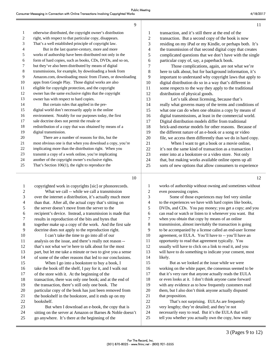|              | 9                                                         |    | 11                                                        |
|--------------|-----------------------------------------------------------|----|-----------------------------------------------------------|
| $\mathbf{1}$ | otherwise distributed, the copyright owner's distribution | 1  | transaction, and it's still there at the end of the       |
| 2            | right, with respect to that particular copy, disappears.  | 2  | transaction. But a second copy of the book is now         |
| 3            | That's a well established principle of copyright law.     | 3  | residing on my iPad or my Kindle, or perhaps both. It's   |
| 4            | But in the last quarter-century, more and more            | 4  | the transmission of that second digital copy that creates |
| 5            | works of authorship have been distributed not only in the | 5  | complicated questions that we don't have with the single  |
| 6            | form of hard copies, such as books, CDs, DVDs, and so on, | 6  | particular copy of, say, a paperback book.                |
| 7            | but they've also been distributed by means of digital     | 7  | Those complications, again, are not what we're            |
| 8            | transmissions, for example, by downloading a book from    | 8  | here to talk about, but for background information, it's  |
| 9            | Amazon.com, downloading music from iTunes, or downloading | 9  | important to understand why copyright laws that apply to  |
| 10           | apps from Google Play. Those digital works are also       | 10 | digital distribution do so in a way that's different in   |
| 11           | eligible for copyright protection, and the copyright      | 11 | some respects to the way they apply to the traditional    |
| 12           | owner has the same exclusive rights that the copyright    | 12 | distribution of physical goods.                           |
| 13           | owner has with respect to hard copies.                    | 13 | Let's talk about licensing, because that's                |
| 14           | But certain rules that applied in the pre-                | 14 | really what governs many of the terms and conditions of   |
| 15           | digital world don't necessarily apply in the online       | 15 | what one can do when one obtains a copy by means of       |
| 16           | environment. Notably for our purposes today, the first    | 16 | digital transmissions, at least in the commercial world.  |
| 17           | sale doctrine does not permit the resale or               | 17 | Digital distribution models differ from traditional       |
| 18           | redistribution of a copy that was obtained by means of a  | 18 | brick-and-mortar models for other reasons. Because of     |
| 19           | digital transmission.                                     | 19 | the different nature of an e-book or a song or video      |
| 20           | There are a number of reasons for this, but the           | 20 | file, we access them differently than we do in hard copy. |
| 21           | most obvious one is that when you download a copy, you're | 21 | When I want to get a book or a movie online,              |
| 22           | implicating more than the distribution right. When you    | 22 | it's not the same kind of transaction as a transaction I  |
| 23           | transmit a copy of a work online, you're implicating      | 23 | enter into at a bookstore or a video store. Not only      |
| 24           | another of the copyright owner's exclusive rights.        | 24 | that, but making works available online opens up all      |
| 25           | That's Section $106(1)$ , the right to reproduce the      | 25 | sorts of new options that allow consumers to experience   |
|              | 10                                                        |    | 12                                                        |

 $\sim$ 

### 10

 copyrighted work in copyrights [sic] or phonorecords. 2 What we call -- while we call a transmission over the internet a distribution, it's actually much more than that. After all, the actual copy that's sitting on the server doesn't move from the server to the recipient's device. Instead, a transmission is made that results in reproduction of the bits and bytes that together make up a copy of the work. And the first sale doctrine does not apply to the reproduction right. 10 I can't take the time to go into all of our analysis on the issue, and there's really not reason -- that's not what we're here to talk about for the most part, but let me take a minute or two to give you a sense of some of the other reasons that led to our conclusions. 15 When I go into a bookstore to buy a book, I take the book off the shelf, I pay for it, and I walk out of the store with it. At the beginning of the transaction, there was only one book; and at the end of the transaction, there's still only one book. The particular copy of the book has just been removed from 21 the bookshelf in the bookstore, and it ends up on my bookshelf. 23 But when I download an e-book, the copy that is 24 sitting on the server at Amazon or Barnes & Noble doesn't go anywhere. It's there at the beginning of the

1 works of authorship without owning and sometimes without 2 even possessing copies. 3 Some of those experiences may feel very similar 4 to the experiences we have with hard copies like books,

5 DVDs, and CDs. You pay money; you get a copy; and you 6 can read or watch or listen to it whenever you want. But 7 when you obtain that copy by means of an online 8 transmission, almost inevitably the transaction is going 9 to be accompanied by a license called an end-user license 10 agreement, or EULA. You'll have to -- you'll have an 11 opportunity to read that agreement typically. You 12 usually will have to click on a link to read it, and you 13 will have to do something to indicate your consent, most 14 likely. 15 But as we looked at the issue while we were

16 working on the white paper, the consensus seemed to be 17 that it's very rare that anyone actually reads the EULA 18 or even looks at it. I don't think anyone came forward 19 with any evidence as to how frequently customers read 20 them, but I also don't think anyone actually disputed 21 that proposition.

22 That's not surprising. EULAs are frequently 23 very lengthy; they're detailed; and they're not 24 necessarily easy to read. But it's the EULA that will 25 tell you whether you actually own the copy, how many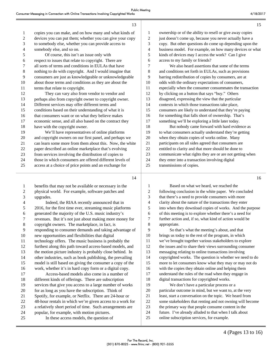|                | 13                                                       |                |
|----------------|----------------------------------------------------------|----------------|
| 1              | copies you can make, and on how many and what kinds of   | $\mathbf{1}$   |
| $\overline{c}$ | devices you can put them; whether you can give your copy | $\overline{2}$ |
| 3              | to somebody else, whether you can provide access to      | 3              |
| $\overline{4}$ | somebody else, and so on.                                | $\overline{4}$ |
| 5              | Of course, this isn't an issue only with                 | 5              |
| 6              | respect to issues that relate to copyright. There are    | 6              |
| 7              | all sorts of terms and conditions in EULAs that have     | 7              |
| 8              | nothing to do with copyright. And I would imagine that   | 8              |
| 9              | consumers are just as knowledgeable or unknowledgeable   | 9              |
| 10             | about those terms and conditions as they are about the   | 10             |
| 11             | terms that relate to copyright.                          | 11             |
| 12             | They can vary also from vendor to vendor and             | 12             |
| 13             | perhaps also from copyright owner to copyright owner.    | 13             |
| 14             | Different services may offer different terms and         | 14             |
| 15             | conditions based on their understanding of what it is    | 15             |
| 16             | that consumers want or on what they believe makes        | 16             |
| 17             | economic sense, and all also based on the contract they  | 17             |
| 18             | have with the copyright owner.                           | 18             |
| 19             | We'll have representatives of online platforms           | 19             |
| 20             | and copyright owners on our first panel, and perhaps we  | 20             |
| 21             | can learn some more from them about this. Now, the white | 21             |
| 22             | paper described an online marketplace that's evolving    | 22             |
| 23             | from services involving the distribution of copies to    | 23             |
| 24             | those in which consumers are offered different levels of | 24             |
| 25             | access at a choice of price points and an exchange for   | 25             |
|                |                                                          |                |

ownership or of the ability to resell or give away copies just doesn't come up, because you never actually have a 3 copy. But other questions do come up depending upon the business model. For example, on how many devices or what kinds of devices may I access the work? Can I give access to my family or friends? We also heard assertions that some of the terms and conditions set forth in EULAs, such as provisions barring redistribution of copies by consumers, are at odds with the ordinary expectations of consumers, especially when the consumer consummates the transaction by clicking on a button that says "buy." Others disagreed, expressing the view that the particular contexts in which those transactions take place, consumers are likely to understand that they're paying for something that falls short of ownership. That's something we'll be exploring a little later today. But nobody came forward with hard evidence as to what consumers actually understand they're getting when they obtain copies of works online. Many participants on all sides agreed that consumers are entitled to clarity and that more should be done to communicate what rights they are or are not getting when they enter into a transaction involving digital transmissions of copies.

14

| $\overline{2}$<br>physical world. For example, software patches and<br>3<br>upgrades.<br>4<br>Indeed, the RIAA recently announced that in<br>5<br>2016, for the first time ever, streaming music platforms<br>generated the majority of the U.S. music industry's<br>6<br>7<br>revenues. But it's not just about making more money for<br>8<br>copyright owners. The marketplace, in fact, is<br>9<br>responding to consumer demands and taking advantage of<br>10<br>new opportunities and flexibilities that digital<br>technology offers. The music business is probably the<br>11<br>12<br>furthest along this path toward access-based models, and<br>13<br>the motion picture industry is probably close behind. In<br>14<br>other industries, such as book publishing, the prevailing<br>model is still based on giving the consumer a copy of the<br>15<br>work, whether it's in hard copy form or a digital copy.<br>16<br>17<br>Access-based models also come in a number of<br>different kinds of offerings. There are subscription<br>18<br>services that give you access to a large number of works<br>19<br>for as long as you have the subscription. Think of<br>20<br>21<br>Spotify, for example, or Netflix. There are 24-hour or<br>22<br>48-hour rentals in which we're given access to a work for<br>23<br>a relatively short period of time. Such arrangements are<br>24<br>popular, for example, with motion pictures.<br>In these access models, the question of<br>25 | 1 | benefits that may not be available or necessary in the |  |
|-----------------------------------------------------------------------------------------------------------------------------------------------------------------------------------------------------------------------------------------------------------------------------------------------------------------------------------------------------------------------------------------------------------------------------------------------------------------------------------------------------------------------------------------------------------------------------------------------------------------------------------------------------------------------------------------------------------------------------------------------------------------------------------------------------------------------------------------------------------------------------------------------------------------------------------------------------------------------------------------------------------------------------------------------------------------------------------------------------------------------------------------------------------------------------------------------------------------------------------------------------------------------------------------------------------------------------------------------------------------------------------------------------------------------------------------------------------------------------------------------|---|--------------------------------------------------------|--|
|                                                                                                                                                                                                                                                                                                                                                                                                                                                                                                                                                                                                                                                                                                                                                                                                                                                                                                                                                                                                                                                                                                                                                                                                                                                                                                                                                                                                                                                                                               |   |                                                        |  |
|                                                                                                                                                                                                                                                                                                                                                                                                                                                                                                                                                                                                                                                                                                                                                                                                                                                                                                                                                                                                                                                                                                                                                                                                                                                                                                                                                                                                                                                                                               |   |                                                        |  |
|                                                                                                                                                                                                                                                                                                                                                                                                                                                                                                                                                                                                                                                                                                                                                                                                                                                                                                                                                                                                                                                                                                                                                                                                                                                                                                                                                                                                                                                                                               |   |                                                        |  |
|                                                                                                                                                                                                                                                                                                                                                                                                                                                                                                                                                                                                                                                                                                                                                                                                                                                                                                                                                                                                                                                                                                                                                                                                                                                                                                                                                                                                                                                                                               |   |                                                        |  |
|                                                                                                                                                                                                                                                                                                                                                                                                                                                                                                                                                                                                                                                                                                                                                                                                                                                                                                                                                                                                                                                                                                                                                                                                                                                                                                                                                                                                                                                                                               |   |                                                        |  |
|                                                                                                                                                                                                                                                                                                                                                                                                                                                                                                                                                                                                                                                                                                                                                                                                                                                                                                                                                                                                                                                                                                                                                                                                                                                                                                                                                                                                                                                                                               |   |                                                        |  |
|                                                                                                                                                                                                                                                                                                                                                                                                                                                                                                                                                                                                                                                                                                                                                                                                                                                                                                                                                                                                                                                                                                                                                                                                                                                                                                                                                                                                                                                                                               |   |                                                        |  |
|                                                                                                                                                                                                                                                                                                                                                                                                                                                                                                                                                                                                                                                                                                                                                                                                                                                                                                                                                                                                                                                                                                                                                                                                                                                                                                                                                                                                                                                                                               |   |                                                        |  |
|                                                                                                                                                                                                                                                                                                                                                                                                                                                                                                                                                                                                                                                                                                                                                                                                                                                                                                                                                                                                                                                                                                                                                                                                                                                                                                                                                                                                                                                                                               |   |                                                        |  |
|                                                                                                                                                                                                                                                                                                                                                                                                                                                                                                                                                                                                                                                                                                                                                                                                                                                                                                                                                                                                                                                                                                                                                                                                                                                                                                                                                                                                                                                                                               |   |                                                        |  |
|                                                                                                                                                                                                                                                                                                                                                                                                                                                                                                                                                                                                                                                                                                                                                                                                                                                                                                                                                                                                                                                                                                                                                                                                                                                                                                                                                                                                                                                                                               |   |                                                        |  |
|                                                                                                                                                                                                                                                                                                                                                                                                                                                                                                                                                                                                                                                                                                                                                                                                                                                                                                                                                                                                                                                                                                                                                                                                                                                                                                                                                                                                                                                                                               |   |                                                        |  |
|                                                                                                                                                                                                                                                                                                                                                                                                                                                                                                                                                                                                                                                                                                                                                                                                                                                                                                                                                                                                                                                                                                                                                                                                                                                                                                                                                                                                                                                                                               |   |                                                        |  |
|                                                                                                                                                                                                                                                                                                                                                                                                                                                                                                                                                                                                                                                                                                                                                                                                                                                                                                                                                                                                                                                                                                                                                                                                                                                                                                                                                                                                                                                                                               |   |                                                        |  |
|                                                                                                                                                                                                                                                                                                                                                                                                                                                                                                                                                                                                                                                                                                                                                                                                                                                                                                                                                                                                                                                                                                                                                                                                                                                                                                                                                                                                                                                                                               |   |                                                        |  |
|                                                                                                                                                                                                                                                                                                                                                                                                                                                                                                                                                                                                                                                                                                                                                                                                                                                                                                                                                                                                                                                                                                                                                                                                                                                                                                                                                                                                                                                                                               |   |                                                        |  |
|                                                                                                                                                                                                                                                                                                                                                                                                                                                                                                                                                                                                                                                                                                                                                                                                                                                                                                                                                                                                                                                                                                                                                                                                                                                                                                                                                                                                                                                                                               |   |                                                        |  |
|                                                                                                                                                                                                                                                                                                                                                                                                                                                                                                                                                                                                                                                                                                                                                                                                                                                                                                                                                                                                                                                                                                                                                                                                                                                                                                                                                                                                                                                                                               |   |                                                        |  |
|                                                                                                                                                                                                                                                                                                                                                                                                                                                                                                                                                                                                                                                                                                                                                                                                                                                                                                                                                                                                                                                                                                                                                                                                                                                                                                                                                                                                                                                                                               |   |                                                        |  |
|                                                                                                                                                                                                                                                                                                                                                                                                                                                                                                                                                                                                                                                                                                                                                                                                                                                                                                                                                                                                                                                                                                                                                                                                                                                                                                                                                                                                                                                                                               |   |                                                        |  |
|                                                                                                                                                                                                                                                                                                                                                                                                                                                                                                                                                                                                                                                                                                                                                                                                                                                                                                                                                                                                                                                                                                                                                                                                                                                                                                                                                                                                                                                                                               |   |                                                        |  |
|                                                                                                                                                                                                                                                                                                                                                                                                                                                                                                                                                                                                                                                                                                                                                                                                                                                                                                                                                                                                                                                                                                                                                                                                                                                                                                                                                                                                                                                                                               |   |                                                        |  |
|                                                                                                                                                                                                                                                                                                                                                                                                                                                                                                                                                                                                                                                                                                                                                                                                                                                                                                                                                                                                                                                                                                                                                                                                                                                                                                                                                                                                                                                                                               |   |                                                        |  |
|                                                                                                                                                                                                                                                                                                                                                                                                                                                                                                                                                                                                                                                                                                                                                                                                                                                                                                                                                                                                                                                                                                                                                                                                                                                                                                                                                                                                                                                                                               |   |                                                        |  |
|                                                                                                                                                                                                                                                                                                                                                                                                                                                                                                                                                                                                                                                                                                                                                                                                                                                                                                                                                                                                                                                                                                                                                                                                                                                                                                                                                                                                                                                                                               |   |                                                        |  |

1 Based on what we heard, we reached the 2 following conclusion in the white paper. We concluded 3 that there's a need to provide consumers with more 4 clarity about the nature of the transactions they enter 5 into when they download copies of works. And the purpose 6 of this meeting is to explore whether there's a need for 7 further action and, if so, what kind of action would be 8 appropriate. 9 So that's what the meeting's about, and that

10 brings us today to the rest of the program, in which 11 we've brought together various stakeholders to explore 12 the issues and to share their views surrounding consumer 13 messaging relating to online transactions involving 14 copyrighted works. The question is whether we need to do 15 more to let consumers know what they may or may not do 16 with the copies they obtain online and helping them 17 understand the rules of the road when they engage in 18 digital transactions for copyrighted works. 19 We don't have a particular process or a 20 particular outcome in mind, but we want to, at the very 21 least, start a conversation on the topic. We heard from 22 some stakeholders that renting and not owning will become 23 the primary way that people consume content in the 24 future. I've already alluded to that when I talk about 25 online subscription services, for example.

15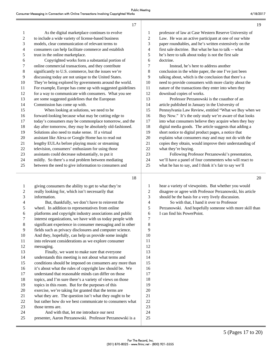|                | 17                                                        |                          | 19                                                        |
|----------------|-----------------------------------------------------------|--------------------------|-----------------------------------------------------------|
| $\mathbf{1}$   | As the digital marketplace continues to evolve            | 1                        | professor of law at Case Western Reserve University of    |
| 2              | to include a wide variety of license-based business       | $\overline{c}$           | Law. He was an active participant at one of our white     |
| 3              | models, clear communication of relevant terms to          | 3                        | paper roundtables, and he's written extensively on the    |
| 4              | consumers can help facilitate commerce and establish      | $\overline{\mathcal{L}}$ | first sale doctrine. But what he has to talk -- what      |
| 5              | trust in the online marketplace.                          | 5                        | he's here to talk about today is not the first sale       |
| 6              | Copyrighted works form a substantial portion of           | 6                        | doctrine.                                                 |
| 7              | online commercial transactions, and they contribute       | 7                        | Instead, he's here to address another                     |
| 8              | significantly to U.S. commerce, but the issues we're      | 8                        | conclusion in the white paper, the one I've just been     |
| 9              | discussing today are not unique to the United States.     | 9                        | talking about, which is the conclusion that there's a     |
| 10             | They're being explored by governments around the world.   | 10                       | need to provide consumers with more clarity about the     |
| 11             | For example, Europe has come up with suggested guidelines | 11                       | nature of the transactions they enter into when they      |
| 12             | for a way to communicate with consumers. What you see     | 12                       | download copies of works.                                 |
| 13             | are some suggested guidelines that the European           | 13                       | Professor Perzanowski is the coauthor of an               |
| 14             | Commission has come up with.                              | 14                       | article published in January in the University of         |
| 15             | When looking at solutions, we need to be                  | 15                       | Pennsylvania Law Review, entitled "What we Buy when we    |
| 16             | forward-looking because what may be cutting edge to       | 16                       | Buy Now." It's the only study we're aware of that looks   |
| 17             | today's consumers may be commonplace tomorrow, and the    | 17                       | into what consumers believe they acquire when they buy    |
| 18             | day after tomorrow, they may be absolutely old-fashioned. | 18                       | digital media goods. The article suggests that adding a   |
| 19             | Solutions also need to make sense. If a virtual           | 19                       | short notice to digital product pages, a notice that      |
| 20             | assistant like Alexa or Google Home has to read out       | 20                       | explains what consumers may and may not do with the       |
| 21             | lengthy EULAs before playing music or streaming           | 21                       | copies they obtain, would improve their understanding of  |
| 22             | television, consumers' enthusiasm for using those         | 22                       | what they're buying.                                      |
| 23             | assistants could decrease substantially, to put it        | 23                       | Following Professor Perzanowski's presentation,           |
| 24             | mildly. So there's a real problem between mediating       | 24                       | we'll have a panel of four commenters who will react to   |
| 25             | between the need to give information to consumers and     | 25                       | what he has to say, and I think it's fair to say we'll    |
|                | 18                                                        |                          | 20                                                        |
| $\mathbf{1}$   | giving consumers the ability to get to what they're       | 1                        | hear a variety of viewpoints. But whether you would       |
| $\overline{c}$ | really looking for, which isn't necessarily that          | $\overline{c}$           | disagree or agree with Professor Perzanowski, his article |
| 3              | information.                                              | 3                        | should be the basis for a very lively discussion.         |
| $\overline{4}$ | But, thankfully, we don't have to reinvent the            | $\overline{\mathcal{L}}$ | So with that, I hand it over to Professor                 |
| 5              | wheel. In addition to representatives from online         | 5                        | Perzanowski. And hopefully someone with more skill than   |
| 6              | platforms and copyright industry associations and public  | 6                        | I can find his PowerPoint.                                |
| 7              | interest organizations, we have with us today people with | 7                        |                                                           |
| 8              | significant experience in consumer messaging and in other | 8                        |                                                           |
| 9              | fields such as privacy disclosures and computer science.  | 9                        |                                                           |
| 10             | And they, hopefully, can help us provide some insight     | 10                       |                                                           |
| 11             | into relevant considerations as we explore consumer       | 11                       |                                                           |

ı

11 into relevant considerations as we explore consumer 12 messaging. 13 Finally, we want to make sure that everyone 14 understands this meeting is not about what terms and 15 conditions should be imposed on consumers any more than 16 it's about what the rules of copyright law should be. We 17 understand that reasonable minds can differ on those 18 topics, and I'm sure there's a variety of views on those 19 topics in this room. But for the purposes of this 20 exercise, we're taking for granted that the terms are 21 what they are. The question isn't what they ought to be 22 but rather how do we best communicate to consumers what 23 those terms are. 24 And with that, let me introduce our next 25 presenter, Aaron Perzanowski. Professor Perzanowski is a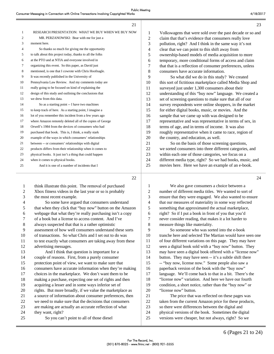|                | RESEARCH PRESENTATION: WHAT WE BUY WHEN WE BUY NOW        | 1  | Volkswagens that were sold over the past decade or so and |
|----------------|-----------------------------------------------------------|----|-----------------------------------------------------------|
| 2              | MR. PERZANOWSKI: Bear with me for just a                  | 2  | claim that that's evidence that consumers really love     |
| 3              | moment here.                                              | 3  | pollution, right? And I think in the same way it's not    |
| $\overline{4}$ | So thanks so much for giving me the opportunity           | 4  | clear that we can point to this shift away from           |
| 5              | to talk about this project today, thanks to all the folks | 5  | ownership-based models of media acquisition to more       |
| 6              | at the PTO and at NTIA and everyone involved in           | 6  | temporary, more conditional forms of access and claim     |
| 7              | organizing this event. So this paper, as David just       | 7  | that that is a reflection of consumer preferences, unless |
| 8              | mentioned, is one that I cowrote with Chris Hoofnagle.    | 8  | consumers have accurate information.                      |
| 9              | It was recently published in the University of            | 9  | So what did we do in this study? We created               |
| 10             | Pennsylvania Law Review. And my comments today are        | 10 | this sort of fictitious marketplace called Media Shop and |
| 11             | really going to be focused on kind of explaining the      | 11 | surveyed just under 1,300 consumers about their           |
| 12             | design of this study and outlining the conclusions that   | 12 | understanding of this "buy now" language. We created a    |
| 13             | we drew from this data.                                   | 13 | set of screening questions to make sure that all of our   |
| 14             | So as a starting point -- I have two machines             | 14 | survey respondents were online shoppers, in the market    |
| 15             | to keep track of here. As a starting point, I imagine a   | 15 | for either digital books, music, or movies. And the       |
| 16             | lot of you remember this incident from a few years ago    | 16 | sample that we came up with was designed to be            |
| 17             | where Amazon remotely deleted all of the copies of George | 17 | representative and was representative in terms of sex, in |
| 18             | Orwell's 1984 from the devices of consumers who had       | 18 | terms of age, and in terms of income. It was also         |
| 19             | purchased that book. This is, I think, a really stark     | 19 | roughly representative when it came to race, region of    |
| 20             | example of the ways in which consumers' relationships     | 20 | the country, and education, as well.                      |
| 21             | between -- or consumers' relationships with digital       | 21 | So on the basis of those screening questions,             |
| 22             | products differs from their relationship when it comes to | 22 | we sorted consumers into three different categories, and  |
| 23             | physical books. It just isn't a thing that could happen   | 23 | within each one of those categories, we focus on a        |
| 24             | when it comes to physical books.                          | 24 | different media type, right? So we had books, music, and  |
| 25             | And it is one of a number of incidents that I             | 25 | movies here. Here we have an example of an e-book.        |
|                |                                                           |    |                                                           |

22

 $21$ 

| $\mathbf{1}$             | think illustrate this point. The removal of purchased     |
|--------------------------|-----------------------------------------------------------|
| 2                        | Xbox fitness videos in the last year or so is probably    |
| 3                        | the most recent example.                                  |
| $\overline{\mathcal{L}}$ | So some have argued that consumers understand             |
| 5                        | that when they click that "buy now" button on the Amazon  |
| 6                        | webpage that what they're really purchasing isn't a copy  |
| 7                        | of a book but a license to access content. And I've       |
| 8                        | always suspected that that is a rather optimistic         |
| 9                        | assessment of how well consumers understand these sorts   |
| 10                       | of transactions. So what Chris and I set out to do was    |
| 11                       | to test exactly what consumers are taking away from these |
| 12                       | advertising messages.                                     |
| 13                       | And I think that question is important for a              |
| 14                       | couple of reasons. First, from a purely consumer          |
| 15                       | protection point of view, we want to make sure that       |
| 16                       | consumers have accurate information when they're making   |
| 17                       | choices in the marketplace. We don't want them to be      |
| 18                       | making a purchase, expecting one set of rights and then   |
| 19                       | acquiring a lesser and in some ways inferior set of       |
| 20                       | rights. But more broadly, if we value the marketplace as  |
| 21                       | a source of information about consumer preferences, then  |
| 22                       | we need to make sure that the decisions that consumers    |
| 23                       | are making are actually an accurate reflection of what    |
| 24                       | they want, right?                                         |
| 25                       | So you can't point to all of those diesel                 |

1 We also gave consumers a choice between a 2 number of different media titles. We wanted to sort of 3 ensure that they were engaged. We also wanted to ensure 4 that our measures of materiality in some way reflected 5 something that approximated the actual marketplace, 6 right? So if I put a book in front of you that you'd 7 never consider reading, that makes it a lot harder to 8 measure things like materiality.

9 So someone who was sorted into the e-book 10 tranche here and selected The Martian would have seen one 11 of four different variations on this page. They may have 12 seen a digital book sold with a "buy now" button. They 13 may have seen a digital book offered with a "license now" 14 button. They may have seen -- it's a subtle shift there 15 -- "buy now, license now." Some people also saw a 16 paperback version of the book with the "buy now" 17 language. We'll come back to that in a bit. There's the 18 "license now" variation. And here we have our fourth 19 condition, a short notice, rather than the "buy now" or 20 "license now" button. 21 The price that was reflected on these pages was

22 taken from the current Amazon price for these products, 23 so there were differences between the digital and 24 physical versions of the book. Sometimes the digital 25 versions were cheaper, but not always, right? So we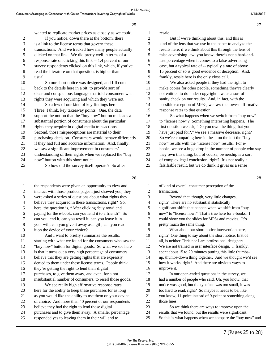|              | ZΣ                                                        |                |                 |
|--------------|-----------------------------------------------------------|----------------|-----------------|
| $\mathbf{1}$ | wanted to replicate market prices as closely as we could. | 1              | resa            |
| 2            | If you notice, down there at the bottom, there            | $\overline{c}$ |                 |
| 3            | is a link to the license terms that govern these          | 3              | kino            |
| 4            | transactions. And we tracked how many people actually     | 4              | rest            |
| 5            | clicked on that link. We did pretty well in terms of a    | 5              | fals            |
| 6            | response rate on clicking this link -- 1.4 percent of our | 6              | fast            |
| 7            | survey respondents clicked on this link, which, if you've | 7              | case            |
| 8            | read the literature on that question, is higher than      | 8              | 15 <sub>1</sub> |
| 9            | usual.                                                    | 9              | fran            |
| 10           | So our short notice was designed, and I'll come           | 10             |                 |
| 11           | back to the details here in a bit, to provide sort of     | 11             | mak             |
| 12           | clear and conspicuous language that told consumers what   | 12             | not             |
| 13           | rights they were acquiring and which they were not.       | 13             | sani            |
| 14           | So a few of our kind of key findings here.                | 14             | pos.            |
| 15           | Three, I think, key takeaway points. One, the data        | 15             | resp            |
| 16           | support the notion that the "buy now" button misleads a   | 16             |                 |
| 17           | substantial portion of consumers about the particular     | 17             | to $\cdot$      |
| 18           | rights they acquire in digital media transactions.        | 18             | first           |
| 19           | Second, those misperceptions are material to their        | 19             | hav             |
| 20           | purchasing decision. Consumers would behave differently   | 20             | So <sub>1</sub> |
| 21           | if they had full and accurate information. And, finally,  | 21             | now             |
| 22           | we saw a significant improvement in consumers'            | 22             | boo             |
| 23           | understanding of their rights when we replaced the "buy   | 23             | they            |
| 24           | now" button with this short notice.                       | 24             | of c            |
| 25           | So how did the survey itself operate? So after            | 25             | fals            |
|              |                                                           |                |                 |

 $\alpha$ 

1 the respondents were given an opportunity to view and 2 interact with those product pages I just showed you, they 3 were asked a series of questions about what rights they 4 believe they acquired in these transactions, right? So, 5 here, the question is, "After clicking 'buy now' and 6 paying for the e-book, can you lend it to a friend?" So 7 can you lend it, can you resell it, can you leave it in 8 your will, can you give it away as a gift, can you read 9 it on the device of your choice? 10 And I want to briefly summarize the results, 11 starting with what we found for the consumers who saw the 12 "buy now" button for digital goods. So what we see here 13 is that it turns out a very high percentage of consumers 14 believe that they are getting rights that are expressly 15 denied to them under these license terms. People think 16 they're getting the right to lend their digital 17 purchases, to give them away, and even, for a not 18 insubstantial number of consumers, to resell those goods. 19 We see really high affirmative response rates 20 here for the ability to keep these purchases for as long 21 as you would like the ability to use them on your device 22 of choice. And more than 40 percent of our respondents 23 believe they had the right to lend those digital 24 purchases and to give them away. A smaller percentage 25 responded yes to leaving them in their will and to

ıle. But if we're thinking about this, and this is d of the lens that we use in the paper to analyze the lts here, if we think about this through the lens of e advertising law, you know, there's not a hard-andpercentage when it comes to a false advertising  $\epsilon$ , but a typical rate of -- typically a rate of above bercent or so is good evidence of deception. And, kly, resale here is the only close call. We also asked people if they had the right to te copies for other people, something they're clearly entitled to do under copyright law, as a sort of Ity check on our results. And, in fact, with the sible exception of MP3s, we saw the lowest affirmative onse rates to that question. So what happens when we switch from "buy now" license now"? Something interesting happens. The question we ask, "Do you own the thing that you e just paid for?," we see a massive decrease, right? we're comparing here in the -- on the left the "buy v" results with the "license now" results. For eks, we see a huge drop in the number of people who say y own this thing, but, of course, ownership is a sort omplex legal conclusion, right? It's not really a

ifiable result, but we do think it gives us a sense

|    | 28                                                        |
|----|-----------------------------------------------------------|
| 1  | of kind of overall consumer perception of the             |
| 2  | transaction.                                              |
| 3  | Beyond that, though, very little changes,                 |
| 4  | right? There are no substantial statistically             |
| 5  | significant shifts that happen when we shift from "buy    |
| 6  | now" to "license now." That's true here for e-books. I    |
| 7  | could show you the slides for MP3s and movies. It's       |
| 8  | pretty much the same thing.                               |
| 9  | What about our short notice intervention here,            |
| 10 | right? One thing to say about the short notice, first of  |
| 11 | all, is neither Chris nor I are professional designers.   |
| 12 | We are not trained in user interface design. I, frankly,  |
| 13 | spent about 15 to 20 minutes putting this little thumbs-  |
| 14 | up, thumbs-down thing together. And we thought we'd see   |
| 15 | how it works, right? And there are obvious ways to        |
| 16 | improve it.                                               |
| 17 | In our open-ended questions in the survey, we             |
| 18 | had a number of people who said, Uh, you know, that       |
| 19 | notice was good, but the typeface was too small, it was   |
| 20 | too hard to read, right? So maybe it needs to be, like,   |
| 21 | you know, 11-point instead of 9-point or something along  |
| 22 | those lines.                                              |
| 23 | So we think there are ways to improve upon the            |
| 24 | results that we found, but the results were significant.  |
| 25 | So this is what happens when we compare the "buy now" and |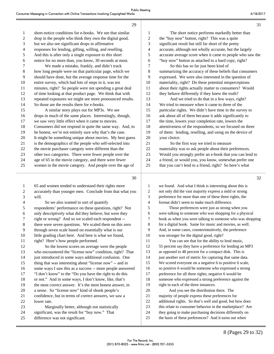| 1              | short-notice conditions for e-books. We see that similar |
|----------------|----------------------------------------------------------|
| $\overline{2}$ | drop in the people who think they own the digital good,  |
| 3              | but we also see significant drops in affirmative         |
| $\overline{4}$ | responses for lending, gifting, willing, and reselling.  |
| 5              | And this is after only a single exposure to this short   |
| 6              | notice for no more than, you know, 30 seconds at most.   |
| 7              | We made a mistake, frankly, and didn't track             |
| 8              | how long people were on that particular page, which we   |
| 9              | should have done, but the average response time for the  |
| 10             | entire survey, which had lots of steps in it, was ten    |
| 11             | minutes, right? So people were not spending a great deal |
| 12             | of time looking at that product page. We think that with |
| 13             | repeated exposures we might see more pronounced results. |
| 14             | So those are the results there for e-books.              |
| 15             | A similar story plays out for MP3s. We see               |
| 16             | drops in much of the same places. Interestingly, though, |
| 17             | we saw very little effect when it came to movies.        |
| 18             | Consumers did not respond in quite the same way. And, to |
| 19             | be honest, we're not entirely sure why that's the case.  |
| 20             | It might be something unique about movies. My best guess |
| 21             | is the demographics of the people who self-selected into |
| 22             | the movie purchaser category were different than the     |
| 23             | other two categories. There were fewer people over the   |
| 24             | age of 65 in the movie category, and there were fewer    |
| 25             | women in the movie category. And people over the age of  |
|                |                                                          |
|                | 30                                                       |

1 65 and women tended to understand their rights more 2 accurately than younger men. Conclude from that what you 3 will. 4 So we also wanted to sort of quantify 5 respondents' performance on these questions, right? Not 6 only descriptively what did they believe, but were they 7 right or wrong? And so we scaled each respondent -- 8 there were seven questions. We scaled them on this zero 9 through seven scale based on essentially what is our 10 little grading chart here. And here is what we found, 11 right? Here's how people performed. 12 So the lowest scores on average were the people 13 who encountered the "license now" condition, right? That 14 just introduced in some ways additional confusion. One 15 thing that was interesting about "license now" -- and in 16 some ways I saw this as a success -- more people answered 17 "I don't know" to the "Do you have the right to do this 18 or not." And in some ways, I don't know, like, that's 19 the most correct answer. It's the most honest answer, in 20 a sense. So "license now" kind of shook people's 21 confidence, but in terms of correct answers, we saw a 22 lower rate. 23 Marginally better, although not statistically 24 significant, was the result for "buy now." That 25 difference was not significant.

| 1  | The short notice performs markedly better than            |
|----|-----------------------------------------------------------|
| 2  | the "buy now" button, right? This was a quite             |
| 3  | significant result but still far short of the pretty      |
| 4  | accurate, although not wholly accurate, but the largely   |
| 5  | accurate average score when it came to people who saw the |
| 6  | "buy now" button as attached to a hard copy, right?       |
| 7  | So this has so far just been kind of                      |
| 8  | summarizing the accuracy of these beliefs that consumers  |
| 9  | expressed. We were also interested in the question of     |
| 10 | materiality, right? Do these potential misperceptions     |
| 11 | about their rights actually matter to consumers? Would    |
| 12 | they behave differently if they knew the truth?           |
| 13 | And we tried to do that in a few ways, right?             |
| 14 | We tried to measure when it came to three of the          |
| 15 | particular rights. We didn't have time in the survey to   |
| 16 | ask about all of them because it adds significantly to    |
| 17 | the time, lowers your completion rate, lowers the         |
| 18 | attentiveness of the respondents, so we focused on three  |
| 19 | of them: lending, reselling, and using on the device of   |
| 20 | your choice.                                              |
| 21 | So the first way we tried to measure                      |
| 22 | materiality was to ask people about their preferences.    |
| 23 | Would you strongly prefer an e-book that you can lend to  |
| 24 | a friend, or would you, you know, somewhat prefer one     |

25 that you can't lend to a friend, right? So here's what

|                | 32                                                        |
|----------------|-----------------------------------------------------------|
| 1              | we found. And what I think is interesting about this is   |
| $\overline{2}$ | not only did the vast majority express a mild or strong   |
| 3              | preference for more than one of these three rights, the   |
| $\overline{4}$ | format didn't seem to make much difference.               |
| 5              | Those preferences were just as strong when you            |
| 6              | were talking to someone who was shopping for a physical   |
| 7              | book as when you were talking to someone who was shopping |
| 8              | for a digital book. Same for music and movies, as well.   |
| 9              | And, in some cases, counterintuitively, the preference    |
| 10             | was stronger for the digital good, right?                 |
| 11             | You can see that for the ability to lend music,           |
| 12             | 55 percent say they have a preference for lending an MP3  |
| 13             | as opposed to 48 percent for a compact disk. This is      |
| 14             | just another sort of metric for capturing that same data. |
| 15             | We scored everyone on a negative 6 to positive 6 scale,   |
| 16             | so positive 6 would be someone who expressed a strong     |
| 17             | preference for all three rights; negative 6 would be      |
| 18             | someone who expressed a strong preference against the     |
| 19             | right in each of the three instances.                     |
| 20             | And you see the distribution there. The                   |
| 21             | majority of people express these preferences for          |
| 22             | additional rights. So that's well and good, but how does  |
| 23             | this relate to consumer behavior in the marketplace? Are  |
| 24             | they going to make purchasing decisions differently on    |
| 25             | the basis of these preferences? And it turns out when     |
|                |                                                           |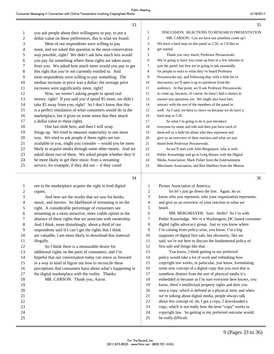|                         | 33                                                        |                | 35                                                        |
|-------------------------|-----------------------------------------------------------|----------------|-----------------------------------------------------------|
| 1                       | you ask people about their willingness to pay, to put a   | $\mathbf{1}$   | DISCUSSION: REACTIONS TO RESEARCH PRESENTATION            |
| $\overline{\mathbf{c}}$ | dollar value on these preferences, this is what we found. | $\overline{2}$ | MR. CARSON: Can we have our panelists come up?            |
| 3                       | Most of our respondents were willing to pay               | 3              | We have a hard stop on this panel at 2:20, so I'd like to |
| 4                       | more, and we asked this question in the most conservative | $\overline{4}$ | get started.                                              |
| 5                       | way possible, right? We didn't ask how much less would    | 5              | Thank you very much, Professor Perzanowski.               |
| 6                       | you pay for something where these rights are taken away   | 6              | We're going to have you come up here in a few minutes to  |
| 7                       | from you. We asked how much more would you pay to get     | 7              | join the panel, but first we're going to ask essentially  |
| 8                       | this right that you're not currently entitled to. And     | 8              | for people to react to what they've heard Professor       |
| 9                       | most respondents were willing to pay something. The       | 9              | Perzanowski say, and following that, with a little bit of |
| 10                      | median increase in price was a dollar; the average price  | 10             | discussion, we'll open it up to questions from the        |
| 11                      | increases were significantly more, right?                 | 11             | audience. At that point, we'll ask Professor Perzanowski  |
| 12                      | Now, we weren't asking people to spend real               | 12             | to come up, because, of course, he hasn't had a chance to |
| 13                      | money, right? If you said you'd spend \$5 more, we didn't | 13             | answer any questions yet. We might also have him          |
| 14                      | take \$5 away from you, right? So I don't know that this  | 14             | interact with the rest of the members of the panel as     |
| 15                      | is a perfect simulation of what consumers would do in the | 15             | well. As I said, we have to move on because we do have a  |
| 16                      | marketplace, but it gives us some sense that they attach  | 16             | hard stop at 2:20.                                        |
| 17                      | a dollar value to these rights.                           | 17             | So what I'm going to do is just introduce                 |
| 18                      | One last slide here, and then I will wrap                 | 18             | everyone by name and title and then just have each of     |
| 19                      | things up. We tried to measure materiality in one more    | 19             | them tell us a little bit about who they represent and    |
| 20                      | way. We tried to ask people if these rights are not       | 20             | give us an overview of their reaction and what we just    |
| 21                      | available to you, might you consider -- would you be more | 21             | heard from Professor Perzanowski.                         |
| 22                      | likely to acquire media through some other means. And we  | 22             | So we'll start with John Bergmayer, who is with           |
| 23                      | asked about two of them. We asked people whether they'd   | 23             | Public Knowledge and go to Greg Barnes with the Digital   |
| 24                      | be more likely to get their music from a streaming        | 24             | Media Association; Mark Fisher from the Entertainment     |
| 25                      | service, for example, if they did not -- if they could    | 25             | Merchants Association; and Ben Sheffner from the Motion   |
|                         | 34                                                        |                | 36                                                        |
| 1                       | not in the marketplace acquire the right to lend digital  | 1              | Picture Association of America.                           |
| 2                       | copies.                                                   | 2              | So let's just go down the line. Again, let us             |
| 3                       | And here are the results that we saw for books,           | 3              | know who you represent, who your organization represents, |
| 4                       | music, and movies. So likelihood of streaming is on the   | 4              | and give us an overview of your reaction to what we       |
| 5                       | right. A considerable percentage of consumers see         | 5              | heard.                                                    |
| 6                       | streaming as a more attractive, more viable option in the | 6              | MR. BERGMAYER: Sure. Hello? So I'm with                   |
| 7                       | absence of these rights that we associate with ownership. | 7              | Public Knowledge. We're a Washington, DC-based consumer   |
| 8                       | And I think, more disturbingly, about a third of our      | 8              | digital rights advocacy group. Just so you know where     |
| 9                       | respondents said if I can't get the rights that I think   | 9              | I'm coming from policy-wise, you know, I'm a big          |
| 10                      | are valuable, I am more likely to download that material  | 10             | supporter of digital first sale, but obviously, like we   |
| 11                      | illegally.                                                | 11             | said, we're not here to discuss the fundamental policy of |
| 12                      | So I think there is a measurable desire for               | 12             | first sale and things like that.                          |
| 13                      | additional rights on the parts of consumers, and I'm      | 13             | You know, I think getting to my preferred                 |
| 14                      | hopeful that our conversation today can move us forward   | 14             | policy would take a lot of work and rethinking how        |
| 15                      | in a way to kind of figure out how to reconcile these     | 15             | copyright law works, in particular, you know, formulating |
| 16                      | perceptions that consumers have about what's happening in | 16             | some new concept of a digital copy that you own that is   |
| 17                      | the digital marketplace with the reality. Thanks.         | 17             | somehow distinct from the sort of physical media it's     |
| 18                      | MR. CARSON: Thank you, Aaron.                             | 18             | embedded in because as I'm sure everyone here knows, you  |
| 19                      |                                                           | 19             | know, there's intellectual property rights and then you   |
| 20                      |                                                           | 20             | own a copy, which is defined as a physical item, and when |
| 21                      |                                                           | 21             | we're talking about digital media, people always talk     |
| 22                      |                                                           | 22             | about this concept of, oh, I got a copy, I downloaded a   |
| 23                      |                                                           | 23             | copy, which is not really how the term "copy" works in    |
| 24                      |                                                           | 24             | copyright law. So getting to my preferred outcome would   |

25 be really difficult.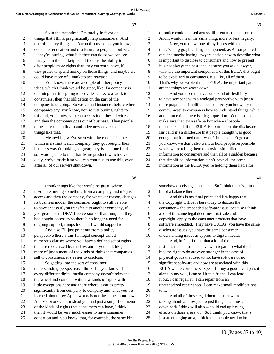40

| $\mathbf{1}$   | So in the meantime, I'm totally in favor of               | 1              | of notice could be used across different media platforms. |
|----------------|-----------------------------------------------------------|----------------|-----------------------------------------------------------|
| $\overline{c}$ | things that I think pragmatically help consumers. And     | $\overline{2}$ | And it would mean the same thing, more or less, legally.  |
| 3              | one of the key things, as Aaron discussed, is, you know,  | 3              | Now, you know, one of my issues with this is              |
| $\overline{4}$ | consumer education and disclosure to people about what it | 4              | there's a big graphic design component, as Aaron pointed  |
| 5              | is they're buying, what it is they can do so we can see   | 5              | out, and maybe having lawyers decide how to describe what |
| 6              | if maybe in the marketplace if there is the ability to    | 6              | is important to disclose to consumers and how to present  |
| 7              | offer people more rights than they currently have, if     | 7              | it is not always the best idea, because you ask a lawyer, |
| 8              | they prefer to spend money on those things, and maybe we  | 8              | what are the important components of this EULA that ought |
| 9              | could have more of a marketplace reaction.                | 9              | to be explained to consumers, it's, like, all of them.    |
| 10             | You know, there are a couple of other policy              | 10             | That's why we wrote it in the EULA, the important parts   |
| 11             | ideas, which I think would be great, like if a company is | 11             | are the things we wrote down.                             |
| 12             | claiming that it is going to provide access to a work to  | 12             | And you need to have some kind of flexibility             |
| 13             | consumers, then that obligation on the part of the        | 13             | to have someone with a nonlegal perspective with just a   |
| 14             | company is ongoing. So we've had instances before where   | 14             | more pragmatic simplified perspective, you know, try to   |
| 15             | companies say, you know, you're just buying rights to     | 15             | communicate to consumers how to understand things, while  |
| 16             | this and, you know, you can access it on these devices,   | 16             | at the same time there is a legal question. You need to   |
| 17             | and then the company goes out of business. Then people    | 17             | make sure that it's a safe harbor where if people         |
| 18             | either lose the ability to authorize new devices or       | 18             | misunderstand, if the EULA is accurate but the disclosure |
| 19             | things like that.                                         | 19             | isn't and it's a disclosure that people thought was good  |
| 20             | Meanwhile, we've seen with the case of Pebble,            | 20             | enough but it turned out it wasn't in this one Edge case, |
| 21             | which is a smart watch company, they got bought; their    | 21             | you know, we don't also want to hold people responsible   |
| 22             | business wasn't looking so great; they issued one final   | 22             | where we're telling them to provide simplified            |
| 23             | software update to their hardware product, which says,    | 23             | information to consumers and then all of a sudden because |
| 24             | okay, we've made it so you can continue to use this, even | 24             | that simplified information didn't have all the same      |
| 25             | after all of our servers shut down.                       | 25             | information as the EULA you're holding them liable for    |
|                |                                                           |                |                                                           |

37

38

1 I think things like that would be great, where if you are buying something from a company and it's just access and then the company, for whatever reason, changes its business model, the consumer ought to still be able to have access if you transfer it to another company, if you give them a DRM-free version of that thing that they had bought access to so there's no longer a need for ongoing support, things like that I would support too. 9 And also I'll just point out from a policy perspective there's this fun legal concept called numerous clauses where you have a defined set of rights that are recognized by the law, and if you had, like, more of just a menu of the kinds of rights that companies sell to consumers, it's easier to disclose. 15 So getting into the sort of consumer understanding perspective, I think if -- you know, if every different digital media company doesn't reinvent the wheel and come up with new kinds of rights with little exceptions here and there where it varies pretty significantly from company to company and what you've learned about how Apple works is not the same about how Amazon works, but instead you had just a simplified menu of the kinds of rights that consumers can have, I think then it would be very much easier to have consumer education and, you know, that, for example, the same kind

1 somehow deceiving consumers. So I think there's a little 2 bit of a balance there. 3 And this is my final point, and I'm happy that 4 the Copyright Office is here today to discuss the 5 consumer -- the embedded software issue, because I think 6 a lot of the same legal doctrines, first sale and 7 copyright, apply to the consumer products that have 8 software embedded. They have EULAs; you have the same 9 disclosure issues; you have the same consumer 10 understanding issues as applies to digital media. 11 And, in fact, I think that a lot of the 12 instincts that consumers have with regard to what did I 13 buy the right to do are even stronger in the case of 14 physical goods that used to not have software or no 15 significant software and now are associated with this 16 EULA where consumers expect if I buy a good I can pass it 17 along in my will, I can sell it to a friend, I can lend 18 it out, I can repair it. I can repair from an 19 unauthorized repair shop. I can make small modifications 20 to it. 21 And all of those legal doctrines that we're 22 talking about with respect to just things like music 23 downloads I think will also -- could end up having 24 effects on those areas too. So I think, you know, that's 25 just an emerging area, I think, that people need to be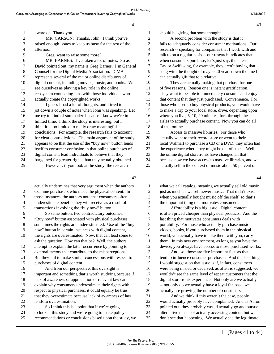| $\mathbf{1}$   | aware of. Thank you.                                      |
|----------------|-----------------------------------------------------------|
| 2              | MR. CARSON: Thanks, John. I think you've                  |
| 3              | raised enough issues to keep us busy for the rest of the  |
| $\overline{4}$ | afternoon.                                                |
| 5              | Greg, want to raise some more?                            |
| 6              | MR. BARNES: I've taken a lot of notes. So as              |
| $\tau$         | David pointed out, my name is Greg Barnes. I'm General    |
| 8              | Counsel for the Digital Media Association. DiMA           |
| 9              | represents several of the major online distributors of    |
| 10             | digital content, including movies, music, and books. We   |
| 11             | see ourselves as playing a key role in the online         |
| 12             | ecosystem connecting fans with those individuals who      |
| 13             | actually create the copyrighted works.                    |
| 14             | I guess I had a lot of thoughts, and I tried to           |
| 15             | jot down a couple of notes when John was speaking. Let    |
| 16             | me try to kind of summarize because I know we're in       |
| 17             | limited time. I think the study is interesting, but I     |
| 18             | think it's too limited to really draw meaningful          |
| 19             | conclusions. For example, the research fails to account   |
| 20             | for clear contradictions. The main argument of the study  |
| 21             | appears to be that the use of the "buy now" button lends  |
| 22             | itself to consumer confusion in that online purchases of  |
| 23             | digital content lead individuals to believe that they     |
| 24             | bargained for greater rights than they actually obtained. |
| 25             | However, if you look at the study, the research           |
|                |                                                           |

| $\mathbf{1}$   | should be giving that some thought.                         |
|----------------|-------------------------------------------------------------|
| 2              | A second problem with the study is that it                  |
| 3              | fails to adequately consider consumer motivations. Our      |
| $\overline{4}$ | research -- speaking for companies that I work with and     |
| 5              | talk to on a regular basis -- our research indicates that   |
| 6              | when consumers purchase, let's just say, the latest         |
| 7              | Taylor Swift song, for example, they aren't buying that     |
| 8              | song with the thought of maybe 40 years down the line I     |
| 9              | can actually gift that to a relative.                       |
| 10             | They are actually making that purchase for one              |
| 11             | of five reasons. Reason one is instant gratification.       |
| 12             | They want to be able to immediately consume and enjoy       |
| 13             | that content that they just purchased. Convenience. For     |
| 14             | those who used to buy physical products, you would have     |
| 15             | to make a trip to your local store, drive, depending upon   |
| 16             | where you live, $5$ , $10$ , $20$ minutes, fork through the |
| 17             | aisles to actually purchase content. Now you can do all     |
| 18             | of that online.                                             |
| 19             | Access to massive libraries. For those who                  |
| 20             | actually went to their record store or went to their        |
| 21             | local Walmart to purchase a CD or a DVD, they often had     |
| 22             | the experience where they might be out of stock. Well,      |
| 23             | the online digital storefronts have changed all that        |

24 because now we have access to massive libraries, and we

25 actually sell in the context of music about 50 percent of

42

| 1  | actually undermines that very argument when the authors   |
|----|-----------------------------------------------------------|
| 2  | examine purchasers who made the physical content. In      |
| 3  | those instances, the authors note that consumers often    |
| 4  | underestimate benefits they will receive as a result of   |
| 5  | transactions involving the "buy now" button.              |
| 6  | So same button, two contradictory outcomes.               |
| 7  | "Buy now" button associated with physical purchases,      |
| 8  | sometimes the rights are underestimated. Use of the "buy  |
| 9  | now" button in certain instances with digital content,    |
| 10 | the rights are overestimated. Now, that can lead some to  |
| 11 | ask the question, How can that be? Well, the authors      |
| 12 | attempt to explain the latter occurrence by pointing to   |
| 13 | external factors that contribute to the misperceptions.   |
| 14 | But they fail to make similar concessions with respect to |
| 15 | purchases of digital content.                             |
| 16 | And from our perspective, this oversight is               |
| 17 | important and something that's worth studying because if  |
| 18 | lack of awareness or appreciation of relevant law can     |
| 19 | explain why consumers underestimate their rights with     |
| 20 | respect to physical purchases, it could equally be true   |
| 21 | that they overestimate because lack of awareness of law   |
| 22 | lends to overestimation.                                  |
| 23 | So I think this is a point that if we're going            |
| 24 | to look at this study and we're going to make policy      |
| 25 | recommendations or conclusions based upon the study, we   |
|    |                                                           |

1 what we call catalog, meaning we actually sell old music 2 just as much as we sell newer music. That didn't exist 3 when you actually bought music off the shelf, so that's 4 the important thing that motivates consumers. 5 Affordability is a big issue. Digital content 6 is often priced cheaper than physical products. And the 7 last thing that motivates consumers deals with 8 portability. For those who actually purchase music 9 videos, books, if you purchased them in the physical 10 world, you actually have to take them with you, carry 11 them. In this new environment, as long as you have the 12 device, you always have access to those purchased works. 13 And, so, those are five important factors that 14 tend to influence consumer purchases. And the last thing 15 I would suggest on that issue is if, in fact, consumers 16 were being misled or deceived, as often is suggested, we 17 wouldn't see the same level of repeat customers that the 18 digital storefronts experience. Not only are we actually 19 -- not only do we actually have a loyal fan base, we 20 actually are growing the number of consumers. 21 And we think if this weren't the case, people

22 would actually probably have complained. And as Aaron 23 pointed out, they probably would actually go and pursue 24 alternative means of actually accessing content, but we 25 don't see that happening. We actually see the legitimate

43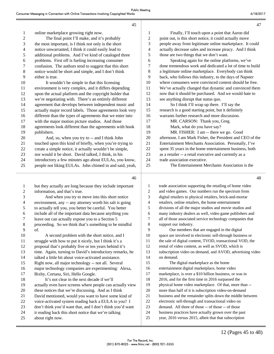|                         | 45                                                                                                           |                  | 47                                                                                                              |
|-------------------------|--------------------------------------------------------------------------------------------------------------|------------------|-----------------------------------------------------------------------------------------------------------------|
| $\mathbf{1}$            | online marketplace growing right now.                                                                        | 1                | Finally, I'll touch upon a point that Aaron did                                                                 |
| $\overline{c}$          | The final point I'll make, and it's probably                                                                 | $\overline{c}$   | point out, is this short notice, it could actually move                                                         |
| 3                       | the most important, is I think not only is the short                                                         | 3                | people away from legitimate online marketplace. It could                                                        |
| 4                       | notice unwarranted, I think it could easily lead to                                                          | 4                | actually decrease sales and increase piracy. And I think                                                        |
| 5                       | additional problems. And I've kind of cataloged three                                                        | 5                | those are two things that we don't want.                                                                        |
| 6                       | problems. First off is fueling increasing consumer                                                           | 6                | Speaking again for the online platforms, we've                                                                  |
| 7                       | confusion. The authors tend to suggest that this short                                                       | $\tau$           | done tremendous work and dedicated a lot of time to build                                                       |
| $8\,$                   | notice would be short and simple, and I don't think                                                          | 8                | a legitimate online marketplace. Everybody can think                                                            |
| 9                       | either is true.                                                                                              | 9                | back, who follows this industry, to the days of Napster                                                         |
| 10                      | It wouldn't be simple in that this licensing                                                                 | 10               | where consumers were convinced content should be free.                                                          |
| 11                      | environment is very complex, and it differs depending                                                        | 11               | We've actually changed that dynamic and convinced them                                                          |
| 12                      | upon the actual platform and the copyright holder that                                                       | 12               | now that it should be purchased. And we would hate to                                                           |
| 13                      | we're negotiating with. There's an entirely different                                                        | 13               | see anything disrupt that status quo.                                                                           |
| 14                      | agreement that develops between independent music and                                                        | 14               | So I think I'll wrap up there. I'll say the                                                                     |
| 15                      | actually major record labels. Those agreements look very                                                     | 15               | research is a good starting point, but it definitely                                                            |
| 16                      | different than the types of agreements that we enter into                                                    | 16               | warrants further research and more discussion.                                                                  |
| 17                      | with the major motion picture studios. And those                                                             | 17               | MR. CARSON: Thank you, Greg.                                                                                    |
| 18                      | agreements look different than the agreements with book                                                      | 18               | Mark, what do you have say?                                                                                     |
| 19                      | publishers.                                                                                                  | 19               | MR. FISHER: I am -- there we go. Good                                                                           |
| 20                      | And, so, when you try to -- and I think John                                                                 | 20               | afternoon. I am Mark Fisher, the President and CEO of the                                                       |
| 21                      | touched upon this kind of briefly, when you're trying to                                                     | 21               | Entertainment Merchants Association. Personally, I've                                                           |
| 22                      | create a simple notice, it actually wouldn't be simple,                                                      | 22               | spent 35 years in the home entertainment business, both                                                         |
| 23                      | nor would it be short. David talked, I think, in his                                                         | 23               | as a retailer -- a retail executive and currently as a                                                          |
| 24                      | introductory a few minutes ago about EULAs, you know,                                                        | 24               | trade association executive.                                                                                    |
| 25                      | people not liking EULAs. John chimed in and said, yeah,                                                      | 25               | The Entertainment Merchants Association is the                                                                  |
|                         | 46                                                                                                           |                  | 48                                                                                                              |
| $\mathbf{1}$            | but they actually are long because they include important                                                    | 1                | trade association supporting the retailing of home video                                                        |
| $\overline{\mathbf{c}}$ | information, and that's true.                                                                                | $\boldsymbol{2}$ | and video games. Our numbers run the spectrum from                                                              |
| 3                       | And when you try to move into this short notice                                                              | 3                | digital retailers to physical retailers, brick-and-mortar                                                       |
| 4                       | environment, any -- any attorney worth his salt is going                                                     | 4                | retailers, online retailers, the home entertainment                                                             |
| 5                       | to actually tell you, you better be careful. You better                                                      | 5                | divisions of all the major studios and movie studios and                                                        |
| 6                       | include all of the important data because anything you                                                       | 6                | many industry dealers as well, video game publishers and                                                        |
| 7                       | leave out can actually expose you to a Section 5                                                             | 7                | all of those associated service technology companies that                                                       |
| 8                       | proceeding. So we think that's something to be mindful                                                       | 8                | support our industry.                                                                                           |
| 9                       | of.                                                                                                          | 9                | Our members that are engaged in the digital                                                                     |
| 10                      | A second problem with the short notice, and I                                                                | 10               | space are involved in electronic sell-through business or                                                       |
| 11                      | struggle with how to put it nicely, but I think it's a                                                       | 11               | the sale of digital content, TVOD, transactional VOD, the                                                       |
| 12                      | proposal that's probably five or ten years behind it's                                                       | 12               | rental of video content, as well as SVOD, which is                                                              |
| 13                      |                                                                                                              |                  |                                                                                                                 |
| 14                      | time. Again, turning to David's introductory remarks, he                                                     | 13               | subscription video on demand, and AVOD, advertising video                                                       |
|                         | talked a little bit about voice-activated assistance.                                                        | 14               | on demand.                                                                                                      |
| 15                      | Right now, all major technology -- not all. Several                                                          | 15               | The digital marketplace as the home                                                                             |
| 16                      | major technology companies are experimenting: Alexa,                                                         | 16               | entertainment digital marketplace, home video                                                                   |
| 17                      | Bixby, Cortana, Siri, Hello Google.                                                                          | 17               | marketplace, is over a \$10 billion business, or was in                                                         |
| 18                      | It's not clear in the next decade if we'll                                                                   | 18               | 2016, and for the first time in 2016 surpassed the                                                              |
| 19                      | actually even have screens where people can actually view                                                    | 19               | physical home video marketplace. Of that, more than --                                                          |
| 20                      | these notices that we're discussing. And as I think                                                          | 20               | more than half of it is subscription video-on-demand                                                            |
| 21<br>22                | David mentioned, would you want to have some kind of<br>voice-activated system reading back a EULA to you? I | 21<br>$22\,$     | business and the remainder splits down the middle between<br>electronic sell-through and transactional video on |

- 23 don't think you'd want that, and I don't think you'd want
- 24 it reading back this short notice that we're talking
- 25 about right now.
- 24 business practices have actually grown over the past
- 25 year, 2016 versus 2015, albeit that that subscription

23 demand. All three of those -- of those -- of those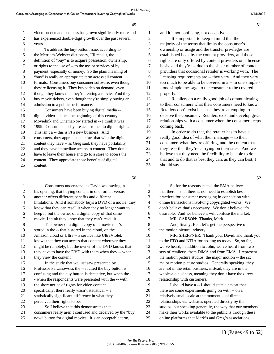| 1  | video-on-demand business has grown significantly more and |
|----|-----------------------------------------------------------|
| 2  | has experienced double-digit growth over the past several |
| 3  | years.                                                    |
| 4  | To address the buy-button issue, according to             |
| 5  | the Merriam-Webster dictionary, I'll read it, the         |
| 6  | definition of "buy" is to acquire possession, ownership,  |
| 7  | or rights to the use of -- to the use or services of by   |
| 8  | payment, especially of money. So the plain meaning of     |
| 9  | "buy" is really an appropriate term across all content    |
| 10 | formats. Consumers buy consumer software, even though     |
| 11 | they're licensing it. They buy video on demand, even      |
| 12 | though they know that they're renting a movie. And they   |
| 13 | buy movie tickets, even though they're simply buying an   |
| 14 | admission to a public performance.                        |
| 15 | Consumers have been buying digital media --               |
| 16 | digital video -- since the beginning of this century.     |
| 17 | Movielink and CinemaNow started in -- I think it was      |
| 18 | 1999. Consumers today are accustomed to digital rights.   |
| 19 | This isn't a -- this isn't a new business. And            |
| 20 | consumers, they appreciate the fact that with the digital |
| 21 | content they have -- as Greg said, they have portability  |
| 22 | and they have immediate access to content. They don't     |
| 23 | have to leave their house and go to a store to access the |
| 24 | content. They appreciate those benefits of digital        |
| 25 | content.                                                  |

49

1 Consumers understand, as David was saying in 2 his opening, that buying content in one format versus 3 another offers different benefits and different 4 limitations. And if somebody buys a DVD of a movie, they 5 know that they can resell it when they no longer want to 6 keep it, but the owner of a digital copy of that same 7 movie, I think they know that they can't resell it. 8 The owner of a digital copy of a movie that's 9 stored in the -- that's stored in the cloud, on the 10 Amazon cloud or Ultra -- a service like UltraViolet, 11 knows that they can access that content wherever they 12 might be remotely, but the owner of the DVD knows that 13 they have to have the DVD with them when they -- when 14 they view the content. 15 In the study that we just saw presented by 16 Professor Perzanowski, the -- it cited the buy button is 17 confusing and the buy button is deceptive, but when the - 18 - when the respondents were presented with the -- with 19 the short notice of rights for video content 20 specifically, there really wasn't statistical -- a 21 statistically significant difference in what they 22 perceived their rights to be. 23 So I believe that this demonstrates that 24 consumers really aren't confused and deceived by the "buy 25 now" button for digital movies. It's an acceptable term,

52

51

 and it's not confusing, not deceptive. 2 It's important to keep in mind that the majority of the terms that limits the consumer's ownership or usage and the transfer privileges are established back by the content providers, and those rights are only offered by content providers on a license basis, and they're -- due to the sheer number of content providers that occasional retailer is working with. The licensing requirements are -- they vary. And they vary too much to be able to be covered in a -- in one simple - 11 - one simple message to the consumer to be covered properly. 13 Retailers do a really good job of communicating

 to their consumers what their consumers need to know. Retailers don't exist because they're attempting to deceive the consumer. Retailers exist and develop great relationships with a consumer when the consumer keeps coming back.

19 In order to do that, the retailer has to have a really good idea of what their message -- to their consumer, what they're offering, and the content that they're -- that they're carrying on their sites. And we believe that they need the flexibility to be able to do 24 that and to do that as best they can, as they can best, I should say.

| So for the reasons stated, the EMA believes               |
|-----------------------------------------------------------|
| that there -- that there is not need to establish best    |
| practices for consumer messaging in connection with       |
| online transactions involving copyrighted works. We       |
| don't believe that's necessary. We don't believe it's     |
| desirable. And we believe it will confuse the market.     |
| MR. CARSON: Thanks, Mark.                                 |
| And, finally, Ben, let's get the perspective of           |
| the motion picture industry.                              |
| MR. SHEFFNER: Thank you, David, and thank you             |
| to the PTO and NTIA for hosting us today. So, so far,     |
| we've heard, in addition to John, we've heard from two    |
| sets of retailers: from DiMA and from EMA. I represent    |
| the motion picture studios, the major motion -- the six   |
| major motion picture studios. Generally speaking, they    |
| are not in the retail business; instead, they are in the  |
| wholesale business, meaning they don't have the direct    |
| relationship with customers.                              |
| I should have a -- I should state a caveat that           |
| there are some experiments going on with -- on a          |
| relatively small scale at the moment -- of direct         |
| relationships via websites operated directly by the       |
| studios, but speaking generally, the way that our members |
| make their works available to the public is through these |
| online platforms that Mark's and Greg's associations      |
|                                                           |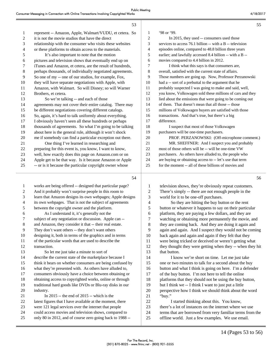|              | 53                                                        |                | 55                                                        |
|--------------|-----------------------------------------------------------|----------------|-----------------------------------------------------------|
| $\mathbf{1}$ | represent -- Amazon, Apple, Walmart/VUDU, et cetera. So   | 1              | '98 or '99.                                               |
| 2            | it is not the movie studios that have the direct          | 2              | In 2015, they used -- consumers used those                |
| 3            | relationship with the consumer who visits these websites  | 3              | services to access 76.1 billion -- with a B -- television |
| 4            | or these platforms to obtain access to the materials.     | $\overline{4}$ | episodes online, compared to 48.8 billion three years     |
| 5            | It's also important to note that the motion               | 5              | earlier; and lawfully accessed 8.4 billion -- with a B -- |
| 6            | pictures and television shows that eventually end up on   | 6              | movies compared to 4.4 billion in 2012.                   |
| 7            | iTunes and Amazon, et cetera, are the result of hundreds, | 7              | I think what this says is that consumers are,             |
| 8            | perhaps thousands, of individually negotiated agreements. | 8              | overall, satisfied with the current state of affairs.     |
| 9            | So one of my -- one of our studios, for example, Fox,     | 9              | Those numbers are going up. Now, Professor Perzanowski    |
| 10           | they will have separate negotiations with Apple, with     | 10             | had a -- sort of a prebuttal to the argument that he      |
| 11           | Amazon, with Walmart. So will Disney; so will Warner      | 11             | probably suspected I was going to make and said, well,    |
| 12           | Brothers, et cetera.                                      | 12             | you know, Volkswagen sold these millions of cars and they |
| 13           | So we're talking -- and each of those                     | 13             | lied about the emissions that were going to be coming out |
| 14           | agreements may not cover their entire catalog. There may  | 14             | of them. That doesn't mean that all those -- those        |
| 15           | be different negotiations covering different catalogs.    | 15             | millions of Volkswagen buyers are satisfied with those    |
| 16           | So, again, it's hard to talk uniformly about everything.  | 16             | transactions. And that's true, but there's a big          |
| 17           | I obviously haven't seen all these hundreds or perhaps    | 17             | difference.                                               |
| 18           | thousands of agreements. So what I'm going to be talking  | 18             | I suspect that most of those Volkswagen                   |
| 19           | about here is the general rule, although it won't shock   | 19             | purchasers will be one-time purchasers.                   |
| 20           | me if somebody can find a particular exception out there. | 20             | PROF. PERZANOWSKI: (Off-microphone comment.)              |
| 21           | One thing I've learned in researching and                 | 21             | MR. SHEFFNER: And I suspect you and probably              |
| 22           | preparing for this event is, you know, I want to know,    | 22             | most of those others will be -- will be one-time VW       |
| 23           | well, how exactly does this page on Amazon.com or on      | 23             | purchasers. As others have alluded to, the people who     |
| 24           | Apple get to be that way. Is it because Amazon or Apple   | 24             | are buying or obtaining access to -- let's use that term  |
| 25           | -- or is it because the particular copyright owner whose  | 25             | for the moment -- all of these billions of movies and     |
|              | 54                                                        |                | 56                                                        |
|              | works are being offered -- designed that particular page? |                | television shows, they're obviously repeat customers.     |

| 1              | works are being offered -- designed that particular page? | 1  | television shows, they're obviously repeat customers.     |
|----------------|-----------------------------------------------------------|----|-----------------------------------------------------------|
| 2              | And it probably won't surprise people in this room to     | 2  | There's simply -- there are not enough people in the      |
| 3              | learn that Amazon designs its own webpages; Apple designs | 3  | world for it to be one-off purchases.                     |
| $\overline{4}$ | its own webpages. That is not the subject of agreements   | 4  | So they are hitting the buy button or the rent            |
| 5              | between the copyright owner and the platform.             | 5  | button or whatever it happens to say on their particular  |
| 6              | As I understand it, it's generally not the                | 6  | platform, they are paying a few dollars, and they are     |
| 7              | subject of any negotiation or discussion. Apple can --    | 7  | watching or obtaining more permanently the movie, and     |
| $\,8\,$        | and Amazon, they consider it that -- their real estate.   | 8  | they are coming back. And they are doing it again and     |
| 9              | They don't want others -- they don't want others          | 9  | again and again. And I suspect they would not be coming   |
| 10             | designing it, both in terms of the graphics and in terms  | 10 | back again and again and again if they felt that they     |
| 11             | of the particular words that are used to describe the     | 11 | were being tricked or deceived or weren't getting what    |
| 12             | transaction.                                              | 12 | they thought they were getting when they -- when they hit |
| 13             | So let me just take a minute to sort of                   | 13 | that button.                                              |
| 14             | describe the current state of the marketplace because I   | 14 | I know we're short on time. Let me just take              |
| 15             | think it bears on whether consumers are being confused by | 15 | one or two minutes to talk for a second about the buy     |
| 16             | what they're presented with. As others have alluded to,   | 16 | button and what I think is going on here. I'm a defender  |
| 17             | consumers obviously have a choice between obtaining or    | 17 | of the buy button. I'm not here to tell the online        |
| 18             | obtaining access to copyrighted works, online or through  | 18 | platforms that they should not be using the buy button,   |
| 19             | traditional hard goods like DVDs or Blu-ray disks in our  | 19 | but I think we -- I think I want to just put a little     |
| 20             | industry.                                                 | 20 | perspective how I think we should think about the word    |
| 21             | In 2015 -- the end of 2015 -- which is the                | 21 | "buy."                                                    |
| 22             | latest figures that I have available at the moment, there | 22 | I started thinking about this. You know,                  |
| 23             | were 121 legal services over the internet that people     | 23 | there's a lot of instances on the internet where we use   |
| 24             | could access movies and television shows, compared to     | 24 | terms that are borrowed from very familiar terms from the |
| 25             | only 80 in 2012, and of course zero going back to 1988 -- | 25 | offline world. Just a few examples. We use email.         |
|                |                                                           |    |                                                           |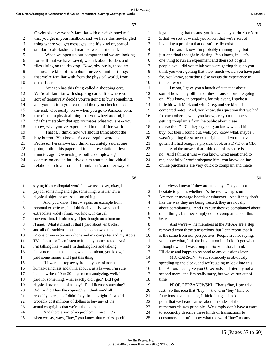|              | 57                                                        |    | 59                                                        |
|--------------|-----------------------------------------------------------|----|-----------------------------------------------------------|
| $\mathbf{1}$ | Obviously, everyone's familiar with old-fashioned mail    | 1  | legal meaning that means, you know, can you do X or Y or  |
| 2            | that you get in your mailbox, and we have this newfangled | 2  | Z that we sort of -- and, you know, that we're sort of    |
| 3            | thing where you get messages, and it's kind of, sort of   | 3  | inventing a problem that doesn't really exist.            |
| 4            | similar to old-fashioned mail, so we call it email.       | 4  | I mean, I know I'm probably running long, but             |
| 5            | When we open up our computer and we are looking           | 5  | just one final thought in closing. You know, in -- it's   |
| 6            | for stuff that we have saved, we talk about folders and   | 6  | one thing to run an experiment and then sort of grill     |
| 7            | files sitting on the desktop. Now, obviously, those are   | 7  | people, well, did you think you were getting this; do you |
| 8            | -- those are kind of metaphors for very familiar things   | 8  | think you were getting that; how much would you have paid |
| 9            | that we're familiar with from the physical world, from    | 9  | for, you know, something else versus the experience in    |
| 10           | our officers.                                             | 10 | the real world.                                           |
| 11           | Amazon has this thing called a shopping cart.             | 11 | I mean, I gave you a bunch of statistics about            |
| 12           | We're all familiar with shopping carts. It's where you    | 12 | sort of how many billions of these transactions are going |
| 13           | sort of tentatively decide you're going to buy something, | 13 | on. You know, in preparing for this event, I spoke a      |
| 14           | and you put it in your cart, and then you check out at    | 14 | little bit with Mark and with Greg, and we kind of        |
| 15           | the end. Obviously, on -- when you go to Amazon.com,      | 15 | compared notes. And, you know, this question that we had  |
| 16           | there's not a physical thing that you wheel around, but   | 16 | for each other is, well, you know, are your members       |
| 17           | it's this metaphor that approximates what you are -- you  | 17 | getting complaints from the public about these            |
| 18           | know, what you've experienced in the offline world.       | 18 | transactions? Did they say, oh, you know what, I hit      |
| 19           | That is, I think, how we should think about the           | 19 | buy, but then I found out, well, you know what, maybe I   |
| 20           | buy button. You know, it's a colloquial word, as          | 20 | wasn't getting the same exact rights that I would have    |
| 21           | Professor Perzanowski, I think, accurately said at one    | 21 | gotten if I had bought a physical book or a DVD or a CD.  |
| 22           | point, both in his paper and in his presentation a few    | 22 | And the answer that I think all of us share is            |
| 23           | minutes ago. Ownership is both a complex legal            | 23 | no. And I think it was -- you know, Greg mentioned to     |
| 24           | conclusion and an intuitive claim about an individual's   | 24 | me, hopefully I won't misquote him, you know, online --   |
| 25           | relationship to a product. I think that's another way of  | 25 | online purchasers are very quick to complain and make     |
|              | 58                                                        |    | 60                                                        |

|                | Эŏ                                                        |                | OU.                                                       |
|----------------|-----------------------------------------------------------|----------------|-----------------------------------------------------------|
| $\mathbf{1}$   | saying it's a colloquial word that we use to say, okay, I | 1              | their views known if they are unhappy. They do not        |
| 2              | pay for something and I get something, whether it's a     | $\overline{c}$ | hesitate to go on, whether it's the review pages on       |
| 3              | physical object or access to something.                   | 3              | Amazon or message boards or whatever. And if they don't   |
| $\overline{4}$ | And, you know, I just -- again, an example from           | $\overline{4}$ | like the way they are being treated, they are not shy     |
| 5              | personal experience, but I think obviously we should      | 5              | about complaining. And I'm sure they've complained about  |
| 6              | extrapolate widely from, you know, in casual              | 6              | other things, but they simply do not complain about this  |
| 7              | conversation, I'll often say, I just bought an album on   | 7              | issue.                                                    |
| 8              | iTunes. What it meant is that I paid about ten bucks,     | 8              | And we're -- the members at the MPAA are a step           |
| 9              | and all of a sudden, a bunch of songs showed up on my     | 9              | removed from these transactions, but I can report that it |
| 10             | iPhone or my -- on my iPhone and my computer and my Apple | 10             | is the same from our perspective. People are not saying,  |
| 11             | TV at home so I can listen to it on my home stereo. And   | 11             | you know what, I hit the buy button but I didn't get what |
| 12             | I'm talking like -- and I'm thinking like and talking     | 12             | I thought when I was doing it. So with that, I think      |
| 13             | like a normal human being who talks about, you know, I    | 13             | I'll close and happy to respond to any questions later.   |
| 14             | paid some money and I got this thing.                     | 14             | MR. CARSON: Well, somebody is obviously                   |
| 15             | If I were to step away from my sort of normal             | 15             | speeding up the clock, and we're going to look into this, |
| 16             | human-beingness and think about it as a lawyer, I'm sure  | 16             | but, Aaron, I can give you 60 seconds and literally not a |
| 17             | I could write a 10 or 20-page memo analyzing, well, I     | 17             | second more, and I'm really sorry, but we've run out of   |
| 18             | paid for something, what exactly did I get? Did I get     | 18             | time.                                                     |
| 19             | physical ownership of a copy? Did I license something?    | 19             | PROF. PERZANOWSKI: That's fine, I can talk                |
| 20             | Did I -- did I buy the copyright? I think we'd all        | 20             | fast. So this idea that "buy" -- the term "buy" kind of   |
| 21             | probably agree, no, I didn't buy the copyright. It would  | 21             | functions as a metaphor, I think that gets back to a      |
| 22             | probably cost millions of dollars to buy any of the       | 22             | point that we heard earlier about this idea of the        |
| 23             | actual copyrights that we're talking about.               | 23             | numerous clauses principle. We simply don't have a word   |
| 24             | And there's sort of no problem. I mean, it's              | 24             | to succinctly describe these kinds of transactions to     |
| 25             | when we say, wow, "buy," you know, that carries specific  | 25             | consumers. I don't know what the word "buy" means.        |
|                |                                                           |                |                                                           |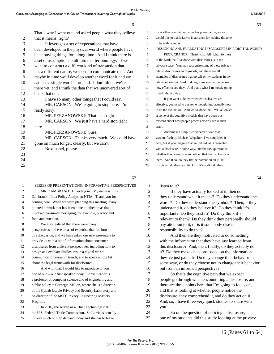63

|    | That's why I went out and asked people what they believe  | 1              | for another commitment after her presentation, so we      |    |
|----|-----------------------------------------------------------|----------------|-----------------------------------------------------------|----|
| 2  | that it means, right?                                     | 2              | would like to thank Lorrie in advance for making the time |    |
| 3  | It leverages a set of expectations that have              | 3              | to be with us today.                                      |    |
| 4  | been developed in the physical world where people have    | $\overline{4}$ | DESIGNING AND EVALUATING DISCLOSURES IN A DIGITAL WORLD   |    |
| 5  | been buying things for a long time. And I think there is  | 5              | PROF. CRANOR: Thank you. All right. So most               |    |
| 6  | a set of assumptions built into that terminology. If we   | 6              | of the work that I've done with disclosures is in the     |    |
| 7  | want to construct a different kind of transaction that    | 7              | privacy space. You may recognize some of these privacy-   |    |
| 8  | has a different nature, we need to communicate that. And  | 8              | related disclosures and symbols, and these are all        |    |
| 9  | maybe in time we'll develop another word for it and we    | 9              | examples of disclosures that myself or my students in my  |    |
| 10 | can use a single word shorthand. I don't think we're      | 10             | lab have been involved in doing some evaluation, to see   |    |
| 11 | there yet, and I think the data that we uncovered sort of | 11             | how effective are they. And that's what I'm mostly going  |    |
| 12 | bears that out.                                           | 12             | to talk about today.                                      |    |
| 13 | I have so many other things that I could say.             | 13             | If you want to know whether disclosures are               |    |
| 14 | MR. CARSON: We're going to stop here. I'm                 | 14             | effective, you need to put some thought into actually how |    |
| 15 | really sorry.                                             | 15             | to do the evaluation. And we've done that. We've looked   |    |
| 16 | MR. PERZANOWSKI: That's all right.                        | 16             | at some of the cognitive models that have been put        |    |
| 17 | MR. CARSON: We just have a hard stop right                | 17             | forward about how people process disclosures in their     |    |
| 18 | here.                                                     | 18             | brain.                                                    |    |
| 19 | MR. PERZANOWSKI: Sure.                                    | 19             | And this is a simplified version of one that              |    |
| 20 | MR. CARSON: Thanks very much. We could have               | 20             | was put forth by Michael Wogalter. I've simplified it     |    |
| 21 | gone on much longer, clearly, but we can't.               | 21             | here, but if you imagine that an individual is presented  |    |
| 22 | Next panel, please.                                       | 22             | with a disclosure in some way, and the first question is  |    |
| 23 |                                                           | 23             | whether they actually even noticed that the disclosure is |    |
| 24 |                                                           | 24             | there. And if so, do they fix their attention on it. If   |    |
| 25 |                                                           | 25             | it's visual, do they read it? Or if it's audio, do they   |    |
|    | 62                                                        |                |                                                           | 64 |
|    |                                                           |                |                                                           |    |

| $\mathbf{1}$   | SERIES OF PRESENTATIONS: INFORMATIVE PERSPECTIVES         | 1  | listen to it?                                             |
|----------------|-----------------------------------------------------------|----|-----------------------------------------------------------|
| 2              | MR. ZAMBRANO: Hi, everyone. My name is Luis               | 2  | If they have actually looked at it, then do               |
| 3              | Zambrano. I'm a Policy Analyst at NTIA. Thank you for     | 3  | they understand what it means? Do they understand the     |
| $\overline{4}$ | coming here. When we were planning this meeting, many     | 4  | words? Do they understand the symbols? Then, if they      |
| 5              | pointed to work that has been done in other areas that    | 5  | understand it, do they believe it? Do they think it's     |
| 6              | involved consumer messaging, for example, privacy and     | 6  | important? Do they trust it? Do they think it's           |
| 7              | food and nutrition.                                       | 7  | relevant to them? Do they think they personally should    |
| 8              | We also realized that there were many                     | 8  | pay attention to it, or is it somebody else's             |
| 9              | perspectives in these areas of expertise that fed into    | 9  | responsibility to do that?                                |
| 10             | this discussion, and we have asked our next presenters to | 10 | And then are they motivated to do something               |
| 11             | provide us with a bit of information about consumer       | 11 | with the information that they have just learned from     |
| 12             | disclosures from different perspectives, including how to | 12 | this disclosure? And, then, finally, do they actually do  |
| 13             | design and evaluate disclosures in a digital world,       | 13 | it? Do they make decisions based on the information       |
| 14             | communication research trends, and to speak a little bit  | 14 | they've just gained? Do they change their behavior in     |
| 15             | about the legal framework for disclosures.                | 15 | some way, or do they choose not to change their behavior, |
| 16             | And with that, I would like to introduce to you           | 16 | but from an informed perspective?                         |
| 17             | one of our -- our first speaker today. Lorrie Cranor is   | 17 | So that's the cognitive path that we expect               |
| 18             | a professor of computer science and of engineering and    | 18 | people go through when encountering a disclosure, and     |
| 19             | public policy at Carnegie-Mellon, where she is a director | 19 | there are three points here that I'm going to focus on,   |
| 20             | of the CyLab Usable Privacy and Security Laboratory and   | 20 | and that is looking at whether people notice the          |
| 21             | co-director of the MSIT Privacy Engineering Masters       | 21 | disclosure, they comprehend it, and do they act on it.    |
| 22             | Program.                                                  | 22 | And, so, I have three very quick studies to share with    |
| 23             | In 2016, she served as a Chief Technologist at            | 23 | you.                                                      |
| 24             | the U.S. Federal Trade Commission. So Lorrie is actually  | 24 | So on the question of noticing a disclosure,              |
| 25             | in very much of high demand today and she has to leave    | 25 | one of my students did this study looking at the privacy  |
|                |                                                           |    |                                                           |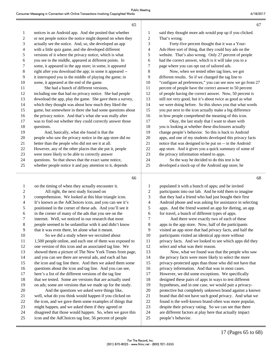|                | 65                                                        |                          | 67                                                        |
|----------------|-----------------------------------------------------------|--------------------------|-----------------------------------------------------------|
| 1              | notices in an Android app. And she posited that whether   | 1                        | said they thought more ads would pop up if you clicked.   |
| 2              | or not people notice the notice might depend on when they | 2                        | That's wrong.                                             |
| 3              | actually see the notice. And, so, she developed an app    | 3                        | Forty-five percent thought that it was a Your-            |
| 4              | with a little quiz game, and she developed different      | $\overline{\mathcal{L}}$ | Ads-Here sort of thing, that they could buy ads on the    |
| 5              | versions of it where the privacy notice, which is what    | 5                        | website. That's also wrong. Only 27 percent of people     |
| 6              | you see in the middle, appeared at different points. In   | 6                        | had the correct answer, which is it will take you to a    |
| 7              | some, it appeared in the app store; in some, it appeared  | 7                        | page where you can opt out of tailored ads.               |
| 8              | right after you download the app; in some it appeared --  | 8                        | Now, when we tested other tag lines, we got               |
| 9              | it interrupted you in the middle of playing the game; in  | 9                        | different results. So if we changed the tag line to       |
| 10             | some, it appeared at the end of the game.                 | 10                       | "configure ad preferences," you can see now we go from 27 |
| 11             | She had a bunch of different versions,                    | 11                       | percent of people have the correct answer to 50 percent   |
| 12             | including one that had no privacy notice. She had people  | 12                       | of people having the correct answer. Now, 50 percent is   |
| 13             | download the app, play the game. She gave them a survey,  | 13                       | still not very good, but it's about twice as good as what |
| 14             | which they thought was about how much they liked the      | 14                       | we were doing before. So this shows you that what words   |
| 15             | game, but somewhere in there she had some questions about | 15                       | you put next to the icon actually make a big difference   |
| 16             | the privacy notice. And that's what she was really after  | 16                       | in how people comprehend the meaning of this icon.        |
| 17             | was to find out whether they could correctly answer those | 17                       | Okay, the last study that I want to share with            |
| 18             | questions.                                                | 18                       | you is looking at whether these disclosures actually      |
| 19             | And, basically, what she found is that the                | 19                       | change people's behavior. So this is back to Android      |
| 20             | people who saw the privacy notice in the app store did no | $20\,$                   | apps, and one of my students developed this privacy facts |
| 21             | better than the people who did not see it at all.         | 21                       | notice that was designed to be put on -- in the Android   |
| 22             | However, any of the other places that she put it, people  | $22\,$                   | app store. And it gives you a quick summary of some of    |
| 23             | were more likely to be able to correctly answer           | 23                       | the privacy information related to apps.                  |
| 24             | questions. So that shows that the exact same notice,      | 24                       | So the way he decided to do this test is he               |
| 25             | whether people notice it and pay attention to it, depends | 25                       | developed a mock-up of the Android app store; he          |
|                | 66                                                        |                          | 68                                                        |
| 1              | on the timing of when they actually encounter it.         | $\mathbf{1}$             | populated it with a bunch of apps; and he invited         |
| $\overline{c}$ | All right, the next study focused on                      | 2                        | participants into our lab. And he told them to imagine    |
| 3              | comprehension. We looked at this blue triangle icon.      | 3                        | that they had a friend who had just bought their first    |
| 4              | It's known as the AdChoices icon, and you can see it's    | 4                        | Android phone and was asking for assistance in selecting  |
| 5              | positioned in the corner of these ads. And you'll see it  | 5                        | apps. And the friend wanted an app for dieting, an app    |
| 6              | in the corner of many of the ads that you see on the      | 6                        | for travel, a bunch of different types of apps.           |
| 7              | internet. Well, we noticed in our research that most      | 7                        | And there were exactly two of each of these               |
| 8              | people seemed to be unfamiliar with it and didn't know    | $8\,$                    | apps in the app store. Now, half of the participants      |
| 9              | that it was even there, let alone what it meant.          | 9                        | visited an app store that had privacy facts, and half the |
| 10             | So we did a study where we recruited about                | 10                       | participants visited an identical app store without       |
| 11             | 1,500 people online, and each one of them was exposed to  | 11                       | privacy facts. And we looked to see which apps did they   |
| 12             | one version of this icon and an associated tag line. We   | 12                       | select and what was their reason.                         |
| 13             | showed them a picture of The New York Times front page,   | 13                       | Now, what we found was that the people who saw            |
| 14             | and you can see there are several ads, and each ad has    | 14                       | the privacy facts were more likely to select the more     |

24 disagreed that those would happen. So, when we gave this 25 icon and the AdChoices tag line, 56 percent of people

15 the icon and tag line there. And then we asked them some 16 questions about the icon and tag line. And you can see, 17 here's a list of the different versions of the tag line 18 that we tested. Some are versions that are actually used 19 on ads; some are versions that we made up for the study. 20 And the questions we asked were things like, 21 well, what do you think would happen if you clicked on 22 the icon, and we gave them some examples of things that 23 might happen, and we asked them if they agreed or

17 (Pages 65 to 68)

15 privacy-protected apps than those who did not have that 16 privacy information. And that was in most cases. 17 However, we did some exceptions. We specifically 18 designed these pairs of apps in ways to test different 19 hypotheses, and in one case, we would pair a privacy-20 protective but completely unknown brand against a known 21 brand that did not have such good privacy. And what we 22 found is the well-known brand often was more popular, 23 despite their privacy rating. So we can see that there 24 are different factors at play here that actually impact

25 people's behavior.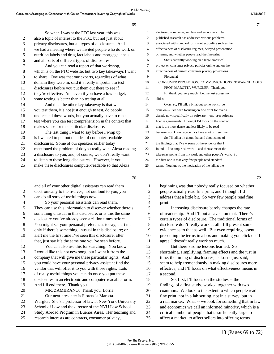|    | 69                                                        |                | 71                                                        |
|----|-----------------------------------------------------------|----------------|-----------------------------------------------------------|
| 1  | So when I was at the FTC last year, this was              | 1              | electronic commerce, and law and economics. Her           |
| 2  | also a topic of interest to the FTC, but not just about   | $\overline{2}$ | published research has addressed various problems         |
| 3  | privacy disclosures, but all types of disclosures. And    | 3              | associated with standard form contract online such as the |
| 4  | we had a meeting where we invited people who do work on   | 4              | effectiveness of disclosure regimes, delayed presentation |
| 5  | nutrition labels and drug fact labels and mortgage labels | 5              | of terms, and whether people read the fine print.         |
| 6  | and all sorts of different types of disclosures.          | 6              | She's currently working on a large empirical              |
| 7  | And you can read a report of that workshop,               | $\overline{7}$ | project on consumer privacy policies online and on the    |
| 8  | which is on the FTC website, but two key takeaways I want | 8              | effectiveness of current consumer privacy protections.    |
| 9  | to share. One was that our experts, regardless of what    | 9              | Florencia?                                                |
| 10 | domain they were in, said it's really important to test   | 10             | CONSUMER PERCEPTION: COMMUNICATIONS RESEARCH TOOLS        |
| 11 | disclosures before you put them out there to see if       | 11             | PROF. MAROTTA-WURGLER: Thank you.                         |
| 12 | they're effective. And even if you have a low budget,     | 12             | Hi, thank you very much. Let me just access my            |
| 13 | some testing is better than no testing at all.            | 13             | slides.                                                   |
| 14 | And then the other key takeaway is that when              | 14             | Okay, so, I'll talk a bit about some work I've            |
| 15 | you test them, it's not just enough to test, do people    | 15             | done on -- I've been focusing on fine print for over a    |
| 16 | understand these words, but you actually have to run a    | 16             | decade now, specifically on software -- end-user software |
| 17 | test where you can test comprehension in the context that | 17             | license agreements. I thought I'd focus on the contract   |
| 18 | makes sense for this particular disclosure.               | 18             | that is the most dense and less likely to be read         |
| 19 | The last thing I want to say before I wrap up             | 19             | because, you know, academics have a lot of free time.     |
| 20 | is I wanted to put out the idea of computer-readable      | 20             | So I'll talk a bit about that and about some of           |
| 21 | disclosures. Some of our speakers earlier today           | 21             | the findings that I've -- some of the evidence that I     |
| 22 | mentioned the problem of do you really want Alexa reading | 22             | found -- I do empirical work -- and then some of the      |
| 23 | a disclosure to you, and, of course, we don't really want | 23             | takeaway points from my work and other people's work. So  |
| 24 | to listen to these long disclosures. However, if you      | 24             | the first one is that very few people read standard       |
| 25 | make these disclosures computer-readable so that Alexa    | 25             | terms. You know, the motivation of the talk at the        |
|    | 70                                                        |                | 72                                                        |
|    | and all of your other digital assistants can read them    | 1              | beginning was that nobody really focused on whether       |

| 2  | electronically to themselves, not out loud to you, you    | $\overline{2}$ | peopl  |
|----|-----------------------------------------------------------|----------------|--------|
| 3  | can do all sorts of useful things now.                    | 3              | addre  |
| 4  | So your personal assistants can read them.                | 4              | print. |
| 5  | They can use this information to discover whether there's | 5              |        |
| 6  | something unusual in this disclosure, or is this the same | 6              | of reε |
| 7  | disclosure you've already seen a zillion times before.    | 7              | certai |
| 8  | You might set your personal preferences to say, alert me  | 8              | disclo |
| 9  | only if there's something unusual in this disclosure; or  | 9              | evide  |
| 10 | alert me the first time I've seen this disclosure; after  | 10             | prese  |
| 11 | that, just say it's the same one you've seen before.      | 11             | agree  |
| 12 | You can also use this for searching. You know,            | 12             |        |
| 13 | I would like this hot new song, but I want it from the    | 13             | short  |
| 14 | company that will give me these particular rights. And    | 14             | time,  |
| 15 | you could have your personal privacy assistant find the   | 15             | seem   |
| 16 | vendor that will offer it to you with those rights. Lots  | 16             | effect |
| 17 | of really useful things you can do once you put these     | 17             | a sec  |
| 18 | disclosures in an electronic and computer-readable form.  | 18             |        |
| 19 | And I'll end there. Thank you.                            | 19             | findin |
| 20 | MR. ZAMBRANO: Thank you, Lorrie.                          | 20             | coaut  |
| 21 | Our next presenter is Florencia Marotta-                  | 21             | fine p |
| 22 | Wurgler. She's a professor of law at New York University  | 22             | a real |
| 23 | School of Law and the director of the NYU Law School      | 23             | and e  |
| 24 | Study Abroad Program in Buenos Aires. Her teaching and    | 24             | critic |
| 25 | research interests are contracts, consumer privacy,       | 25             | affect |
|    |                                                           |                |        |

le actually read fine print, and I thought I'd ess that a little bit. So very few people read fine 5 Increasing disclosure barely changes the rate adership. And I'll put a caveat on that. There's

in types of disclosure. The traditional forms of osure don't really work at all. I'll present some ence as to that as well. But even requiring assent, enting the terms in a box and making you click on "I e," doesn't really work so much.

But there's some lessons learned. So ening, simplifying, framing effects and the just in the timing of disclosures, as Lorrie just said, to help tremendously in making disclosures more tive, and I'll focus on what effectiveness means in ond.

So, first, I'll focus on the studies -- the ngs of a first study, worked together with two thors. We look to the extent to which people read print, not in a lab setting, not in a survey, but in 1 market. What -- we look for something that in law economics we call an informed minority, which is a al number of people that is sufficiently large to et a market, to affect sellers into offering terms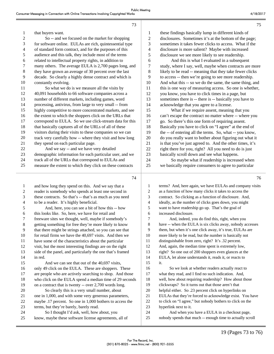| 1              | that buyers want.                                         | 1              |   |
|----------------|-----------------------------------------------------------|----------------|---|
| $\overline{c}$ | So -- and we focused on the market for shopping           | $\overline{c}$ | C |
| 3              | for software online. EULAs are rich, quintessential type  | 3              | S |
| $\overline{4}$ | of standard form contract, and for the purposes of this   | 4              | C |
| 5              | audience and this talk, they include most of the terms    | 5              | Ó |
| 6              | related to intellectual property rights, in addition to   | 6              |   |
| 7              | many others. The average EULA is 2,700 pages long, and    | 7              |   |
| 8              | they have grown an average of 30 percent over the last    | 8              | l |
| 9              | decade. So clearly a highly dense contract and which is   | 9              | t |
| 10             | constantly evolving.                                      | 10             |   |
| 11             | So what we do is we measure all the visits by             | 11             |   |
| 12             | 40,091 households to 66 software companies across a       | 12             |   |
| 13             | number of different markets, including games, word        | 13             |   |
| 14             | processing, antivirus, from large to very small -- from   | 14             | έ |
| 15             | highly competitive to more concentrated markets, and see  | 15             |   |
| 16             | the extent to which the shoppers click on the URLs that   | 16             | C |
| 17             | correspond to EULA. So we use click-stream data for this  | 17             | ٤ |
| 18             | that basically captures all of the URLs of all of these   | 18             |   |
| 19             | visitors during their visits to these companies so we can | 19             | t |
| 20             | track very carefully how -- where they visit and how long | 20             | Ó |
| 21             | they spend on each particular page.                       | 21             | i |
| 22             | And we say -- and we have very detailed                   | 22             | Î |
| 23             | demographic information for each particular user, and we  | 23             |   |
| 24             | track all of the URLs that correspond to EULAs and        | 24             |   |
| 25             | measure the extent to which they click on these contracts | 25             |   |
|                |                                                           |                |   |

these findings basically lump in different kinds of disclosures. Sometimes it's at the bottom of the page; sometimes it takes fewer clicks to access. What if the disclosure is more salient? Maybe with increased disclosure we see more likely to see readership. 6 And this is what I evaluated in a subsequent study, where I say, well, maybe when contracts are more ikely to be read -- meaning that they take fewer clicks to access -- then we're going to see more readership. And what this -- so we do the same, the same thing, and this is one way of measuring access. So one is whether, you know, you have to click times in a page, but sometimes there is -- there is -- basically you have to acknowledge that you agree to a license. What if we require assent, meaning that you can't escape the contract no matter where -- where you 17 go. So there's this one form of requiring assent. Basically you have to click on "I agree" at the end of the -- of entering all the terms. So, what -- you know, 20 do you really want to bother about figuring out what it is that you've just agreed to. And the other times, it's right there for you, right? All you need to do is just basically scroll down and see what happens. So maybe what if readership is increased when

we basically require consumers to agree to particular

73

| $\mathbf{1}$   | and how long they spend on this. And we say that a        |                          |
|----------------|-----------------------------------------------------------|--------------------------|
| $\overline{2}$ | reader is somebody who spends at least one second in      |                          |
| 3              | these contracts. So that's -- that's as much as you need  | Ξ                        |
| 4              | to be a reader. It's highly beneficial.                   | $\overline{\phantom{a}}$ |
| 5              | And, here, you can see a bit of how this -- how           |                          |
| 6              | this looks like. So, here, we have for retail and         | t                        |
| 7              | freeware sites we thought, well, maybe if somebody's      |                          |
| 8              | getting something for free they're more likely to know    | ξ                        |
| 9              | that there might be strings attached, so you can see that | Č                        |
| 10             | for retail firms we have the 40,697 visits. And then we   | 1 <sub>0</sub>           |
| 11             | have some of the characteristics about the particular     | 11                       |
| 12             | visit, but the most interesting findings are on the right | 12                       |
| 13             | side of the panel, and particularly the one that's framed | 13                       |
| 14             | in red.                                                   | 14                       |
| 15             | And we can see that out of the 40,697 visits,             | 1 <sup>2</sup>           |
| 16             | only 49 click on the EULA. These are shoppers. These      | 16                       |
| 17             | are people who are actively searching to shop. And those  | 17                       |
| 18             | who click on the EULA spend a median time of 29 seconds   | 18                       |
| 19             | on a contract that is twenty -- over 2,700 words long.    | 19                       |
| 20             | So clearly this is a very small number, about             | 2(                       |
| 21             | one in 1,000, and with some very generous parameters,     | 2 <sub>1</sub>           |
| 22             | maybe .17 percent. So one in 1,000 bothers to access the  | 2 <sup>2</sup>           |
| 23             | terms, but they're barely, barely read.                   | 2 <sup>2</sup>           |
| 24             | So I thought I'd ask, well, how about, you                | 24                       |
| 25             | know, maybe these software license agreements, all of     | 2 <sup>1</sup>           |
|                |                                                           |                          |

terms? And, here again, we have EULAs and company visits as a function of how many clicks it takes to access the 3 contract. So clicking as a function of disclosure. And, ideally, as the number of clicks goes down, you might want to have readership go up. That's the goal of increased disclosure. And, indeed, you do find this, right, when you have -- when the EULA is six clicks away, nobody accesses them, but when it's one click away, it's true, EULAs are 10 more likely to be read, but the number is basically not distinguishable from zero, right? It's .32 percent. 2 And, again, the median time spent is extremely low, right? So one out of 200 shoppers even glances at the EULA, let alone understands it, reads it, or reacts to it. So we look at whether readers actually react to what they read, and I find no such indication. And, well, how about requiring readership? How about those clickwraps? So it turns out that those aren't that helpful either. So .23 percent click on hyperlinks on EULAs that they're forced to acknowledge exist. You have 22 to click on "I agree," but nobody bothers to click on the 23 hyperlink next to it.

And when you have a EULA in a checkout page, nobody spends that much -- enough time to actually scroll

75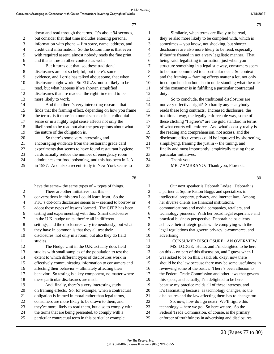| 1              | down and read through the terms. It's about 94 seconds,   | 1              | Similarly, when terms are likely to be read,              |
|----------------|-----------------------------------------------------------|----------------|-----------------------------------------------------------|
| 2              | but consider that that time includes entering personal    | $\mathbf{2}$   | they're also more likely to be complied with, which is    |
| 3              | information with phone -- I'm sorry, name, address, and   | 3              | sometimes -- you know, not shocking, but shorter          |
| 4              | credit card information. So the bottom line is that even  | 4              | disclosures are also more likely to be read, especially   |
| 5              | with required assent, almost nobody reads the fine print, | 5              | if they're framed in not a very legalistic manner. That   |
| 6              | and this is true in other contexts as well.               | 6              | being said, legalisting information, just when you        |
| 7              | But it turns out that, so, these traditional              | 7              | structure something in a legalistic way, consumers seem   |
| $\,8\,$        | disclosures are not so helpful, but there's some          | 8              | to be more committed to a particular deal. So context     |
| 9              | evidence, and Lorrie has talked about some, that when     | 9              | and the framing -- framing effects matter a lot, not only |
| 10             | disclosure might work. So EULAs, not so likely to be      | 10             | in comprehension but also in understanding what the role  |
| 11             | read, but what happens if we shorten simplified           | 11             | of the consumer is in fulfilling a particular contractual |
| 12             | disclosures that are made at the right time tend to be    | 12             | duty.                                                     |
| 13             | more likely to work.                                      | 13             | So to conclude, the traditional disclosures are           |
| 14             | And then there's very interesting research that           | 14             | not very effective, right? So hardly any -- anybody       |
| 15             | finds that the framing effect, depending on how you frame | 15             | reads these long contracts. Increased disclosure, the     |
| 16             | the terms, is it more in a moral sense or in a colloquial | 16             | traditional way, the legally enforceable way, some of     |
| 17             | sense or in a highly legal sense affects not only the     | 17             | these clicking "I agree's" are the gold standard in terms |
| 18             | likelihood to be read but also the perceptions about what | 18             | of what courts will enforce. And what's costly really is  |
| 19             | the nature of the obligation is.                          | 19             | the reading and comprehension, not access, and the        |
| 20             | So there's some very interesting and                      | 20             | disclosure effectiveness could be improved by shortening, |
| 21             | encouraging evidence from the restaurant grade card       | 21             | simplifying, framing the just in -- the timing, and       |
| 22             | experiments that seems to have found restaurant hygiene   | 22             | finally and most importantly, empirically testing these   |
| 23             | cards actually reduce the number of emergency room        | 23             | particular initiatives.                                   |
| 24             | admittances for food poisoning, and this has been in L.A. | 24             | Thank you.                                                |
| 25             | in 1997. And also a recent study in New York seems to     | 25             | MR. ZAMBRANO: Thank you, Florencia.                       |
|                | 78                                                        |                | 80                                                        |
| 1              | have the same-- the same types of -- types of things.     | 1              | Our next speaker is Deborah Lodge. Deborah is             |
| $\overline{c}$ | There are other initiatives that this --                  | $\overline{2}$ | a partner at Squire Patton Boggs and specializes in       |

ı

| There are other initiatives that this --                  | 2  | a partner at Squire Patton Boggs and specializes in       |
|-----------------------------------------------------------|----|-----------------------------------------------------------|
| conversations in this area I could learn from. So the     | 3  | intellectual property, privacy, and internet law. Among   |
| FTC's dot-com disclosure seems to -- seemed to borrow or  | 4  | her diverse clients are financial institutions,           |
| adopt these types of lessons learned. The CFPB has been   | 5  | communications and media companies, retailers, and        |
| testing and experimenting with this. Smart disclosures    | 6  | technology pioneers. With her broad legal experience and  |
| in the U.K. nudge units, they're all in different         | 7  | practical business perspective, Deborah helps clients     |
| settings, and the disclosures vary tremendously, but what | 8  | achieve their strategic goals while complying with the    |
| they have in common is that they all test their           | 9  | legal regulations that govern privacy, e-commerce, and    |
| disclosures, not only in a room, but also they do field   | 10 | advertising.                                              |
| studies.                                                  | 11 | CONSUMER DISCLOSURE: AN OVERVIEW                          |
| The Nudge Unit in the U.K. actually does field            | 12 | MS. LODGE: Hello, and I'm delighted to be here            |
| studies with small samples of the population to test the  | 13 | on this -- on part of this discussion, and I guess when I |
| extent to which different types of disclosures work in    | 14 | was asked to be on this, I said, oh, okay, now there      |
| effectively communicating information to consumers and    | 15 | should be the law because there may be some usefulness in |
| affecting their behavior -- ultimately affecting their    | 16 | reviewing some of the basics. There's been allusion to    |
| behavior. So testing is a key component, no matter where  | 17 | the Federal Trade Commission and other laws that govern   |
| these particular disclosures are made.                    | 18 | this space, and actually, I'm delighted to be here        |
| And, finally, there's a very interesting study            | 19 | because my practice melds all of these interests, and     |
| on framing effects. So, for example, when a contractual   | 20 | it's fascinating because, as technology changes, so the   |
| obligation is framed in moral rather than legal terms,    | 21 | disclosures and the law affecting them has to change too. |
| consumers are more likely to be drawn to them, and        | 22 | So, now, how do I go next? We'll figure this              |
| they're more likely to read them, but also to comply with | 23 | technology -- here we go. So here we are. So the          |
| the terms that are being presented, to comply with a      | 24 | Federal Trade Commission, of course, is the primary       |
| particular contractual term in this particular example.   | 25 | enforcer of truthfulness in advertising and disclosures.  |
|                                                           |    |                                                           |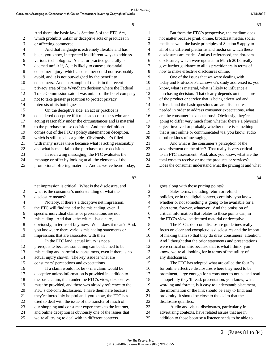| -1             | And there, the basic law is Section 5 of the FTC Act,     | 1              | But from the FTC's perspective, the medium does           |
|----------------|-----------------------------------------------------------|----------------|-----------------------------------------------------------|
| 2              | which prohibits unfair or deceptive acts or practices in  | $\overline{c}$ | not matter because print, online, broadcast media, social |
| 3              | or affecting commerce.                                    | 3              | media as well, the basic principles of Section 5 apply to |
| 4              | And that language is extremely flexible and has           | 4              | all of the different platforms and media on which these   |
| 5              | been, you know, interpreted in different ways to address  | 5              | disclosures are made. And as I referenced, the dot-com    |
| 6              | various technologies. An act or practice generally is     | 6              | disclosures, which were updated in March 2013, really     |
| 7              | deemed unfair if, A, it is likely to cause substantial    | 7              | give further guidance to all us practitioners in terms of |
| $\,8\,$        | consumer injury, which a consumer could not reasonably    | 8              | how to make effective disclosures online.                 |
| $\overline{9}$ | avoid, and it is not outweighed by the benefit to         | 9              | One of the issues that we were dealing with               |
| 10             | consumers. And an example of that is in the recent        | 10             | today and Professor Perzanowski's study addressed is, you |
| 11             | privacy area of the Wyndham decision where the Federal    | 11             | know, what is material, what is likely to influence a     |
| 12             | Trade Commission said it was unfair of the hotel company  | 12             | purchasing decision. That clearly depends on the nature   |
| 13             | not to take greater precaution to protect privacy         | 13             | of the product or service that is being advertised and    |
| 14             | interests of its hotel guests.                            | 14             | offered, and the basic questions are are disclosures      |
| 15             | On the deceptive side, an act or practice is              | 15             | needed in order to address consumer expectations, what    |
| 16             | considered deceptive if it misleads consumers who are     | 16             | are the consumer's expectations? Obviously, they're       |
| 17             | acting reasonably under the circumstances and is material | 17             | going to differ very much from whether there's a physical |
| 18             | to the purchase or use decision. And that definition      | 18             | object involved or probably whether there is something    |
| 19             | comes out of the FTC's policy statement on deception,     | 19             | that is just online or communicated via, you know, audio  |
| 20             | which is still used as a guide. Obviously, it's filled    | 20             | or other kinds of messaging.                              |
| 21             | with many issues there because what is acting reasonably  | 21             | And what is the consumer's perception of the              |
| 22             | and what is material to the purchase or use decision.     | 22             | advertisement on the offer? That really is very critical  |
| 23             | In reviewing messaging, the FTC evaluates the             | 23             | to an FTC assessment. And, also, you know, what are the   |
| 24             | message or offer by looking at all the elements of the    | 24             | total costs to receive or use the products or services?   |
| 25             | promotional offering material. And as we've heard today,  | 25             | Does the consumer understand what the pricing is and what |
|                |                                                           |                |                                                           |

82

1 net impression is critical. What is the disclosure, and 2 what is the consumer's understanding of what the 3 disclosure means? 4 Notably, if there's a deceptive net impression, 5 the FTC will find the ad to be misleading, even if 6 specific individual claims or presentations are not 7 misleading. And that's the critical issue here, 8 obviously, in terms of buy now. What does it mean? And, 9 you know, are there various misleading statements or 10 impressions that are associated with that? 11 In the FTC land, actual injury is not a 12 prerequisite because something can be deemed to be 13 misleading and harmful to consumers, even if there is no 14 actual injury shown. The key issue is what are 15 consumers' perceptions and expectations. 16 If a claim would not be -- if a claim would be 17 deceptive unless information is provided in addition to 18 the basic claim, then under the FTC's view, disclosures 19 must be provided, and there was already reference to the 20 FTC's dot-com disclosures. I have them here because 21 they're incredibly helpful and, you know, the FTC has 22 tried to deal with the issue of the transfer of much of 23 our shopping and consumer experiences to the internet, 24 and online deception is obviously one of the issues that 25 we're all trying to deal with in different contexts.

1 goes along with those pricing points? 2 Sales terms, including return or refund 3 policies, or in the digital context, certainly, you know, 4 whether or not something is going to be available for a 5 short term, forever, whatever. And the omission of 6 critical information that relates to these points can, in 7 the FTC's view, be deemed material or deceptive.

8 The FTC's dot-com disclosure guidelines really 9 focus on clear and conspicuous disclosures and the import 10 of making them so that they do draw consumers' attention. 11 And I thought that the prior statements and presentations 12 were critical on this because that is what I think, you 13 know, we're all looking for in terms of the utility of 14 any disclosures.

15 The FTC has adopted what are called the four Ps 16 for online effective disclosures where they need to be 17 prominent, large enough for a consumer to notice and read 18 -- hopefully they'll read; presentation, you know, what 19 wording and format, is it easy to understand; placement, 20 the information or the link should be easy to find; and 21 proximity, it should be close to the claim that the 22 disclosure qualifies.

23 Audio and visual disclosures, particularly in 24 advertising contexts, have related issues that are in 25 addition to those because a listener needs to be able to 83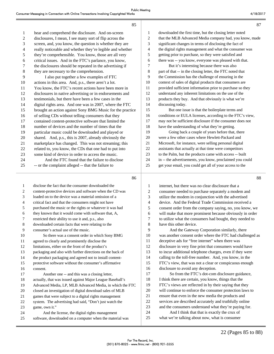88

|                | 85                                                        |
|----------------|-----------------------------------------------------------|
| 1              | hear and comprehend the disclosure. And on-screen         |
| $\overline{2}$ | disclosures, I mean, I see many sort of flip across the   |
| 3              | screen, and, you know, the question is whether they are   |
| 4              | really noticeable and whether they're legible and whether |
| 5              | they're comprehensible. You know, those are all very      |
| 6              | critical issues. And in the FTC's parlance, you know,     |
| 7              | the disclosures should be repeated in the advertising if  |
| 8              | they are necessary to the comprehension.                  |
| 9              | I also put together a few examples of FTC                 |
| 10             | actions in this area. And, p.s., there aren't a lot.      |
| 11             | You know, the FTC's recent actions have been more in      |
| 12             | disclosures in native advertising or in endorsements and  |
| 13             | testimonials, but there have been a few cases in the      |
| 14             | digital rights area. And one was in 2007, where the FTC   |
| 15             | brought an action against Sony BMG Music for the practice |
| 16             | of selling CDs without telling consumers that they        |
| 17             | contained content-protective software that limited the    |
| 18             | number of devices and the number of times that the        |
| 19             | particular music could be downloaded and played or        |
| 20             | shared. And, p.s., this is 2007, already obviously the    |
| 21             | marketplace has changed. This was not streaming; this     |
| 22             | related to, you know, the CDs that one had to put into    |
| 23             | some kind of device in order to access the music.         |
| 24             | And the FTC found that the failure to disclose            |
| 25             | -- or the complaint alleged -- that the failure to        |

| $\mathbf{1}$   | downloaded the first time, but the closing letter noted   |
|----------------|-----------------------------------------------------------|
| $\overline{2}$ | that the MLB Advanced Media company had, you know, made   |
| 3              | significant changes in terms of disclosing the fact of    |
| $\overline{4}$ | the digital rights management and what the consumer was   |
| 5              | getting prior to purchase, so they were satisfied and     |
| 6              | there was -- you know, everyone was pleased with that.    |
| 7              | But it's interesting because there was also               |
| 8              | part of that -- in the closing letter, the FTC noted that |
| 9              | the Commission has the challenge of ensuring in the       |
| 10             | context of sales of digital products that consumers are   |
| 11             | provided sufficient information prior to purchase so they |
| 12             | understand any inherent limitations on the use of the     |
| 13             | products they buy. And that obviously is what we're       |
| 14             | discussing today.                                         |
| 15             | But one issue is that the boilerplate terms and           |
| 16             | conditions or EULA licenses, according to the FTC's view, |
| 17             | may not be sufficient disclosure if the consumer does not |
| 18             | have the understanding of what they're getting.           |
| 19             | Going back a couple of years before that, there           |
| 20             | were a few other cases where Hewlett-Packard and          |
| 21             | Microsoft, for instance, were selling personal digital    |
| 22             | assistants that actually at that time were competitors    |
| 23             | to the Palm, but the products came with access -- built   |
| 24             | in -- the advertisements, you know, proclaimed you could  |
| 25             | get your email, you could get all of your access to the   |

86

| $\mathbf{1}$   | disclose the fact that the consumer downloaded the        | 1              | internet, b      |
|----------------|-----------------------------------------------------------|----------------|------------------|
| $\overline{c}$ | content-protective devices and software when the CD was   | $\overline{c}$ | consumer         |
| 3              | loaded on to the device was a material omission of a      | 3              | utilize the      |
| $\overline{4}$ | critical fact and that the consumers might not have       | 4              | device. $\angle$ |
| 5              | purchased the music or the rights or whatever it was had  | 5              | consent o        |
| 6              | they known that it would come with software that, A,      | 6              | will make        |
| 7              | restricted their ability to use it and, p.s., also        | 7              | to utilize       |
| 8              | downloaded certain facts that were relating to the        | 8              | have this        |
| 9              | consumer's actual use of the music.                       | 9              | An               |
| 10             | So there was a consent order in which Sony BMG            | 10             | was anoth        |
| 11             | agreed to clearly and prominently disclose the            | 11             | deceptive        |
| 12             | limitations, either on the front of the product's         | 12             | disclosure       |
| 13             | packaging and also with further directions on the back of | 13             | to incur a       |
| 14             | the product packaging and agreed not to install content-  | 14             | calling to       |
| 15             | protective software without the consumer's affirmative    | 15             | FTC's vie        |
| 16             | consent.                                                  | 16             | disclosure       |
| 17             | Another one -- and this was a closing letter,             | 17             | So.              |
| 18             | actually, that was issued against Major League Baseball's | 18             | I think the      |
| 19             | Advanced Media, LP, MLB Advanced Media, in which the FTC  | 19             | FTC's vie        |
| 20             | closed an investigation of digital download sales of MLB  | 20             | will conti       |
| 21             | games that were subject to a digital rights management    | 21             | ensure tha       |
| 22             | system. The advertising had said, "Don't just watch the   | 22             | services a       |
| 23             | game, own it."                                            | 23             | and the co       |
| 24             | And the license, the digital rights management            | 24             | An               |
| 25             | software, downloaded on a computer when the material was  | 25             | what we't        |
|                |                                                           |                |                  |

but there was no clear disclosure that a r needed to purchase separately a modem and e modem in conjunction with the advertised And the Federal Trade Commission received a order from the company saying, no, you know, we e that more prominent because obviously in order what the consumers had bought, they needed to other device. d the Gateway Corporation similarly, there her consent order where the FTC had challenged as ads for "free internet" when there was e in very fine print that consumers would have dditional telephone charges, even if they were the toll-free number. And, you know, in the ew, that was not a clear or conspicuous enough e to avoid any deception. from the FTC's dot-com disclosure guidance, ere are certain, you know, things that the ews are reflected in by their saying that they inue to enforce the consumer protection laws to at even in the new media the products and

are described accurately and truthfully online onsumers understand what they're paying for. d I think that that is exactly the crux of re talking about now, what is consumer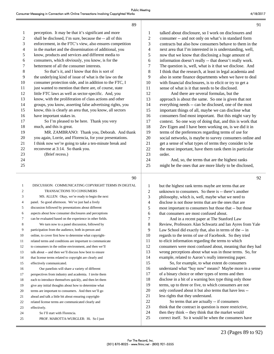|                  | 89                                                                                                          |                          | 91                                                                                                                |
|------------------|-------------------------------------------------------------------------------------------------------------|--------------------------|-------------------------------------------------------------------------------------------------------------------|
| 1                | perception. It may be that it's significant and more                                                        | $\mathbf{1}$             | talked about disclosure, so I work on disclosures and                                                             |
| $\boldsymbol{2}$ | shall be disclosed, I'm sure, because the -- all of this                                                    | $\sqrt{2}$               | consumer -- and not only on what's in standard form                                                               |
| 3                | enforcement, in the FTC's view, also ensures competition                                                    | 3                        | contracts but also how consumers behave to them in the                                                            |
| 4                | in the market and the dissemination of additional, you                                                      | $\overline{4}$           | next area that I'm interested in is understanding, well,                                                          |
| $\mathfrak s$    | know, products and services and different media to                                                          | 5                        | now that we know that disclosing a huge amount of                                                                 |
| 6                | consumers, which obviously, you know, is for the                                                            | 6                        | information doesn't really -- that doesn't really work.                                                           |
| 7                | betterment of all the consumer interests.                                                                   | $\tau$                   | The question is, well, what is it that we disclose. And                                                           |
| 8                | So that's it, and I know that this is sort of                                                               | 8                        | I think that the research, at least in legal academia and                                                         |
| 9                | the underlying kind of issue of what is the law on the                                                      | 9                        | also in some finance departments when we have to deal                                                             |
| 10               | consumer protection side, and in addition to the FTC, I                                                     | 10                       | with financial disclosures, is to elicit or try to get a                                                          |
| 11               | just wanted to mention that there are, of course, state                                                     | 11                       | sense of what is it that needs to be disclosed.                                                                   |
| 12               | little FTC laws as well as sector-specific. And, you                                                        | 12                       | And there are several formulas, but the                                                                           |
| 13               | know, with the proliferation of class actions and other                                                     | 13                       | approach is about the same. So one is given that not                                                              |
| 14               | groups, you know, asserting false advertising rights, you                                                   | 14                       | everything needs -- can be disclosed, one of the most                                                             |
| 15               | know, this is clearly an area that, you know, all sectors                                                   | 15                       | important things of all, maybe we can disclose what                                                               |
| 16               | have important stakes in.                                                                                   | 16                       | consumers find most important. But this might vary by                                                             |
| 17               | So I'm pleased to be here. Thank you very                                                                   | 17                       | context. So one way of doing that, and this is work that                                                          |
| 18               | much, and this is great.                                                                                    | 18                       | Zev Eigen and I have been working on, is we did it in                                                             |
| 19               | MR. ZAMBRANO: Thank you, Deborah. And thank                                                                 | 19                       | terms of the preferences regarding terms of use for                                                               |
| 20               | you again, Lorrie, and Florencia, for your presentations.                                                   | 20                       | social networks, is maybe to survey consumers online and                                                          |
| 21               | I think now we're going to take a ten-minute break and                                                      | 21                       | get a sense of what types of terms they consider to be                                                            |
| 22               | reconvene at 3:14. So thank you.                                                                            | 22                       | the most important, have them rank them in particular                                                             |
| 23               | (Brief recess.)                                                                                             | 23                       | order.                                                                                                            |
| 24               |                                                                                                             | 24                       | And, so, the terms that are the highest ranks                                                                     |
| 25               |                                                                                                             | 25                       | might be the ones that are more likely to be disclosed,                                                           |
|                  |                                                                                                             |                          |                                                                                                                   |
|                  | 90                                                                                                          |                          | 92                                                                                                                |
|                  |                                                                                                             |                          |                                                                                                                   |
| $\mathbf{1}$     | DISCUSSION: COMMUNICATING COPYRIGHT TERMS IN DIGITAL                                                        | 1                        | but the highest rank terms maybe are terms that are                                                               |
| 2                | TRANSACTIONS TO CONSUMERS                                                                                   | $\boldsymbol{2}$         | unknown to consumers. So there is -- there's another                                                              |
| 3<br>4           | MS. ALLEN: Okay, we're ready to begin the next                                                              | $\mathfrak{Z}$           | philosophy, which is, well, maybe what we need to                                                                 |
| 5                | panel. So good afternoon. We've just had a lively                                                           | $\overline{\mathcal{L}}$ | disclose is not those terms that are the ones that are                                                            |
| 6                | discussion followed by presentations about different                                                        | $\mathfrak s$            | most important to consumers but those that -- but those                                                           |
| 7                | aspects about how consumer disclosures and perceptions                                                      | 6<br>$\overline{7}$      | that consumers are most confused about.                                                                           |
| 8                | can be evaluated based on the experience in other fields.<br>We turn now to a panel discussion, followed by | 8                        | And in a recent paper at The Stanford Law                                                                         |
| 9                | participation from the audience, both in-person and                                                         | 9                        | Review, Professors Alan Schwartz and Ian Ayres from Yale                                                          |
| 10               | online, to cover first how to determine what copyright-                                                     | 10                       | Law School did exactly that, also in terms of the -- in<br>regards to the terms of use of Facebook. So they tried |
| 11               | related terms and conditions are important to communicate                                                   | 11                       | to elicit information regarding the terms to which                                                                |
| 12               | to consumers in the online environment, and then we'll                                                      | 12                       | consumers were most confused about, meaning that they had                                                         |
| 13               | talk about -- and then we'll discuss how best to ensure                                                     | 13                       | wrong perceptions about what was in those terms. So, for                                                          |
| 14               | that license terms related to copyright are clearly and                                                     | 14                       | example, related to Aaron's really interesting paper.                                                             |
| 15               | effectively communicated.                                                                                   | 15                       | So, for example, to what extent do consumers                                                                      |
| 16               | Our panelists will share a variety of different                                                             | 16                       | understand what "buy now" means? Maybe more in a sense                                                            |
| 17               | perspectives from industry and academia. I invite them                                                      | 17                       | of a binary choice or other types of terms and then                                                               |
| 18               | each to introduce themselves quickly, and then let them                                                     | 18                       | disclose in a bit of a warning box type thing only those                                                          |
| 19               | give any initial thoughts about how to determine what                                                       | 19                       | terms, up to three or five, to which consumers are not                                                            |
| 20               | terms are important to consumers. And then we'll go                                                         | 20                       | only confused about it but also terms that have less --                                                           |
| 21               | ahead and talk a little bit about ensuring copyright-                                                       | 21                       | less rights that they understand.                                                                                 |
| 22               | related license terms are communicated clearly and                                                          | 22                       | So terms that are actually -- if consumers                                                                        |
| 23               | effectively.                                                                                                | 23                       | think that the contract in question is more restrictive,                                                          |
| 24<br>25         | So I'll start with Florencia.<br>PROF. MAROTTA-WURGLER: Hi. So I just                                       | 24<br>25                 | then they think -- they think that the market would<br>correct itself. So it would be when the consumers have     |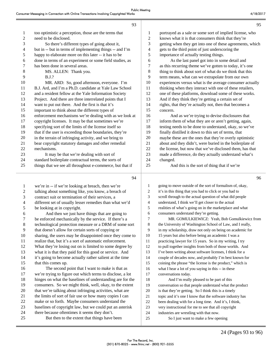|                | 93                                                        |                | 95                                                        |
|----------------|-----------------------------------------------------------|----------------|-----------------------------------------------------------|
| $\mathbf{1}$   | too optimistic a perception, those are the terms that     | $\mathbf{1}$   | portrayed as a sale or some sort of implied license, who  |
| $\overline{c}$ | need to be disclosed.                                     | $\overline{c}$ | knows what it is that consumers think that they're        |
| 3              | So there's different types of going about it,             | 3              | getting when they get into one of these agreements, which |
| 4              | but in -- but in terms of implementing things -- and I'm  | $\overline{4}$ | gets to the third point of just underscoring the          |
| 5              | happy to elaborate more on this later -- it has to be     | 5              | importance of actually testing things.                    |
| 6              | done in terms of an experiment or some field studies, as  | 6              | As the last panel got into in some detail and             |
| 7              | has been done in several areas.                           | $\tau$         | as this recurring theme we've gotten to today, it's one   |
| $8\,$          | MS. ALLEN: Thank you.                                     | 8              | thing to think about sort of what do we think that this   |
| 9              | B.J.?                                                     | 9              | term means, what can we extrapolate from our own          |
| 10             | MR. ARD: So, good afternoon, everyone. I'm                | 10             | experiences versus what is the average consumer actually  |
| 11             | B.J. Ard, and I'm a Ph.D. candidate at Yale Law School    | 11             | thinking when they interact with one of these retailers,  |
| 12             | and a resident fellow at the Yale Information Society     | 12             | one of these platforms, download some of these works.     |
| 13             | Project. And there are three interrelated points that I   | 13             | And if they think they're getting a certain set of        |
| 14             | want to put out there. And the first is that it's         | 14             | rights, that they're actually not, then that becomes a    |
| 15             | important to think about the different types of           | 15             | concern.                                                  |
| 16             | enforcement mechanisms we're dealing with as we look at   | 16             | And as we're trying to devise disclosures that            |
| 17             | copyright licenses. It may be that sometimes we're        | 17             | inform them of what they are or aren't getting, again,    |
| 18             | specifying sort of the limits of the license itself so    | 18             | testing needs to be done to understand, okay, so we've    |
| 19             | that if the user is exceeding those boundaries, they're   | 19             | finally distilled it down to this set of terms, that      |
| 20             | in the terrain of infringing activity, and we bring to    | 20             | maybe these are the ones that they're overly optimistic   |
| 21             | bear copyright statutory damages and other remedial       | 21             | about and they didn't, were buried in the boilerplate of  |
| 22             | mechanisms.                                               | 22             | the license, but now that we've disclosed them, has that  |
| 23             | It may be that we're dealing with sort of                 | 23             | made a difference, do they actually understand what's     |
| 24             | standard boilerplate contractual terms, the sorts of      | 24             | changed.                                                  |
| 25             | things that we see all throughout e-commerce, but that if | 25             | And this is the sort of thing that if we're               |
|                | 94                                                        |                | 96                                                        |
| 1              | we're in -- if we're looking at breach, then we're        | 1              | going to move outside of the sort of formalism of, okay,  |
| 2              | talking about something like, you know, a breach of       | 2              | it's in this thing that you had to click or you had to    |
| 3              | contract suit or termination of their services, a         | 3              | scroll through to the actual question of what did people  |
| 4              | different set of usually lesser remedies than what we'd   | 4              | understand, I think we'll get closer to the actual        |
| 5              | be looking at in copyright.                               | 5              | realities of what's going on in the marketplace and what  |
| 6              | And then we just have things that are going to            | 6              | consumers understand they're getting.                     |

## 7 be enforced mechanically by the service. If there's a

8 technological protection measure or a DRM of some sort

9 that doesn't allow for certain sorts of copying or

10 sharing, the users may be disappointed once they come to

11 realize that, but it's a sort of automatic enforcement.

- 12 What they're losing out on is limited to some degree by
- 13 what it is that they paid for this good or service. And 14 it's going to become actually rather salient at the time

15 that this comes up.

#### 16 The second point that I want to make is that as 17 we're trying to figure out which terms to disclose, a lot 18 hinges on what the baselines of understanding are for the 19 consumers. So we might think, well, okay, to the extent 20 that we're talking about infringing activities, what are 21 the limits of sort of fair use or how many copies I can 22 make or so forth. Maybe consumers understand the 23 baselines of copyright law, but we could put an asterisk 24 there because oftentimes it seems they don't. 25 But then to the extent that things have been

7 MR. GOMULKIEWICZ: Yeah, Bob Gomulkiewicz from 8 the University of Washington School of Law, and I really, 9 in my scholarship, draw not only on being on academic for 10 15 years but also before being an academic I was a 11 practicing lawyer for 15 years. So in my writing, I try 12 to pull together insights from both of those worlds. And 13 I've been writing about software licenses, I think for a 14 couple of decades now, and probably I'm best known for 15 coining the phrase "the license is the product," which is 16 what I hear a lot of you saying in this -- in these 17 conversations today. 18 And I'm really pleased to be part of this 19 conversation so that people understand what the product 20 is that they're getting. So I think this is a timely 21 topic and it's one I know that the software industry has 22 been dealing with for a long time. And it's, I think,

23 very instructional for me to see that all copyright

24 industries are wrestling with that now.

25 So I just want to make a few opening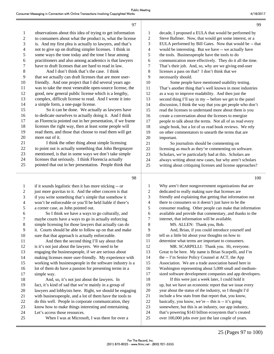|                         | 97                                                                                                |                          | 99                                                                                                              |
|-------------------------|---------------------------------------------------------------------------------------------------|--------------------------|-----------------------------------------------------------------------------------------------------------------|
| $\mathbf{1}$            | observations about this idea of trying to get information                                         | 1                        | decade, I proposed a EULA that would be performed by                                                            |
| $\overline{c}$          | to consumers about what the product is, what the license                                          | $\boldsymbol{2}$         | Steve Ballmer. Now, that would get some interest, or a                                                          |
| $\mathfrak{Z}$          | is. And my first plea is actually to lawyers, and that's                                          | 3                        | EULA performed by Bill Gates. Now that would be -- that                                                         |
| $\overline{\mathbf{4}}$ | not to give up on drafting simpler licenses. I think in                                           | $\overline{\mathbf{4}}$  | would be interesting. But we have -- we actually have                                                           |
| 5                       | some ways the tone today and the tone I hear among                                                | 5                        | the tools. Businesspeople have the tools to do                                                                  |
| 6                       | practitioners and also among academics is that lawyers                                            | 6                        | communication more effectively. They do it all the time.                                                        |
| 7                       | have to draft licenses that are hard to read in law.                                              | 7                        | That's their job. And, so, why are we giving end-user                                                           |
| 8                       | And I don't think that's the case. I think                                                        | $8\,$                    | licenses a pass on that? I don't think that we                                                                  |
| 9                       | that we actually can draft licenses that are more user-                                           | 9                        | necessarily should.                                                                                             |
| 10                      | friendly. And one project that I did several years ago                                            | 10                       | Some people have mentioned usability testing.                                                                   |
| 11                      | was to take the most venerable open-source license, the                                           | 11                       | That's another thing that's well known in most industries                                                       |
| 12                      | good, new general public license which is a lengthy,                                              | 12                       | as a way to improve readability. And then just the                                                              |
| 13                      | complex, difficult license to read. And I wrote it into                                           | 13                       | second thing I'll say in my -- before we get to the panel                                                       |
| 14                      | a simple form, a one-page license.                                                                | 14                       | discussion, I think the way that you get people who don't                                                       |
| 15                      | So it can be done. We actually as lawyers have                                                    | 15                       | read the licenses to understand more about them is you                                                          |
| 16                      | to dedicate ourselves to actually doing it. And I think                                           | 16                       | create a conversation about the licenses to energize                                                            |
| 17                      | as Florencia pointed out in her presentation, if we frame                                         | 17                       | people to talk about the terms. Not all of us read every                                                        |
| 18                      | licenses the right way, then at least some people will                                            | 18                       | single book, but a lot of us read book reviews. We rely                                                         |
| 19                      | read them, and those that choose to read them will get                                            | 19                       | on other commentators to unearth the terms that are                                                             |
| $20\,$                  | more out of it.                                                                                   | 20                       | important.                                                                                                      |
| 21                      | I think the other thing about simple licensing                                                    | 21                       | So journalists should be commenting on                                                                          |
| $22\,$                  | to point out is actually something that John Bergmayer                                            | 22                       | licensing as much as they're commenting on software.                                                            |
| 23                      | mentioned, is that in some ways we don't take simple                                              | 23                       | Scholars, we're particularly bad at this. Scholars are                                                          |
| 24                      | licenses that seriously. I think Florencia actually                                               | 24                       | always writing about new cases, but why aren't scholars                                                         |
| 25                      | pointed that out in her presentation. People think that                                           | 25                       | writing about critiquing licenses and license approaches?                                                       |
|                         |                                                                                                   |                          |                                                                                                                 |
|                         |                                                                                                   |                          |                                                                                                                 |
|                         | 98                                                                                                |                          | 100                                                                                                             |
|                         |                                                                                                   |                          |                                                                                                                 |
| 1                       | if it sounds legalistic then it has more sticking -- or                                           | 1                        | Why aren't there nongovernment organizations that are                                                           |
| 2                       | just more gravitas to it. And the other concern is that                                           | 2                        | dedicated to really making sure that licenses are                                                               |
| 3                       | if you write something that's simple that somehow it                                              | 3                        | friendly and explaining that getting that information out                                                       |
| 4                       | won't be enforceable or you'll be held liable if there's                                          | $\overline{\mathcal{A}}$ | there to consumers so it doesn't just have to be the                                                            |
| 5                       | a corner case, as John pointed out.                                                               | 5                        | consumer reading. Other people can make that information                                                        |
| 6                       | So I think we have a ways to go culturally, and                                                   | 6<br>7                   | available and provide that commentary, and thanks to the                                                        |
| 7                       | maybe courts have a ways to go in actually enforcing                                              |                          | internet, that information will be available.                                                                   |
| 8                       | simple licensing for those lawyers that actually can do                                           | $8\,$<br>9               | MS. ALLEN: Thank you, Bob.                                                                                      |
| 9                       | it. Courts should be able to follow up on that and make                                           | 10                       | And, Brian, if you could introduce yourself and                                                                 |
| 10<br>11                | sure that that approach is actually enforceable.<br>And then the second thing I'll say about that | 11                       | tell us a little bit about your thoughts on how to<br>determine what terms are important to consumers.          |
| 12                      | is it's not just about the lawyers. We need to be                                                 | 12                       | MR. SCARPELLI: Thank you. Hi, everyone.                                                                         |
| 13                      | engaging the businesspeople, if we are serious about                                              | 13                       | Great to be here. My name is Brian Scarpelli, and I'm                                                           |
| 14                      | making licenses more user-friendly. My experience with                                            | 14                       | the -- I'm Senior Policy Counsel at ACT, the App                                                                |
| 15                      | working with businesspeople in the software industry is a                                         | 15                       | Association. We are a trade association based here in                                                           |
| 16                      | lot of them do have a passion for presenting terms in a                                           | 16                       | Washington representing about 5,000 small and medium-                                                           |
| 17                      | simple way.                                                                                       | 17                       | sized software development companies and app developers.                                                        |
| 18                      | And, so, it's not just about the lawyers. In                                                      | 18                       | If this were just a week later, I could hold it                                                                 |
| 19                      | fact, it's kind of sad that we're mainly in a group of                                            | 19                       | up, but we have an economic report that we issue every                                                          |
| $20\,$                  | lawyers and lobbyists here. Right, we should be engaging                                          | 20                       | year about the status of the industry, so I thought I'd                                                         |
| 21                      | with businesspeople, and a lot of them have the tools to                                          | 21                       | include a few stats from that report that, you know,                                                            |
| $22\,$                  | do this well. People in corporate communication, they                                             | $22\,$                   | basically, you know, we're -- this is -- it's going                                                             |
| 23                      | know how to make things interesting and entertaining.                                             | 23                       | somewhere, but this is an industry, our app industry,                                                           |
| 24<br>25                | Let's access those resources.<br>When I was at Microsoft, I was there for over a                  | 24<br>$25\,$             | that's powering \$143 billion ecosystem that's created<br>over 100,000 jobs over just the last couple of years. |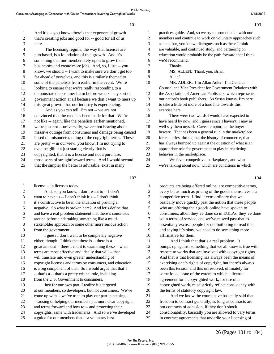|                | 101                                                       |                | 103                                                       |
|----------------|-----------------------------------------------------------|----------------|-----------------------------------------------------------|
| 1              | And it's -- you know, there's that exponential growth     | 1              | practices guide. And, so we try to promote that with our  |
| $\mathfrak{2}$ | that's creating jobs and good for -- good for all of us   | 2              | members and continue to work on voluntary approaches such |
| 3              | here.                                                     | 3              | as that, but, you know, dialogues such as these I think   |
| 4              | The licensing regime, the way that licenses are           | 4              | are valuable, and continued study, and partnering on      |
| 5              | purchased, is a foundation of that growth. And it's       | 5              | education would probably be the path forward that I think |
| 6              | something that our members rely upon to grow their        | 6              | we'd recommend.                                           |
| 7              | businesses and create more jobs. And, so, I just -- you   | $\overline{7}$ | Thanks.                                                   |
| $\,8\,$        | know, we should -- I want to make sure we don't get too   | 8              | MS. ALLEN: Thank you, Brian.                              |
| $\overline{9}$ | far ahead of ourselves, and this is similarly themed to   | 9              | Allan?                                                    |
| 10             | some of the panelists from earlier in the event. We're    | 10             | MR. ADLER: I'm Allan Adler. I'm General                   |
| 11             | looking to ensure that we're really responding to a       | 11             | Counsel and Vice President for Government Relations with  |
| 12             | demonstrated consumer harm before we take any sort of     | 12             | the Association of American Publishers, which represents  |
| 13             | government action at all because we don't want to mess up | 13             | our nation's book publishers. As Susan knows, I'm here    |
| 14             | this great growth that our industry is experiencing.      | 14             | to take a little bit more of a hard line towards this     |
| 15             | And as you can tell, I'm not -- we are not                | 15             | exercise here.                                            |
| 16             | convinced that the case has been made for that. We're     | 16             | There were two words I would have expected to             |
| 17             | not like -- again, like the panelists earlier mentioned,  | 17             | have heard by now, and I guess since I haven't, I may as  |
| 18             | we're just not -- universally, we are not hearing about   | 18             | well say them myself. Caveat emptor, let the buyer        |
| 19             | massive outrage from consumers and damage being caused    | 19             | beware. That has been a general rule in the marketplace   |
| 20             | based on misunderstanding of the copyright terms. These   | 20             | for centuries, throughout the history of commerce, that   |
| 21             | are pretty -- in our view, you know, I'm not trying to    | 21             | has always bumped up against the question of what is an   |
| 22             | even be glib but just stating clearly that is             | 22             | appropriate role for government to play in restricting    |
| 23             | copyrighted, that it is a license and not a purchase,     | 23             | behavior in the marketplace.                              |
| 24             | those sorts of straightforward terms. And I would second  | 24             | We favor competitive marketplaces, and what               |
| 25             | that the simpler the better is advisable, exist in many   | 25             | we're talking about now, which are conditions in which    |
|                |                                                           |                |                                                           |

| 1              | license -- in licenses today.                             |
|----------------|-----------------------------------------------------------|
| $\overline{2}$ | And, so, you know, I don't want to -- I don't             |
| 3              | want to have us -- I don't think it's -- I don't think    |
| $\overline{4}$ | it's constructive to be in the situation of proving a     |
| 5              | negative. So what is broken here? And let's define that   |
| 6              | and have a real problem statement that there's consensus  |
| 7              | around before undertaking something like a multi-         |
| 8              | stakeholder approach or some other more serious action    |
| 9              | from the government.                                      |
| 10             | I guess I don't want to be completely negative            |
| 11             | either, though. I think that there is -- there is a       |
| 12             | great amount -- there's merit to examining these -- what  |
| 13             | terms are most effective and ideally that will -- that    |
| 14             | will translate into even greater understanding of         |
| 15             | copyright licenses and terms by consumers, and education  |
| 16             | is a big component of that. So I would argue that that's  |
| 17             | -- that's a -- that's a pretty critical role, including   |
| 18             | from the U.S. Government to consumers.                    |
| 19             | Just for our own part, I realize it's targeted            |
| 20             | at our members, so developers, but not consumers. We've   |
| 21             | come up with -- we've tried to play our part in causing - |
| 22             | - causing or helping our members put more clear copyright |
| 23             | and terms forward and how to -- and protecting their      |
| 24             | copyrights, same with trademarks. And so we've developed  |
| 25             | a guide for our members that is a voluntary best-         |
|                |                                                           |

| 1                        | products are being offered online, are competitive terms, |
|--------------------------|-----------------------------------------------------------|
| 2                        | every bit as much as pricing of the goods themselves is a |
| 3                        | competitive term. I find it extraordinary that we         |
| $\overline{\mathcal{L}}$ | basically move quickly past the notion that these people  |
| 5                        | who are offering their goods online have spoken to        |
| 6                        | consumers, albeit they've done so in EULAs, they've done  |
| 7                        | so in terms of service, and we've moved past that to      |
| 8                        | essentially excuse people for not bothering to read that  |
| 9                        | and saying it's okay, we need to do something more        |
| 10                       | affirmative for them.                                     |
| 11                       | And I think that that's a real problem. It                |
| 12                       | bumps up against something that we all know is true with  |
| 13                       | respect to works that are involved with copyright rights. |
| 14                       | And that is that licensing has always been the means of   |
| 15                       | exercising one's rights of copyright, but there's always  |
| 16                       | been this tension and this unresolved, ultimately for     |
| 17                       | some folks, issue of the extent to which a license        |
| 18                       | agreement for a copyrighted work, for use of a            |
| 19                       | copyrighted work, must strictly reflect consistency with  |
| 20                       | the terms of statutory copyright law.                     |
| 21                       | And we know the courts have basically said that           |
| 22                       | freedom to contract generally, as long as contracts are   |
| 23                       | not contracts of adhesion, if they don't shock            |
| 24                       | conscionability, basically you are allowed to vary terms  |
| 25                       | in contract agreements that underlie your licensing of    |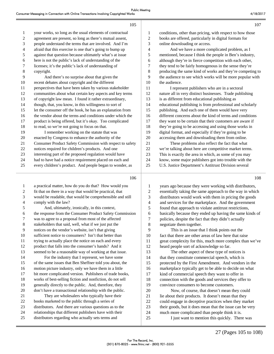|                  | 105                                                       |                  | 107                                                       |
|------------------|-----------------------------------------------------------|------------------|-----------------------------------------------------------|
| 1                | your works, so long as the usual elements of contractual  | $\mathbf{1}$     | conditions, other than pricing, with respect to how those |
| $\boldsymbol{2}$ | agreement are present, so long as there's mutual assent,  | $\overline{c}$   | books are offered, particularly in digital formats for    |
| 3                | people understand the terms that are involved. And I'm    | 3                | online downloading or access.                             |
| 4                | afraid that this exercise is one that's going to bump up  | 4                | And we have a more complicated problem, as I              |
| 5                | against that question because ultimately what's at issue  | 5                | mentioned, because I think the people in Ben's industry,  |
| 6                | here is not the public's lack of understanding of the     | 6                | although they're in fierce competition with each other,   |
| 7                | licenses; it's the public's lack of understanding of      | $\boldsymbol{7}$ | they tend to be fairly homogenous in the sense they're    |
| $8\,$            | copyright.                                                | 8                | producing the same kind of works and they're competing to |
| 9                | And there's no surprise about that given the              | 9                | the audience to see which works will be more popular with |
| 10               | recent debates about copyright and the different          | 10               | the audience.                                             |
| 11               | perspectives that have been taken by various stakeholder  | 11               | I represent publishers who are in a sectoral              |
| 12               | communities about what certain key aspects and key terms  | 12               | nature all in very distinct businesses. Trade publishing  |
| 13               | of copyright law mean. I found it rather extraordinary,   | 13               | is as different from educational publishing as            |
| 14               | though, that, you know, in this willingness to sort of    | 14               | educational publishing is from professional and scholarly |
| 15               | let the consumer off the hook, he has an explanation from | 15               | publishing. And each one of them would have very          |
| 16               | the vendor about the terms and conditions under which the | 16               | different concerns about the kind of terms and conditions |
| 17               | product is being offered, but it's okay. Too complicated  | 17               | they want to be certain that their customers are aware if |
| 18               | to read, so we're not going to focus on that.             | 18               | they're going to be accessing and using those works in    |
| 19               | I remember working on the statute that was                | 19               | digital format, and especially if they're going to be     |
| 20               | enacted by Congress to enhance the authority of the       | 20               | accessing them and downloading them from online.          |
| 21               | Consumer Product Safety Commission with respect to safety | 21               | These problems also reflect the fact that what            |
| 22               | notices required for children's products. And one         | 22               | we're talking about here are competitive market terms.    |
| 23               | interesting part of the proposed regulation would have    | 23               | This is exactly the area in which, as some of you may     |
| 24               | had to have had a notice requirement placed on each and   | 24               | know, some major publishers got into trouble with the     |
| 25               | every children's product. And people began to wonder, as  | 25               | U.S. Justice Department's Antitrust Division several      |

 a practical matter, how do you do that? How would you fit that on there in a way that would be practical, that would be readable, that would be comprehensible and still comply with the law? 5 And, ultimately, ironically, in this context, the response from the Consumer Product Safety Commission was to agree to a proposal from most of the affected stakeholders that said, well, what if we just put the notices on the vendor's website, isn't that giving sufficient notice to consumers? Isn't that better than trying to actually place the notice on each and every product that falls into the consumer's hands? And it seemed to be a reasonable way of working at that issue. 14 For the industry that I represent, we have some of the same issues that Ben Sheffner told you about, the motion picture industry, only we have them in a little bit more complicated version. Publishers of trade books, works of best-selling fiction and nonfiction, do not sell generally directly to the public. And, therefore, they don't have a transactional relationship with the public. 21 They are wholesalers who typically have their books marketed to the public through a series of distributors. And there are various questions as to the relationships that different publishers have with their distributors regarding who actually sets terms and

1 years ago because they were working with distributors, 2 essentially taking the same approach to the way in which 3 distributors would work with them in pricing the goods 4 and services for the marketplace. And the government 5 found that approach to violate antitrust restrictions, 6 basically because they ended up having the same kinds of 7 policies, despite the fact that they didn't actually 8 negotiate them together. 9 This is an issue that I think points out the 10 fact that there are other areas of law here that raise 11 great complexity for this, much more complex than we've 12 heard people sort of acknowledge so far. 13 The other aspect of these type of notices is 14 that they constitute commercial speech, which is 15 protected by the First Amendment. And vendors in the 16 marketplace typically get to be able to decide on what 17 kind of commercial speech they want to offer in 18 connection with the goods and services they offer to 19 convince consumers to become customers. 20 Now, of course, that doesn't mean they could 21 lie about their products. It doesn't mean that they 22 could engage in deceptive practices when they market 23 their goods, but it does mean that the issue can be very 24 much more complicated than people think it is.

25 I just want to mention this quickly. There was

 $107$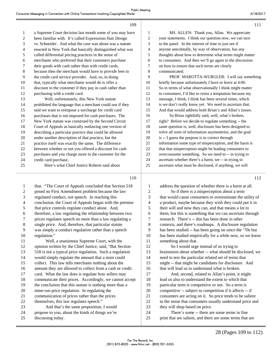|              | 109                                                       |                  | 111                                                       |
|--------------|-----------------------------------------------------------|------------------|-----------------------------------------------------------|
| 1            | a Supreme Court decision last month some of you may have  | 1                | MS. ALLEN: Thank you, Allan. We appreciate                |
| $\sqrt{2}$   | been familiar with. It's called Expressions Hair Design   | $\overline{c}$   | your statements. I think our question now, we can turn    |
| 3            | vs. Schneider. And what the case was about was a statute  | 3                | to the panel. In the interest of time to just see if      |
| 4            | enacted in New York that basically distinguished what was | 4                | anyone anecdotally, by way of observation, has any        |
| 5            | called differential pricing practices in the sense of     | 5                | thoughts about how to determine what terms might matter   |
| 6            | merchants who preferred that their customers purchase     | 6                | to consumers. And then we'll go again to the discussion   |
| 7            | their goods with cash rather than with credit cards,      | 7                | on how to ensure that such terms are clearly              |
| $\,8\,$      | because then the merchant would have to provide fees to   | 8                | communicated.                                             |
| 9            | the credit card service provider. And, so, in doing       | 9                | PROF. MAROTTA-WURGLER: I will say something               |
| 10           | that, typically what merchants would do is offer a        | 10               | briefly because unfortunately I have to leave at 4:00.    |
| 11           | discount to the customer if they pay in cash rather than  | 11               | So in terms of what observationally I think might matter  |
| 12           | purchasing with a credit card.                            | 12               | to consumers, I'd like to resist a temptation because my  |
| 13           | Well, unfortunately, this New York statute                | 13               | message, I think, I think has been several times, which   |
| 14           | prohibited the language that a merchant could use if they | 14               | is we don't really know yet. We need to ascertain that.   |
| 15           | said we want to reimpose a surcharge for credit card      | 15               | And that would address both Brian's and Allan's issues.   |
| 16           | purchases that is not imposed for cash purchases. The     | 16               | So Brian rightfully said, well, what's broken,            |
| 17           | New York statute was construed by the Second Circuit      | 17               | right? Before we decide to regulate something -- the      |
| 18           | Court of Appeals as basically outlawing one version of    | 18               | same question is, well, disclosure has been designed to   |
| 19           | describing a particular practice that could be allowed    | 19               | solve all sorts of information asymmetries, and the goal  |
| 20           | under another description of that practice, but the       | 20               | is -- I guess the purpose is to correct through           |
| 21           | practice itself was exactly the same. The difference      | 21               | information some type of misperception, and the harm is   |
| 22           | between whether or not you offered a discount for cash    | 22               | that that misperception might be leading consumers to     |
| 23           | purchases and you charge more to the customer for the     | 23               | overconsume something. So we need to -- in trying to      |
| 24           | credit card purchase.                                     | 24               | ascertain whether there's a harm, we -- in trying to      |
| 25           | Here's what Chief Justice Roberts said about              | 25               | ascertain what must be disclosed, if anything, we will    |
|              | 110                                                       |                  | 112                                                       |
| $\mathbf{1}$ | that. "The Court of Appeals concluded that Section 518    | $\mathbf{1}$     | address the question of whether there is a harm at all.   |
| 2            | posed no First Amendment problem because the law          | $\overline{c}$   | So if there is a misperception about a term               |
| 3            | regulated conduct, not speech. In reaching this           | 3                | that would cause consumers to overestimate the utility of |
| 4            | conclusion, the Court of Appeals began with the premise   | 4                | a product, maybe because they wish they could put it in   |
| 5            | that price controls regulate conduct alone. And,          | 5                | their will and now they can, and that means a lot to      |
| 6            | therefore, a law regulating the relationship between two  | 6                | them, but this is something that we can ascertain through |
| 7            | prices regulates speech no more than a law regulating a   | $\boldsymbol{7}$ | research. There's -- this has been done in other          |
| 8            | single price. And, therefore, that particular statute     | 8                | contexts, and there's roadmaps. A disclosure regulation   |
| 9            | was simply a conduct regulation rather than a speech      | 9                | has been studied -- has been going on since the '70s but  |
| 10           | regulation."                                              | 10               | has been studied empirically for a while now, so we know  |

11 Well, a unanimous Supreme Court, with the 12 opinion written by the Chief Justice, said, "But Section 13 518 is not a typical price regulation. Such a regulation 14 would simply regulate the amount that a store could 15 collect. This law tells merchants nothing about the 16 amount they are allowed to collect from a cash or credit 17 card. What the law does is regulate how sellers may 18 communicate their prices. Accordingly, we cannot accept 19 the conclusion that this statute is nothing more than a 20 mine-run price regulation. In regulating the 21 communication of prices rather than the prices 22 themselves, this law regulates speech." 23 And that's the same proposition, I would 24 propose to you, about the kinds of things we're 25 discussing today.

11 something about that. 12 So I would urge instead of us trying to 13 brainstorm about whether -- what should be disclosed, we 14 need to test the particular related set of terms that 15 might -- that might be candidates for disclosure. And 16 that will lead us to understand what is broken.

17 And, second, related to Allan's point, it might 18 lead us also to understand the extent to which that 19 particular term is competitive or not. So a term is 20 competitive -- subject to competition if it affects -- if 21 consumers are acting on it. So price tends to be salient 22 in the sense that consumers usually understand price and 23 they will shop based on price.

24 There's some -- there are some terms in fine 25 print that are salient, and there are some terms that are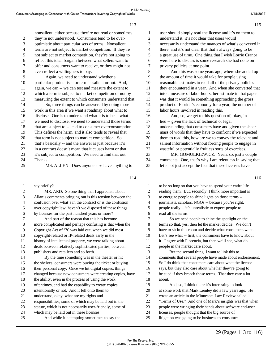| 1  | nonsalient, either because they're not read or sometimes | 1  | user should simply read the license and it's on them to   |
|----|----------------------------------------------------------|----|-----------------------------------------------------------|
| 2  | they're not understood. Consumers tend to be over-       | 2  | understand it, it's not clear that users would            |
| 3  | optimistic about particular sets of terms. Nonsalient    | 3  | necessarily understand the nuances of what's conveyed in  |
| 4  | terms are not subject to market competition. If they're  | 4  | there, and it's not clear that that's always going to be  |
| 5  | not subject to market competition, they're not going to  | 5  | a great use of time. One thing that I wish Lorrie Cranor  |
| 6  | reflect this ideal bargain between what sellers want to  | 6  | were here to discuss is some research she had done on     |
| 7  | offer and consumers want to receive, or they might not   | 7  | privacy policies at one point.                            |
| 8  | even reflect a willingness to pay.                       | 8  | And this was some years ago, where she added up           |
| 9  | Again, we need to understand whether a                   | 9  | the amount of time it would take for people using         |
| 10 | particular product is -- or term is salient or not. And, | 10 | reasonable estimates to read all of the privacy policies  |
| 11 | again, we can -- we can test and measure the extent to   | 11 | they encountered in a year. And when she converted that   |
| 12 | which a term is subject to market competition or not by  | 12 | into a measure of labor hours, her estimate in that paper |
| 13 | measuring the extent to which consumers understand that. | 13 | was that it would be something approaching the gross      |
| 14 | So, three things can be answered by doing more           | 14 | product of Florida's economy for a year, the number of    |
| 15 | work in this area if we want a roadmap about what to     | 15 | labor hours involved in reading this.                     |
| 16 | disclose. One is to understand what it is to be -- what  | 16 | And, so, we get to this question of, okay, in             |
| 17 | we need to disclose, we need to understand those terms   | 17 | lieu -- given the lack of technical or legal              |
| 18 | that are subject to -- lead to consumer overconsumption. | 18 | understanding that consumers have and given the sheer     |
| 19 | This defines the harm, and it also tends to reveal that  | 19 | mass of words that they have to confront if we expected   |
| 20 | that term is not subject to market competition. So       | 20 | them to read this, how are we to convey the relevant and  |
| 21 | that's basically -- and the answer is just because it's  | 21 | salient information without forcing people to engage in   |
| 22 | in a contract doesn't mean that it causes harm or that   | 22 | wasteful or potentially fruitless sorts of exercises.     |
| 23 | it's subject to competition. We need to find that out.   | 23 | MR. GOMULKIEWICZ: Yeah, so, just a couple                 |
| 24 | Thanks.                                                  | 24 | comments. One, that's why I am relentless in saying that  |
| 25 | MS. ALLEN: Does anyone else have anything to             | 25 | let's not just accept the fact that these licenses have   |
|    |                                                          |    |                                                           |

113

| 1              | say briefly?                                              |
|----------------|-----------------------------------------------------------|
| $\overline{c}$ | MR. ARD: So one thing that I appreciate about             |
| 3              | Allan's comments bringing out is this tension between the |
| $\overline{4}$ | confusion over what's in the contract or is the confusion |
| 5              | over copyright law, haven't we disposed of these things   |
| 6              | by licenses for the past hundred years or more?           |
| 7              | And part of the reason that this has become               |
| 8              | more complicated and perhaps confusing is that when the   |
| 9              | Copyright Act of '76 was laid out, when we did most       |
| 10             | copyright-related or IP-related deals early in the        |
| 11             | history of intellectual property, we were talking about   |
| 12             | deals between relatively sophisticated parties, between   |
| 13             | publishers and retailers and so forth.                    |
| 14             | By the time something was in the theater or hit           |
| 15             | the shelves, consumers were buying the ticket or buying   |
| 16             | their personal copy. Once we hit digital copies, things   |
| 17             | changed because now consumers were creating copies, have  |
| 18             | the ability, even in the process of using the work        |
| 19             | oftentimes, and had the capability to create copies       |
| 20             | intentionally or not. And it fell onto them to            |
| 21             | understand, okay, what are my rights and                  |
| 22             | responsibilities, some of which may be laid out in the    |
| 23             | statute, which is not necessarily user-friendly, some of  |
| 24             | which may be laid out in these licenses.                  |
| 25             | And while it's tempting sometimes to say the              |

|   |                                                          | 116 |
|---|----------------------------------------------------------|-----|
| 1 | to be so long so that you have to spend your entire life |     |
| 2 | reading them. But, secondly, I think more important is   |     |
| 3 | to energize people to shine lights on those terms --     |     |
| 4 | journalists, scholars, NGOs -- because you're right,     |     |
| 5 | people really -- it's unrealistic to expect people to    |     |
| 6 | read all the terms.                                      |     |
| 7 | So we need people to shine the spotlight on the          |     |
| 8 | terms so that, yes, then let the market decide. We don't |     |
| 9 | have to sit in this room and decide what consumers want. |     |
|   |                                                          |     |

10 Let's see what -- first, the consumers have to know about 11 it. I agree with Florencia, but then we'll see, what do 12 people in the market care about.

13 But the second thing, I want to link this to 14 comments that several people have made about endorsement. 15 So I do think that consumers care about what the license 16 says, but they also care about whether they're going to 17 be sued if they breach those terms. That they care a lot 18 about.

19 And, so, I think there it's interesting to look 20 at some work that Mark Lemley did a few years ago. He 21 wrote an article in the Minnesota Law Review called 22 "Terms of Use." And one of Mark's insights was that when 23 people were wringing their hands about software end-user 24 licenses, people thought that the big source of 25 litigation was going to be business-to-consumer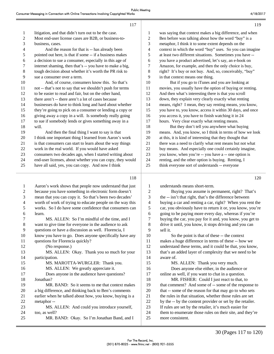119

| 1  | litigation, and that didn't turn out to be the case.      | 1              |  |
|----|-----------------------------------------------------------|----------------|--|
| 2  | Most end-user license cases are B2B, or business-to-      | $\overline{c}$ |  |
| 3  | business, cases.                                          | 3              |  |
| 4  | And the reason for that is -- has already been            | 4              |  |
| 5  | pointed out here, is that if some -- if a business makes  | 5              |  |
| 6  | a decision to sue a consumer, especially in this age of   | 6              |  |
| 7  | internet shaming, then that's -- you have to make a big,  | 7              |  |
| 8  | tough decision about whether it's worth the PR risk to    | 8              |  |
| 9  | sue a consumer over a term.                               | 9              |  |
| 10 | And, of course, consumers know this. So that's            | 10             |  |
| 11 | not -- that's not to say that we shouldn't push for terms | 11             |  |
| 12 | to be easier to read and fair, but on the other hand,     | 12             |  |
| 13 | there aren't -- there aren't a lot of cases because       | 13             |  |
| 14 | businesses do have to think long and hard about whether   | 14             |  |
| 15 | they're going to pick on a consumer or lending a copy or  | 15             |  |
| 16 | giving away a copy in a will. Is somebody really going    | 16             |  |
| 17 | to sue if somebody lends or gives something away in a     | 17             |  |
| 18 | will.                                                     | 18             |  |
| 19 | And then the final thing I want to say is that            | 19             |  |
| 20 | I think one important thing I learned from Aaron's work   | 20             |  |
| 21 | is that consumers can start to learn about the way things | 21             |  |
| 22 | work in the real world. If you would have asked           | 22             |  |
| 23 | consumers two decades ago, when I started writing about   | 23             |  |
| 24 | end-user licenses, about whether you can copy, they would | 24             |  |
| 25 | have all said, yes, you can copy. And now I think         | 25             |  |
|    | 118                                                       |                |  |
| 1  | Aaron's work shows that people now understand that just   | 1              |  |
|    |                                                           |                |  |

| 1              | Aaron's work shows that people now understand that just   |
|----------------|-----------------------------------------------------------|
| $\overline{2}$ | because you have something in electronic form doesn't     |
| 3              | mean that you can copy it. So that's been two decades'    |
| 4              | worth of work of trying to educate people on the way this |
| 5              | works. So I do have some confidence that consumers can    |
| 6              | learn.                                                    |
| 7              | MS. ALLEN: So I'm mindful of the time, and I              |
| 8              | want to give time for everyone in the audience to ask     |
| 9              | questions or have a discussion as well. Florencia, I      |
| 10             | know you have to go. Does anyone specifically have any    |
| 11             | questions for Florencia quickly?                          |
| 12             | (No response.)                                            |
| 13             | MS. ALLEN: Okay. Thank you so much for your               |
| 14             | participation.                                            |
| 15             | MS. MAROTTA-WURGLER: Thank you.                           |
| 16             | MS. ALLEN: We greatly appreciate it.                      |
| 17             | Does anyone in the audience have questions?               |
| 18             | Jonathan?                                                 |
| 19             | MR. BAND: So it seems to me that context makes            |
| 20             | a big difference, and thinking back to Ben's comments     |
| 21             | earlier when he talked about how, you know, buying is a   |
| 22             | metaphor-                                                 |
| 23             | MS. ALLEN: And could you introduce yourself,              |
| 24             | too, as well?                                             |
| 25             | MR. BAND: Okay. So I'm Jonathan Band, and I               |

| 1  | was saying that context makes a big difference, and when  |
|----|-----------------------------------------------------------|
| 2  | Ben before was talking about how the word "buy" is a      |
| 3  | metaphor, I think it to some extent depends on the        |
| 4  | context in which the word "buy" uses. So you can imagine  |
| 5  | at least two different situations. Sometimes you have --  |
| 6  | you have a product advertised, let's say, an e-book on    |
| 7  | Amazon, for example, and then the only choice is buy,     |
| 8  | right? It's buy or not buy. And, so, conceivably, "buy"   |
| 9  | in that context means one thing.                          |
| 10 | But if you go to iTunes and you are looking at            |
| 11 | movies, you usually have the option of buying or renting. |
| 12 | And then what's interesting there is that you scroll      |
| 13 | down, they explain very clearly exactly what renting      |
| 14 | means, right? I mean, they say renting means, you know,   |
| 15 | you have to, you know, access it within 30 days, and once |
| 16 | you access it, you have to finish watching it in 24       |
| 17 | hours. Very clear exactly what renting means.             |
| 18 | But they don't tell you anywhere what buying              |
| 19 | means. And, you know, so I think in terms of how we look  |
| 20 | at this, it is kind of interesting that they thought that |
| 21 | there was a need to clarify what rent means but not what  |
| 22 | buy means. And especially one could certainly imagine,    |
| 23 | you know, when you're -- you have a -- one option is      |
| 24 | renting, and the other option is buying. Renting, I       |

think everyone sort of understands -- everyone

120

understands means short-term. 2 Buying you assume is permanent, right? That's 3 the -- isn't that right, that's the difference between 4 buying a car and renting a car, right? When you rent the 5 car, you obviously have to return it or, you know, you're 6 going to be paying more every day, whereas if you're 7 buying the car, you pay for it and, you know, you get to 8 drive it until, you know, it stops driving and you can 9 sell it.

10 So the point is that of these -- the context 11 makes a huge difference in terms of these -- how we 12 understand these terms, and it could be that, you know, 13 that's an added layer of complexity that we need to be 14 aware of.

15 MS. ALLEN: Thank you very much. 16 Does anyone else either, in the audience or 17 online as well, if you want to chat in a question.

18 MR. FISHER: Could I just react to that, to 19 that comment? And some of -- some of the response to 20 that -- some of the reason for that may go to who sets 21 the rules in that situation, whether those rules are set 22 by the -- by the content provider or set by the retailer. 23 If rules are set by the retailer, it's much easier for 24 them to enumerate those rules on their site, and they're 25 more consistent.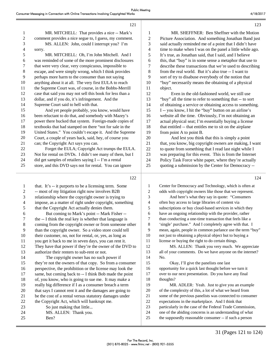|                          | 121                                                       |                | 123                                                       |
|--------------------------|-----------------------------------------------------------|----------------|-----------------------------------------------------------|
| 1                        | MR. MITCHELL: That provides a nice -- Mark's              | 1              | MR. SHEFFNER: Ben Sheffner with the Motion                |
| $\overline{c}$           | comment provides a nice segue to, I guess, my comment.    | $\overline{c}$ | Picture Association. And something Jonathan Band just     |
| 3                        | MS. ALLEN: John, could I interrupt you? I'm               | 3              | said actually reminded me of a point that I didn't have   |
| $\overline{\mathcal{A}}$ | sorry.                                                    | 4              | time to make when I was on the panel a little while ago.  |
| 5                        | MR. MITCHELL: Oh, I'm John Mitchell. And I                | 5              | It's true, as Jonathan said, that I said, and I believe   |
| 6                        | was reminded of some of the more prominent disclosures    | 6              | this, that "buy" is in some sense a metaphor that use to  |
| 7                        | that were very clear, very conspicuous, impossible to     | 7              | describe these transactions that we're used to describing |
| $\,8\,$                  | escape, and were simply wrong, which I think provides     | 8              | from the real world. But it's also true -- I want to      |
| 9                        | perhaps more harm to the consumer than not saying         | 9              | sort of try to disabuse everybody of the notion that      |
| 10                       | anything about it at all. The very first EULA to reach    | 10             | "buy" necessarily means the obtaining of a physical       |
| 11                       | the Supreme Court was, of course, in the Bobbs-Merrill    | 11             | object.                                                   |
| 12                       | case that said you may not sell this book for less than a | 12             | Even in the old-fashioned world, we still use             |
| 13                       | dollar, and if you do, it's infringement. And the         | 13             | "buy" all the time to refer to something that -- to sort  |
| 14                       | Supreme Court said to hell with that.                     | 14             | of obtaining a service or obtaining access to something.  |
| 15                       | And yet people probably, you know, would have             | 15             | I -- you know, I hit the "buy" button on an airline's     |
| 16                       | been reluctant to do that, and somebody with Mazey's      | 16             | website all the time. Obviously, I'm not obtaining an     |
| 17                       | power there bucked that system. Foreign-made copies of    | 17             | actual physical seat; I'm essentially buying a license    |
| 18                       | textbooks that had stamped on there "not for sale in the  | 18             | that entitled -- that entitles me to sit on the airplane  |
| 19                       | United States." You couldn't escape it. And the Supreme   | 19             | from point A to point B.                                  |
| 20                       | Court, a couple of years back, said, hey, of course you   | 20             | And lest you think that this is simply a point            |
| 21                       | can; the Copyright Act says you can.                      | 21             | that, you know, big copyright owners are making, I want   |
| 22                       | Forget the EULA; Copyright Act trumps the EULA.           | 22             | to quote from something that I read last night while I    |
| 23                       | Not for rental on DVDs. I didn't see many of them, but I  | 23             | was preparing for this event. This is from the Internet   |
| 24                       | did get samples of retailers saying I -- I'm a rental     | 24             | Policy Task Force white paper, where they're actually     |
| 25                       | store, and this DVD says not for rental. You can ignore   | 25             | quoting a submission by the Center for Democracy --       |
|                          |                                                           |                |                                                           |
|                          | 122                                                       |                | 124                                                       |
| $\mathbf{1}$             | that. It's -- it purports to be a licensing term. Some    | $\mathbf{1}$   | Center for Democracy and Technology, which is often at    |
| $\overline{c}$           | -- most of my litigation right now involves B2B           | $\sqrt{2}$     | odds with copyright owners like those that we represent.  |
| 3                        | relationship where the copyright owner is trying to       | 3              | And here's what they say in quote: "Consumers             |
| $\overline{\mathcal{A}}$ | impose, as a matter of right under copyright, something   | $\overline{4}$ | often buy access to large libraries of content via        |
| 5                        | that the Copyright Act actually denies them.              | $\sqrt{5}$     | subscriptions or buy cloud-based services in which they   |
| 6                        | But coming to Mark's point -- Mark Fisher --              | 6              | have an ongoing relationship with the provider, rather    |
| 7                        | the -- I think the real key is whether that language is   | 7              | than conducting a one-time transaction that feels like a  |
| 8                        | coming from the copyright owner or from someone other     | $\,8\,$        | 'single' purchase." And I completely agree with that. I   |
| 9                        | than the copyright owner. So a video store could tell     | 9              | mean, again, people in common parlance use the term "buy" |
| 10                       | their customer, no, not for rental, or, yes, as long as   | 10             | not just to obtaining a physical object but to buying a   |
| 11                       | you get it back to me in seven days, you can rent it.     | 11             | license or buying the right to do certain things.         |
| 12                       | They have that power if they're the owner of the DVD to   | 12             | MS. ALLEN: Thank you very much. We appreciate             |
| 13                       | authorize their renters to sub-rent or not.               | 13             | all of your comments. Do we have anyone on the internet?  |
| 14                       | The copyright owner has no such power if                  | 14             | No.                                                       |
| 15                       | they're not the owners of that copy. So from a consumer   | 15             | Okay, I'll give the panelists one last                    |

 $2 \rightarrow$  -- most of my litigation right now involves 3 relationship where the copyright owner 4 impose, as a matter of right under copyright 5 that the Copyright Act actually denies them.  $6$  But coming to Mark's point -- M  $7$  the  $-$  I think the real key is whether that 8 coming from the copyright owner or from 9 than the copyright owner. So a video store could be could be could use of the could tell than the could state of the could state of the could state could tell the could state of the could state of the could state could s 10 their customer, no, not for rental, or, yes 11 you get it back to me in seven days, you 12 They have that power if they're the own 13 authorize their renters to sub-rent or not. 14 The copyright owner has no such 15 they're not the owners of that copy. So from a consumer 16 perspective, the prohibition or the license may look the 17 same, but coming back to -- I think Bob made the point 18 of, you know, who is going to sue me. It may make a 19 really big difference if I as a consumer breach a term 20 that says I cannot rent it and the damages are going to 21 be the cost of a rental versus statutory damages under 22 the Copyright Act, which will bankrupt me. 23 So just making that little... 24 MS. ALLEN: Thank you. 25 Ben? 16 opportunity for a quick last thought before we turn it 17 over to our next presentation. Do you have any final 18 thoughts? 19 MR. ADLER: Yeah. Just to give you an example 20 of the complexity of this, a lot of what we heard from 21 some of the previous panelists was connected to consumer 22 expectations in the marketplace. And I think that 23 particularly in the case of the Federal Trade Commission, 24 one of the abiding concerns is an understanding of what 25 the supposedly reasonable consumer -- if such a person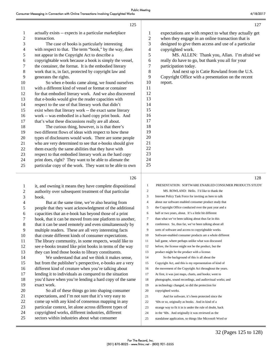| $\mathbf{1}$     | actually exists -- expects in a particular marketplace   | $\mathbf{1}$             | expectations are with respect to what they actually get   |
|------------------|----------------------------------------------------------|--------------------------|-----------------------------------------------------------|
| $\overline{c}$   | transaction.                                             | $\overline{c}$           | when they engage in an online transaction that is         |
| $\sqrt{3}$       | The case of books is particularly interesting            | 3                        | designed to give them access and use of a particular      |
| $\overline{4}$   | with respect to that. The term "book," by the way, does  | $\overline{\mathcal{L}}$ | copyrighted work.                                         |
| 5                | not appear in the Copyright Act to describe a            | 5                        | MS. ALLEN: Thank you, Allan. I'm afraid we                |
| 6                | copyrightable work because a book is simply the vessel,  | 6                        | really do have to go, but thank you all for your          |
| $\tau$           | the container, the format. It is the embodied literary   | 7                        | participation today.                                      |
| $\,8\,$          | work that is, in fact, protected by copyright law and    | 8                        | And next up is Catie Rowland from the U.S.                |
| 9                | generates the rights.                                    | 9                        | Copyright Office with a presentation on the recent        |
| 10               | So when e-books came along, we found ourselves           | 10                       | report.                                                   |
| 11               | with a different kind of vessel or format or container   | 11                       |                                                           |
| 12               | for that embodied literary work. And we also discovered  | 12                       |                                                           |
| 13               | that e-books would give the reader capacities with       | 13                       |                                                           |
| 14               | respect to the use of that literary work that didn't     | 14                       |                                                           |
| 15               | exist when that literary work -- the exact same literary | 15                       |                                                           |
| 16               | work -- was embodied in a hard copy print book. And      | 16                       |                                                           |
| 17               | that's what these discussions really are all about.      | 17                       |                                                           |
| 18               | The curious thing, however, is is that there's           | 18                       |                                                           |
| 19               | two different flows of ideas with respect to how these   | 19                       |                                                           |
| 20               | types of disclosures would work. There are some people   | 20                       |                                                           |
| 21               | who are very determined to see that e-books should give  | 21                       |                                                           |
| 22               | them exactly the same abilities that they have with      | 22                       |                                                           |
| 23               | respect to that embodied literary work as the hard copy  | 23                       |                                                           |
| $24\,$           | print does, right? They want to be able to alienate the  | 24                       |                                                           |
| 25               | particular copy of the work. They want to be able to own | 25                       |                                                           |
|                  |                                                          |                          |                                                           |
|                  | 126                                                      |                          | 128                                                       |
|                  |                                                          |                          |                                                           |
| $\mathbf{1}$     | it, and owning it means they have complete dispositional | 1                        | PRESENTATION: SOFTWARE ENABLED CONSUMER PRODUCTS STUDY    |
| $\boldsymbol{2}$ | authority over subsequent treatment of that particular   | $\overline{c}$           | MS. ROWLAND: Hello. I'd like to thank the                 |
| 3                | book.                                                    | 3                        | Internet Policy Task Force for inviting us here to talk   |
| $\overline{4}$   | But at the same time, we're also hearing from            | $\overline{4}$           | about our software enabled consumer product study that    |
| $\mathfrak s$    | people that they want acknowledgment of the additional   | 5                        | the Copyright Office conducted over the past year and a   |
| 6                | capacities that an e-book has beyond those of a print    | 6                        | half or two years, about. It's a little bit different     |
| 7                | book, that it can be moved from one platform to another, | $\tau$                   | than what we've been talking about thus far in this       |
| $\,8\,$          | that it can be used remotely and even simultaneously by  | 8                        | conference. So, thus far, we've been talking about all    |
| 9                | multiple readers. These are all very interesting facts   | 9                        | sorts of software and access to copyrightable works.      |
| 10               | that create different kinds of consumer expectations.    | 10                       | Software-enabled consumer products are a whole different  |
| 11               | The library community, in some respects, would like to   | 11                       | ball game, where perhaps unlike what was discussed        |
| 12               | see e-books treated like print books in terms of the way | 12                       | before, the license might not be the product, but the     |
| 13               | they can lend those books to library constituents.       | 13                       | product might be the product with a license.              |
| 14               | We understand that and we think it makes sense,          | 14                       | So the background of this is all about the                |
| 15               | but from the publisher's perspective, e-books are a very | 15                       | Copyright Act, and this is my representation of kind of   |
| 16               | different kind of creature when you're talking about     | 16                       | the movement of the Copyright Act throughout the years.   |
| 17               | lending it to individuals as compared to the situation   | 17                       | At first, it was just maps, charts, and books; went to    |
| 18               | you'd have when you're lending a hard copy of the same   | 18                       | photographs, sound recordings, and audiovisual works; and |
| 19               |                                                          |                          | as technology changed, so did the protection for          |
|                  | exact work.                                              | 19                       |                                                           |
| 20               | So all of these things go into shaping consumer          | 20                       | copyrighted works.                                        |
| 21               | expectations, and I'm not sure that it's very easy to    | 21                       | And for software, it's been protected since the           |
| 22               | come up with any kind of consensus mapping in any        | 22                       | '60s or so, originally as books. And in kind of a         |
| 23               | particular context, let alone across different types of  | 23                       | strange way to fit it in is under the rule of doubt, back |
| 24               | copyrighted works, different industries, different       | 24                       | in the '60s. And originally it was reviewed as the        |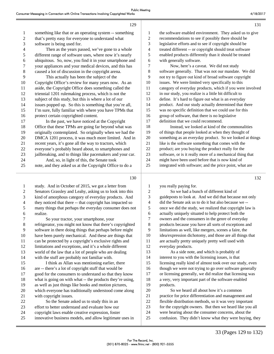|    | 129                                                       |    | 131                                                       |
|----|-----------------------------------------------------------|----|-----------------------------------------------------------|
| 1  | something like that or an operating system -- something   | 1  | the software enabled environment. They asked us to give   |
| 2  | that's pretty easy for everyone to understand what        | 2  | recommendations to see if possibly there should be        |
| 3  | software is being used for.                               | 3  | legislative efforts and to see if copyright should be     |
| 4  | Then as the years passed, we've gone to a whole           | 4  | treated different -- or copyright should treat software   |
| 5  | different range of software uses, where now it's nearly   | 5  | enabled products differently than it should be treated    |
| 6  | ubiquitous. So, now, you find it in your smartphone and   | 6  | with generally software.                                  |
| 7  | your appliances and your medical devices, and this has    | 7  | Now, here's a caveat. We did not study                    |
| 8  | caused a lot of discussion in the copyright arena.        | 8  | software generally. That was not our mandate. We did      |
| 9  | This actually has been the subject of the                 | 9  | not try to figure out kind of broad software copyright    |
| 10 | Copyright Office's review for many years now. As an       | 10 | issues. We were limited very specifically to this         |
| 11 | aside, the Copyright Office does something called the     | 11 | category of everyday products, which if you were involved |
| 12 | triennial 1201 rulemaking process, which is not the       | 12 | in our study, you realize is a little bit difficult to    |
| 13 | subject of this study, but this is where a lot of our     | 13 | define. It's hard to figure out what is an everyday       |
| 14 | issues popped up. So this is something that you're all,   | 14 | product. And our study actually determined that there     |
| 15 | I'm sure, fully familiar with where you have TPMs that    | 15 | was no specific definition that we could use for this     |
| 16 | protect certain copyrighted content.                      | 16 | group of software, that there is no legislative           |
| 17 | In the past, we have noticed at the Copyright             | 17 | definition that we could recommend.                       |
| 18 | Office that these TPMs are going far beyond what was      | 18 | Instead, we looked at kind of the commonalities           |
| 19 | originally contemplated. So originally when we had the    | 19 | of things that people looked at when they thought of      |
| 20 | DMCA 1201 process, it was much more limited. And in       | 20 | something as an everyday product. So we looked at things  |
| 21 | recent years, it's gone all the way to tractors, which    | 21 | like is the software something that comes with the        |
| 22 | everyone's probably heard about, to smartphones and       | 22 | product; are you buying the product really for the        |
| 23 | jailbreaking, and to things like pacemakers and your car. | 23 | software, or is it really more of a mechanical thing that |
| 24 | And, so, in light of this, the Senate took                | 24 | might have been used before that is now kind of           |
| 25 | note, and they asked us at the Copyright Office to do a   | 25 | integrated with software; and the price point, what are   |
|    |                                                           |    |                                                           |

ı

130

| 1  | study. And in October of 2015, we got a letter from       | 1  | you really paying for.                                    |
|----|-----------------------------------------------------------|----|-----------------------------------------------------------|
| 2  | Senators Grassley and Leahy, asking us to look into this  | 2  | So we had a bunch of different kind of                    |
| 3  | kind of amorphous category of everyday products. And      | 3  | guideposts to look at. And we did that because not only   |
| 4  | they noticed that there -- that copyright has impacted so | 4  | did the Senate ask us to do it but also because we --     |
| 5  | many things that perhaps the everyday consumer does not   | 5  | once we did the study, we realized that copyright law is  |
| 6  | realize.                                                  | 6  | actually uniquely situated to help protect both the       |
| 7  | So your tractor, your smartphone, your                    | 7  | owners and the consumers in the genre of everyday         |
| 8  | refrigerator, you might not know that there's copyrighted | 8  | products because you have all sorts of exceptions and     |
| 9  | software in there doing things that perhaps before might  | 9  | limitations as well, like mergers, scenes a faire, the    |
| 10 | have been purely mechanical. And these are things that    | 10 | idea/expression dichotomy, and those are all things that  |
| 11 | can be protected by a copyright's exclusive rights and    | 11 | are actually pretty uniquely pretty well used with        |
| 12 | limitations and exceptions, and it's a whole different    | 12 | everyday products.                                        |
| 13 | world of the law that a lot of people who are dealing     | 13 | As a side note, and which is probably of                  |
| 14 | with the stuff are probably not familiar with.            | 14 | interest to you with the licensing issues, is that        |
| 15 | I think as Allan was mentioning earlier, there            | 15 | licensing really kind of almost took over our study, even |
| 16 | are -- there's a lot of copyright stuff that would be     | 16 | though we were not trying to go over software generally   |
| 17 | good for the consumers to understand so that they know    | 17 | or licensing generally, we did realize that licensing was |
| 18 | what is going on with what -- the products they're using, | 18 | a very, very important part of the software enabled       |
| 19 | as well as just things like books and motion pictures,    | 19 | products.                                                 |
| 20 | which everyone has traditionally understood come along    | 20 | So we heard all about how it's a common                   |
| 21 | with copyright issues.                                    | 21 | practice for price differentiation and management and     |
| 22 | So the Senate asked us to study this in an                | 22 | flexible distribution methods, so it was very important   |
| 23 | effort to better understand and evaluate how our          | 23 | for the copyright owners. But then we heard like you all  |
| 24 | copyright laws enable creative expression, foster         | 24 | were hearing about the consumer concerns, about the       |
| 25 | innovative business models, and allow legitimate uses in  | 25 | confusion. They didn't know what they were buying, they   |
|    |                                                           |    |                                                           |

132

33 (Pages 129 to 132)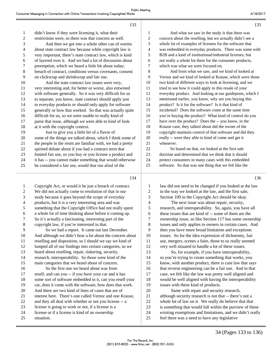#### 133 1 didn't know if they were licensing it, what their 2 restrictions were, so there was that concern as well. 3 And then we got into a whole other can of worms 4 about state contract law because while copyright law is 5 very important, there's state contract law, which is kind 6 of layered over it. And we had a lot of discussion about 7 preemption, which we heard a little bit about today; 8 breach of contract, conditions versus covenants, consent 9 on clickwrap and shrinkwrap and fair use. 10 And the state contract law issues were very, 11 very interesting and, for better or worse, also entwined 12 with software generally. So it was very difficult for us 13 to separate, you know, state contract should apply just 14 to everyday products or should only apply for software 15 generally or how that worked. So that was actually quite 16 difficult for us, so we were unable to really kind of 17 parse that issue, although we were able to kind of look 18 at it with the copyright context. 19 Just to give you a little bit of a flavor of 20 some of the things we talked about, which I think some of 21 the people in the room are familiar with, we had a pretty 22 spirited debate about if you had a contract term that 23 limited fair use, so you buy or you license a product and 24 it has -- you cannot make something that would otherwise 25 be considered a fair use, would that run afoul of the 1 And what we saw in the study is that there was 2 concern about the reselling, but we actually didn't see a 3 whole lot of examples of licenses for the software that 4 was embedded in everyday products. There was some with 5 B2B and a kind of institutional/industrial licenses, but 6 not really a whole lot there for the consumer products, 7 which was what we were focused on. 8 And from what we saw, and we kind of looked at 9 Vernor and we kind of looked at Krause, which were those 10 two kind of different ways to look at licensing, and we 11 tried to see how it could apply to this resale of your 12 everyday product. And looking at our guideposts, which I 13 mentioned earlier, you know, why are you buying this 14 product? Is it for the software? Is it that kind of 15 incidental? Does the software come at the same time 16 you're buying the product? What kind of control do you 17 have over the product? Does the -- you know, in the 18 Krause case, they talked about did the owner of the 19 copyright maintain control of that software and did they 20 really -- were they able to kind of come and get it 21 whenever. 22 So based on that, we looked at the first sale 23 doctrine and determined that we think that it should 24 protect consumers in many cases with this embedded 25 software. So that was one thing that we felt like the

#### 134

1 Copyright Act, or would it be just a breach of contract. 2 We did not actually come to resolution of that in our 3 study because it goes beyond the scope of everyday 4 products, but it is a very interesting area and was 5 something that the Copyright Office had not really spent 6 a whole lot of time thinking about before it coming up. 7 So it's actually a fascinating, interesting part of the 8 copyright law, if you're interested in that. 9 So we had a report. It came out last December. 10 And although we didn't hear a lot about the concern about 11 reselling and disposition, so I should we say we kind of 12 lumped all of our findings into certain categories, so we 13 heard about reselling, repair, tinkering, security, 14 research, interoperability. So those were kind of the 15 main categories that we heard about of concern. 16 So the first one we heard about was from 17 resell, and can you -- if you have your car and it has 18 some sort of software embedded in it, can you resell your 19 car, does it come with the software, how does that work. 20 And there are two kind of lines of cases that are of 21 interest here. There's one called Vernor and one Krause, 22 and they all deal with whether or not you license -- a 23 license is going to work or not, if a license is a 24 license or if a license is kind of an ownership 25 situation.

 law did not need to be changed if you looked at the law in the way we looked at the law, and the first sale, Section 109 in the Copyright Act should be okay. 4 The next issue was about repair, security, research, and interoperability. So, again, you have all these issues that are kind of -- some of them are the ownership issue, so like Section 117 has some ownership issues and only applies to owners in certain cases. And then you have more broad limitation and exceptions issues. So for the idea expression of dichotomy, fair use, mergers, scenes a faire, those to us really seemed very well situated to handle a lot of these issues. 13 So, for example, if you have interoperability, so you're trying to create something that works, you know, with another product, there is case law that says that reverse engineering can be a fair use. And in that case, we felt like the law was pretty well aligned and would be well aligned with having the interoperability issues with these kind of products. 20 Same with repair and security research, although security research is not that -- there's not a whole lot of law on it. We really do believe that that is something that would fall within the purview of these existing exemptions and limitations, and we didn't really

25 feel there was a need to have any legislative

34 (Pages 133 to 136)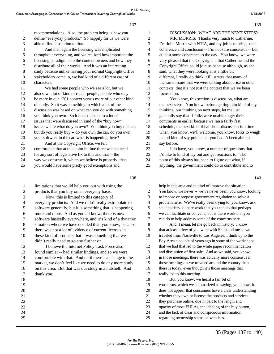| $\mathbf{1}$   | recommendations. Also, the problem being is how you       | 1              |            |
|----------------|-----------------------------------------------------------|----------------|------------|
| 2              | define "everyday products." So happily for us we were     | $\overline{c}$ |            |
| 3              | able to find a solution to that.                          | 3              | $\Gamma$ m |
| $\overline{4}$ | And then again the licensing was implicated               | 4              | coh        |
| 5              | throughout everything, and we realized how important the  | 5              | at le      |
| 6              | licensing paradigm is to the content owners and how they  | 6              | very       |
| 7              | distribute all of their works. And it was an interesting  | 7              | Cor        |
| 8              | study because unlike having your normal Copyright Office  | 8              | said       |
| 9              | stakeholders come in, we had kind of a different cast of  | 9              | diff       |
| 10             | characters.                                               | 10             | the        |
| 11             | We had some people who we see a lot, but we               | 11             | con        |
| 12             | also saw a lot of kind of repair people, people who may   | 12             | focu       |
| 13             | be more in our 1201 context versus more of our other kind | 13             |            |
| 14             | of study. So it was something in which a lot of the       | 14             | the        |
| 15             | discussion was based on what can you do with something    | 15             | thin       |
| 16             | you think you own. So it does tie back to a lot of        | 16             | gen        |
| 17             | issues that were discussed in kind of the "buy now"       | 17             | com        |
| 18             | issues where what do you own? You think you buy the car,  | 18             | sch        |
| 19             | but do you really buy -- do you own the car, do you own   | 19             | whe        |
| 20             | your software in the car, what is happening there?        | 20             | in a       |
| 21             | And at the Copyright Office, we felt                      | 21             | say        |
| 22             | comfortable that at this point in time there was no need  | 22             |            |
| 23             | for any sort of legislative fix to this and that -- the   | 23             | $\Gamma d$ |
| 24             | way we construe it, which we believe is properly, that    | 24             | poir       |
| 25             | you would have some pretty good exemptions and            | 25             | any        |
|                |                                                           |                |            |

137

1 limitations that would help you out with using the 2 products that you buy on an everyday basis. 3 Now, this is limited to this category of 4 everyday products. And we didn't really extrapolate to 5 software generally, but it is something that is happening 6 more and more. And as you all know, there is now 7 software basically everywhere, and it's kind of a dynamic 8 situation where we have decided that, you know, because 9 there was not a lot of evidence of current licenses in 10 these kind of products that it was something that we 11 didn't really need to go any further on. 12 I believe the Internet Policy Task Force also 13 found similar -- had similar findings, and so we were 14 comfortable with that. And until there's a change in the 15 market, we don't feel like we need to do any more study 16 on this area. But that was our study in a nutshell. And 17 thank you. 18 19 20 21 22 23 24 25

DISCUSSION: WHAT ARE THE NEXT STEPS? MR. MORRIS: Thanks very much to Catherine. John Morris with NTIA, and my job is to bring some erence and conclusion -- I'm not sure consensus -- but east some coherence to the day. You know, we were y pleased that the Copyright -- that Catherine and the ly right Office could join us because although, as she l, what they were looking at is a little bit erent, I really do think it illustrates that many of same issues that we were talking about arise in other texts, that it's not just the context that we've been ised on. You know, this section is discussion, what are next steps. You know, before getting into kind of my

king, our thinking on next steps, let me just erally say that if folks were unable to get their nments in earlier because we ran a fairly fast edule, the next kind of half-hour discussion is a time en, you know, we'll welcome, you know, folks to weigh nd kind of say points that you hadn't been able to before.

I do have, you know, a number of questions that like to kind of lay out and get reactions to. The nt of this always has been to figure out what, if thing, the government could do to contribute and to

1 help in this area and to kind of improve the situation. 2 You know, we never -- we've never been, you know, looking 3 to impose or propose government regulation to solve a 4 problem here. We've really been trying to, you know, ask 5 stakeholders, is there work that you can do that perhaps 6 we can facilitate or convene, but is there work that you 7 can do to help address some of the concerns here. 8 And, I mean, let me go back in history. I know

9 that at least a few of you were with Shira and me as we 10 traveled from Nashville to Los Angeles, I think up to the 11 Bay Area a couple of years ago in some of the workshops 12 that we had that led to the white paper recommendation 13 and discussion of first sale. And as we said, you know, 14 in those meetings, there was actually more consensus in 15 those meetings as we traveled around the country than 16 there is today, even though it's those meetings that 17 really led to this meeting. 18 But, you know, we heard a fair bit of

19 consensus, which we summarized as saying, you know, it 20 does not appear that consumers have a clear understanding 21 whether they own or license the products and services 22 they purchase online, due in part to the length and 23 opacity of most EULAs, the labeling of the buy button, 24 and the lack of clear and conspicuous information 25 regarding ownership status on websites.

139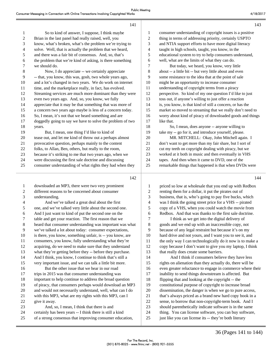143

144

| $\mathbf{1}$   | So to kind of answer, I suppose, I think maybe            |
|----------------|-----------------------------------------------------------|
| $\overline{2}$ | Brian in the last panel had really raised, well, you      |
| 3              | know, what's broken, what's the problem we're trying to   |
| 4              | solve. Well, that is actually the problem that we heard,  |
| 5              | and there was a fair bit of consensus. And, so, that's    |
| 6              | the problem that we're kind of asking, is there something |
| 7              | we should do.                                             |
| 8              | Now, I do appreciate -- we certainly appreciate           |
| 9              | -- that, you know, this was, gosh, two whole years ago,   |
| 10             | and a lot's changed in two years. We do work on internet  |
| 11             | time, and the marketplace really, in fact, has evolved.   |
| 12             | Streaming services are much more dominant than they were  |
| 13             | even two years ago. And, so, you know, we fully           |
| 14             | appreciate that it may be that something that was more of |
| 15             | a concern two years ago maybe is less of a concern today. |
| 16             | So, I mean, it's not that we heard something and are      |
| 17             | doggedly going to say we have to solve the problem of two |
| 18             | years.                                                    |
| 19             | But, I mean, one thing I'd like to kind of                |
| 20             | tease out, and let me kind of throw out a perhaps almost  |
| 21             | provocative question, perhaps mainly to the content       |
| 22             | folks, to Allan, Ben, others, but really to the room,     |
| 23             | because it's striking to me that two years ago, when we   |
| 24             | were discussing the first sale doctrine and discussing    |
| 25             | consumer understanding of what rights they had when they  |
|                |                                                           |

142

141

1 downloaded an MP3, there were two very prominent 2 different reasons to be concerned about consumer 3 understanding. 4 And we've talked a great deal about the first 5 one, and we've talked very little about the second one. 6 And I just want to kind of put the second one on the 7 table and get your reaction. The first reason that we 8 heard that consumer understanding was important was what 9 we've talked a lot about today: consumer expectations, 10 is there, you know, something unfair, is -- you know, are 11 consumers, you know, fully understanding what they're 12 acquiring, do we need to make sure that they understand 13 what they're getting before they -- before they purchase. 14 And I think, you know, I continue to think that's still a 15 very important issue, and we can talk a little bit more. 16 But the other issue that we hear in our road 17 trips in 2015 was that consumer understanding was 18 important to help continue to address the broad question 19 of piracy, that consumers perhaps would download an MP3 20 and would not necessarily understand, well, what can I do 21 with this MP3, what are my rights with this MP3, can I 22 give it away. 23 And, so, I mean, I think that there is and 24 certainly has been years -- I think there is still a kind 25 of a strong consensus that improving consumer education,

| 1              | consumer understanding of copyright issues is a positive  |
|----------------|-----------------------------------------------------------|
| 2              | thing in terms of addressing priority, certainly USPTO    |
| 3              | and NTIA support efforts to have more digital literacy    |
| $\overline{4}$ | taught in high schools, taught, you know, in the          |
| 5              | educational system to try to help consumers understand,   |
| 6              | well, what are the limits of what they can do.            |
| 7              | But today, we heard, you know, very little                |
| 8              | about -- a little bit -- but very little about and even   |
| 9              | some resistance to the idea that at the point of sale     |
| 10             | might be an opportunity to increase consumer              |
| 11             | understanding of copyright terms from a piracy            |
| 12             | perspective. So kind of my one question I'd like to just  |
| 13             | toss out, if anyone's willing to just offer a reaction    |
| 14             | is, you know, is that kind of still a concern, or has the |
| 15             | market so moved to streaming that we really don't need to |
| 16             | worry about kind of piracy of downloaded goods and things |
| 17             | like that.                                                |
| 18             | So, I mean, does anyone -- anyone willing to              |
| 19             | take my -- go for it, and introduce yourself, please.     |
| 20             | MR. MITCHELL: Okay, John Mitchell again. I                |
| 21             | don't want to get more than my fair share, but I sort of  |
| 22             | cut my teeth on copyright dealing with piracy, but we     |
| 23             | worked at it both in music and then eventually in VHS     |
| 24             | tapes. And then when it came to DVD, one of the           |
| 25             | remarkable things that happened is that when DVDs were    |

| 1 | pri |
|---|-----|
| 2 | re  |
| 3 | hu  |

iced so low at wholesale that you end up with Redbox nting them for a dollar, it put the pirates out of isiness, that is, who's going to pay five bucks, which 4 was I think the going street price for a VHS -- pirated 5 copy of a VHS, when you could watch the movie from 6 Redbox. And that was thanks to the first sale doctrine. 7 I think as we get into the digital delivery of 8 goods and we end up with an inaccessible copy, not 9 because of any legal restraint but because it's on my 10 hard drive and not yours, and I want you to see it, and

11 the only way I can technologically do it now is to make a 12 copy because I don't want to give you my laptop, I think 13 that really does create some barriers. 14 And I think if consumers believe they have less 15 rights on alienation than they actually do, there will be 16 even greater reluctance to engage in commerce where their

17 inability to send things downstream is affected. But 18 flipping that and looking at the copyright -- the

19 constitutional purpose of copyright to increase broad 20 dissemination, the danger is when we go to pure access, 21 that's always priced as a brand new hard copy book in a

22 sense, to borrow that non-copyright-term book. And I 23 should parenthetically indicate software is in the same

24 thing. You can license software, you can buy software,

25 just like you can license its -- they're both literary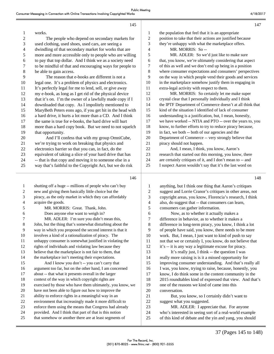16 argument too far, but on the other hand, I am concerned 17 about -- that what it presents overall in the larger 18 context of the way in which copyright rights are

20 have not been able to figure out how to improve the 21 ability to enforce rights in a meaningful way in an 22 environment that increasingly made it more difficult to 23 enforce them using the means that Congress had already 24 provided. And I think that part of that is this notion 25 that somehow or another there are at least segments of

19 exercised by those who have them ultimately, you know, we

|                          | 145                                                       |                         | 147                                                       |
|--------------------------|-----------------------------------------------------------|-------------------------|-----------------------------------------------------------|
| $\mathbf{1}$             | works.                                                    | 1                       | the population that feel that it is an appropriate        |
| $\overline{c}$           | The people who depend on secondary markets for            | $\boldsymbol{2}$        | position to take that their actions are justified because |
| 3                        | used clothing, used shoes, used cars, are seeing a        | 3                       | they're unhappy with what the marketplace offers.         |
| $\overline{\mathcal{A}}$ | dwindling of that secondary market for works that are     | $\overline{\mathbf{4}}$ | MR. MORRIS: So --                                         |
| 5                        | more and more accessible only to people who are willing   | 5                       | MR. ADLER: So we'd just like to make sure                 |
| 6                        | to pay that top dollar. And I think we as a society need  | 6                       | that, you know, we're ultimately considering that aspect  |
| 7                        | to be mindful of that and encouraging ways for people to  | 7                       | of this as well and we don't end up being in a position   |
| 8                        | be able to gain access.                                   | $\,8\,$                 | where consumer expectations and consumers' perspectives   |
| 9                        | The reason that e-books are different is not a            | 9                       | on the way in which people vend their goods and services  |
| 10                       | legal one. It's a problem of physics and electronics.     | 10                      | in the marketplace somehow justify them in engaging in    |
| 11                       | It's perfectly legal for me to lend, sell, or give away   | 11                      | extra-legal activity with respect to them.                |
| 12                       | my e-book, as long as I get rid of the physical device    | 12                      | MR. MORRIS: So certainly let me make super                |
| 13                       | that it's on. I'm the owner of a lawfully made copy if I  | 13                      | crystal clear that I personally individually and I think  |
| 14                       | downloaded that copy. As I impolitely mentioned to        | 14                      | the IPTF Department of Commerce doesn't at all think that |
| 15                       | MaryBeth Peters eons ago, if you get hit in the head with | 15                      | kind of the situation I identified of lack of consumer    |
| 16                       | a hard drive, it hurts a lot more than a CD. And I think  | 16                      | understanding is a justification, but, I mean, honestly,  |
| 17                       | the same is true for e-books, the hard drive will hurt    | $17\,$                  | we have worked -- NTIA and PTO -- over the years to, you  |
| 18                       | more than a hard copy book. But we need to not squelch    | 18                      | know, to further efforts to try to reduce piracy because, |
| 19                       | that opportunity.                                         | 19                      | in fact, we both -- both of our agencies and the          |
| 20                       | And I'll confess that with my group OmniCube,             | $20\,$                  | Department of Commerce -- very strongly believe that      |
| 21                       | we're trying to work on breaking that physics and         | 21                      | piracy should not happen.                                 |
| 22                       | electronics barrier so that you can, in fact, do the      | 22                      | And, I mean, I think, you know, Aaron's                   |
| 23                       | equivalent of taking a slice of your hard drive that has  | 23                      | research that started out this morning, you know, there   |
| 24                       | -- that is that copy and moving it to someone else in a   | 24                      | are certainly critiques of it, and I don't mean to -- and |
| 25                       | way that's faithful to the Copyright Act, but we do risk  | 25                      | I suspect Aaron wouldn't say that it's the last word on   |
|                          | 146                                                       |                         | 148                                                       |
| $\mathbf{1}$             | shutting off a huge -- millions of people who can't buy   | 1                       | anything, but I think one thing that Aaron's critiques    |
| $\overline{c}$           | new and giving them basically little choice but the       | $\overline{c}$          | suggest and Lorrie Cranor's critiques in other areas, not |
| $\mathfrak{Z}$           | piracy, as the only market in which they can affordably   | 3                       | copyright areas, you know, Florencia's research, I think  |
| 4                        | acquire the goods.                                        | $\overline{4}$          | also, do suggest that -- that consumers can learn,        |
| 5                        | MR. MORRIS: Great. Thank, John.                           | 5                       | consumers can gather information.                         |
| 6                        | Does anyone else want to weigh in?                        | $\sqrt{6}$              | Now, as to whether it actually makes a                    |
| 7                        | MR. ADLER: I'm sure you didn't mean this,                 | 7                       | difference in behavior, as to whether it makes a          |
| 8                        | John, but the thing that's somewhat disturbing about the  | $8\,$                   | difference in long-term piracy, you know, I think a lot   |
| 9                        | way in which you proposed the second interest is that it  | 9                       | of people have said, you know, there needs to be more     |
| 10                       | involves a kind of a rationalization of piracy. The       | 10                      | work. But, I mean, I just want to kind of push to say     |
| 11                       | unhappy consumer is somewhat justified in violating the   | 11                      | not that we or certainly I, you know, do not believe that |
| 12                       | rights of individuals and violating law because they      | 12                      | it's -- it is any way a legitimate excuse for piracy.     |
| 13                       | believe that the marketplace is not fair to them, that    | 13                      | It's really just, I think -- the question I was           |
| 14                       | the marketplace isn't meeting their expectations.         | 14                      | really more raising is is it a missed opportunity for     |
| 15                       | And I know you don't -- you can't carry that              | 15                      | improving consumer understanding. And that's really all   |

16 I was, you know, trying to raise, because, honestly, you 17 know, I do think some in the content community in the 18 2015 roundtables kind of expressed that view. And that's

19 one of the reasons we kind of came into this

21 But, you know, so I certainly didn't want to

23 MR. ADLER: I appreciate that. For anyone 24 who's interested in seeing sort of a real-world example 25 of this kind of debate and the yin and yang, you should

20 conversation.

22 suggest what you suggested.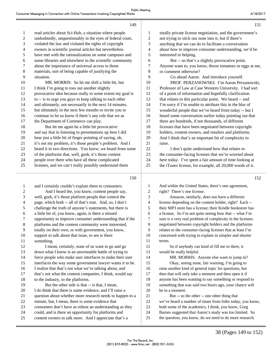| 1  | read articles about Sci-Hub, a situation where people     | 1              | totally private license negotiation, and the government's |
|----|-----------------------------------------------------------|----------------|-----------------------------------------------------------|
| 2  | undoubtedly, unquestionably in the eyes of federal court, | $\overline{c}$ | not trying to stick our nose into it, but if there's      |
| 3  | violated the law and violated the rights of copyright     | $\mathfrak{Z}$ | anything that we can do to facilitate a conversation      |
| 4  | owners in scientific journal articles but nevertheless    | 4              | about how to improve consumer understanding, we'd be      |
| 5  | have met with the rationalization on some campuses and    | 5              | interested in helping.                                    |
| 6  | some libraries and elsewhere in the scientific community  | 6              | But -- so that's a slightly provocative point.            |
| 7  | about the importance of universal access to those         | 7              | Anyone want to, you know, throw tomatoes or eggs at me,   |
| 8  | materials, sort of being capable of justifying the        | 8              | or comment otherwise?                                     |
| 9  | situation.                                                | 9              | Go ahead Aaron. And introduce yourself.                   |
| 10 | MR. MORRIS: So let me shift a little bit, but             | 10             | PROF. PERZANOWSKI: I'm Aaron Perzanowski,                 |
| 11 | I think I'm going to toss out another slightly            | 11             | Professor of Law at Case Western University. I had sort   |
| 12 | provocative idea because really to some extent my goal is | 12             | of a point of information and hopefully clarification     |
| 13 | to -- is to urge you guys to keep talking to each other   | 13             | that relates to this particular point. We heard -- and    |
| 14 | and ultimately, not necessarily in the next 14 minutes,   | 14             | I'm sorry if I'm unable to attribute this in the blur of  |
| 15 | but ultimately in the next few months to invite you to    | 15             | wonderful people that we've heard from today -- but I     |
| 16 | continue to let us know if there's any role that we as    | 16             | heard some conversation earlier today pointing out that   |
| 17 | the Department of Commerce can play.                      | 17             | there are hundreds, if not thousands, of different        |
| 18 | But let me again be a little bit provocative              | 18             | licenses that have been negotiated between copyright      |
| 19 | and say that in listening to presentations up here I did  | 19             | holders, content owners, and retailers and platforms.     |
| 20 | hear just a little bit of finger pointing of saying, oh,  | 20             | And I think that's an important bit of complexity to      |
| 21 | it's not my problem, it's those people's problem. And I   | 21             | raise.                                                    |
| 22 | heard it in two directions. You know, we heard from some  | 22             | I don't quite understand how that relates to              |
| 23 | of the platforms that, well, gosh, it's those content     | 23             | the consumer-facing licenses that we're worried about     |
| 24 | people over there who have all these complicated          | 24             | here today. I've spent a fair amount of time looking at   |
| 25 | licenses, and we can't really possibly understand them    | 25             | the iTunes license, for example, all 20,000 words of it.  |
|    | 150                                                       |                | 152                                                       |
|    |                                                           |                |                                                           |

149

| $\mathbf{1}$   | and I certainly couldn't explain them to consumers.       |                          |
|----------------|-----------------------------------------------------------|--------------------------|
| $\overline{c}$ | And I heard the, you know, content people say,            |                          |
| 3              | well, gosh, it's those platform people that control the   | ŝ                        |
| $\overline{4}$ | page, which both -- all of that's true. And, so, I don't  | $\overline{\phantom{a}}$ |
| 5              | challenge the truth of anyone's statements, but there is  | Ŝ                        |
| 6              | a little bit of, you know, again, is there a missed       | Ć                        |
| 7              | opportunity to improve consumer understanding that if the |                          |
| 8              | platforms and the content community were interested,      | ξ                        |
| 9              | totally on their own, or with government, you know,       | Č                        |
| 10             | support to talk about that issue, to see is there         | 1 <sub>0</sub>           |
| 11             | something.                                                | 11                       |
| 12             | I mean, certainly, none of us want to go and go           | 12                       |
| 13             | down what I know is an unwinnable battle of trying to     | 13                       |
| 14             | force people who make user interfaces to make their user  | 14                       |
| 15             | interfaces the way some government lawyer wants it to be. | 1 <sup>5</sup>           |
| 16             | I realize that that's not what we're talking about, and   | 16                       |
| 17             | that's not what the content companies, I think, would say | 17                       |
| 18             | to the industry, to the platforms.                        | 18                       |
| 19             | But the other side is that -- is that, I mean,            | 19                       |
| 20             | I do think that there is some evidence, and I'll raise a  | 2(                       |
| 21             | question about whether more research needs to happen in a | 21                       |
| 22             | minute, but, I mean, there is some evidence that          | $\overline{2}$           |
| 23             | consumers don't have as robust an understanding as they   | 2 <sup>2</sup>           |
| 24             | could, and is there an opportunity for platforms and      | 24                       |
| 25             | content owners to talk more. And I appreciate that's a    | 2 <sup>1</sup>           |

And within the United States, there's one agreement, right? There's one license.

Amazon, similarly, does not have a different license depending on the content holder, right? Each --5 their MP3 store has a license; their Kindle bookstore has a license. So I'm not quite seeing how that -- what I'm sure is a very real problem of complexity in the licenses negotiated between copyright holders and the platforms relates to the consumer-facing licenses that at least I'm 10 concerned with trying to explain in simpler and shorter terms.

So if anybody can kind of fill me in there, it would be really helpful.

MR. MORRIS: Anyone else want to jump in? Okay, seeing none, fair warning, I'm going to raise another kind of general topic for questions, but then that will only take a moment and then open it if anyone has been wanting to say something or respond to something that was said two hours ago, your chance will be in a moment.

But -- so the other -- one other thing that we've heard a number of times from folks today, you know, both some of the academics, I think, you know, Greg Barnes suggested that Aaron's study was too limited. So the question, you know, do we need to do more research.

151

152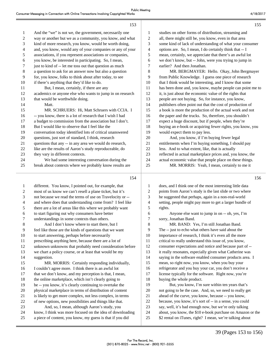| 4/18/2017 |  |  |
|-----------|--|--|
|           |  |  |

|    | 153                                                       |    | 155                                                       |
|----|-----------------------------------------------------------|----|-----------------------------------------------------------|
| 1  | And the "we" is not we, the government, necessarily one   | 1  | studies on other forms of distribution, streaming and     |
| 2  | way or another but we as a community, you know, and what  | 2  | all, there might still be, you know, even in that area    |
| 3  | kind of more research, you know, would be worth doing,    | 3  | some kind of lack of understanding of what your consumer  |
| 4  | and, you know, would any of your companies or any of your | 4  | options are. So, I mean, I do certainly think that -- I   |
| 5  | associations, if you represent associations or companies, | 5  | mean, certainly, we appreciate that there's an awful lot  |
| 6  | you know, be interested in participating. So, I mean,     | 6  | we don't know, but -- John, were you trying to jump in    |
| 7  | just to kind of -- let me toss out that question as much  | 7  | earlier? And then Jonathan.                               |
| 8  | a question to ask for an answer now but also a question   | 8  | MR. BERGMAYER: Hello. Okay, John Bergmayer                |
| 9  | for, you know, folks to think about after today, to see   | 9  | from Public Knowledge. I guess one piece of research      |
| 10 | if there's anything that they'd like to do.               | 10 | that I think would be interesting, and I know that some   |
| 11 | But, I mean, certainly, if there are any                  | 11 | has been done and, you know, maybe people can point me to |
| 12 | academics or anyone else who wants to jump in on research | 12 | it, is just about the economic value of the rights that   |
| 13 | that would be worthwhile doing.                           | 13 | people are not buying. So, for instance, you know,        |
| 14 | Matt.                                                     | 14 | publishers often point out that the cost of production of |
| 15 | MR. SCHRUERS: Hi, Matt Schruers with CCIA. I              | 15 | a book is more the production of the actual work and not  |
| 16 | -- you know, there is a lot of research that I wish I had | 16 | the paper and the trucks. So, therefore, you shouldn't    |
| 17 | a budget to commission from the association but I don't.  | 17 | expect a huge discount, but if people, when they're       |
| 18 | But I would like to observe that I feel like the          | 18 | buying an e-book or acquiring fewer rights, you know, you |
| 19 | conversation today identified lots of critical unanswered | 19 | would expect them to pay less.                            |
| 20 | questions, just sort of standard, I think, research       | 20 | And, you know, if I'm buying fewer legal                  |
| 21 | questions that any -- in any area we would do research,   | 21 | entitlements when I'm buying something, I should pay      |
| 22 | like are the results of Aaron's study reproduceable, do   | 22 | less. And to what extent, like, that is actually          |
| 23 | they vary in different contexts.                          | 23 | reflected in actual marketplace prices and, you know, the |
| 24 | We had some interesting conversation during the           | 24 | actual economic value that people place on these things.  |
| 25 | break about contexts where we probably know results are   | 25 | MR. MORRIS: Yeah, I mean, certainly to me it              |
|    | 154                                                       |    | 156                                                       |

154

| 1  | different. You know, I pointed out, for example, that     | 1  | does, and I think one of the most interesting little data  |
|----|-----------------------------------------------------------|----|------------------------------------------------------------|
| 2  | most of us know we can't resell a plane ticket, but it's  | 2  | points from Aaron's study is the last slide or two where   |
| 3  | not because we read the terms of use on Travelocity or -- | 3  | he suggested that perhaps, again in a non-real-world       |
| 4  | and where does that understanding come from? I feel like  | 4  | setting, people might pay more to get a larger bundle of   |
| 5  | there are a lot of areas like this where we probably want | 5  | rights.                                                    |
| 6  | to start figuring out why consumers have better           | 6  | Anyone else want to jump in on -- oh, yes, I'm             |
| 7  | understandings in some contexts than others.              | 7  | sorry, Jonathan Band.                                      |
| 8  | And I don't know where to start there, but I              | 8  | MR. BAND: Yes, I'm still Jonathan Band.                    |
| 9  | feel like those are the kinds of questions that we want   | 9  | The -- just to echo what others have said about the        |
| 10 | to start answering, perhaps before necessarily            | 10 | importance of research, I think it's even all the more     |
| 11 | prescribing anything here, because there are a lot of     | 11 | critical to really understand this issue of, you know,     |
| 12 | unknown unknowns that probably need consideration before  | 12 | consumer expectations and notice and because part of --    |
| 13 | we chart a policy course, or at least that would be my    | 13 | it really resonates, especially given what Catherine was   |
| 14 | suggestion.                                               | 14 | saying in the software enabled consumer products area. I   |
| 15 | MR. MORRIS: Certainly responding individually,            | 15 | mean, so right now, you know, when you buy your            |
| 16 | I couldn't agree more. I think there is an awful lot      | 16 | refrigerator and you buy your car, you don't receive a     |
| 17 | that we don't know, and my perception is that, I mean,    | 17 | license typically for the software. Right now, you're      |
| 18 | the online marketplace, which isn't clearly going to      | 18 | buying the whole product.                                  |
| 19 | be -- you know, it's clearly continuing to overtake the   | 19 | But, you know, I'm sure within ten years that's            |
| 20 | physical marketplace in terms of distribution of content  | 20 | not going to be the case. And, so, we need to really get   |
| 21 | is likely to get more complex, not less complex, in terms | 21 | ahead of the curve, you know, because -- you know,         |
| 22 | of new options, new possibilities and things like that.   | 22 | because, you know, it's sort of -- in a sense, you could   |
| 23 | And, so, I mean, although Aaron's study, you              | 23 | say, well, it's bad enough now, but we're only talking     |
| 24 | know, I think was more focused on the idea of downloading | 24 | about, you know, the \$10 e-book purchase on Amazon or the |
| 25 | a piece of content, you know, my guess is that if you did | 25 | \$2 rental on iTunes, right? I mean, we're talking about   |
|    |                                                           |    |                                                            |

155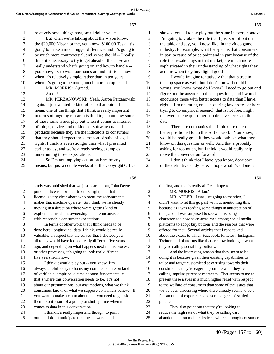25 out that I don't anticipate that the answers that I

|                | 157                                                                                    |                | 159                                                                                              |
|----------------|----------------------------------------------------------------------------------------|----------------|--------------------------------------------------------------------------------------------------|
| 1              | relatively small things now, small dollar value.                                       | 1              | showed you all today play out the same in every context.                                         |
| $\overline{c}$ | But when we're talking about the -- you know,                                          | $\overline{2}$ | I'm going to violate the rule that I just sort of put on                                         |
| 3              | the \$20,000 Nissan or the, you know, \$100,00 Tesla, it's                             | $\mathfrak{Z}$ | the table and say, you know, like, in the video game                                             |
| 4              | going to make a much bigger difference, and it's going to                              | 4              | industry, for example, what I suspect is that consumers,                                         |
| 5              | be much more controversial, and so we should -- I really                               | 5              | in part because of price point and in part because of the                                        |
| 6              | think it's necessary to try to get ahead of the curve and                              | 6              | role that resale plays in that market, are much more                                             |
| 7              | really understand what's going on and how to handle --                                 | $\tau$         | sophisticated in their understanding of what rights they                                         |
| 8              | you know, try to wrap our hands around this issue now                                  | $\,$ 8 $\,$    | acquire when they buy digital goods.                                                             |
| 9              | when it's relatively simple, rather than in ten years                                  | 9              | I would imagine tentatively that that's true in                                                  |
| 10             | when it's going to be much, much more complicated.                                     | 10             | the app space as well, but I don't know, I could be                                              |
| 11             | MR. MORRIS: Agreed.                                                                    | 11             | wrong, you know, what do I know? I need to go out and                                            |
| 12             | Aaron?                                                                                 | 12             | figure out the answers to those questions, and I would                                           |
| 13             | MR. PERZANOWSKI: Yeah, Aaron Perzanowski                                               | 13             | encourage those with better access to data than I have,                                          |
| 14             | again. I just wanted to kind of echo that point. I                                     | 14             | right -- I'm operating on a shoestring law professor here                                        |
| 15             | mean, one of the things that I think is really important                               | 15             | trying to do empirical research that is not free, might                                          |
| 16             | in terms of ongoing research is thinking about how some                                | 16             | not even be cheap -- other people have access to this                                            |
| 17             | of these same issues play out when it comes to internet                                | 17             | data.                                                                                            |
| 18             | of things, devices, other kinds of software enabled                                    | 18             | There are companies that I think are much                                                        |
| 19             | products because they are the indicators to consumers                                  | 19             | better positioned to do this sort of work. You know, it                                          |
| 20             | that they should expect the same sort of suite of legal                                | 20             | would be really great if they would publish what they                                            |
| 21             | rights, I think is even stronger than what I presented                                 | 21             | know on this question as well. And that's probably                                               |
| 22             | earlier today, and we're already seeing examples                                       | 22             | asking for too much, but I think it would really help                                            |
| 23             | undermining those expectations.                                                        | 23             | move the conversation forward.                                                                   |
| 24             | So I'm not implying causation here by any                                              | 24             | I don't think that I have, you know, done sort                                                   |
| 25             | means, but just a couple weeks after the Copyright Office                              | 25             | of the definitive study here. I hope what I've done is                                           |
|                | 158                                                                                    |                | 160                                                                                              |
| 1              | study was published that we just heard about, John Deere                               | 1              | the first, and that's really all I can hope for.                                                 |
| 2              | put out a license for their tractors, right, and that                                  | $\overline{c}$ | MR. MORRIS: Allan?                                                                               |
| 3              | license is very clear about who owns the software that                                 | 3              | MR. ADLER: I was just going to mention, I                                                        |
| 4              | makes that machine operate. So I think we're already                                   | 4              | didn't want to let this go past without mentioning this,                                         |
| 5              | moving in a direction where we're getting kind of                                      | 5              | because as I was reading some things in anticipation of                                          |
| 6              | explicit claims about ownership that are inconsistent                                  | $\epsilon$     | this panel, I was surprised to see what is being                                                 |
| 7              | with reasonable consumer expectations.                                                 | 7              | characterized now as an arms race among social media                                             |
| $\,8\,$        | In terms of other work that I think needs to be                                        | 8              | platforms to adopt buy buttons and the reasons that were                                         |
| 9              | done here, longitudinal data, I think, would be really                                 | 9              | offered for that. Several articles that I read talked                                            |
| 10             | valuable. I suspect that the survey that I showed you                                  | 10             | about the extent to which Facebook, Pinterest, Instagram,                                        |
| 11             | all today would have looked really different five years                                | 11             | Twitter, and platforms like that are now looking at what                                         |
| 12             | ago, and depending on what happens next in this process                                | 12             | they're calling social buy buttons.                                                              |
| 13             |                                                                                        |                |                                                                                                  |
| 14             | or other processes, it's going to look real different                                  | 13             | And the interesting reason that they seem to be                                                  |
| 15             | five years from now.                                                                   | 14             | doing it is because given their existing capabilities to                                         |
|                | I think it would play out -- you know, I'm                                             | 15             | tailor and target customized advertising towards their                                           |
| 16             | always careful to try to focus my comments here on kind                                | 16             | constituents, they're eager to promote what they're                                              |
| 17             | of verifiable, empirical claims because fundamentally                                  | 17             | calling impulse-purchase moments. That seems to me to                                            |
| 18             | that's where this conversation needs to be. It's not                                   | 18             | present these issues in a much higher relief with respect                                        |
| 19             | about our presumptions, our assumptions, what we think                                 | 19             | to the welfare of consumers than some of the issues that                                         |
| 20             | consumers know, or what we suppose consumers believe. If                               | $20\,$         | we've been discussing where there already seems to be a                                          |
| 21             | you want to make a claim about that, you need to go ask                                | 21             | fair amount of experience and some degree of settled                                             |
| 22             | them. So it's sort of a put up or shut up time when it                                 | $22\,$         | practice.                                                                                        |
| 23<br>24       | comes to data in this conversation.<br>I think it's really important, though, to point | 23<br>24       | They also point out that they're looking to<br>reduce the high rate of what they're calling cart |

40 (Pages 157 to 160)

25 abandonment on mobile devices, where although consumers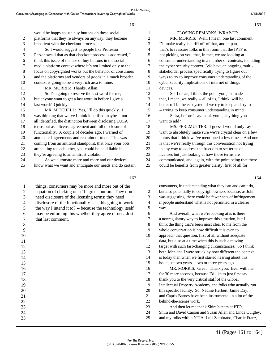| 1              | would be happy to use buy buttons on these social         |  |
|----------------|-----------------------------------------------------------|--|
| 2              | platforms that they're always on anyway, they become      |  |
| 3              | impatient with the checkout process.                      |  |
| $\overline{4}$ | So I would suggest to people like Professor               |  |
| 5              | Perzanowski that as that checkout process is addressed, I |  |
| 6              | think this issue of the use of buy buttons in the social  |  |
| 7              | media platform context where it's not limited only to the |  |
| 8              | focus on copyrighted works but the behavior of consumers  |  |
| 9              | and the platforms and vendors of goods in a much broader  |  |
| 10             | context is going to be a very rich area to mine.          |  |
| 11             | MR. MORRIS: Thanks, Allan.                                |  |
| 12             | So I'm going to reserve the last word for me,             |  |
| 13             | but anyone want to get a last word in before I give a     |  |
| 14             | last word? Quickly.                                       |  |
| 15             | MR. MITCHELL: Yes, I'll do this quickly. I                |  |
| 16             | was thinking that we've I think identified maybe -- not   |  |
| 17             | all identified, the distinction between disclosing EULA   |  |
| 18             | terms but as a license agreement and full disclosure of   |  |
| 19             | functionality. A couple of decades ago, I warned of       |  |
| 20             | automated agreements and restraint of trade. This was     |  |
| 21             | coming from an antitrust standpoint, that once your bots  |  |
| 22             | are talking to each other, you could be held liable if    |  |
| 23             | they're agreeing to an antitrust violation.               |  |
| 24             | As we automate more and more and our devices              |  |
| 25             | know what we want and anticipate our needs and do certain |  |
|                |                                                           |  |

162

161

11 devices.

17

1 things, consumers may be more and more out of the 2 equation of clicking on a "I agree" button. They don't 3 need disclosure of the licensing terms; they need 4 disclosure of the functionality -- is this going to work 5 the way I intend it to? -- because the technology itself 6 may be enforcing this whether they agree or not. Just 7 that last comment. 8 9 10 11 12 13 14 15 16 17 18 19 20 21 22 23 24 25

| 1  | CLOSING REMARKS, WRAP-UP                                  |
|----|-----------------------------------------------------------|
| 2  | MR. MORRIS: Well, I mean, one last comment                |
| 3  | I'll make really is a riff off of that, and in part,      |
| 4  | that's to reassure folks in this room that the IPTF is    |
| 5  | not picking on you, that, in fact, we are looking at      |
| 6  | consumer understanding in a number of contexts, including |
| 7  | the cyber security context. We have an ongoing multi-     |
| 8  | stakeholder process specifically trying to figure out     |
| 9  | ways to try to improve consumer understanding of the      |
| 10 | cyber security implications of internet of things         |
| 11 | devices.                                                  |
| 12 | So, I mean, I think the point you just made               |
| 13 | that, I mean, we really -- all of us, I think, will be    |
| 14 | better off in the ecosystem if we try to keep and try to  |
| 15 | -- trying to keep consumer understanding in mind.         |
| 16 | Shira, before I say thank you's, anything you             |
| 17 | want to add?                                              |
| 18 | MS. PERLMUTTER: I guess I would only say I                |
| 19 | want to absolutely make sure we're crystal clear on a few |
| 20 | points that I think we've mentioned a few times. And one  |

20 points that I think we've mentioned a few times. And one 21 is that we're really through this conversation not trying 22 in any way to address the freedom to set terms of 23 licenses but just looking at how those terms are 24 communicated, and, again, with the point being that there

25 could be benefits from greater clarity, first of all for

 consumers, in understanding what they can and can't do, but also potentially to copyright owners because, as John was suggesting, there could be fewer acts of infringement if people understand what is not permitted in a clearer 5 way.

6 And overall, what we're looking at is is there a nonregulatory way to improve this situation, but I think the thing that's been most clear to me from the whole conversation is how difficult it is even to approach that question, first of all without adequate data, but also at a time when this is such a moving target with such fast-changing circumstances. So I think both John and I were struck by how different the context is today than when we first started hearing about this issue just two years -- two or three years ago. 16 MR. MORRIS: Great. Thank you. Bear with me

 for 30 more seconds, because I'd like to just first say 18 thank you to the very critical staff of the Global Intellectual Property Academy, the folks who actually run this specific facility. So, Nadine Herbert, Jamie Day, and Capris Barnes have been instrumental in a lot of the behind-the-scenes work.

23 And then let me thank Shira's team at PTO, 24 Shira and David Carson and Susan Allen and Linda Quigley, 25 and my folks within NTIA, Luis Zambrano, Charlie Franz,

163

164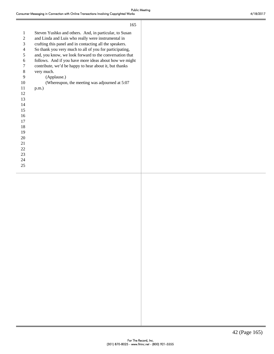|                  | 165                                                     |
|------------------|---------------------------------------------------------|
| $\mathbf{1}$     | Steven Yushko and others. And, in particular, to Susan  |
| $\boldsymbol{2}$ | and Linda and Luis who really were instrumental in      |
| 3                | crafting this panel and in contacting all the speakers. |
| 4                | So thank you very much to all of you for participating, |
| 5                | and, you know, we look forward to the conversation that |
| 6                | follows. And if you have more ideas about how we might  |
| 7                | contribute, we'd be happy to hear about it, but thanks  |
| 8                | very much.                                              |
| 9                | (Applause.)                                             |
| 10               | (Whereupon, the meeting was adjourned at 5:07           |
| 11               | $p.m.$ )                                                |
| 12               |                                                         |
| 13               |                                                         |
| 14               |                                                         |
| 15               |                                                         |
| 16               |                                                         |
| 17               |                                                         |
| 18               |                                                         |
| 19               |                                                         |
| 20               |                                                         |
| 21               |                                                         |
| 22               |                                                         |
| 23               |                                                         |
| 24               |                                                         |
| 25               |                                                         |
|                  |                                                         |
|                  |                                                         |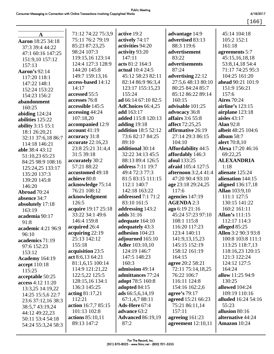[166]

| $\mathbf{A}$          | 71:12 74:22 75:3,9  | active 19:2                | advantage 14:9              | 45:14 104:18          |
|-----------------------|---------------------|----------------------------|-----------------------------|-----------------------|
| Aaron 18:25 34:18     | 75:11 76:2 79:19    | actively 74:17             | advertised 83:13            | 105:2 152:1           |
| 37:3 39:4 44:22       | 85:23 87:23,25      | activities 94:20           | 88:3 119:6                  | 161:18                |
| 47:1 60:16 147:25     | 98:24 107:3         | activity 93:20             | advertisement               | agreements 5:7        |
| 151:9,10 157:12       | 119:15,16 123:14    | 147:11                     | 83:22                       | 45:15,16,18,18        |
| 157:13                | 124:4 127:3 128:9   | acts 81:2 164:3            | advertisements              | 53:8,14,18 54:4       |
| Aaron's 92:14         | 144:20 145:8        | actual 10:4 24:5           | 87:24                       | 71:17 74:25 95:3      |
| 117:20 118:1          | 149:7 159:13,16     | 45:12 58:23 82:11          | advertising 22:12           | 104:25 161:20         |
| 147:22 148:1          | access-based 14:12  | 82:14 86:9 96:3,4          | 27:5,6 48:13 80:10          | ahead 90:21 101:9     |
| 152:24 153:22         | 14:17               | 123:17 155:15,23           | 80:25 84:24 85:7            | 151:9 156:21          |
| 154:23 156:2          | accessed 55:5       | 155:24                     | 85:12 86:22 89:14           | 157:6                 |
| abandonment           | accesses 76:8       | ad 66:14 67:10 82:5        | 160:15                      | <b>Aires</b> 70:24    |
| 160:25                | accessible 145:5    | <b>AdChoices</b> 66:4,25   | advisable 101:25            | airline's 123:15      |
| abiding $124:24$      | accessing 44:24     | add 163:17                 | advocacy 36:8               | airplane 123:18       |
| abilities 125:22      | 107:18,20           | added 115:8 120:13         | affairs 3:6 55:8            | aisles $43:17$        |
| ability 3:15 15:1     | accompanied 12:9    | adding 19:18               | affect 72:25,25             | <b>Alan 92:8</b>      |
| 18:1 26:20,21         | account $41:19$     | <b>addition</b> 18:5 52:12 | affirmative 26:19           | albeit 48:25 104:6    |
| 32:11 37:6,18 86:7    | accuracy 31:8       | 73:6 82:17 84:25           | 27:14 29:3 86:15            | album $58:7$          |
| 114:18 146:21         | accurate 22:16,23   | 89:10                      | 104:10                      | alert 70:8,10         |
| able 38:4 43:12       | 23:8 25:21 31:4,4   | additional 30:14           | <b>Affordability 44:5</b>   | Alexa 17:20 46:16     |
| 51:10,23 65:23        | 31:5 39:18          | 32:22 34:13 45:5           | affordably 146:3            | 69:22,25              |
| 84:25 98:9 108:16     | accurately 30:2     | 88:13 89:4 126:5           | afoul 133:25                | <b>ALEXANDRIA</b>     |
| 125:24,25 133:17      | 57:21 88:22         | address 7:11 19:7          | afraid 105:4 127:5          | 1:18                  |
| 135:20 137:3          | accustomed 49:18    | 49:4 72:3 77:3             | <b>afternoon</b> 3:2,4 41:4 | alienate 125:24       |
| 139:20 145:8          | achieve 80:8        | 81:5 83:15 111:15          | 47:20 90:4 93:10            | alienation 144:15     |
| 146:20                | acknowledge 75:14   | 112:1 140:7                | age 23:18 29:24,25          | aligned 136:17,18     |
| Abroad 70:24          | 76:21 108:12        | 142:18 163:22              | 117:6                       | <b>Allan</b> 103:9,10 |
| absence 34:7          | acknowledgment      | addressed 7:1 71:2         | agencies 147:19             | 111:1 127:5           |
| absolutely 17:18      | 126:5               | 83:10 161:5                | <b>AGENDA 2:3</b>           | 130:15 141:22         |
| 163:19                | acquire 19:17 25:18 | addressing 143:2           | ago 6:19 21:16              | 160:2 161:11          |
| academia 90:17        | 33:22 34:1 49:6     | adds 31:16                 | 45:24 57:23 97:10           | Allan's 111:15        |
| 91:8                  | 146:4 159:8         | adequate 164:10            | 108:1 115:8                 | 112:17 114:3          |
| academic 4:21 96:9    | acquired 26:4       | adequately 43:3            | 116:20 117:23               | alleged 85:25         |
| 96:10                 | acquiring $22:19$   | adhesion 104:23            | 123:4 140:11                | Allen 3:2 90:3 93:8   |
| academics 71:19       | 25:13 142:12        | adjourned 165:10           | 141:9, 13, 15, 23           | 100:8 103:8 111:1     |
| 97:6 152:23           | 155:18              | <b>Adler</b> 103:10,10     | 145:15 152:19               | 113:25 118:7,13       |
| 153:12                | acquisition 23:5    | 124:19 146:7               | 158:12 161:19               | 118:16,23 120:15      |
| <b>Academy</b> 164:19 | act 8:6,13 64:21    | 147:5 148:23               | 164:15                      | 121:3 122:24          |
| accept 110:18         | 81:1,6,15 100:14    | 160:3                      | agree 20:2 58:21            | 124:12 127:5          |
| 115:25                | 114:9 121:21,22     | admission 49:14            | 72:11 75:14,18,25           | 164:24                |
| acceptable 50:25      | 122:5,22 125:5      | admittances 77:24          | 76:22 106:7                 | allow 11:25 94:9      |
| access 4:12 11:20     | 128:15,16 134:1     | adopt 78:5 160:8           | 116:11 124:8                | 130:25                |
| 13:3,25 14:19,22      | 136:3 145:25        | adopted 84:15              | 154:16 162:2,6              | allowed 104:24        |
| 14:25 15:5,6 22:7     | acting 81:17,21     | ads 66:5,6,14,19           | agree's 79:17               | 109:19 110:16         |
| 23:6 37:12,16 38:3    | 112:21              | 67:1,4,7 88:11             | agreed 15:21 66:23          | alluded 16:24 54:16   |
| 38:5,7 43:19,24       | action 16:7,7 85:15 | Ads-Here 67:4              | 75:21 86:11,14              | 55:23                 |
| 44:12 49:22,23        | 101:13 102:8        | advance 63:2               | 157:11                      | allusion 80:16        |
| 50:11 53:4 54:18      | actions 85:10,11    | <b>Advanced 86:19,19</b>   | agreeing 161:23             | alternative 44:24     |
| 54:24 55:3,24 58:3    | 89:13 147:2         | 87:2                       | agreement $12:10,11$        | Amazon 10:24          |
|                       |                     |                            |                             |                       |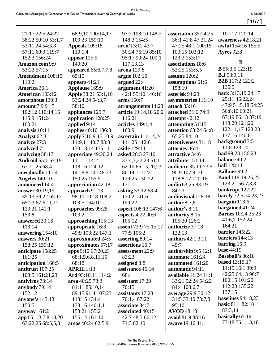[167]

| 21:17 22:5 24:22<br>38:22 50:10 53:1,7<br>53:11,24 54:3,8<br>57:11 60:3 119:7<br>152:3 156:24<br>Amazon.com 9:9<br>53:23 57:15<br><b>Amendment</b> 108:15<br>110:2<br>America 36:1<br><b>American</b> 103:12 | 68:9,10 100:14,17<br>100:23 159:10<br>Appeals 109:18<br>110:1,4<br>appear $125:5$<br>140:20<br>appeared 65:6,7,7,8<br>65:10<br>appears $41:21$<br>Applause 165:9<br><b>Apple 38:21 53:1,10</b> | 93:7 108:10 148:2<br>148:3 154:5<br>aren't 3:12 43:7<br>50:24 76:19 85:10<br>95:17 99:24 100:1<br>117:13,13<br>arena 129:8<br>argue 102:16<br>argued 22:4<br>argument 41:20<br>42:1 55:10 146:16 | association 35:24,25<br>36:1 41:8 47:21.24<br>47:25 48:1 100:15<br>100:15 103:12<br>123:2 153:17<br>associations 18:6<br>52:25 153:5,5<br>assume 120:2<br>assumptions 61:6<br>158:19<br>asterisk 94:23 | 107:17 120:14<br>awareness 42:18,21<br>awful 154:16 155:5<br><b>Ayres</b> 92:8<br>B<br><b>B</b> 55:3,5 123:19<br>B.J.93:9,11<br><b>B2B</b> 117:2 122:2<br>135:5<br>back 3:13,19 24:17<br>25:11 46:22,24 |
|--------------------------------------------------------------------------------------------------------------------------------------------------------------------------------------------------------------|------------------------------------------------------------------------------------------------------------------------------------------------------------------------------------------------|--------------------------------------------------------------------------------------------------------------------------------------------------------------------------------------------------|--------------------------------------------------------------------------------------------------------------------------------------------------------------------------------------------------------|---------------------------------------------------------------------------------------------------------------------------------------------------------------------------------------------------------|
| amorphous 130:3<br>amount 7:9 91:5                                                                                                                                                                           | 53:24,24 54:3,7<br>58:10                                                                                                                                                                       | arms 160:7<br>arrangements 14:23                                                                                                                                                                 | asymmetries 111:19<br>attach 33:16                                                                                                                                                                     | 47:9 51:5,18 54:25                                                                                                                                                                                      |
| 102:12 110:14,16                                                                                                                                                                                             | appliances 129:7                                                                                                                                                                               | article 19:14,18 20:2                                                                                                                                                                            | attached 31:6 74:9                                                                                                                                                                                     | 56:8,10 60:21                                                                                                                                                                                           |
| 115:9 151:24                                                                                                                                                                                                 | application 128:25                                                                                                                                                                             | 116:21                                                                                                                                                                                           | attempt 42:12                                                                                                                                                                                          | 67:19 86:13 87:19                                                                                                                                                                                       |
| 160:21                                                                                                                                                                                                       | applied 9:14                                                                                                                                                                                   | articles 149:1,4                                                                                                                                                                                 | attempting 51:15                                                                                                                                                                                       | 118:20 121:20                                                                                                                                                                                           |
| analysis 10:11                                                                                                                                                                                               | applies 40:10 136:8                                                                                                                                                                            | 160:9                                                                                                                                                                                            | <b>attention 63:24 64:8</b>                                                                                                                                                                            | 122:11,17 128:23                                                                                                                                                                                        |
| Analyst 62:3                                                                                                                                                                                                 | apply 7:16 9:15 10:9                                                                                                                                                                           | ascertain 111:14,24                                                                                                                                                                              | 65:25 84:10                                                                                                                                                                                            | 137:16 140:8                                                                                                                                                                                            |
| analyze 27:3                                                                                                                                                                                                 | 11:9,11 40:7 83:3                                                                                                                                                                              | 111:25 112:6                                                                                                                                                                                     | attentiveness 31:18                                                                                                                                                                                    | background 7:5                                                                                                                                                                                          |
| analyzed 7:1                                                                                                                                                                                                 | 133:13,14 135:11                                                                                                                                                                               | aside 129:11                                                                                                                                                                                     | attorney 46:4                                                                                                                                                                                          | 11:8 128:14                                                                                                                                                                                             |
| analyzing 58:17                                                                                                                                                                                              | appreciate 49:20,24                                                                                                                                                                            | asked 26:3 27:10                                                                                                                                                                                 | attractive 34:6                                                                                                                                                                                        | bad 99:23 156:23                                                                                                                                                                                        |
| <b>Android 65:1 67:19</b>                                                                                                                                                                                    | 111:1 114:2                                                                                                                                                                                    | 33:4,7,23,23 61:1                                                                                                                                                                                | attribute 151:14                                                                                                                                                                                       | <b>balance</b> 40:2                                                                                                                                                                                     |
| 67:21,25 68:4                                                                                                                                                                                                | 118:16 124:12                                                                                                                                                                                  | 62:10 66:15,20,23                                                                                                                                                                                | audience 35:11 73:5                                                                                                                                                                                    | <b>ball</b> 128:11                                                                                                                                                                                      |
| anecdotally 111:4                                                                                                                                                                                            | 141:8,8,14 148:23                                                                                                                                                                              | 80:14 117:22                                                                                                                                                                                     | 90:9 107:9,10                                                                                                                                                                                          | <b>Ballmer</b> 99:2                                                                                                                                                                                     |
| <b>Angeles</b> 140:10                                                                                                                                                                                        | 150:25 155:5                                                                                                                                                                                   | 129:25 130:22                                                                                                                                                                                    | 118:8,17 120:16                                                                                                                                                                                        | <b>Band</b> 118:19,25,25                                                                                                                                                                                |
| announced 14:4                                                                                                                                                                                               | appreciation 42:18                                                                                                                                                                             | 131:1                                                                                                                                                                                            | audio 63:25 83:19                                                                                                                                                                                      | 123:2 156:7,8,8                                                                                                                                                                                         |
| answer 30:19,19                                                                                                                                                                                              | approach 91:13                                                                                                                                                                                 | asking 33:12 68:4                                                                                                                                                                                | 84:23                                                                                                                                                                                                  | bankrupt 122:22                                                                                                                                                                                         |
| 35:13 59:22 65:17                                                                                                                                                                                            | 98:10 102:8 108:2                                                                                                                                                                              | 130:2 141:6                                                                                                                                                                                      | audiovisual 128:18                                                                                                                                                                                     | <b>barely</b> 72:5 74:23,23                                                                                                                                                                             |
| 65:23 67:6,11,12                                                                                                                                                                                             | 108:5 164:10                                                                                                                                                                                   | 159:22                                                                                                                                                                                           | author $8:7,8$                                                                                                                                                                                         | bargain $113:6$                                                                                                                                                                                         |
| 113:21 141:1                                                                                                                                                                                                 | approaches 99:25                                                                                                                                                                               | aspect 108:13 147:6                                                                                                                                                                              | author's $8:11$                                                                                                                                                                                        | bargained 41:24<br><b>Barnes</b> 10:24 35:23                                                                                                                                                            |
| 153:8                                                                                                                                                                                                        | 103:2                                                                                                                                                                                          | aspects 4:22 90:6                                                                                                                                                                                | authority 8:15                                                                                                                                                                                         | 41:6,7 152:24                                                                                                                                                                                           |
| answered 30:16                                                                                                                                                                                               | approaching 115:13                                                                                                                                                                             | 105:12                                                                                                                                                                                           | 105:20 126:2                                                                                                                                                                                           | 164:21                                                                                                                                                                                                  |
| 113:14                                                                                                                                                                                                       | appropriate 16:8                                                                                                                                                                               | assent 72:9 75:15,17                                                                                                                                                                             | authorize 37:18                                                                                                                                                                                        | barrier 145:22                                                                                                                                                                                          |
| answering 154:10                                                                                                                                                                                             | 49:9 103:22 147:1                                                                                                                                                                              | 77:5 105:2                                                                                                                                                                                       | 122:13                                                                                                                                                                                                 | barriers 144:13                                                                                                                                                                                         |
| answers 30:21                                                                                                                                                                                                | approximated 24:5                                                                                                                                                                              | asserting 89:14<br>assertions 15:7                                                                                                                                                               | <b>authors</b> 42:1,3,11                                                                                                                                                                               | barring $15:9$                                                                                                                                                                                          |
| 158:25 159:12<br>anticipate 158:25                                                                                                                                                                           | approximates 57:17<br>apps 9:10 67:20,23                                                                                                                                                       | assessment 22:9                                                                                                                                                                                  | 45:7                                                                                                                                                                                                   | <b>base</b> 44:19                                                                                                                                                                                       |
| 161:25                                                                                                                                                                                                       | 68:1,5,6,8,11,15                                                                                                                                                                               | 83:23                                                                                                                                                                                            | authorship 9:5 12:1<br>automate 161:24                                                                                                                                                                 | <b>Baseball's 86:18</b>                                                                                                                                                                                 |
| anticipation 160:5                                                                                                                                                                                           | 68:18                                                                                                                                                                                          | assigned 8:8                                                                                                                                                                                     | automated 161:20                                                                                                                                                                                       | <b>based</b> 13:15,17                                                                                                                                                                                   |
| antitrust 107:25                                                                                                                                                                                             | <b>APRIL 1:13</b>                                                                                                                                                                              | assistance 46:14                                                                                                                                                                                 | automatic 94:11                                                                                                                                                                                        | 14:15 16:1 30:9                                                                                                                                                                                         |
| 108:5 161:21,23                                                                                                                                                                                              | Ard 93:10,11 114:2                                                                                                                                                                             | 68:4                                                                                                                                                                                             | available 11:24 14:1                                                                                                                                                                                   | 42:25 64:13 90:7                                                                                                                                                                                        |
| antivirus $73:14$                                                                                                                                                                                            | area 40:25 78:3                                                                                                                                                                                | assistant 17:20                                                                                                                                                                                  | 33:21 52:24 54:22                                                                                                                                                                                      | 100:15 101:20                                                                                                                                                                                           |
| anybody 79:14                                                                                                                                                                                                | 81:11 85:10,14                                                                                                                                                                                 | 70:15                                                                                                                                                                                            | 84:4 100:6,7                                                                                                                                                                                           | 112:23 135:22                                                                                                                                                                                           |
| 152:12                                                                                                                                                                                                       | 89:15 91:4 107:23                                                                                                                                                                              | assistants 17:23                                                                                                                                                                                 | average 29:9 30:12                                                                                                                                                                                     | 137:15                                                                                                                                                                                                  |
| anyone's $143:13$                                                                                                                                                                                            | 113:15 134:4                                                                                                                                                                                   | 70:1,4 87:22                                                                                                                                                                                     | 31:5 33:10 73:7,8                                                                                                                                                                                      | baselines 94:18,23                                                                                                                                                                                      |
| 150:5                                                                                                                                                                                                        | 138:16 140:1,11                                                                                                                                                                                | associate 34:7                                                                                                                                                                                   | 95:10                                                                                                                                                                                                  | <b>basic 81:1 82:18</b>                                                                                                                                                                                 |
| anyway $161:2$                                                                                                                                                                                               | 153:21 155:2                                                                                                                                                                                   | associated 40:15                                                                                                                                                                                 | <b>AVOD</b> 48:13                                                                                                                                                                                      | 83:3,14                                                                                                                                                                                                 |
| app 65:1,3,7,8,13,20                                                                                                                                                                                         | 156:14 161:10                                                                                                                                                                                  | 42:7 48:7 66:12                                                                                                                                                                                  | avoid 81:9 88:16                                                                                                                                                                                       | basically 65:19                                                                                                                                                                                         |
| 67:22,25 68:5,5,8                                                                                                                                                                                            | areas 40:24 62:5,9                                                                                                                                                                             | 71:3 82:10                                                                                                                                                                                       | aware 19:16 41:1                                                                                                                                                                                       | 73:18 75:1,13,18                                                                                                                                                                                        |
|                                                                                                                                                                                                              |                                                                                                                                                                                                |                                                                                                                                                                                                  |                                                                                                                                                                                                        |                                                                                                                                                                                                         |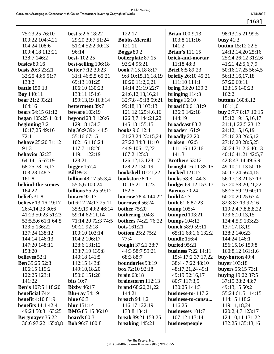**best** 5:2,6 18:22 29:20 39:7 51:24

75:23,25 76:10 100:22 104:4,21

| righted Works             |                            | 4/18/2017                |
|---------------------------|----------------------------|--------------------------|
|                           |                            | [168]                    |
| 122:17                    | <b>Brian</b> 100:9,13      | 98:13,15,21 99:5         |
| <b>Bobbs-Merrill</b>      | 103:8 111:16               | busy $41:3$              |
| 121:11                    | 141:2                      | <b>button</b> 15:12 22:5 |
| <b>Boggs 80:2</b>         | <b>Brian's</b> 111:15      | 24:12,14,20 25:16        |
| boilerplate 87:15         | brick-and-mortar           | 25:24 26:12 31:2,6       |
| 93:24 95:21               | 11:18 48:3                 | 41:21 42:5,6,7,9         |
| book 7:15,18 8:17         | <b>Brief</b> 6:5 89:23     | 50:16,17,25 56:4,5       |
| 9:8 10:15,16,18,19        | <b>briefly</b> 26:10 45:21 | 56:13,16,17,18           |
| 10:20 11:2,6,21           | 111:10 114:1               | 57:20 60:11              |
| 14:14 21:19 22:7          | <b>bring</b> 93:20 139:3   | 123:15 140:23            |
| 24:6, 12, 13, 16, 24      | bringing $114:3$           | 162:2                    |
| 32:7,8 45:18 59:21        | brings $16:10$             | <b>buttons</b> 160:8,12  |
| 99:18,18 103:13           | <b>broad</b> 80:6 131:9    | 161:1,6                  |
| 121:12 125:4,6,16         | 136:9 142:18               | buy 2:7,7 8:17 10:15     |
| 126:3,7 144:21,22         | 144:19                     | 15:12 19:15,16,17        |
| 145:18 155:15             | broadcast 83:2             | 21:1,1 22:5 23:12        |
| books 9:6 12:4            | broader 161:9              | 24:12,15,16,19           |
| 21:23,24 23:15,24         | broadly 22:20              | 25:16,23 26:5,12         |
| 27:22 34:3 41:10          | broken $102:5$             | 27:16,20 28:5,25         |
| 44:9 106:17,22            | 111:16 112:16              | 30:24 31:2,6 40:13       |
| 107:2 125:3               | 141:3                      | 40:16 41:21 42:5,7       |
| 126:12,13 128:17          | <b>Brothers</b> 53:12      | 42:8 43:14 49:6,9        |
| 128:22 130:19             | brought 16:11 85:15        | 49:10,11,13 50:16        |
| <b>bookshelf</b> 10:21,22 | <b>bucked</b> 121:17       | 50:17,24 56:4,15         |
| bookstore 8:17            | bucks 58:8 144:3           | 56:17,18,21 57:13        |
| 10:15,21 11:23            | <b>budget</b> 69:12 153:17 | 57:20 58:20,21,22        |
| 152:5                     | <b>Buenos</b> 70:24        | 58:25 59:19 60:11        |
| <b>borrow</b> 78:4 144:22 | <b>build</b> $47:7$        | 60:20,20,25 67:4         |
| borrowed 56:24            | <b>built</b> 61:6 87:23    | 82:8 87:13 92:16         |

| 104:24 108:6               | 51:24 52:2 90:13            | 121:11                     | 141:2                      | <b>button</b> 15:12 22:5    |
|----------------------------|-----------------------------|----------------------------|----------------------------|-----------------------------|
| 109:4,18 113:21            | 96:14                       | <b>Boggs 80:2</b>          | <b>Brian's</b> 111:15      | 24:12,14,20 25:16           |
| 138:7 146:2                | <b>best-</b> 102:25         | boilerplate 87:15          | brick-and-mortar           | 25:24 26:12 31:2,6          |
| <b>basics</b> 80:16        | best-selling 106:18         | 93:24 95:21                | 11:18 48:3                 | 41:21 42:5,6,7,9            |
| <b>basis</b> 20:3 23:21    | <b>better</b> 7:12 30:23    | book 7:15,18 8:17          | <b>Brief</b> 6:5 89:23     | 50:16,17,25 56:4,5          |
| 32:25 43:5 51:7            | 31:1 46:5,5 65:21           | 9:8 10:15,16,18,19         | <b>briefly</b> 26:10 45:21 | 56:13,16,17,18              |
| 138:2                      | 69:13 101:25                | 10:20 11:2,6,21            | 111:10 114:1               | 57:20 60:11                 |
| <b>battle</b> 150:13       | 106:10 130:23               | 14:14 21:19 22:7           | <b>bring 93:20 139:3</b>   | 123:15 140:23               |
| <b>Bay</b> 140:11          | 133:11 154:6                | 24:6, 12, 13, 16, 24       | bringing $114:3$           | 162:2                       |
| <b>bear</b> 21:2 93:21     | 159:13,19 163:14            | 32:7,8 45:18 59:21         | brings $16:10$             | <b>buttons</b> 160:8,12     |
| 164:16                     | betterment 89:7             | 99:18,18 103:13            | broad 80:6 131:9           | 161:1,6                     |
| <b>bears</b> 54:15 61:12   | <b>beware</b> 103:19        | 121:12 125:4,6,16          | 136:9 142:18               | <b>buy</b> 2:7,7 8:17 10:1: |
| <b>began</b> 105:25 110:4  | beyond 28:3 126:6           | 126:3,7 144:21,22          | 144:19                     | 15:12 19:15,16,17           |
| beginning $3:21$           | 129:18 134:3                | 145:18 155:15              | broadcast 83:2             | 21:1,1 22:5 23:12           |
| 10:17,25 49:16             | big 36:9 39:4 44:5          | books 9:6 12:4             | broader 161:9              | 24:12,15,16,19              |
| 72:1                       | 55:16 67:15                 | 21:23,24 23:15,24          | broadly 22:20              | 25:16,23 26:5,12            |
| <b>behave</b> 25:20 31:12  | 102:16 116:24               | 27:22 34:3 41:10           | broken $102:5$             | 27:16,20 28:5,25            |
| 91:3                       | 117:7 118:20                | 44:9 106:17,22             | 111:16 112:16              | 30:24 31:2,6 40:13          |
| behavior 32:23             | 119:1 122:19                | 107:2 125:3                | 141:3                      | $40:16\ 41:21\ 42:5,7$      |
| 64:14,15 67:19             | 123:21                      | 126:12,13 128:17           | <b>Brothers</b> 53:12      | 42:8 43:14 49:6,9           |
| 68:25 78:16,17             | bigger $157:4$              | 128:22 130:19              | brought 16:11 85:15        | 49:10,11,13 50:16           |
| 103:23 148:7               | <b>Bill</b> 99:3            | <b>bookshelf</b> 10:21,22  | <b>bucked</b> 121:17       | 50:17,24 56:4,15            |
| 161:8                      | <b>billion</b> 48:17 55:3,4 | bookstore 8:17             | bucks 58:8 144:3           | 56:17,18,21 57:13           |
| behind-the-scenes          | 55:5,6 100:24               | 10:15,21 11:23             | <b>budget</b> 69:12 153:17 | 57:20 58:20,21,22           |
| 164:22                     | billions 55:25 59:12        | 152:5                      | <b>Buenos</b> 70:24        | 58:25 59:19 60:11           |
| beliefs 31:8               | binary $92:17$              | borrow 78:4 144:22         | build $47:7$               | 60:20,20,25 67:4            |
| <b>believe</b> 13:16 19:17 | bit 6:12 24:17 25:11        | borrowed 56:24             | <b>built</b> 61:6 87:23    | 82:8 87:13 92:16            |
| 26:4,14,23 30:6            | 35:9,19 40:2 46:14          | <b>bother 75:20</b>        | <b>bump</b> 105:4          | 119:2,4,7,8,8,8,22          |
| 41:23 50:23 51:23          | 59:14 62:11,14              | bothering 104:8            | bumped $103:21$            | 123:6, 10, 13, 15           |
| 52:5,5,6 61:1 64:5         | 71:14,20 72:3 74:5          | <b>bothers</b> 74:22 76:22 | <b>bumps</b> 104:12        | 124:4,5,9 133:23            |
| 123:5 136:22               | 90:21 92:18                 | <b>bots</b> 161:21         | bunch 58:9 59:11           | 137:17,18,19                |
| 137:24 138:12              | 100:10 103:14               | <b>bottom 25:2 75:2</b>    | 65:11 68:1,6 132:2         | 138:2 140:23                |
| 144:14 146:13              | 104:2 106:17                | 77:4                       | bundle 156:4               | 144:24 146:1                |
| 147:20 148:11              | 128:6 131:12                | <b>bought</b> 37:21 38:7   | <b>buried</b> $95:21$      | 156:15,16 159:8             |
| 158:20                     | 133:7,19 139:8              | 44:3 58:7 59:21            | <b>business</b> 7:22 14:11 | 160:8,12 161:1,6            |
| <b>believes</b> 52:1       | 140:18 141:5                | 68:3 88:7                  | 15:4 17:2 37:17,22         | buy-button 49:4             |
| <b>Ben</b> 35:25 52:8      | 142:15 143:8                | boundaries 93:19           | 38:4 47:22 48:10           | <b>buyer</b> 103:18         |
| 106:15 119:2               | 149:10,18,20                | box 72:10 92:18            | 48:17,21,24 49:1           | buyers 55:15 73:1           |
| 122:25 123:1               | 150:6 151:20                | brain $63:18$              | 49:19 52:16,17             | <b>buying</b> 19:22 37:5    |
| 141:22                     | bits $10:7$                 | brainstorm 112:13          | 80:7 117:3,5               | 37:15 38:2 43:7             |
| <b>Ben's</b> 107:5 118:20  | <b>Bixby</b> 46:17          | <b>brand</b> 68:20,21,22   | 130:25 144:3               | 49:13,15 50:2               |
| <b>beneficial</b> 74:4     | <b>Blu-ray</b> 54:19        | 144:21                     | business-to- $117:2$       | 55:24 61:5 114:15           |
| <b>benefit</b> 4:10 81:9   | <b>blue</b> 66:3            | breach $94:1,2$            | business-to-consu          | 114:15 118:21               |
| <b>benefits</b> 14:1 42:4  | <b>blur</b> 151:14          | 116:17 122:19              | 116:25                     | 119:11,18,24                |
| 49:24 50:3 163:25          | <b>BMG</b> 85:15 86:10      | 133:8 134:1                | businesses 101:7           | 120:2,4,7 123:17            |
| <b>Bergmayer</b> 35:22     | boards $60:3$               | <b>break</b> 89:21 153:25  | 107:12 117:14              | 124:10,11 131:22            |
| 36:6 97:22 155:8,8         | <b>Bob</b> 96:7 100:8       | breaking 145:21            | businesspeople             | 132:25 135:13,16            |
|                            |                             |                            |                            |                             |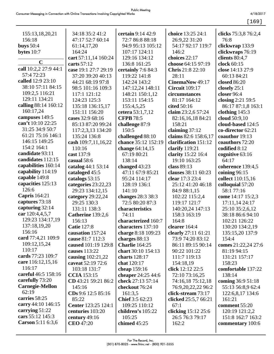|--|

|                           | 34:18 35:2 41:2            | certain 9:14 42:9      | choice 13:25 24:1                  |                                     |
|---------------------------|----------------------------|------------------------|------------------------------------|-------------------------------------|
| 155:13,18,20,21<br>156:18 | 47:17 52:7 60:14           | 72:7 86:8 88:18        |                                    | clicks 75:3,8 76:2,4<br>76:8        |
|                           |                            | 94:9 95:13 105:12      | 26:9,22 31:20<br>54:17 92:17 119:7 |                                     |
| <b>buys</b> 50:4          | 61:14,17,20<br>164:24      | 107:17 124:11          | 146:2                              | clickwrap 133:9<br>clickwraps 76:19 |
| bytes $10:7$              | cart 57:11,14 160:24       | 129:16 134:12          | choices 22:17                      | clients 80:4,7                      |
| $\mathbf C$               | carts 57:12                | 136:8 161:25           | choose 64:15 97:19                 | clock 60:15                         |
| call 10:2,2 27:9 44:1     | case 19:1 27:7 29:19       | certainly 7:6 84:3     | <b>Chris</b> 21:8 22:10            | close 14:13 27:9                    |
| 57:4 72:23                | 37:20 39:20 40:13          | 119:22 141:8           | 28:11                              | 60:13 84:21                         |
| called 12:9 23:10         | 44:21 68:19 97:8           | 142:24 143:2           | CinemaNow 49:17                    | closed 86:20                        |
| 38:10 57:11 84:15         | 98:5 101:16 109:3          | 147:12,24 148:11       | <b>Circuit</b> 109:17              | closely $25:1$                      |
| 109:2,5 116:21            | 117:1 121:12               | 148:21 150:1,12        | circumstances                      | closer 96:4                         |
| 129:11 134:21             | 124:23 125:3               | 153:11 154:15          | 81:17 164:12                       | closing 2:21 59:5                   |
| calling 88:14 160:12      | 135:18 136:15,17           | 155:4,5,25             | cited 50:16                        | 86:17 87:1,8 163:1                  |
| 160:17,24                 | 151:11 156:20              | cetera 53:1,7,12       | claim 23:2,6 57:24                 | clothing $145:3$                    |
| campuses 149:5            | cases 32:9 68:16           | <b>CFPB</b> 78:5       | 82:16,16,18 84:21                  | cloud 50:9,10                       |
| can't 10:10 22:25         | 85:13 87:20 99:24          | challenge 87:9         | 158:21                             | cloud-based 124:5                   |
| 31:25 34:9 50:7           | 117:2,3,13 134:20          | 150:5                  | claiming $37:12$                   | co-director 62:21                   |
| 61:21 75:16 146:1         | 135:24 136:8               | challenged 88:10       | claims 82:6 158:6,17               | coauthor 19:13                      |
| 146:15 149:25             | cash 109:7,11,16,22        | chance 35:12 152:19    | clarification 151:12               | coauthors 72:20                     |
| 154:2 164:1               | 110:16                     | change 64:14,15        | clarify $119:21$                   | codified 8:12                       |
| candidate 93:11           | cast 137:9                 | 67:19 80:21            | clarity 15:22 16:4                 | cognitive 63:16                     |
| candidates 112:15         | casual 58:6                | 138:14                 | 19:10 163:25                       | 64:17                               |
| capabilities 160:14       | catalog 44:1 53:14         | changed $43:23$        | class 89:13                        | coherence 139:4,5                   |
| capability 114:19         | cataloged 45:5             | 47:11 67:9 85:21       | clauses 38:11 60:23                | coining $96:15$                     |
| capable 149:8             | catalogs 53:15             | 95:24 114:17           | clear 17:3 23:4                    | collect 110:15,16                   |
| capacities 125:13         | categories 23:22,23        | 128:19 136:1           | 25:12 41:20 46:18                  | colloquial 57:20                    |
| 126:6                     | 29:23 134:12,15            | 141:10                 | 84:9 88:1,15                       | 58:177:16                           |
| <b>Capris</b> 164:21      | category 29:22,24          | changes 28:3 38:3      | 102:22 115:2,4                     | come 14:17 15:2,3                   |
| captures 73:18            | 29:25 130:3                | 72:5 80:20 87:3        | 119:17 121:7                       | 17:11,14 24:17                      |
| capturing 32:14           | 131:11 138:3               | characteristics        | 140:20,24 147:13                   | 25:10 35:2,6,12                     |
| car 120:4,4,5,7           | Catherine 139:2,6          | 74:11                  | 158:3 163:19                       | 38:18 86:6 94:10                    |
| 129:23 134:17,19          | 156:13                     | characterized 160:7    | 164:8                              | 102:21 126:22                       |
| 137:18,19,20              | <b>Catie</b> 127:8         | characters 137:10      | clearer 164:4                      | 130:20 134:2,19                     |
| 156:16                    | causation 157:24           | charge 8:18 109:23     | clearly 27:11 61:21                | 135:15,20 137:9                     |
| card 77:4,21 109:9        | cause 81:7 112:3           | charges 88:13          | 73:9 74:20 83:12                   | 154:4                               |
| 109:12,15,24              | caused 101:19 129:8        | <b>Charlie</b> 164:25  | 86:11 89:15 90:14                  | comes 21:22,24 27:6                 |
| 110:17                    | causes 113:22              | chart 30:10 154:13     | 90:22 101:22                       | 81:19 94:15                         |
| cards 77:23 109:7         | causing $102:21,22$        | charts $128:17$        | 111:7 119:13                       | 131:21 157:17                       |
| care 116:12,15,16         | caveat 52:19 72:6          | chat 120:17            | 154:18,19                          | 158:23                              |
| 116:17                    | 103:18 131:7               | cheap 159:16           | click $12:12\,22:5$                | comfortable 137:22                  |
| careful 46:5 158:16       | <b>CCIA</b> 153:15         | cheaper $24:25\,44:6$  | 72:10 73:16,25                     | 138:14                              |
| carefully 73:20           | CD 43:21 59:21 86:2        | check 27:13 57:14      | 74:16,18 75:12,18                  | coming 36:9 51:18                   |
| <b>Carnegie-Mellon</b>    | 145:16                     | checkout 76:24         | 76:9,20,22,22 96:2                 | 55:13 56:8,9 62:4                   |
| 62:19                     | CDs 9:6 12:5 85:16         | 161:3,5                | click-stream 73:17                 | 122:6,8,17 134:6                    |
| carries 58:25             | 85:22                      | <b>Chief</b> 3:5 62:23 | clicked 25:5,7 66:21               | 161:21                              |
| carry 44:10 146:15        | <b>Center</b> 123:25 124:1 | 109:25 110:12          | 67:1                               | comment 55:20                       |
| carrying 51:22            | centuries 103:20           | children's 105:22      | clicking 15:12 25:6                | 120:19 121:2,2                      |
| cars 55:12 145:3          | century 49:16              | 105:25                 | 26:5 76:3 79:17                    | 151:8 162:7 163:2                   |
| Carson 5:11 6:3,6         | <b>CEO</b> 47:20           | chimed $45:25$         | 162:2                              | commentary 100:6                    |
|                           |                            |                        |                                    |                                     |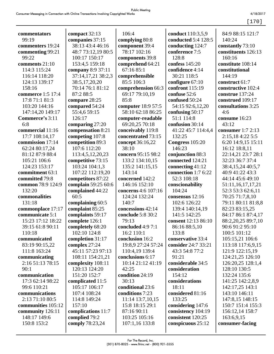[170]

| commentators       | compact 32:13       | 106:4               | conduct 110:3,5,9   | 84:9 88:15 121:7    |
|--------------------|---------------------|---------------------|---------------------|---------------------|
| 99:19              | companies 37:15     | complying 80:8      | conducted 5:4 128:5 | 140:24              |
| commenters 19:24   | 38:13 43:4 46:16    | component 39:4      | conducting 124:7    | constantly 73:10    |
| commenting 99:21   | 48:7 73:12,19 80:5  | 78:17 102:16        | conference 7:5      | constituents 126:13 |
| 99:22              | 100:17 150:17       | components 39:8     | 128:8               | 160:16              |
| comments 21:10     | 153:4,5 159:18      | comprehend 64:21    | confess 145:20      | constitute 108:14   |
| 114:3 115:24       | company 8:9 37:11   | 67:16 85:1          | confidence 4:14     | constitutional      |
| 116:14 118:20      | 37:14,17,21 38:2,3  | comprehensible      | 30:21 118:5         | 144:19              |
| 124:13 139:17      | 38:5,17,20,20       | 85:5 106:3          | configure 67:10     | construct 61:7      |
| 158:16             | 70:14 76:1 81:12    | comprehension 66:3  | confront 115:19     | constructive 102:4  |
| commerce 1:5 17:4  | 87:2 88:5           | 69:17 79:10,19      | confuse 52:6        | construe 137:24     |
| 17:8 71:1 81:3     | compare 28:25       | 85:8                | confused 50:24      | construed 109:17    |
| 103:20 144:16      | compared 54:24      | computer 18:9 57:5  | 54:15 92:6,12,20    | consultations 3:25  |
| 147:14,20 149:17   | 55:4,6 59:15        | 58:10 62:18 86:25   | confusing 50:17     | 4:6                 |
| Commerce's 3:11    | 126:17              | computer-readable   | 51:1 114:8          | consume 16:23       |
| 6:8                | comparing 27:20     | 69:20,25 70:18      | confusion 30:14     | 43:12               |
| commercial 11:16   | compensation 8:21   | conceivably 119:8   | 41:22 45:7 114:4,4  | consumer $1:72:13$  |
| 17:7 108:14,17     | competing 107:8     | concentrated 73:15  | 132:25              | 2:15,184:225:5      |
| commission 17:14   | competition 89:3    | concept 36:16,22    | Congress 105:20     | 6:20 14:9,15 15:11  |
| 62:24 80:17,24     | 107:6 112:20        | 38:10               | 146:23              | 16:12 18:8,11       |
| 81:12 87:9 88:4    | 113:4,5,12,20,23    | concern 95:15 98:2  | conjunction 88:3    | 22:14,21 23:7 28:1  |
| 105:21 106:6       | competitive 73:15   | 133:2 134:10,15     | connected 124:21    | 32:23 36:7 37:4     |
| 124:23 153:17      | 103:24 104:1,3      | 135:2 141:15,15     | connecting $41:12$  | 38:4,15,24 40:5,7   |
| commitment 63:1    | 107:22 112:19,20    | 143:14              | connection 1:7 6:22 | 40:9 41:22 43:3     |
| committed 79:8     | competitors 87:22   | concerned 142:2     | 52:3 108:18         | 44:14 45:6 49:10    |
| common 78:9 124:9  | complain 59:25 60:6 | 146:16 152:10       | conscionability     | 51:11,16,17,17,21   |
| 132:20             | complained 44:22    | concerns 4:6 107:16 | 104:24              | 52:3 53:3 62:6,11   |
| commonalities      | 60:5                | 124:24 132:24       | consensus 12:16     | 70:25 71:7,8,10     |
| 131:18             | complaining 60:5    | 140:7               | 102:6 126:22        | 79:11 80:11 81:8,8  |
| commonplace 17:17  | complaint 85:25     | concessions 42:14   | 139:4 140:14,19     | 82:23 83:15,25      |
| communicate 5:1    | complaints 59:17    | conclude 5:8 30:2   | 141:5 142:25        | 84:17 86:1 87:4,17  |
| 15:23 17:12 18:22  | complete 126:1      | 79:13               | consent 12:13 86:10 | 88:2,20,25 89:7,10  |
| 39:15 61:8 90:11   | completely 68:20    | concluded 4:9 7:1   | 86:16 88:5,10       | 90:6 91:2 95:10     |
| 110:18             | 102:10 124:8        | 16:2 110:1          | 133:8               | 100:5 101:12        |
| communicated       | completion 31:17    | conclusion 16:2     | conservative 33:4   | 105:15,21 106:6     |
| 83:19 90:15,22     | complex $27:24$     | 19:8,9 27:24 57:24  | consider 24:7 33:21 | 113:18 117:6,9,15   |
| 111:8 163:24       | 45:11 57:23 97:13   | 110:4,19 139:4      | 43:3 54:8 77:2      | 121:9 122:15,19     |
| communicating      | 108:11 154:21,21    | conclusions 6:17    | 91:21               | 124:21,25 126:10    |
| 2:16 51:13 78:15   | complexity 108:11   | 10:14 21:12 41:19   | considerable 34:5   | 126:20,25 128:1,4   |
| 90:1               | 120:13 124:20       | 42:25               | consideration       | 128:10 130:5        |
| communication      | 151:20 152:7        | condition 24:19     | 154:12              | 132:24 135:6        |
| 17:3 62:14 98:22   | complicated 11:5    | 30:13               | considerations      | 141:25 142:2,8,9    |
| 99:6 110:21        | 105:17 106:17       | conditional 23:6    | 18:11               | 142:17,25 143:1     |
| communications     | 107:4 108:24        | conditions 7:23     | considered 81:16    | 143:10 146:11       |
| 2:13 71:10 80:5    | 114:8 149:24        | 11:14 13:7,10,15    | 133:25              | 147:8,15 148:15     |
| communities 105:12 | 157:10              | 15:8 18:15 29:1     | considering 147:6   | 150:7 151:4 155:3   |
| community 126:11   | complications 11:7  | 87:16 90:11         | consistency 104:19  | 156:12,14 158:7     |
| 148:17 149:6       | complied 79:2       | 103:25 105:16       | consistent 120:25   | 163:6,9,15          |
| 150:8 153:2        | comply 78:23,24     | 107:1,16 133:8      | conspicuous 25:12   | consumer-facing     |
|                    |                     |                     |                     |                     |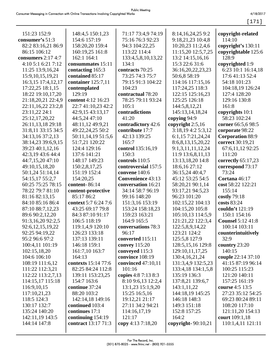[171]

| 151:23 152:9         | 148:4,5 150:1,23     | 71:17 73:4,9 74:19       | 8:14,16,24,25 9:2     | copyright-related        |
|----------------------|----------------------|--------------------------|-----------------------|--------------------------|
| consumer's 51:3      | 154:6 157:19         | 75:16 76:3 92:23         | 9:18,21,23 10:4,8     | 114:10                   |
| 82:2 83:16,21 86:9   | 158:20,20 159:4      | 94:3 104:22,25           | 10:20,23 11:2,4,6     | copyright's 130:11       |
| 86:15 106:12         | 160:19,25 161:8      | 113:22 114:4             | 11:15,20 12:5,7,25    | copyrightable 125:6      |
| consumers $2:17$ 4:7 | 162:1 164:1          | 133:4,5,8,10,13,22       | 13:2 14:15,16,16      | 128:9                    |
| 4:10 5:1 6:21 7:12   | consummates 15:11    | 134:1                    | 15:3 22:6 31:6        | copyrighted 1:9          |
| 11:25 13:9,16,24     | contacting 165:3     | contracts 70:25          | 36:16,20,22,23,23     | 6:23 10:1 16:14,18       |
| 15:9, 10, 15, 19, 21 | contained 85:17      | 73:25 74:3 75:7          | 50:6,8 58:19          | 17:6 41:13 52:4          |
| 16:3,15 17:4,12,17   | container 125:7,11   | 79:15 91:3 104:22        | 114:16 117:15,16      | 54:18 101:23             |
| 17:22,25 18:1,15     | contemplated         | 104:23                   | 117:24,25 118:3       | 104:18,19 126:24         |
| 18:22 19:10,17,20    | 129:19               | contractual 78:20        | 122:15 125:16,23      | 127:4 128:20             |
| 21:18,20,21 22:4,9   | content 4:12 16:23   | 78:25 79:11 93:24        | 125:25 126:18         | 129:16 130:8             |
| 22:11,16,22 23:2,8   | 22:7 41:10,23 42:2   | 105:1                    | 144:5,8,12,21         | 161:8                    |
| 23:11,22 24:1        | 42:9,15 43:13,17     | contradictions           | 145:13,14,18,24       | copyrights 10:1          |
| 25:12,17,20,22       | 44:5,24 47:10        | 41:20                    | copying 94:9          | 58:23 102:24             |
| 26:11,13,18 29:18    | 48:11,12 49:9,21     | contradictory 42:6       | copyright 2:5,16      | corner 66:5,6 98:5       |
| 31:8,11 33:15 34:5   | 49:22,24,25 50:2     | contribute 17:7          | 3:18,19 4:2 5:3,12    | corporate 98:22          |
| 34:13,16 37:2,13     | 50:11,14,19 51:5,6   | 42:13 139:25             | 6:1,15 7:21,24,24     | <b>Corporation 88:9</b>  |
| 38:14,23 39:6,9,15   | 51:7,21 120:22       | 165:7                    | 8:6,8,13,15,20,22     | correct 30:19,21         |
| 39:23 40:1,12,16     | 124:4 129:16         | control 135:16,19        | 9:1,3,11,11,12,24     | 67:6,11,12 92:25         |
| 42:3,19 43:6 44:4    | 137:6 141:21         | 150:3                    | 11:9 13:6,8,11,13     | 111:20                   |
| 44:7,15,20 47:10     | 148:17 149:23        | controls 110:5           | 13:13,18,20 14:8      | correctly 65:17,23       |
| 49:10,15,18,20       | 150:2,8,17,25        | controversial 157:5      | 18:6,16 27:12         | correspond 73:17         |
| 50:1,24 51:14,14     | 151:19 152:4         | convene 140:6            | 36:15,24 40:4,7       | 73:24                    |
| 54:15,17 55:2,7      | 154:20,25            | <b>Convenience 43:13</b> | 45:12 53:25 54:5      | Cortana 46:17            |
| 60:25 75:25 78:15    | content-86:14        | conversation 16:21       | 58:20,21 90:1,14      | cost 58:22 122:21        |
| 78:22 79:7 81:10     | content-protective   | 34:14 58:7 96:19         | 93:17,21 94:5,23      | 155:14                   |
| 81:16 82:13,15       | 85:17 86:2           | 99:16 148:20             | 96:23 101:20          | costly 79:18             |
| 84:10 85:16 86:4     | context 5:7 6:24 7:6 | 151:3,16 153:19          | 102:15,22 104:13      | costs 83:24              |
| 87:10 88:7,12,23     | 43:25 69:17 79:8     | 153:24 158:18,23         | 104:15,20 105:8       | couldn't 121:19          |
| 89:6 90:2,12,20      | 84:3 87:10 91:17     | 159:23 163:21            | 105:10,13 114:5,9     | 150:1 154:16             |
| 91:3,16,20 92:2,5    | 106:5 118:19         | 164:9 165:5              | 121:21,22 122:3,4     | <b>Counsel 5:12 41:8</b> |
| 92:6,12,15,19,22     | 119:1,4,9 120:10     | conversations 78:3       | 122:5,8,9,14,22       | 100:14 103:11            |
| 92:25 94:19,22       | 126:23 133:18        | 96:17                    | 123:21 124:2          | counterintuitively       |
| 95:2 96:6 97:2       | 137:13 139:11        | converted 115:11         | 125:5,8 127:9         | 32:9                     |
| 100:4,11 101:19      | 146:18 159:1         | <b>convey</b> 115:20     | 128:5, 15, 16 129:8   | country 23:20            |
| 102:15,18,20         | 161:7,10 163:7       | conveyed 115:3           | 129:10,11,17,25       | 140:15                   |
| 104:6 106:10         | 164:13               | convince 108:19          | 130:4, 16, 21, 24     | couple 22:14 37:10       |
| 108:19 111:6,12      | contexts 15:14 77:6  | convinced 47:10,11       | 131:3,4,9 132:5,23    | 41:15 87:19 96:14        |
| 111:22 112:3,21      | 82:25 84:24 112:8    | 101:16                   | 133:4,18 134:1,5,8    | 100:25 115:23            |
| 112:22 113:2,7,13    | 139:11 153:23,25     | copies 4:8 7:13 8:3      | 135:19 136:3          | 121:20 140:11            |
| 114:15,17 115:18     | 154:7 163:6          | 8:10 9:6,13 12:2,4       | 137:8,21 139:6,7      | 157:25 161:19            |
| 116:9, 10, 15        | continue 37:24       | 13:1,23 15:1,9,20        | 143:1,11,22           | course 4:5 13:5          |
| 117:10,21,23         | 88:20 103:2          | 15:25 16:5,16            | 144:18,19 145:25      | 27:23 35:12 54:25        |
| 118:5 124:3          | 142:14,18 149:16     | 19:12,21 21:17           | 146:18 148:3          | 69:23 80:24 89:11        |
| 130:17 132:7         | continued 103:4      | 27:11 34:2 94:21         | 149:3 151:18          | 108:20 117:10            |
| 135:24 140:20        | continues 17:1       | 114:16,17,19             | 152:8 157:25          | 121:11,20 154:13         |
| 142:11,19 143:5      | continuing $154:19$  | 121:17                   | 164:2                 | court 109:1,18           |
| 144:14 147:8         | contract 13:17 71:3  | copy 4:13 7:18,20        | copyright- $90:10,21$ | 110:1,4,11 121:11        |
|                      |                      |                          |                       |                          |
|                      |                      |                          |                       |                          |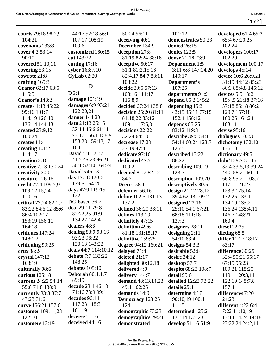[172]

| courts 79:18 98:7,9   | 44:17 52:18 56:1     | 50:24 56:11               | 101:12                              | developed $61:465:3$ |
|-----------------------|----------------------|---------------------------|-------------------------------------|----------------------|
| 104:21                | 107:17 108:19        | deceiving 40:1            | demonstrates 50:23                  | 65:4 67:20,25        |
| covenants 133:8       | 109:6                | December 134:9            | denied 26:15                        | 102:24               |
| cover 4:3 53:14       | customized 160:15    | deception 27:8            | denies 122:5                        | developers 100:17    |
| 90:10                 | cut 143:22           | 81:19 82:24 88:16         | dense 71:18 73:9                    | 102:20               |
| covered 51:10,11      | cutting $17:16$      | deceptive 50:17           | Department 1:5                      | development 100:17   |
| covering 53:15        | cyber 163:7,10       | 51:1 81:2,15,16           | 3:11 6:8 147:14,20                  | develops 45:14       |
| cowrote 21:8          | CyLab 62:20          | 82:4,17 84:7 88:11        | 149:17                              | device 10:6 26:9,21  |
| crafting 165:3        |                      | 108:22                    | Department's                        | 31:19 44:12 85:23    |
| Cranor 62:17 63:5     | D                    | decide 39:5 57:13         | 107:25                              | 86:3 88:4,8 145:12   |
| 115:5                 | D2:1                 | 108:16 111:17             | departments 91:9                    | devices 5:5 13:2     |
| <b>Cranor's 148:2</b> | damage 101:19        | 116:8,9                   | depend 65:2 145:2                   | 15:4,5 21:18 37:16   |
|                       | damages 6:9 93:21    | decided 67:24 138:8       |                                     |                      |
| create 41:13 45:22    | 122:20,21            |                           | depending 15:3<br>43:15 45:11 77:15 | 37:18 85:18 86:2     |
| 99:16 101:7           | danger 144:20        | decision 25:20 81:11      |                                     | 129:7 157:18         |
| 114:19 126:10         | data 21:13 25:15     | 81:18,22 83:12            | 152:4 158:12                        | 160:25 161:24        |
| 136:14 144:13         | 32:14 46:6 61:11     | 109:1 117:6,8             | depends 65:25                       | 163:11               |
| created 23:9,12       | 73:17 156:1 158:9    | decisions 22:22           | 83:12 119:3                         | devise 95:16         |
| 100:24                | 158:23 159:13,17     | 32:24 64:13               | describe 39:5 54:11                 | dialogues 103:3      |
| creates 11:4          | 164:11               | decrease 17:23            | 54:14 60:24 123:7                   | dichotomy 132:10     |
| creating 101:2        | David 5:11 21:7      | 27:19 47:4                | 125:5                               | 136:10               |
| 114:17                | 41:7 45:23 46:21     | dedicate 97:16            | described 13:22                     | dictionary 49:5      |
| creation 3:16         | 50:1 52:10 164:24    | dedicated 47:7            | 88:22                               | didn't 29:7 31:15    |
| creative 7:13 130:24  | <b>David's 46:13</b> | 100:2                     | describing 109:19                   | 32:4 33:5,13 39:24   |
| creativity 3:20       |                      | deemed 81:7 82:12         | 123:7                               | 44:2 58:21 60:11     |
| creature 126:16       | day 17:18 120:6      | 84:7                      | description 109:20                  | 66:8 95:21 108:7     |
| credit 77:4 109:7,9   | 139:5 164:20         | <b>Deere</b> 158:1        | descriptively 30:6                  | 117:1 121:23         |
| 109:12,15,24          | days 47:9 119:15     | defender 56:16            | design 21:12 28:12                  | 123:3 125:14         |
| 110:16                | 122:11               | define 102:5 131:13       | 39:4 62:13 109:2                    | 132:25 133:1         |
| critical 72:24 82:1,7 | DC-based 36:7        | 137:2                     | designed 23:16                      | 134:10 135:2         |
| 83:22 84:6,12 85:6    | deal 29:11 79:8      | defined 36:20 38:11       | 25:10 54:1 67:21                    | 136:24 138:4,11      |
| 86:4 102:17           | 82:22,25 91:9        | defines 113:19            | 68:18 111:18                        | 146:7 148:21         |
| 153:19 156:11         | 134:22 142:4         | definitely 47:15          | 127:3                               | 160:4                |
| 164:18                | dealers 48:6         | definition 49:6           | designers 28:11                     | diesel 22:25         |
| critiques 147:24      | dealing 83:9 93:16   | 81:18 131:15,17           | designing $2:11$                    | dieting 68:5         |
| 148:1,2               | 93:23 96:22          | definitive 159:25         | 54:10 63:4                          | differ 11:17 18:17   |
| critiquing 99:25      | 130:13 143:22        | degree 94:12 160:21       | designs $54:3,3$                    | 83:17                |
| crux 88:24            | deals 44:7 114:10,12 | delayed 71:4              | desirable 52:6                      | difference 30:25     |
| crystal $147:13$      | debate 7:7 133:22    | deleted 21:17             | desire 34:12                        | 32:4 50:21 55:17     |
| 163:19                | 148:25               | delighted $80:12,18$      | desktop 57:7                        | 67:15 95:23          |
| culturally 98:6       | debates $105:10$     | delivered 4:9             | despite 68:23 108:7                 | 109:21 118:20        |
| curious $125:18$      | Deborah $80:1,1,7$   | delivery 144:7            | detail 95:6                         | 119:1 120:3,11       |
| current 24:22 54:14   | 89:19                | <b>demand</b> 48:13,14,23 | <b>detailed</b> 12:23 73:22         | 122:19 148:7,8       |
| 55:8 71:8 138:9       | decade 23:1 46:18    | 49:11 62:25               | details $25:11$                     | 157:4                |
| currently 33:8 37:7   | 71:16 73:9 99:1      | demands 14:9              | determine 4:17                      | differences 7:20     |
| 47:23 71:6            | decades 96:14        | Democracy 123:25          | 90:10,19 100:11                     | 24:23                |
| curve 156:21 157:6    | 117:23 118:3         | 124:1                     | 111:5                               | different $4:226:4$  |
| customer 109:11,23    | 161:19               | demographic 73:23         | determined 125:21                   | 7:22 11:10,19        |
| 122:10                | deceive $51:16$      | demographics 29:21        | 131:14 135:23                       | 13:14, 14, 24 14:18  |
| customers 12:19       | deceived 44:16       | demonstrated              | develop 51:16 61:9                  | 23:22,24 24:2,11     |
|                       |                      |                           |                                     |                      |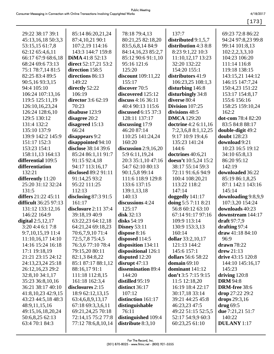|                                        |                                           |                                            |                                               | $[173]$                                  |
|----------------------------------------|-------------------------------------------|--------------------------------------------|-----------------------------------------------|------------------------------------------|
|                                        |                                           |                                            |                                               |                                          |
| 29:22 38:17 39:1                       | 85:14 86:20,21,24                         | 78:18 79:4,13                              | 137:7                                         | 69:23 72:8 86:22                         |
| 45:13,16,18 50:3,3                     | 87:4,10,21 90:1                           | 80:21,25 82:18,20<br>83:5,6,8,14 84:9      | distributed $9:1,5,7$<br>distribution 4:3 8:8 | 94:24 97:8,23 99:8                       |
| 53:15,15 61:7,8<br>62:12 65:4,6,11     | 107:2,19 114:16<br>143:3 144:7 159:8      |                                            |                                               | 99:14 101:8,13<br>102:2,2,3,3,10         |
|                                        | DiMA 41:8 52:13                           | 84:14,16,23 85:2,7                         | 8:23 9:1,22 10:3                              | 104:23 106:20                            |
| 66:17 67:9 68:6,18<br>68:24 69:6 73:13 |                                           | 85:12 90:6 91:1,10<br>95:16 121:6          | 11:10,12,17 13:23<br>32:20 132:22             | 111:14 116:8                             |
|                                        | direct 52:17,21 53:2<br>direction 158:5   | 125:20                                     | 154:20 155:1                                  | 119:18 138:15                            |
| 75:1 78:7,14 81:5<br>82:25 83:4 89:5   | directions 86:13                          |                                            | distributors 41:9                             |                                          |
| 90:5,16 93:3,15                        | 149:22                                    | discount 109:11,22<br>155:17               | 106:23,25 108:1,3                             | 143:15,21 144:12<br>146:15 147:7,24      |
| 94:4 105:10                            | directly 52:22                            | discover 70:5                              |                                               | 150:4,23 151:22                          |
|                                        | 106:19                                    |                                            | disturbing 146:8                              |                                          |
| 106:24 107:13,16                       | director 3:6 62:19                        | discovered 125:12<br>discuss $4:16\,36:11$ | disturbingly 34:8<br>diverse 80:4             | 153:17 154:8,17<br>155:6 156:16          |
| 119:5 125:11,19                        | 70:23                                     | 40:4 90:13 115:6                           | Division 107:25                               |                                          |
| 126:10,16,23,24<br>126:24 128:6,10     | disabuse 123:9                            | <b>discussed</b> 6:15 37:3                 | divisions 48:5                                | 158:25 159:10,24<br>162:2                |
| 129:5 130:12                           | disagree 20:2                             | 128:11 137:17                              | <b>DMCA</b> 129:20                            | dot-com 78:4 82:20                       |
| 131:4 132:2                            |                                           |                                            |                                               | 83:5 84:8 88:17                          |
|                                        | disagreed 15:13<br>66:24                  | discussing 17:9<br>46:20 87:14             | <b>doctrine</b> 4:2 6:11,16                   |                                          |
| 135:10 137:9<br>139:9 142:2 145:9      |                                           | 110:25 141:24,24                           | 7:2,3,6,8 8:1,12,25                           | double-digit 49:2<br><b>doubt</b> 128:23 |
| 151:17 152:3                           | disappears 9:2                            | 160:20                                     | 9:17 10:9 19:4,6<br>135:23 141:24             | download 9:21                            |
| 153:23 154:1                           | disappointed 94:10<br>disclose 38:14 39:6 | discussion $2:9,16,20$                     | 144:6                                         | 10:23 16:5 19:12                         |
|                                        |                                           |                                            |                                               |                                          |
| 158:11,13 164:13<br>differential 109:5 | 85:24 86:1,11 91:7<br>91:15 92:4,18       | 5:9 6:11,19,24<br>20:3 35:1,10 47:16       | doctrines 40:6,21<br>doesn't 10:5,24 15:2     | 34:10 65:8,13<br>86:20 95:12             |
| differentiation                        |                                           | 54:7 62:10 80:13                           | 38:17 55:14 59:3                              | 142:19                                   |
| 132:21                                 | 94:17 113:16,17<br>disclosed 89:2 91:11   |                                            |                                               | downloaded 36:22                         |
|                                        |                                           | 90:1,5,8 99:14                             | 72:11 91:6,6 94:9                             |                                          |
| differently 11:20                      | 91:14,25 93:2                             | 111:6 118:9 129:8                          | 100:4 108:20,21                               | 85:19 86:1,8,25                          |
| 25:20 31:12 32:24<br>131:5             | 95:22 111:25<br>112:13                    | 133:6 137:15                               | 113:22 118:2<br>147:14                        | 87:1 142:1 143:16<br>145:14              |
| differs 21:22 45:11                    |                                           | 139:1,13,18<br>140:13                      | doggedly 141:17                               | downloading 9:8,9,9                      |
| difficult 36:25 97:13                  | disclosing 87:3 91:5<br>161:17            | discussions 4:24                           | doing 5:5 7:11 8:21                           | 107:3,20 154:24                          |
| 131:12 133:12,16                       | disclosure 2:11 37:4                      | 125:17                                     | 56:8 60:12 63:10                              | downloads 40:23                          |
| 146:22 164:9                           | 39:18,19 40:9                             | disk 32:13                                 | 67:14 91:17 97:16                             | downstream 144:17                        |
| digital $2:5,12,17$                    | 63:22,23 64:12,18                         | disks $54:19$                              | 109:9 113:14                                  | draft $97:7,9$                           |
| 3:20 4:4 6:1 7:8                       | 64:21,24 69:18,23                         | Disney $53:11$                             | 130:9 153:3,13                                | drafting 97:4                            |
| 9:7, 10, 15, 19 11: 4                  | 70:6,7,9,10 71:4                          | dispose 8:16                               | 160:14                                        | draw $41:1884:10$                        |
| 11:10,16,17 14:10                      | 72:5,7,8 75:4,5                           | disposed 114:5                             | dollar 33:2,10,17                             | 96:9                                     |
| 14:16 15:24 16:18                      | 76:3,6 77:10 78:4                         | disposition 134:11                         | 121:13 144:2                                  | $d$ rawn 78:22                           |
| 17:1 19:18,19                          | 79:15,20 80:11                            | dispositional 126:1                        | 145:6 157:1                                   | $d$ rew 21:13                            |
| 21:21 23:15 24:12                      | 82:1,3 84:8,22                            | disputed 12:20                             | dollars 56:6 58:22                            | drive 43:15 120:8                        |
| 24:13,23,24 25:18                      | 85:1 87:17 88:1,12                        | disrupt $47:13$                            | domain 69:10                                  | 144:10 145:16,17                         |
| 26:12,16,23 29:2                       | 88:16,1791:1                              | dissemination 89:4                         | dominant 141:12                               | 145:23                                   |
| 32:8,10 34:1,17                        | 111:18 112:8,15                           | 144:20                                     | don't $3:57:159:15$                           | driving $120:8$                          |
| 35:23 36:8,10,16                       | 161:18 162:3,4                            | distilled 95:19                            | 11:5 12:18,20                                 | <b>DRM</b> 94:8                          |
| 36:21 38:17 40:10                      | disclosures 2:15                          | distinct 36:17                             | 16:19 18:4 22:17                              | DRM-free 38:6                            |
| 41:8, 10, 23 42:9, 15                  | 18:9 62:12,13,15                          | 107:12                                     | 30:17,18 33:14                                | drop 27:22 29:2                          |
| 43:23 44:5,18 48:3                     | 63:4, 6, 8, 9, 13, 17                     | distinction 161:17                         | 39:21 44:25 45:8                              | drops 29:3,16                            |
| 48:9,11,15,16                          | 67:18 69:3,3,6,11                         | distinguishable                            | 46:23,23 47:5                                 | $drug$ 69:5                              |
| 49:15,16,18,20,24                      | 69:21,24,25 70:18                         | 76:11                                      | 49:22 51:15 52:5,5                            | due 7:21,21 51:7                         |
| 50:6,8,25 62:13                        | 72:14,15 75:2 77:8                        | distinguished 109:4                        | 52:17 54:9,9 60:3                             | 140:22                                   |
| 63:4 70:1 84:3                         | 77:12 78:6,8,10,14                        | distribute $8:3,10$                        | 60:23,25 61:10                                | <b>DULANY</b> 1:17                       |
|                                        |                                           |                                            |                                               |                                          |
|                                        |                                           |                                            |                                               |                                          |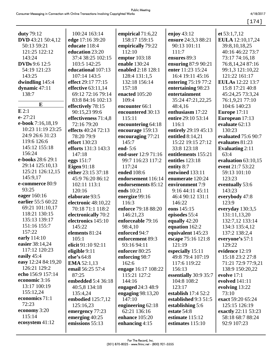[174]

| <b>duty</b> 79:12        | 100:24 163:14              | empirical 71:6,22                 | enjoy $43:12$                | et $53:1,7,12$            |
|--------------------------|----------------------------|-----------------------------------|------------------------------|---------------------------|
| <b>DVD</b> 43:21 50:4,12 | edge 17:16 39:20           | 158:17 159:15                     | ensure 24:3,3 88:21          | EULA 12:10,17,24          |
| 50:13 59:21              | educate 118:4              | empirically 79:22                 | 90:13 101:11                 | 39:8, 10, 18, 25          |
| 121:25 122:12            | education 23:20            | 112:10                            | 111:7                        | 40:16 46:22 73:7          |
| 143:24                   | 37:4 38:25 102:15          | emptor 103:18                     | ensures 89:3                 | 73:17 74:16,18            |
| <b>DVDs</b> 9:6 12:5     | 103:5 142:25               | enable 130:24                     | ensuring 87:9 90:21          | 76:8, 14, 24 87:16        |
| 54:19 121:23             | educational 107:13         | enabled 2:18 128:1                | enter 11:23 15:24            | 99:1,3 121:10,22          |
| 143:25                   | 107:14 143:5               | 128:4 131:1,5                     | 16:4 19:11 45:16             | 121:22 161:17             |
| dwindling 145:4          | effect 29:17 77:15         | 132:18 156:14                     | entering 75:19 77:2          | <b>EULAs</b> 12:22 13:7   |
| dynamic 47:11            | effective 63:11,14         | 157:18                            | entertaining 98:23           | 15:8 17:21 40:8           |
| 138:7                    | 69:12 72:16 79:14          | enacted 105:20                    | entertainment                | 45:24,25 73:3,24          |
| E                        | 83:8 84:16 102:13          | 109:4                             | 35:24 47:21,22,25            | 76:1,9,21 77:10           |
| E2:1                     | effectively 78:15          | encounter 66:1                    | 48:4,16                      | 104:6 140:23              |
| $e - 27:21$              | 90:15,23 99:6              | encountered 30:13                 | enthusiasm 17:22             | <b>Europe</b> 17:11       |
| e-book 7:16,18,19        | effectiveness 71:4,8       | 115:11                            | entire 29:10 53:14           | European 17:13            |
| 10:23 11:19 23:25        | 72:16 79:20                | encountering 64:18                | 116:1                        | evaluate 62:13<br>130:23  |
| 24:9 26:6 31:23          | effects 40:24 72:13        | encourage 159:13                  | entirely 29:19 45:13         |                           |
| 119:6 126:6              | 78:20 79:9                 | encouraging 77:21                 | entitled 8:14,21             | evaluated 75:6 90:7       |
| 145:12 155:18            | <b>effort</b> 130:23       | 145:7                             | 15:22 19:15 27:12            | evaluates 81:23           |
| 156:24                   | <b>efforts</b> 131:3 143:3 | end- $5:6$                        | 33:8 123:18                  | <b>Evaluating 2:11</b>    |
| e-books 28:6 29:1        | 147:18                     | end-user 12:9 71:16               | entitlements 155:21          | 63:4                      |
| 29:14 125:10,13          | eggs $151:7$               | 99:7 116:23 117:2                 | entitles 123:18              | evaluation $63:10,15$     |
| 125:21 126:12,15         | Eigen $91:18$              | 117:24                            | entity 8:7                   | event 21:7 53:22          |
| 145:9,17                 | either 23:15 37:18         | ended 108:6                       | entwined 133:11              | 59:13 101:10              |
| e-commerce 80:9          | 45:9 76:20 86:12           | endorsement 116:14                | enumerate 120:24             | 123:23                    |
| 93:25                    | 102:11 113:1               | endorsements 85:12<br>ends 10:21  | environment 7:9              | eventually 53:6<br>143:23 |
| eager 160:16             | 120:16                     |                                   | 9:16 44:11 45:11             |                           |
| earlier 55:5 60:22       | elaborate 93:5             | energize 99:16                    | 46:4 90:12 131:1             | everybody 47:8            |
| 69:21 101:10,17          | electronic 48:10,22        | 116:3                             | 146:22                       | 123:9                     |
| 118:21 130:15            | 70:18 71:1 118:2           | enforce 79:18 88:20               | eons 145:15                  | everyday 130:3,5          |
| 135:13 139:17            | electronically 70:2        | 146:21,23                         | episodes 55:4                | 131:11,13,20              |
| 151:16 155:7             | electronics 145:10         | enforceable 79:16                 | equally 42:20                | 132:7,12 133:14           |
| 157:22                   | 145:22                     | 98:4,10                           | equation 162:2               | 134:3 135:4,12            |
| early 114:10             | elements 81:24<br>105:1    | enforced 94:7<br>enforcement 89:3 | equivalent 145:23            | 137:2 138:2,4             |
| easier 38:14,24          | elicit 91:10 92:11         | 93:16 94:11                       | escape 75:16 121:8<br>121:19 | everyone's 57:1<br>129:22 |
| 117:12 120:23            | eligible 9:11              | enforcer 80:25                    | especially 15:11             | evidence 12:19            |
| easily 45:4              | else's 64:8                | enforcing 98:7                    | 49:8 79:4 107:19             | 15:18 23:2 27:8           |
| easy 12:24 84:19,20      | <b>EMA</b> $52:1,13$       | 162:6                             | 117:6 119:22                 | 71:21 72:9 77:9,21        |
| 126:21 129:2             | email 56:25 57:4           | engage 16:17 108:22               | 156:13                       | 138:9 150:20,22           |
| echo 156:9 157:14        | 87:25                      | 115:21 127:2                      | essentially 30:9 35:7        | evolve $17:1$             |
| economic 3:16            | embedded 5:4 36:18         | 144:16                            | 104:8 108:2                  | evolved 141:11            |
| 13:17 100:19             | 40:5,8 134:18              | engaged 24:3 48:9                 | 123:17                       | evolving 13:22            |
| 155:12,24                | 135:4,24                   | engaging $98:13,20$               | establish $17:452:2$         | 73:10                     |
| economics 71:1           | embodied 125:7,12          | 147:10                            | established 9:3 51:5         | exact 59:20 65:24         |
| 72:23                    | 125:16,23                  | engineering 62:18                 | establishing 5:6             | 125:15 126:19             |
| economy 3:20             | emergency 77:23            | 62:21 136:16                      | estate 54:8                  | exactly 22:11 53:23       |
| 115:14                   | emerging $40:25$           | enhance 105:20                    | estimate 115:12              | 58:18 68:7 88:24          |
| ecosystem 41:12          | emissions 55:13            | enhancing $4:15$                  | estimates 115:10             | 92:9 107:23               |
|                          |                            |                                   |                              |                           |
|                          |                            |                                   |                              |                           |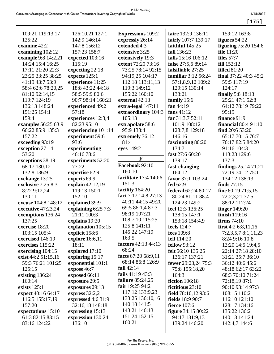|                     |                      |                          |                           | $[175]$                     |
|---------------------|----------------------|--------------------------|---------------------------|-----------------------------|
|                     |                      |                          |                           |                             |
| 109:21 119:13,17    | 126:10,21 127:1      | <b>Expressions 109:2</b> | faire 132:9 136:11        | 159:12 163:8                |
| 125:22              | 142:9 146:14         | expressly 26:14          | fairly 107:7 139:17       | figures 54:22               |
| examine 42:2        | 147:8 156:12         | extended 4:3             | faithful 145:25           | <b>figuring</b> 75:20 154:6 |
| examining 102:12    | 157:23 158:7         | extensive 3:25           | fall 136:23               | <b>file</b> 11:20           |
| example 9:8 14:2,21 | expected 103:16      | extensively 19:3         | <b>falls</b> 15:16 106:12 | files $57:7$                |
| 14:24 15:4 16:25    | 115:19               | extent 72:20 73:16       | false 27:5,6 89:14        | fill 152:12                 |
| 17:11 21:20 22:3    | expecting 22:18      | 73:25 78:14 92:15        | falsifiable 27:25         | <b>filled</b> 81:20         |
| 23:25 33:25 38:25   | expects 125:1        | 94:19,25 104:17          | familiar 3:12 56:24       | final $37:22$ 40:3 45:2     |
| 41:19 43:7 53:9     | experience 11:25     | 112:18 113:11,13         | 57:1,8,9,12 109:2         | 59:5 117:19                 |
| 58:4 62:6 78:20,25  | 18:8 43:22 44:18     | 119:3 149:12             | 129:15 130:14             | 124:17                      |
| 81:10 92:14,15      | 58:5 59:9 80:6       | 155:22 160:10            | 133:21                    | <b>finally</b> 5:8 18:13    |
| 119:7 124:19        | 90:7 98:14 160:21    | external 42:13           | family 15:6               | 25:21 47:1 52:8             |
| 136:13 148:24       | experienced 49:2     | extra-legal 147:11       | fan $44:19$               | 64:12 78:19 79:22           |
| 151:25 154:1        | 57:18                | extraordinary 104:3      | fans $41:12$              | 95:19                       |
| 159:4               | experiences 12:3,4   | 105:13                   | far $31:3,752:11$         | finance 91:9                |
| examples 56:25 63:9 | 82:23 95:10          | extrapolate 58:6         | 101:9 108:12              | <b>financial</b> 80:4 91:10 |
| 66:22 85:9 135:3    | experiencing 101:14  | 95:9 138:4               | 128:7,8 129:18            | find $20:653:20$            |
| 157:22              | experiment 59:6      | extremely 76:12          | 146:16                    | 65:17 70:15 76:7            |
| exceeding 93:19     | 93:6                 | 81:4                     | fascinating 80:20         | 76:17 82:5 84:20            |
| exception 27:14     | experimenting        | eyes 149:2               | 134:7                     | 91:16 104:3                 |
| 53:20               | 46:16 78:6           |                          | fast 27:6 60:20           | 113:23 129:6                |
| exceptions 38:19    | experiments 52:20    | $\mathbf{F}$             | 139:17                    | 137:3                       |
| 68:17 130:12        | 77:22                | Facebook 92:10           | fast-changing             | findings 25:14 71:21        |
| 132:8 136:9         | expertise 62:9       | 160:10                   | 164:12                    | 72:19 74:12 75:1            |
| exchange 13:25      | experts 69:9         | facilitate 17:4 140:6    | favor 37:1 103:24         | 134:12 138:13               |
| exclusive 7:25 8:3  | explain 42:12,19     | 151:3                    | fed 62:9                  | <b>finds</b> 77:15          |
| 8:22 9:12,24        | 119:13 150:1         | facility 164:20          | federal 62:24 80:17       | fine $60:1971:5,15$         |
| 130:11              | 152:10               | fact 7:17 14:8 27:13     | 80:24 81:11 88:4          | 72:2,3,21 77:5              |
| excuse 104:8 148:12 | explained 39:9       | 40:11 44:15 49:20        | 124:23 149:2              | 88:12 112:24                |
| executive 47:23,24  | explaining $6:257:3$ | 69:5 86:1,4 87:3         | feel 12:3 136:25          | <b>finger</b> 149:20        |
| exemptions 136:24   | 21:11 100:3          | 98:19 107:21             | 138:15 147:1              | finish 119:16               |
| 137:25              | explains 19:20       | 108:7,10 115:25          | 153:18 154:4,9            | firms $74:10$               |
| exercise 18:20      | explanation 105:15   | 125:8 141:11             | feels 124:7               | first $4:26:8,11,16$        |
| 103:15 105:4        | explicit 158:6       | 145:22 147:19            | fees $109:8$              | 7:2,3,5,7 8:1,11,23         |
| exercised 146:19    | explore 16:6,11      | 163:5                    | fell $114:20$             | 8:24 9:16 10:8              |
| exercises 115:22    | 18:11                | factors 42:13 44:13      | fellow $93:12$            | 13:20 14:5 19:4,5           |
| exercising 104:15   | explored 17:10       | 68:24                    | felt 56:10 135:25         | 22:14 27:18 28:10           |
| exist 44:2 51:15,16 | exploring 15:17      | facts 67:20 68:9,11      | 136:17 137:21             | 31:21 35:7 36:10            |
| 59:3 76:21 101:25   | exponential 101:1    | 68:14 86:8 126:9         | fewer 29:23,24 75:3       | 36:12 40:6 45:6             |
| 125:15              | expose 46:7          | fail $42:14$             | 75:8 155:18,20            | 48:18 62:17 63:22           |
| existing 136:24     | exposed 66:11        | fails $41:19\,43:3$      | 164:3                     | 68:3 70:10 71:24            |
| 160:14              | exposure 29:5        | <b>failure</b> 85:24,25  | fiction 106:18            | 72:18,19 87:1               |
| exists $125:1$      | exposures 29:13      | fair 19:25 94:21         | fictitious 23:10          | 90:10 93:14 97:3            |
| expect 40:16 64:17  | express $32:2,21$    | 117:12 133:9,23          | field 78:10,12 93:6       | 108:15 110:2                |
| 116:5 155:17,19     | expressed 4:6 31:9   | 133:25 136:10,16         | fields 18:9 90:7          | 116:10 121:10               |
| 157:20              | 32:16,18 148:18      | 140:18 141:5             | <b>fierce</b> 107:6       | 128:17 134:16               |
| expectations 15:10  | expressing 15:13     | 143:21 146:13            | <b>figure</b> 34:15 80:22 | 135:22 136:2                |
| 61:3 82:15 83:15    | expression 130:24    | 151:24 152:15            | 94:17 131:9,13            | 140:13 141:24               |
| 83:16 124:22        | 136:10               | 160:21                   | 139:24 146:20             | 142:4,7 144:6               |
|                     |                      |                          |                           |                             |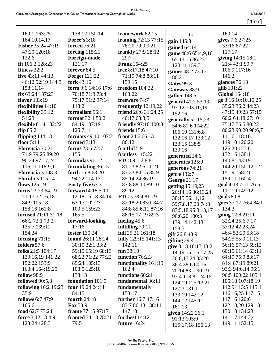| 4/18/2017 |  |
|-----------|--|
|           |  |

| 160:1 163:25                | 138:12 150:14              | framework 62:15               | G                    | 160:14               |
|-----------------------------|----------------------------|-------------------------------|----------------------|----------------------|
| 164:10,14,17                | <b>Force's 3:18</b>        | framing 72:13 77:15           | gain 145:8           | gives 7:6 27:25      |
| <b>Fisher</b> 35:24 47:19   | <b>forced</b> 76:21        | 78:20 79:9,9,21               | gained $64:14$       | 33:16 67:22          |
| 47:20 120:18                | forcing $115:21$           | <b>frankly</b> 27:9 28:12     | game 48:6 65:4,9,10  | 117:17               |
| 122:6                       | Foreign-made               | 29:7                          | 65:13,15 86:23       | giving 14:15 18:1    |
| fit 106:2 128:23            | 121:17                     | <b>Franz</b> 164:25           | 128:11 159:3         | 21:4 43:1 99:7       |
| fitness $22:2$              | forever 84:5               | free 8:17,18 47:10            | games 48:2 73:13     | 106:9 117:16         |
| five 43:11 44:13            | <b>Forget 121:22</b>       | 71:19 74:8 88:11              | 86:21                | 146:2                |
| 46:12 92:19 144:3           | fork 43:16                 | 159:15                        | <b>Gates</b> 99:3    | glances 76:13        |
| 158:11,14                   | form 9:6 14:16 17:6        | <b>freedom</b> 104:22         | Gateway 88:9         | glib $101:22$        |
| fix 63:24 137:23            | 70:18 71:3 73:4            | 163:22                        | gather $148:5$       | <b>Global 164:18</b> |
| flavor 133:19               | 75:17 91:2 97:14           | freeware 74:7                 | general 41:7 53:19   | go 8:16 10:10,15,25  |
| flexibilities 14:10         | 118:2                      | frequently 12:19,22           | 97:12 103:10,19      | 35:23 36:2 44:23     |
| flexibility 39:12           | formalism 96:1             | friend 26:6 31:24,25          | 152:16               | 47:19 49:23 57:15    |
| 51:23                       | <b>format</b> 32:4 50:2    | 40:17 68:3,5                  | generally $52:15,23$ | 60:2 64:18 67:10     |
| <b>flexible</b> 81:4 132:22 | 84:19 107:19               | <b>friendly</b> 97:10 100:3   | 54:6 81:6 104:22     | 75:17 76:5 80:22     |
| flip $85:2$                 | 125:7,11                   | friends 15:6                  | 106:19 131:6,8       | 80:23 90:20 98:6,7   |
| flipping $144:18$           | <b>formats</b> 49:10 107:2 | front 24:6 66:13              | 132:16,17 133:12     | 111:6 118:10         |
| floor $5:11$                | formed 3:13                | 86:12                         | 133:15 138:5         | 119:10 120:20        |
| Florencia 70:21             | forms 23:6 72:7            | fruitful 5:9                  | 139:16               | 126:20 127:6         |
| 71:9 79:25 89:20            | 155:1                      | fruitless 115:22              | generated 14:6       | 132:16 138:11        |
| 90:24 97:17,24              | formulas 91:12             | FTC 69:1,2,8 81:1             | generates 125:9      | 140:8 143:19         |
| 116:11 118:9,11             | formulating 36:15          | 81:23 82:5,11,21              | generous 74:21       | 144:20 150:12,12     |
| Florencia's 148:3           | forth 15:8 63:20           | 83:23 84:15 85:9              | genre 132:7          | 151:9 158:21         |
| <b>Florida's</b> 115:14     | 94:22 114:13               | 85:14,24 86:19                | George 21:17         | 159:11 160:4         |
| flows 125:19                | Forty-five 67:3            | 87:8 88:10 89:10              |                      | goal 4:13 7:11 76:5  |
| focus 23:23 64:19           | <b>forward</b> 4:18 5:10   | 89:12                         | getting 15:19,23     | 111:19 149:12        |
| 71:17 72:16,18              | 12:18 15:18 34:14          | FTC's 78:4 81:19              | 26:14,16 36:13,24    | goals 80:8           |
| 84:9 105:18                 | 63:17 102:23               | 82:18,20 83:1 84:7            | 38:15 56:11,12       | goes 37:17 76:4 84:1 |
| 158:16 161:8                | 103:5 159:23               | 84:8 85:6,11 87:16            | 59:7,8,17,20 74:8    | 134:3                |
| <b>focused</b> 21:11 31:18  | 165:5                      | 88:15,17,19 89:3              | 87:5,18 95:3,13,17   | going 12:8 21:11     |
| 66:2 72:1 73:2              | forward-looking            | fueling 45:6                  | 96:6,20 100:3        | 32:24 35:6,7,17      |
| 135:7 139:12                | 17:16                      | fulfilling 79:11              | 139:14 142:13        | 37:12 42:23,24       |
| 154:24                      | <b>foster</b> 130:24       | full 25:21 161:18             | 158:5                | 46:4 52:20 53:18     |
| focusing $71:15$            | <b>found</b> 26:11 28:24   | fully 129:15 141:13           | gift 26:8 43:9       | 54:25 55:9,11,13     |
| folders 57:6                | 30:10 32:1 33:2            | 142:11                        | gifting 29:4         | 56:16 57:13 59:12    |
| folks 21:5 104:17           | 59:19 65:19 68:13          | fun $38:10$                   | give 8:18 10:13 13:2 | 60:15 61:14 63:11    |
| 139:16,19 141:22            | 68:22 71:22 77:22          | function $76:2,3$             | 14:19 15:1,5 17:25   | 64:19 75:9 83:17     |
| 152:22 153:9                | 85:24 105:13               |                               | 26:8,17,24 35:20     | 84:4 87:19 89:21     |
| 163:4 164:19,25             | 108:5 125:10               | functionality 161:19<br>162:4 | 36:4 38:6 60:16      | 93:3 94:6,14 96:1    |
|                             | 138:13                     | functions 60:21               | 70:14 83:7 90:19     |                      |
| <b>follow</b> 98:9          |                            |                               | 97:4 118:8 124:15    | 96:5 100:22 105:4    |
| followed 90:5,8             | foundation 101:5           | fundamental 36:11             | 124:19 125:13,21     | 105:18 107:18,19     |
| <b>following</b> 16:2 19:23 | four 19:24 24:11           | fundamentally                 | 127:3 131:1          | 112:9 113:5 115:4    |
| 35:9                        | 84:15                      | 158:17                        | 133:19 142:22        | 116:16,25 117:15     |
| <b>follows</b> 6:7 47:9     | fourth $24:18$             | further 16:7 47:16            | 144:12 145:11        | 117:16 120:6         |
| 165:6                       | Fox 53:9                   | 83:7 86:13 138:11             | 161:13               | 122:18,20 129:18     |
| food 62:7 77:24             | frame 77:15 97:17          | 147:18                        | given 14:22 26:1     | 130:18 134:23        |
| force $3:12,134:9$          | framed 74:13 78:21         | furthest $14:12$              | 91:13 105:9          | 141:17 144:3,4       |
| 123:24 128:3                | 79:5                       | future $16:24$                | 115:17,18 156:13     | 149:11 152:15        |
|                             |                            |                               |                      |                      |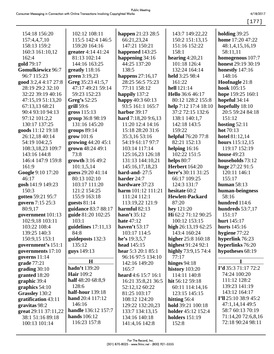$[177]$ 

| 154:18 156:20            | 102:12 108:11         | happen 21:23 28:5      | 143:7 149:22,22           | holding 39:25           |
|--------------------------|-----------------------|------------------------|---------------------------|-------------------------|
| 157:4,4,7,10             | 115:5 142:4 146:5     | 66:21,23,24            | 150:2 151:13,15           | <b>home</b> 17:20 47:22 |
| 158:13 159:2             | 159:20 164:16         | 147:21 150:21          | 151:16 152:22             | 48:1,4,15,16,19         |
| 160:3 161:10,12          | greater 4:14 41:24    | happened $143:25$      | 158:1                     | 58:11,11                |
| 162:4                    | 81:13 102:14          | happening 34:16        | hearing $4:20,21$         | homogenous 107:7        |
| gold 79:17               | 144:16 163:25         | 44:25 137:20           | 101:18 126:4              | honest 29:19 30:19      |
| <b>Gomulkiewicz 96:7</b> | greatly $118:16$      | 138:5                  | 132:24 164:14             | honestly $147:16$       |
| 96:7 115:23              | green 3:19,23         | happens $27:16,17$     | held 3:25 98:4            | 148:16                  |
| good 3:2,4 4:17 27:8     | Greg 35:23 41:5,7     | 28:25 56:5 75:23       | 161:22                    | Hoofnagle 21:8          |
| 28:19 29:2 32:10         | 47:17 49:21 59:14     | 77:11 158:12           | hell 121:14               | hook 105:15             |
| 32:22 39:19 40:16        | 59:23 152:23          | happily 137:2          | Hello 36:6 46:17          | hope 159:25 160:1       |
| 47:15,19 51:13,20        | Greg's 52:25          | happy 40:3 60:13       | 80:12 128:2 155:8         | hopeful 34:14           |
| 67:13,13 68:21           | grill 59:6            | 93:5 161:1 165:7       | help 7:12 17:4 18:10      | hopefully 18:10         |
| 90:4 93:10 94:13         | gross 115:13          | harbor 39:17           | 37:2 72:15 132:6          | 20:5 59:24 84:18        |
| 97:12 101:2,2            | group 36:8 98:19      | hard 7:18,20 9:6,13    | 138:1 140:1,7             | 151:12                  |
| 130:17 137:25            | 131:16 145:20         | 11:20 12:4 14:16       | 142:18 143:5              | hosting $52:11$         |
| goods 11:12 19:18        | groups $89:14$        | 15:18 28:20 31:6       | 159:22                    | hot 70:13               |
| 26:12,18 40:14           | grow 101:6            | 35:3,16 53:16          | helpful 76:20 77:8        | hotel 81:12,14          |
| 54:19 104:2,5            | growing 44:20 45:1    | 54:19 61:17 97:7       | 82:21 152:13              | hours 115:12,15         |
| 108:3,18,23 109:7        | grown 48:24 49:1      | 103:14 117:14          | helping $16:16$           | 119:17 152:19           |
| 143:16 144:8             | 73:8                  | 125:16,23 126:18       | 102:22 151:5              | <b>house</b> 49:23      |
| 146:4 147:9 159:8        | growth 3:16 49:2      | 131:13 144:10,21       | helps 80:7                | households 73:12        |
| 161:9                    | 101:1,5,14            | 145:16,17,18,23        | <b>Herbert</b> 164:20     | huge 27:22 91:5         |
| Google 9:10 17:20        | guess 29:20 41:14     | hard-and-27:5          | here's 30:11 31:25        | 120:11 146:1            |
| 46:17                    | 80:13 102:10          | harder 24:7            | 66:17 109:25              | 155:17                  |
| gosh 141:9 149:23        | 103:17 111:20         | hardware 37:23         | 124:3 131:7               | human $58:13$           |
| 150:3                    | 121:2 154:25          | harm 101:12 111:21     | hesitate 60:2             | human-beingness         |
| gotten 59:21 95:7        | 155:9 163:18          | 111:24 112:1           | <b>Hewlett-Packard</b>    | 58:16                   |
| govern 7:15 25:3         | guests $81:14$        | 113:19,22 121:9        | 87:20                     | hundred 114:6           |
| 80:9,17                  | guidance 83:7 88:17   | harmful 82:13          | hey $121:20$              | hundreds 53:7,17        |
| government 101:13        | guide 81:20 102:25    | hasn't $35:12$         | Hi 62:2 71:12 90:25       | 151:17                  |
| 102:9,18 103:11          | 103:1                 | <b>hate</b> 47:12      | 100:12 153:15             | hurt 145:17             |
| 103:22 108:4             | guidelines $17:11,13$ | haven't $53:17$        | high $26:13,1962:25$      | hurts $145:16$          |
| 139:25 140:3             | 84:8                  | 103:17 114:5           | 143:4 160:24              | hygiene 77:22           |
| 150:9,15 153:1           | guideposts 132:3      | he's $19:3,5,7$        | higher 25:8 160:18        | hyperlink 76:23         |
| government's 151:1       | 135:12                | <b>head</b> 145:15     | highest $91:2492:1$       | hyperlinks 76:20        |
| governments 17:10        | guys 149:13           | hear $5:3$ 20:1 $85:1$ | highly 73:9,15 74:4       | hypotheses 68:19        |
| governs 11:14            |                       | 96:16 97:5 134:10      | 77:17                     |                         |
| grade $77:21$            | $\mathbf H$           | 142:16 149:20          | hinges $94:18$            | I                       |
| grading 30:10            | hadn't 139:20         | 165:7                  | history 103:20            | I'd 35:3 71:17 72:2     |
| granted 18:20            | <b>Hair</b> 109:2     | heard $4:6$ 15:7 16:1  | 114:11 140:8              | 74:24 100:20            |
| graphic 39:4             | half 48:20 68:8,9     | 16:21 35:8,21 36:5     | hit 56:12 59:18           | 111:12 128:2            |
| graphics 54:10           | 128:6                 | 52:12,12 60:22         | 60:11 114:14,16           | 139:23 141:19           |
| Grassley 130:2           | half-hour 139:18      | 81:25 103:17           | 123:15 145:15             | 143:12 164:17           |
| gratification 43:11      | hand 20:4 117:12      | 108:12 124:20          | hitting 56:4              | I'll 25:10 38:9 45:2    |
| gravitas 98:2            | 146:16                | 129:22 132:20,23       | hold 39:21 100:18         | 47:1,14,14 49:5         |
| great 29:11 37:11,22     | handle 136:12 157:7   | 133:7 134:13,15        | <b>holder</b> 45:12 152:4 | 58:7 60:13 70:19        |
| 38:1 51:16 89:18         | <b>hands</b> 106:12   | 134:16 140:18          | holders $151:19$          | 71:14,20 72:6,8,16      |
| 100:13 101:14            | 116:23 157:8          | 141:4,16 142:8         | 152:8                     | 72:18 90:24 98:11       |
|                          |                       |                        |                           |                         |
|                          |                       |                        |                           |                         |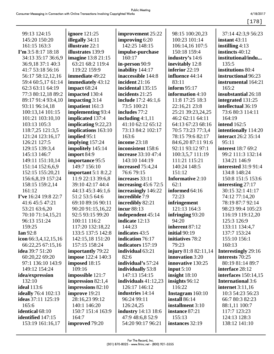4/18/2017

[178]

| 99:13 124:15               | <b>ignore</b> 121:25      | improvement 25:22          | 98:15 100:20,23             | 37:14 42:3,9 56:23          |
|----------------------------|---------------------------|----------------------------|-----------------------------|-----------------------------|
| 145:20 150:20              | illegally 34:11           | improving 6:20             | 100:23 101:14               | instant $43:11$             |
| 161:15 163:3               | <b>illustrate</b> 22:1    | 142:25 148:15              | 106:14,16 107:5             | instilling $4:13$           |
| $\Gamma$ m 3:5 8:17 18:18  | <b>illustrates</b> 139:9  | impulse-purchase           | 150:18 159:4                | instincts 40:12             |
| 34:13 35:17 36:6,9         | <b>imagine</b> 13:8 21:15 | 160:17                     | industry's 14:6             | institutional/indu          |
| 36:9,18 37:1 40:3          | 63:21 68:2 119:4          | in-person 90:9             | inevitably 12:8             | 135:5                       |
| 41:7 53:18 56:16           | 119:22 159:9              | inability 144:17           | inferior $22:19$            | institutions 80:4           |
| 56:17 58:12,12,16          | immediate 49:22           | inaccessible 144:8         | influence 44:14             | instructional 96:23         |
| 59:4 60:5,17 61:14         | immediately 43:12         | incident 21:16             | 83:11                       | instrumental 164:21         |
| 62:3 63:11 64:19           | impact 68:24              | incidental 135:15          | inform $95:17$              | 165:2                       |
| 77:3 80:12,18 89:2         | impacted 130:4            | incidents 21:25            | information 4:10            | insubstantial 26:18         |
| 89:17 91:4 93:4,10         | impacting $3:14$          | include 17:2 46:1,6        | 11:8 17:25 18:3             | integrated 131:25           |
| 93:11 96:14,18             | impatient 161:3           | 73:5 100:21                | 22:16,21 23:8               | intellectual 36:19          |
| 100:13,14 101:15           | implementing 93:4         | includes 77:2              | 25:21 39:23,24,25           | 73:6 80:3 114:11            |
| 101:21 103:10,10           | implicated 137:4          | including $4:1,11$         | 46:2 62:11 64:11            | 164:19                      |
| 103:13 105:3               | implicating $9:22,23$     | 41:10 62:12 65:12          | 64:13 67:23 68:16           | <b>intend</b> 162:5         |
| 118:7,25 121:3,5           | implications 163:10       | 73:13 84:2 102:17          | 70:5 73:23 77:3,4           | intentionally 114:20        |
| 121:24 123:16,17           | implied 95:1              | 163:6                      | 78:15 79:6 82:17            | interact 26:2 35:14         |
| 126:21 127:5               | implying $157:24$         | income 23:18               | 84:6,20 87:11 91:6          | 95:11                       |
| 129:15 139:3,4             | impolitely 145:14         | inconsistent 158:6         | 92:11 93:12 97:1            | interest 18:7 69:2          |
| 145:13 146:7               | import 84:9               | <b>increase</b> 33:10 47:4 | 100:3,5,7 111:19            | 99:2 111:3 132:14           |
| 149:11 151:10,14           | importance 95:5           | 143:10 144:19              | 111:21 115:21               | 134:21 146:9                |
| 151:14 152:6,6,9           | 149:7 156:10              | increased 75:4,24          | 140:24 148:5                | <b>interested</b> 31:9 91:4 |
| 152:15 155:20,21           | important $5:1$ 8:2,2     | 76:6 79:15                 | 151:12                      | 134:8 148:24                |
| 156:6,8,19 157:24          | 11:9 22:13 39:6,8         | increases 33:11            | <b>Informative 2:10</b>     | 150:8 151:5 153:6           |
| 158:15 159:2,14            | 39:10 42:17 44:4          | increasing $45:672:5$      | 62:1                        | interesting $27:17$         |
| 161:12                     | 44:13 45:3 46:1,6         | increasingly 146:22        | informed 64:16              | 30:15 32:1 41:17            |
| I've 16:24 19:8 22:7       | 51:2 53:5 64:6            | incredible 7:9             | 72:23                       | 74:12 77:14,20              |
| 41:6 45:5 47:21            | 69:10 89:16 90:11         | incredibly 82:21           | infringement                | 78:19 87:7 92:14            |
| 53:21 63:6,20              | 90:20 91:15,16,22         | incur 88:13                | 121:13 164:3                | 98:23 99:4 105:23           |
| 70:10 71:14,15,21          | 92:5 93:15 99:20          | independent 45:14          | infringing 93:20            | 116:19 119:12,20            |
| 96:13 151:24               | 100:11 116:2              | indicate 12:13             | 94:20                       | 125:3 126:9                 |
| 159:25                     | 117:20 132:18,22          | 144:23                     | inherent 87:12              | 133:11 134:4,7              |
| Ian $92:8$                 | 133:5 137:5 142:8         | indicates 43:5             | initial $90:19$             | 137:7 153:24                |
| icon $66:3,4,12,15,16$     | 142:15,18 151:20          | indication 76:17           | initiatives 78:2            | 155:10 156:1                |
| 66:22,25 67:15,16          | 157:15 158:24             | indicators 157:19          | 79:23                       | 160:13                      |
| idea $39:751:20$           | <b>importantly</b> 79:22  | individual 63:21           | <b>injury</b> 81:8 82:11,14 | <b>Interestingly</b> 29:16  |
| 60:20,22 69:20             | impose 122:4 140:3        | 82:6                       | innovation 3:20             | interests 70:25             |
| 97:1 136:10 143:9          | imposed 18:15             | individual's 57:24         | innovative 130:25           | 80:19 81:14 89:7            |
| 149:12 154:24              | 109:16                    | individually 53:8          | input $5:10$                | interface 28:12             |
| idea/expression            | impossible 121:7          | 147:13 154:15              | insight $18:10$             | <b>interfaces</b> 150:14,15 |
| 132:10                     | impression $82:1,4$       | individuals $41:12,23$     | insights $96:12$            | <b>International 3:6</b>    |
| <b>ideal</b> 113:6         | impressions 82:10         | 126:17 146:12              | 116:22                      | <b>internet</b> 3:11,16     |
| <b>ideally</b> 76:4 102:13 | improve 19:21             | industries 14:14           | Instagram 160:10            | 10:3 54:23 56:23            |
| <b>ideas</b> 37:11 125:19  | 28:16,23 99:12            | 96:24 99:11                | install 86:14               | 66:7 80:3 82:23             |
| 165:6                      | 140:1 146:20              | 126:24,25                  | installment 3:10            | 88:1,11 100:7               |
| <b>identical</b> 68:10     | 150:7 151:4 163:9         | <b>industry</b> 14:13 18:6 | instance 87:21              | 117:7 123:23                |
| identified 147:15          | 164:7                     | 47:9 48:6,8 52:9           | 155:13                      | 124:13 128:3                |
| 153:19 161:16,17           | improved 79:20            | 54:20 90:17 96:21          | instances 32:19             | 138:12 141:10               |
|                            |                           |                            |                             |                             |
|                            |                           |                            |                             |                             |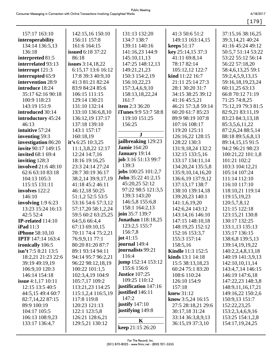[179]

| 157:17 163:10              | 142:15,16 150:10         | 131:13 132:20               | 41:3 50:6 51:2           | 37:15,16 38:16,25  |
|----------------------------|--------------------------|-----------------------------|--------------------------|--------------------|
| interoperability           | 156:11 157:8             | 134:7 138:7                 | 149:13 163:14,15         | 39:3,14,21 40:24   |
| 134:14 136:5,13            | 161:6 164:15             | 139:11 140:16               | keeps $51:17$            | 41:16 45:24 49:12  |
| 136:18                     | <b>issued</b> 6:18 37:22 | 141:16,23 144:9             | key 25:14,15 37:3        | 50:5,7 51:14 53:22 |
| interpreted 81:5           | 86:18                    | 145:10,11,13                | 41:11 69:8,14            | 53:22 55:12 56:14  |
| interrelated 93:13         | issues $3:14,18,22$      | 147:25 148:12,13            | 78:17 82:14              | 56:22 57:18,20     |
| interrupt $121:3$          | 6:15,17 13:6 16:12       | 149:21,21,23                | 105:12,12 122:7          | 58:4,6,13,25 59:1  |
| interrupted 65:9           | 17:8 39:3 40:9,10        | 150:3 154:2,19              | kind 11:22 16:7          | 59:2,4,5,9,13,15   |
| intervention 28:9          | 41:3 81:21 82:24         | 156:10,22,23                | 21:11 25:14 27:3         | 59:16,18,19,23,24  |
| introduce 18:24            | 83:9 84:24 85:6          | 157:3,4,6,9,10              | 28:1 30:20 31:7          | 60:11,25 63:13     |
| 35:17 62:16 90:18          | 106:15 111:15            | 158:13,18,22,24             | 34:15 38:25 39:12        | 66:8 70:12 71:19   |
| 100:9 118:23               | 129:14 130:21            | 161:7                       | 41:16 45:5,21            | 71:25 74:8,25      |
| 143:19 151:9               | 131:10 132:14            | <b>item</b> $2:336:20$      | 46:21 57:3,8 59:14       | 75:12,19 79:3 81:5 |
| introduced 30:14           | 133:10 136:6,8,10        | <b>iTunes</b> 9:9 53:7 58:8 | 60:20 61:7 85:23         | 82:9,21 83:11,19   |
| introductory 45:24         | 136:12,19 137:17         | 119:10 151:25               | 89:9 98:19 107:8         | 83:23 84:3,13,18   |
| 46:13                      | 137:18 139:10            | 156:25                      | 107:16 108:17            | 85:3,5,6,11,22     |
| intuitive 57:24            | 143:1 157:17             |                             | 119:20 125:11            | 87:2,6,24 88:5,14  |
| inventing 59:3             | 160:18,19                | ${\bf J}$                   | 126:16,22 128:15         | 88:18 89:5,6,8,13  |
| investigation 86:20        | it's 6:25 10:3,25        | jailbreaking 129:23         | 128:22 130:3             | 89:14,15,15 91:5   |
| <b>invite</b> 90:17 149:15 | 11:1,3,8,22 12:17        | <b>Jamie</b> 164:20         | 131:9,18,24 132:2        | 94:2 96:21 98:23   |
| <b>invited</b> 68:1 69:4   | 12:24 14:7,16            | January 19:14               | 132:15 133:5,16          | 100:21,22 101:1,8  |
| inviting 128:3             | 18:16 19:16,25           | job 3:16 51:13 99:7         | 133:17 134:11,14         | 101:21 102:2       |
| <b>involved</b> 21:6 48:10 | 23:3 24:14 27:24         | 139:3                       | 134:20,24 135:5,8        | 103:3 104:12,21    |
| 62:6 63:10 83:18           | 28:7 30:19 36:17         | jobs $100:25$ $101:2,7$     | 135:9,10,14,16,20        | 105:14 107:24      |
| 104:13 105:3               | 38:2,14 39:9,17,19       | <b>John</b> 35:22 41:2,15   | 136:6,19 137:9,12        | 111:14 112:10      |
| 115:15 131:11              | 41:18 45:2 46:11         | 45:20,25 52:12              | 137:13,17 138:7          | 116:10 117:10      |
| involves 122:2             | 46:12,18 50:25           | 97:22 98:5 121:3,5          | 138:10 139:14,18         | 118:10,21 119:14   |
| 146:10                     | 51:1,2 52:5 53:5         | 139:3 143:20                | 139:20,23 140:1          | 119:15,19,23       |
| involving $1:96:23$        | 53:16 54:6 57:3,12       | 146:5,8 155:6,8             | 141:1,6,19,20            | 120:5,7,8,12       |
| 13:23 15:24 16:13          | 57:17,20 58:1,2,24       | 158:1 164:2,13              | 142:6,24 143:12          | 121:15 122:18      |
| 42:5 52:4                  | 59:5 60:2 63:25,25       | join 35:7 139:7             | 143:14,16 146:10         | 123:15,21 130:8    |
| <b>IP-related</b> $114:10$ | 64:5,6 66:4,4            | <b>Jonathan</b> 118:18,25   | 147:15 148:10,18         | 130:17 132:25      |
| <b>iPad</b> 11:3           | 67:13 69:10,15           | 123:2,5 155:7               | 148:19,25 152:12         | 133:1,13 135:13    |
| <b>iPhone</b> 58:10,10     | 70:11 74:4 75:2,21       | 156:7,8                     | 152:16 153:3,7           | 135:17 136:15      |
| <b>IPTF</b> 147:14 163:4   | 76:9,9,11 77:1           | jot $41:15$                 | 155:3 157:14             | 138:6,8 139:5,13   |
| ironically 106:5           | 80:20 81:20 87:7         | journal 149:4               | 158:5,16                 | 139:14,19,19,22    |
| $\sin$ 't 7:5 8:21 13:5    | 89:1 93:14 94:11         | journalists 99:21           | <b>Kindle</b> 11:3 152:5 | 140:2,2,4,8,13,18  |
| 18:2,21 21:23 22:6         | 94:14 95:7 96:2,21       | 116:4                       | kinds 13:1 14:18         | 140:19 141:3,9,13  |
| 39:19 49:19,19             | 96:22 98:12,18,19        | jump 152:14 153:12          | 15:5 38:13,18,23         | 142:10,10,11,14    |
| 106:9,10 120:3             | 100:22 101:1,5           | 155:6 156:6                 | 60:24 75:1 83:20         | 143:4,7,14 146:15  |
| 146:14 154:18              | 102:3,4,19 104:9         | <b>Justice</b> 107:25       | 108:6 110:24             | 146:19 147:6,18    |
| <b>issue</b> 4:1,17 10:11  | 105:7,17 109:2           | 109:25 110:12               | 126:10 154:9             | 147:22,23 148:3,8  |
| 12:15 13:5 40:5            | 113:21,23 114:25         | justification 147:16        | 157:18                   | 148:9,11,16,17,21  |
| 44:5,15 49:4 60:7          | 115:1,2,4 116:5,19       | justified 146:11            | knew 31:12               | 149:16,22 150:2,6  |
| 82:7,14,22 87:15           | 117:8 119:8              | 147:2                       | know $3:5,24$ 16:15      | 150:9,13 151:7     |
| 89:9 100:19                | 120:23 121:13            | justify $147:10$            | 27:5 28:18,21 29:6       | 152:22,23,25       |
| 104:17 105:5               | 122:1 123:5,8            | justifying 149:8            | 30:17,18 31:24           | 153:2,3,4,6,9,16   |
| 106:13 108:9,23            | 126:21 128:6,21          |                             | 33:14 36:3,8,9,13        | 153:25 154:1,2,8   |
| 133:17 136:4,7             | 129:5,21 130:12          | $\mathbf K$                 | 36:15,19 37:3,10         | 154:17,19,24,25    |
|                            |                          | keep 21:15 26:20            |                          |                    |
|                            |                          |                             |                          |                    |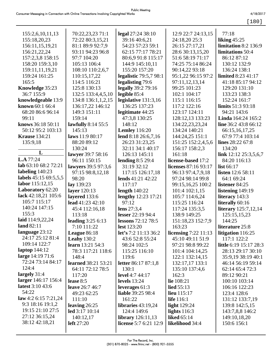# 4/18/2017

[180]

| 155:2,6,10,11,13<br>155:18,20,23<br>156:11,15,19,21<br>156:21,22,24<br>157:2,3,8 158:15<br>158:20 159:3,10<br>159:11,11,19,21<br>159:24 161:25<br>165:5<br>Knowledge 35:23<br>36:7 155:9<br>knowledgeable 13:9<br>known 60:1 66:4<br>68:20 86:6 96:14<br>99:11<br>knows 36:18 50:11<br>50:12 95:2 103:13<br><b>Krause</b> 134:21<br>135:9,18 | 70:22,23,23 71:1<br>72:22 80:3,15,21<br>81:1 89:9 92:7,9<br>93:11 94:23 96:8<br>97:7 104:20<br>105:13 106:4<br>108:10 110:2,6,7<br>110:15,17,22<br>114:5 116:21<br>125:8 130:13<br>132:5 133:4,4,5,10<br>134:8 136:1,1,2,15<br>136:17,22 146:12<br>149:3 151:11<br>159:14<br>lawfully 8:14 55:5<br>145:13<br>laws 11:9 80:17<br>88:20 89:12<br>130:24 | legal 27:24 38:10<br>39:16 40:6,21<br>54:23 57:23 59:1<br>62:15 77:17 78:21<br>80:6,9 91:8 115:17<br>144:9 145:10,11<br>155:20 157:20<br>legalistic 79:5,7 98:1<br>legalisting 79:6<br>legally 39:2 79:16<br>legible $85:4$<br>legislative 131:3,16<br>136:25 137:23<br>legitimate 44:25<br>47:3,8 130:25<br>148:12<br><b>Lemley</b> 116:20<br>lend 8:18 26:6,7,16<br>26:23 31:23,25<br>32:11 34:1 40:17 | 12:9 22:7 24:13,15<br>24:18,20 25:3<br>26:15 27:17,21<br>28:6 30:13,15,20<br>51:6 58:19 71:17<br>74:25 75:14 86:24<br>90:14,22 93:18<br>95:1,22 96:15 97:2<br>97:11,12,13,14<br>99:25 101:23<br>102:1 104:17<br>115:1 116:15<br>117:2 122:16<br>123:17 124:11<br>128:12,13 133:23<br>134:22,23,23,24<br>134:24 140:21<br>144:24,25 151:1<br>151:25 152:2,4,5,6<br>156:17 158:2,3 | 77:18<br>liking $45:25$<br>limitation 8:2 136:9<br>limitations 50:4<br>86:12 87:12<br>130:12 132:9<br>136:24 138:1<br><b>limited</b> 8:23 41:17<br>41:18 85:17 94:12<br>129:20 131:10<br>133:23 138:3<br>152:24 161:7<br>limits 51:3 93:18<br>94:21 143:6<br>Linda 164:24 165:2<br>line 36:2 43:8 66:12<br>66:15,16,17,25<br>67:9 77:4 103:14<br>lines 28:22 67:8<br>134:20 |
|----------------------------------------------------------------------------------------------------------------------------------------------------------------------------------------------------------------------------------------------------------------------------------------------------------------------------------------------|-------------------------------------------------------------------------------------------------------------------------------------------------------------------------------------------------------------------------------------------------------------------------------------------------------------------------------------------------------|----------------------------------------------------------------------------------------------------------------------------------------------------------------------------------------------------------------------------------------------------------------------------------------------------------------------------------------------------------------------------------------------------------|----------------------------------------------------------------------------------------------------------------------------------------------------------------------------------------------------------------------------------------------------------------------------------------------------------------------------------------------------------------------------------|-----------------------------------------------------------------------------------------------------------------------------------------------------------------------------------------------------------------------------------------------------------------------------------------------------------------------------------------------------------------------------|
| L<br>L.A.77:24                                                                                                                                                                                                                                                                                                                               | lawyer 39:7 58:16                                                                                                                                                                                                                                                                                                                                     | 126:13 145:11                                                                                                                                                                                                                                                                                                                                                                                            | 161:18                                                                                                                                                                                                                                                                                                                                                                           | link 12:12 25:3,5,6,7                                                                                                                                                                                                                                                                                                                                                       |
| lab 63:10 68:2 72:21                                                                                                                                                                                                                                                                                                                         | 96:11 150:15<br>lawyers 39:5 97:3,6                                                                                                                                                                                                                                                                                                                   | lending $8:529:4$<br>31:19 32:12                                                                                                                                                                                                                                                                                                                                                                         | license-based 17:2<br>licenses 87:16 93:17                                                                                                                                                                                                                                                                                                                                       | 84:20 116:13<br>list $66:17$                                                                                                                                                                                                                                                                                                                                                |
| labeling $140:23$                                                                                                                                                                                                                                                                                                                            | 97:15 98:8,12,18                                                                                                                                                                                                                                                                                                                                      | 117:15 126:17,18                                                                                                                                                                                                                                                                                                                                                                                         | 96:13 97:4,7,9,18                                                                                                                                                                                                                                                                                                                                                                | <b>listen</b> 12:6 58:11                                                                                                                                                                                                                                                                                                                                                    |
| labels 45:15 69:5,5,5                                                                                                                                                                                                                                                                                                                        | 98:20                                                                                                                                                                                                                                                                                                                                                 | lends $41:21\,42:22$                                                                                                                                                                                                                                                                                                                                                                                     | 97:24 98:14 99:8                                                                                                                                                                                                                                                                                                                                                                 | 64:1 69:24                                                                                                                                                                                                                                                                                                                                                                  |
| labor 115:12,15                                                                                                                                                                                                                                                                                                                              | lay 139:23                                                                                                                                                                                                                                                                                                                                            | 117:17                                                                                                                                                                                                                                                                                                                                                                                                   | 99:15,16,25 100:2                                                                                                                                                                                                                                                                                                                                                                | listener 84:25                                                                                                                                                                                                                                                                                                                                                              |
| <b>Laboratory 62:20</b>                                                                                                                                                                                                                                                                                                                      | layer 120:13                                                                                                                                                                                                                                                                                                                                          | length $140:22$                                                                                                                                                                                                                                                                                                                                                                                          | 101:4 102:1,15                                                                                                                                                                                                                                                                                                                                                                   | listening 149:19                                                                                                                                                                                                                                                                                                                                                            |
| lack 42:18,21 105:6                                                                                                                                                                                                                                                                                                                          | layered 133:6                                                                                                                                                                                                                                                                                                                                         | lengthy 12:23 17:21                                                                                                                                                                                                                                                                                                                                                                                      | 105:7 114:6,24                                                                                                                                                                                                                                                                                                                                                                   | literacy 143:3                                                                                                                                                                                                                                                                                                                                                              |
| 105:7 115:17                                                                                                                                                                                                                                                                                                                                 | lead 41:23 42:10                                                                                                                                                                                                                                                                                                                                      | 97:12                                                                                                                                                                                                                                                                                                                                                                                                    | 115:25 116:24                                                                                                                                                                                                                                                                                                                                                                    | literally 60:16                                                                                                                                                                                                                                                                                                                                                             |
| 140:24 147:15                                                                                                                                                                                                                                                                                                                                | 45:4 112:16,18                                                                                                                                                                                                                                                                                                                                        | lens $27:3,4$                                                                                                                                                                                                                                                                                                                                                                                            | 117:24 135:3,5                                                                                                                                                                                                                                                                                                                                                                   | <b>literary</b> 125:7,12,14                                                                                                                                                                                                                                                                                                                                                 |
| 155:3                                                                                                                                                                                                                                                                                                                                        | 113:18                                                                                                                                                                                                                                                                                                                                                | lesser 22:19 94:4                                                                                                                                                                                                                                                                                                                                                                                        | 138:9 149:25                                                                                                                                                                                                                                                                                                                                                                     | 125:15,15,23                                                                                                                                                                                                                                                                                                                                                                |
| laid 114:9,22,24                                                                                                                                                                                                                                                                                                                             | leading $3:256:13$                                                                                                                                                                                                                                                                                                                                    | <b>lessons</b> 72:12 78:5                                                                                                                                                                                                                                                                                                                                                                                | 151:18,23 152:7,9                                                                                                                                                                                                                                                                                                                                                                | 144:25                                                                                                                                                                                                                                                                                                                                                                      |
| land $82:11$                                                                                                                                                                                                                                                                                                                                 | 7:10 111:22                                                                                                                                                                                                                                                                                                                                           | lest $123:20$                                                                                                                                                                                                                                                                                                                                                                                            | 163:23                                                                                                                                                                                                                                                                                                                                                                           | literature 25:8                                                                                                                                                                                                                                                                                                                                                             |
| language $23:12$                                                                                                                                                                                                                                                                                                                             | League 86:18                                                                                                                                                                                                                                                                                                                                          | let's 7:2 11:13 36:2                                                                                                                                                                                                                                                                                                                                                                                     | licensing $7:22$ 11:13                                                                                                                                                                                                                                                                                                                                                           | litigation 116:25                                                                                                                                                                                                                                                                                                                                                           |
| 24:17 25:12 81:4                                                                                                                                                                                                                                                                                                                             | <b>Leahy</b> 130:2                                                                                                                                                                                                                                                                                                                                    | 43:6 52:8 55:24                                                                                                                                                                                                                                                                                                                                                                                          | 45:10 49:11 51:9                                                                                                                                                                                                                                                                                                                                                                 | 117:1 122:2                                                                                                                                                                                                                                                                                                                                                                 |
| 109:14 122:7                                                                                                                                                                                                                                                                                                                                 | learn 13:21 54:3                                                                                                                                                                                                                                                                                                                                      | 98:24 102:5                                                                                                                                                                                                                                                                                                                                                                                              | 97:21 98:8 99:22                                                                                                                                                                                                                                                                                                                                                                 | little 6:19 15:17 28:3                                                                                                                                                                                                                                                                                                                                                      |
| laptop $144:12$                                                                                                                                                                                                                                                                                                                              | 78:3 117:21 118:6                                                                                                                                                                                                                                                                                                                                     | 115:25 116:10                                                                                                                                                                                                                                                                                                                                                                                            | 101:4 104:14,25                                                                                                                                                                                                                                                                                                                                                                  | 28:13 29:17 30:10                                                                                                                                                                                                                                                                                                                                                           |
| large 14:19 71:6                                                                                                                                                                                                                                                                                                                             | 148:4                                                                                                                                                                                                                                                                                                                                                 | 119:6                                                                                                                                                                                                                                                                                                                                                                                                    | 122:1 132:14,15                                                                                                                                                                                                                                                                                                                                                                  | 35:9,19 38:19 40:1                                                                                                                                                                                                                                                                                                                                                          |
| 72:24 73:14 84:17                                                                                                                                                                                                                                                                                                                            | learned 38:21 53:21                                                                                                                                                                                                                                                                                                                                   | <b>letter</b> 86:17 87:1,8                                                                                                                                                                                                                                                                                                                                                                               | 132:17,17 133:1                                                                                                                                                                                                                                                                                                                                                                  | 46:14 56:19 59:14                                                                                                                                                                                                                                                                                                                                                           |
| 124:4                                                                                                                                                                                                                                                                                                                                        | 64:11 72:12 78:5                                                                                                                                                                                                                                                                                                                                      | 130:1                                                                                                                                                                                                                                                                                                                                                                                                    | 135:10 137:4,6                                                                                                                                                                                                                                                                                                                                                                   | 62:14 65:4 72:3                                                                                                                                                                                                                                                                                                                                                             |
| largely $31:4$                                                                                                                                                                                                                                                                                                                               | 117:20                                                                                                                                                                                                                                                                                                                                                | level 4:7 44:17                                                                                                                                                                                                                                                                                                                                                                                          | 162:3                                                                                                                                                                                                                                                                                                                                                                            | 89:12 90:21                                                                                                                                                                                                                                                                                                                                                                 |
| larger 146:17 156:4                                                                                                                                                                                                                                                                                                                          | lease 8:5                                                                                                                                                                                                                                                                                                                                             | levels $13:24$                                                                                                                                                                                                                                                                                                                                                                                           | lie 108:21                                                                                                                                                                                                                                                                                                                                                                       | 100:10 103:14                                                                                                                                                                                                                                                                                                                                                               |
| <b>latest</b> 3:10 43:6                                                                                                                                                                                                                                                                                                                      | <b>leave</b> 26:7 46:7                                                                                                                                                                                                                                                                                                                                | leverages $61:3$                                                                                                                                                                                                                                                                                                                                                                                         | lied $55:13$                                                                                                                                                                                                                                                                                                                                                                     | 106:16 122:23                                                                                                                                                                                                                                                                                                                                                               |
| 54:22                                                                                                                                                                                                                                                                                                                                        | 49:23 62:25                                                                                                                                                                                                                                                                                                                                           | <b>liable</b> 39:25 98:4                                                                                                                                                                                                                                                                                                                                                                                 | <b>lieu</b> 115:17                                                                                                                                                                                                                                                                                                                                                               | 123:4 128:6                                                                                                                                                                                                                                                                                                                                                                 |
| law 4:2 6:15 7:21,24                                                                                                                                                                                                                                                                                                                         | 111:10                                                                                                                                                                                                                                                                                                                                                | 161:22                                                                                                                                                                                                                                                                                                                                                                                                   | <b>life</b> 116:1                                                                                                                                                                                                                                                                                                                                                                | 131:12 133:7,19                                                                                                                                                                                                                                                                                                                                                             |
| 9:3 18:16 19:1,2                                                                                                                                                                                                                                                                                                                             | leaving 26:25                                                                                                                                                                                                                                                                                                                                         | libraries $43:19,24$                                                                                                                                                                                                                                                                                                                                                                                     | light $129:24$                                                                                                                                                                                                                                                                                                                                                                   | 139:8 142:5,15                                                                                                                                                                                                                                                                                                                                                              |
| 19:15 21:10 27:5                                                                                                                                                                                                                                                                                                                             | led 3:17 10:14                                                                                                                                                                                                                                                                                                                                        | 124:4 149:6                                                                                                                                                                                                                                                                                                                                                                                              | lights $116:3$                                                                                                                                                                                                                                                                                                                                                                   | 143:7,8,8 146:2                                                                                                                                                                                                                                                                                                                                                             |
| 27:12 36:15,24                                                                                                                                                                                                                                                                                                                               | 140:12,17                                                                                                                                                                                                                                                                                                                                             | library $126:11,13$                                                                                                                                                                                                                                                                                                                                                                                      | <b>liked</b> 65:14                                                                                                                                                                                                                                                                                                                                                               | 149:10,18,20                                                                                                                                                                                                                                                                                                                                                                |
| 38:12 42:18,21                                                                                                                                                                                                                                                                                                                               | left $27:20$                                                                                                                                                                                                                                                                                                                                          | license 5:7 6:21 12:9                                                                                                                                                                                                                                                                                                                                                                                    | likelihood 34:4                                                                                                                                                                                                                                                                                                                                                                  | 150:6 156:1                                                                                                                                                                                                                                                                                                                                                                 |
|                                                                                                                                                                                                                                                                                                                                              |                                                                                                                                                                                                                                                                                                                                                       |                                                                                                                                                                                                                                                                                                                                                                                                          |                                                                                                                                                                                                                                                                                                                                                                                  |                                                                                                                                                                                                                                                                                                                                                                             |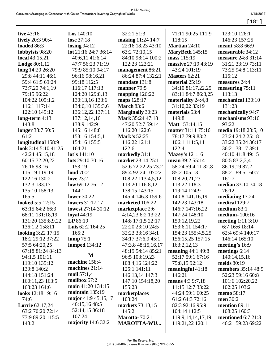| live $43:16$              | <b>Los</b> $140:10$       | 32:21 51:3                       | 71:11 90:25 111:9                        | 123:10 126:1                            |
|---------------------------|---------------------------|----------------------------------|------------------------------------------|-----------------------------------------|
| <b>lively</b> 20:3 90:4   | lose 37:18                | making 11:24 14:7                | 118:15                                   | 146:23 157:25                           |
| loaded 86:3               | $\log_{10} 94:12$         | 22:16,18,23 43:10                | <b>Martian 24:10</b>                     | meant 58:8 66:9                         |
| lobbyists 98:20           | lot 21:16 24:7 36:14      | 63:2 72:10,15                    | MaryBeth 145:15                          | measurable 34:12                        |
| local 43:15,21            | 40:6,11 41:6,14           | 84:10 98:14 100:2                | mass 115:19                              | measure 24:8 31:14                      |
| Lodge $80:1,12$           | 47:7 56:23 71:19          | 122:23 123:21                    | massive 27:19 43:19                      | 31:21 33:19 73:11                       |
| long 14:20 26:20          | 79:9 85:10 94:17          | management 86:21                 | 43:24 101:19                             | 73:25 94:8 113:11                       |
| 29:8 44:11 46:1           | 96:16 98:16,21            | 86:24 87:4 132:21                | Masters 62:21                            | 115:12                                  |
| 59:4 61:5 69:24           | 99:18 112:5               | mandate 131:8                    | material 25:19                           | measures 24:4                           |
| 73:7,20 74:1,19           | 116:17 117:13             | manner 79:5                      | 34:10 81:17,22,25                        | measuring $75:11$                       |
| 79:15 96:22               | 124:20 129:8,13           | mapping $126:22$                 | 83:11 84:7 86:3,25                       | 113:13                                  |
| 104:22 105:1,2            | 130:13,16 133:6           | maps 128:17                      | materiality 24:4,8                       | mechanical 130:10                       |
| 116:1 117:14              | 134:6,10 135:3,6          | <b>March 83:6</b>                | 31:10,22 33:19                           | 131:23                                  |
| 122:10 145:12             | 136:12,22 137:11          | <b>Marginally 30:23</b>          | materials 53:4                           | mechanically 94:7                       |
| long-term $4:13$          | 137:12,14,16              | Mark 35:24 47:18                 | 149:8                                    | mechanisms 93:16                        |
| 148:8                     | 138:9 142:9               | 47:20 52:7 59:14                 | <b>Matt</b> 153:14,15                    | 93:22                                   |
| longer 38:7 50:5          | 145:16 148:8              | 116:20 122:6                     | matter 31:11 75:16                       | media 19:18 23:5,10                     |
| 61:21                     | 153:16 154:5,11           | <b>Mark's</b> 52:25              | 78:17 79:9 83:2                          | 23:24 24:2 25:18                        |
| longitudinal 158:9        | 154:16 155:5              | 116:22 121:1                     | 106:1 111:5,11                           | 33:22 35:24 36:17                       |
| look $3:145:1041:25$      | 164:21                    | 122:6                            | 122:4                                    | 36:21 38:17 39:1                        |
| 42:24 45:15,18            | lot's 141:10              | markedly 31:1                    | <b>Mazey's</b> 121:16                    | 40:10 41:8 49:15                        |
| 60:15 72:20,22            | lots $29:1070:16$         | market 23:14 25:1                | mean 39:2 55:14                          | 80:5 83:2,3,4                           |
| 76:16 93:16               | 153:19                    | 52:6 72:22,25 73:2               | 58:24 59:4,11 82:8                       | 86:19,19 87:2                           |
| 116:19 119:19             | loud $70:2$               | 89:4 92:24 107:22                | 85:2 105:13                              | 88:21 89:5 160:7                        |
| 122:16 130:2              | love $23:2$               | 108:22 113:4,5,12                | 108:20,21,23                             | 161:7                                   |
| 132:3 133:17              | low 69:12 76:12           | 113:20 116:8,12                  | 113:22 118:3                             | median 33:10 74:18                      |
| 135:10 158:13             | 144:1                     | 138:15 143:15                    | 119:14 124:9                             | 76:12                                   |
| 165:5                     | <b>lower</b> 30:22        | 145:4 146:3 159:6                | 140:8 141:16,19                          | mediating 17:24                         |
| looked 5:5 12:15          | lowers $31:17,17$         | marketed 106:22                  | 142:23 143:18                            | medical 129:7                           |
| 63:15 64:2 66:3           | <b>lowest</b> 27:14 30:12 | marketplace 2:6                  | 146:7 147:16,22                          | medium $83:1$                           |
| 68:11 131:18,19           | loyal $44:19$             | 4:14,23 6:2 13:22                | 147:24 148:10                            | medium-100:16                           |
| 131:20 135:8,9,22         | LP 86:19                  | 14:8 17:1,5 22:17                | 150:12,19,22                             | meeting $1:11\,3:10$                    |
| 136:1,2 158:11            | Luis 62:2 164:25          | 22:20 23:10 24:5                 | 153:6,11 154:17                          | 6:7 16:6 18:14                          |
| <b>looking</b> 3:22 17:15 | 165:2                     | 32:23 33:16 34:1                 | 154:23 155:4,5,25                        | 62:4 69:4 140:17                        |
| 18:2 29:12 37:22          | lump 75:1                 | 34:17 37:6,9 45:1                | 156:15,25 157:15                         | 146:14 165:10                           |
| 57:5 64:20,25             | <b>lumped</b> 134:12      | 47:3,8 48:15,16,17               | 163:2,12,13                              | meeting's 16:9                          |
| 67:18 81:24 84:13         | M                         | 48:19 54:14 85:21                | meaning $44:1$ 49:8                      | meetings 6:14                           |
| 94:1,5 101:11             | machine 158:4             | 96:5 103:19,23                   | 52:17 59:1 67:16                         | 140:14,15,16                            |
| 119:10 135:12             | machines 21:14            | 108:4,16 124:22                  | 75:8,15 92:12                            | melds 80:19                             |
| 139:8 140:2               | mail $57:1,4$             | 125:1 141:11                     | meaningful $41:18$                       | members 35:14 48:9                      |
| 144:18 151:24             | mailbox $57:2$            | 146:13,14 147:3                  | 146:21                                   | 52:23 59:16 60:8                        |
| 160:11,23 163:5           | main 41:20 134:15         | 147:10 154:18,20                 | means 4:3 9:7,18                         | 101:6 102:20,22                         |
| 163:23 164:6              | maintain $135:19$         | 155:23                           | 11:15 12:7 33:22                         | 102:25 103:2                            |
| looks 12:18 19:16         | major 41:9 45:15,17       | marketplaces                     | 44:24 59:1 60:25                         | memo 58:17                              |
| 74:6                      | 46:15,16 48:5             | 103:24                           | 61:2 64:3 72:16                          | men 30:2                                |
| <b>Lorrie</b> 62:17,24    | 52:14,15 86:18            | <b>markets</b> 73:13,15<br>145:2 | 82:3 92:16 95:9                          | mention 89:11                           |
| 63:2 70:20 72:14          | 107:24                    | <b>Marotta-70:21</b>             | 104:14 112:5                             | 108:25 160:3                            |
| 77:9 89:20 115:5<br>148:2 | majority $14:632:2$       | <b>MAROTTA-WU</b>                | 119:9, 14, 14, 17, 19<br>119:21,22 120:1 | mentioned 6:7 21:8<br>46:21 59:23 69:22 |
|                           |                           |                                  |                                          |                                         |
|                           |                           |                                  |                                          |                                         |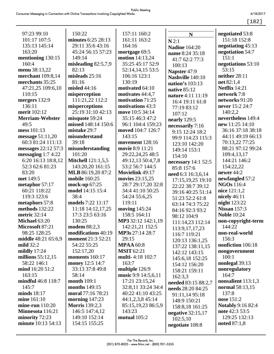[182]

| 97:23 99:10            | 150:22                    | 157:11 160:2            | N                    | negotiated 53:8          |
|------------------------|---------------------------|-------------------------|----------------------|--------------------------|
| 101:17 107:5           | minutes 6:25 28:13        | 161:11 163:2            | N2:1                 | 151:18 152:8             |
| 135:13 145:14          | 29:11 35:6 43:16          | 164:16                  | <b>Nadine 164:20</b> | negotiating 45:13        |
| 163:20                 | 45:24 56:15 57:23         | mortgage 69:5           | name 8:24 35:18      | negotiation 54:7         |
| mentioning 130:15      | 149:14                    | motion 14:13,24         | 41:7 62:2 77:3       | 151:1                    |
| 160:4                  | misleading 82:5,7,9       | 35:25 45:17 52:9        | 100:13               | negotiations 53:10       |
| menu 38:13,22          | 82:13                     | 52:14,14,15 53:5        | Napster 47:9         | 53:15                    |
| merchant 109:8,14      | misleads 25:16            | 106:16 123:1            | Nashville 140:10     | neither 28:11            |
| merchants 35:25        | 81:16                     | 130:19                  | nation's 103:13      | net 82:1,4               |
| 47:21,25 109:6,10      | misled 44:16              | motivated 64:10         |                      | <b>Netflix</b> 14:21     |
| 110:15                 | misperception             | motivates 44:4,7        | <b>native 85:12</b>  | network 7:8              |
| mergers 132:9          | 111:21,22 112:2           | motivation 71:25        | nature 4:11 11:19    | networks 91:20           |
| 136:11                 | misperceptions            | motivations 43:3        | 16:4 19:11 61:8      | never 15:2 24:7          |
| merit 102:12           | 25:19 31:10 42:13         | move 10:5 34:14         | 77:19 83:12          | 140:2,2                  |
| <b>Merriam-Webster</b> | misquote 59:24            | 35:15 46:3 47:2         | 107:12               | nevertheless 149:4       |
| 49:5                   | missed 148:14 150:6       | 96:1 104:4 159:23       | nearly 129:5         | new 11:25 14:10          |
| mess 101:13            | mistake 29:7              | moved 104:7 126:7       | necessarily 7:16     | 36:16 37:18 38:18        |
| message $51:11,20$     | misunderstand             | 143:15                  | 9:15 12:24 18:2      | 44:11 49:19 66:13        |
| 60:3 81:24 111:13      | 39:18                     | movement 128:16         | 99:9 114:23 115:3    | 70:13,22 77:25           |
| messages 22:12 57:3    | misunderstanding          | movie 8:9 11:21         | 123:10 142:20        | 88:21 97:12 99:24        |
| messaging $1:74:22$    | 101:20                    | 29:22,24,25 48:5        | 149:14 153:1         | 109:4,13,17              |
| 6:20 16:13 18:8,12     | <b>Mitchell</b> 121:1,5,5 | 49:12,13 50:4,7,8       | 154:10               | 144:21 146:2             |
| 52:3 62:6 81:23        | 143:20,20 161:15          | 53:2 56:7 144:5         | necessary $14:152:5$ | 154:22,22                |
| 83:20                  | MLB 86:19,20 87:2         | Movielink 49:17         | 85:8 157:6           | newer 44:2               |
| met 149:5              | <b>mobile</b> 160:25      | movies 23:15,25         | need 6:3 16:3,6,14   | newfangled 57:2          |
| metaphor 57:17         | mock-up 67:25             | 28:7 29:17,20 32:8      | 17:15,19,25 19:10    | <b>NGOs</b> 116:4        |
| 60:21 118:22           | model 14:15 15:4          | 34:4 41:10 50:25        | 22:22 38:7 39:12     | nice 121:1,2             |
| 119:3 123:6            | 38:4                      | 54:24 55:6,25           | 39:16 40:25 51:14    | nicely $46:11$           |
| metaphors 57:8         | models 7:22 11:17         | 119:11                  | 51:23 52:2 61:8      | night 123:22             |
| methods 132:22         | 11:18 14:12,17,25         | moving 145:24           | 63:14 74:3 75:22     | <b>Nissan</b> 157:3      |
| metric 32:14           | 17:3 23:5 63:16           | 158:5 164:11            | 84:16 92:3 93:2      | <b>Noble 10:24</b>       |
| Michael 63:20          | 130:25                    | MP3 32:12 142:1,19      | 98:12 104:9          | non-copyright-term       |
| Microsoft 87:21        | modem 88:2,3              | 142:21,21 152:5         | 111:14,23 112:14     | 144:22                   |
| 98:25 128:25           | modifications 40:19       | MP3s 27:14 28:7         | 113:9, 17, 17, 23    | non-real-world           |
| middle 48:21 65:6,9    | <b>moment</b> 21:3 52:21  | 29:15                   | 116:7 119:21         | 156:3                    |
| mild $32:2$            | 54:22 55:25               | <b>MPAA 60:8</b>        | 120:13 136:1,25      | nonfiction 106:18        |
| mildly $17:24$         | 152:17,20                 | <b>MSIT 62:21</b>       | 137:22 138:11,15     | nongovernment            |
| millions $55:12,15$    | moments 160:17            | <b>multi-4:18 102:7</b> | 142:12 143:15        | 100:1                    |
| 58:22 146:1            | money 12:5 14:7           | 163:7                   | 145:6,18 152:25      | nonlegal 39:13           |
| mind 16:20 51:2        | 33:13 37:8 49:8           | multiple 126:9          | 154:12 156:20        | nonregulatory            |
| 163:15                 | 58:14                     | music 9:9 14:5,6,11     | 158:21 159:11        | 164:7                    |
| mindful 46:8 118:7     | <b>month</b> 109:1        | 17:21 23:15,24          | 162:3,3              | nonsalient 113:1,3       |
| 145:7                  | months 149:15             | 32:8,11 33:24 34:4      | needed 83:15 88:2,7  | normal 58:13,15          |
| minds $18:17$          | moral 77:16 78:21         | 40:22 41:10 43:25       | needs 28:20 84:25    | 137:8                    |
| mine 161:10            | morning $147:23$          | 44:1,2,3,8 45:14        | 91:11,14 95:18       | nose 151:2               |
| mine-run $110:20$      | <b>Morris</b> 139:2,3     | 85:15,19,23 86:5,9      | 148:9 150:21         | <b>Notably 9:16 82:4</b> |
| Minnesota 116:21       | 146:5 147:4,12            | 143:23                  | 158:8,18 161:25      | note 42:3 53:5           |
| minority 72:23         | 149:10 152:14             | mutual $105:2$          | negative $32:15,17$  | 129:25 132:13            |
| minute 10:13 54:13     | 154:15 155:25             |                         | 102:5,10             | noted 87:1,8             |
|                        |                           |                         | negotiate 108:8      |                          |
|                        |                           |                         |                      |                          |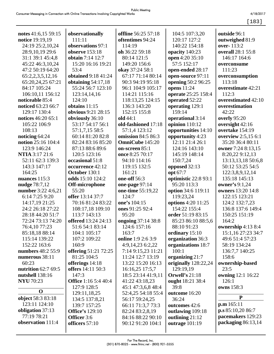4/18/2017  $[183]$ 

| notes $41:6,15\,59:15$ | observationally                           | offline 56:25 57:18    | 104:5 107:3,20        | outside 96:1        |
|------------------------|-------------------------------------------|------------------------|-----------------------|---------------------|
| notice 19:19,19        | 111:11                                    | oftentimes 94:24       | 120:17 127:2          | outweighed 81:9     |
| 24:19 25:2,10,24       | observations 97:1                         | 114:19                 | 140:22 154:18         | over-113:2          |
| 28:9,10,19 29:6        | observe 153:18                            | oh 36:22 59:18         | opacity 140:23        | overall 28:1 55:8   |
| 31:1 39:1 45:4,8       | obtain 7:14 12:7                          | 80:14 121:5            | open 4:20 35:10       | 146:17 164:6        |
| 45:22 46:3,10,24       | 15:20 16:16 19:21                         | 149:20 156:6           | 57:5 152:17           | overconsume         |
| 47:2 50:19 64:20       | 53:4<br><b>obtained</b> 9:18 41:24        | okay 37:24 58:1        | open-ended 28:17      | 111:23              |
| 65:2,2,3,5,12,16       |                                           | 67:17 71:14 80:14      | open-source 97:11     | overconsumption     |
| 65:20,24,25 67:21      | obtaining $54:17,18$<br>55:24 56:7 123:10 | 90:3 94:19 95:18       | opening 50:2 96:25    | 113:18              |
| 84:17 105:24           |                                           | 96:1 104:9 105:17      | opens $11:24$         | overestimate 42:21  |
| 106:10,11 156:12       | 123:14,14,16                              | 114:21 115:16          | operate 25:25 158:4   | 112:3               |
| noticeable 85:4        | 124:10                                    | 118:13,25 124:15       | operated 52:22        | overestimated 42:10 |
| noticed 63:23 66:7     | obtains 11:15                             | 136:3 143:20           | operating 129:1       | overestimation      |
| 129:17 130:4           | <b>obvious</b> 9:21 28:15                 | 152:15 155:8           | 159:14                | 42:22               |
| notices 46:20 65:1     | obviously 36:10                           | old 44:1               | operational 3:14      | overly 95:20        |
| 105:22 106:9           | 53:17 54:17 56:1                          | old-fashioned 17:18    | opinion 110:12        | oversight 42:16     |
| 108:13                 | 57:1,7,15 58:5                            | 57:1,4 123:12          | opportunities 14:10   | overtake 154:19     |
| noticing 64:24         | 60:14 81:20 82:8                          | omission 84:5 86:3     | opportunity 4:23      | overview 2:5,15 6:1 |
| notion 25:16 104:4     | 82:24 83:16 85:20                         | <b>OmniCube</b> 145:20 | 12:11 21:4 26:1       | 35:20 36:4 80:11    |
| 123:9 146:24           | 87:13 88:6 89:6                           | on-screen 85:1         | 124:16 143:10         | owner 7:24 8:13,15  |
| <b>NTIA</b> 3:17 21:6  | 120:5 123:16                              | once 8:25 70:17        | 145:19 148:14         | 8:20,22 9:12,13     |
| 52:11 62:3 139:3       | occasional 51:8                           | 94:10 114:16           | 150:7,24              | 13:13,13,18 50:6,8  |
| 143:3 147:17           | occurrence 42:12                          | 119:15 132:5           | opposed 32:13         | 50:12 53:25 54:5    |
| 164:25                 | October 130:1                             | 161:21                 | opt 67:7              | 122:3,8,9,12,14     |
| nuances 115:3          | odds 15:10 124:2                          | one-off 56:3           | optimistic 22:8 93:1  | 135:18 145:13       |
| nudge 78:7,12          | Off-microphone                            | one-page 97:14         | 95:20 113:3           | owner's 9:1,24      |
| number 3:22 4:6,21     | 55:20                                     | one-time 55:19,22      | option 34:6 119:11    | owners 13:20 14:8   |
| 6:14 7:25 9:20         | offer 13:14 37:7                          | 124:7                  | 119:23,24             | 122:15 123:21       |
| 14:17,19 21:25         | 70:16 81:24 83:22                         | one's 104:15           | options 4:20 11:25    | 124:2 132:7,23      |
| 24:2 26:18 27:22       | 108:17,18 109:10                          | ones 91:25 92:4        | 154:22 155:4          | 136:8 137:6 149:4   |
| 28:18 44:20 51:7       | 113:7 143:13                              | 95:20                  | order 51:19 83:15     | 150:25 151:19       |
| 72:24 73:13 74:20      | <b>offered</b> 13:24 24:13                | ongoing 37:14 38:8     | 85:23 86:10 88:5,6    | 164:2               |
| 76:4,10 77:23          | 51:6 54:1 83:14                           | 124:6 157:16           | 88:10 91:23           | ownership 4:13 8:4  |
| 85:18,18 88:14         | 104:1 105:17                              | 163:7                  | ordinary 15:10        | 15:1,16 27:23 34:7  |
| 115:14 139:22          | 107:2 109:22                              | online 1:9 2:6 3:9     | organization 36:3     | 49:6 51:4 57:23     |
| 152:22 163:6           | 160:9                                     | 4:9,14,23 6:2,22       | organizations 18:7    | 58:19 134:24        |
| numbers 48:2 55:9      | <b>offering 51:21 72:25</b>               | 7:14 9:15,23 11:21     | 100:1                 | 136:7,7 140:25      |
| numerous 38:11         | 81:25 104:5                               | 11:24 12:7 13:19       | organizing 21:7       | 158:6               |
| 60:23                  | offerings 14:18                           | 13:22 15:20 16:13      | originally 128:22,24  | ownership-based     |
| nutrition 62:7 69:5    | offers 14:11 50:3                         | 16:16,25 17:5,7        | 129:19,19             | 23:5                |
| nutshell 138:16        | 147:3                                     | 18:5 23:14 41:9,11     | <b>Orwell's 21:18</b> | owning 12:1 16:22   |
| <b>NYU 70:23</b>       | <b>Office</b> 1:16 5:4 40:4               | 41:22 43:18,23         | ought 18:21 38:4      | 126:1               |
| $\mathbf 0$            | 127:9 128:5                               | 45:1 47:3,6,8 48:4     | 39:8                  | owns 158:3          |
| object 58:3 83:18      | 129:11,18,25                              | 52:4,25 54:18 55:4     | outcome 16:20         | ${\bf P}$           |
| 123:11 124:10          | 134:5 137:8,21                            | 56:17 59:24,25         | 36:24                 | p.m 165:11          |
| obligation 37:13       | 139:7 157:25                              | 66:11 71:3,7 73:3      | outcomes 42:6         | p.s 85:10,2086:7    |
| 77:19 78:21            | <b>Office's</b> 129:10                    | 82:24 83:2,8,19        | outlawing 109:18      | pacemakers 129:23   |
| observation 111:4      | Officer 3:6<br>officers 57:10             | 84:16 88:22 90:10      | outlining 21:12       | packaging 86:13,14  |
|                        |                                           | 90:12 91:20 104:1      | outrage $101:19$      |                     |
|                        |                                           |                        |                       |                     |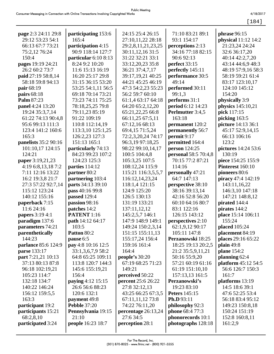| ۰. |  |
|----|--|
|----|--|

| page 2:3 24:11 29:8       | participating 153:6      | 24:15 25:4 26:15          | 71:10 83:21 89:1            | phrase 96:15         |
|---------------------------|--------------------------|---------------------------|-----------------------------|----------------------|
| 29:12 53:23 54:1          | 165:4                    | 27:10,11,22 28:18         | 93:1 154:17                 | physical 11:12 14:2  |
| 66:13 67:7 73:21          | participation 4:15       | 29:2,8,11,21,23,25        | perceptions 2:13            | 21:23,24 24:24       |
| 75:2,12 76:24             | 90:9 118:14 127:7        | 30:11,12,16 31:5          | 34:16 77:18 82:15           | 32:6 36:17,20        |
| 150:4                     | particular $6:108:13$    | 31:22 32:21 33:1          | 90:6 92:13                  | 40:14 42:2,7,20      |
| pages 19:19 24:21         | 8:24 9:2 10:20           | 33:12,20,23 35:8          | perfect 33:15               | 43:14 44:6,9 48:3    |
| 26:2 60:2 73:7            | 11:6 15:13 16:19         | 36:21 37:4,7,17           | perfectly 145:11            | 48:19 57:9,16 58:3   |
| paid 27:19 58:8,14        | 16:20 25:17 29:8         | 39:17,19,21 40:25         | performance 30:5            | 58:19 59:21 61:4     |
| 58:18 59:8 94:13          | 31:15 36:15 53:20        | 44:21 45:25 46:19         | 49:14                       | 83:17 123:10,17      |
| pair 68:19                | 53:25 54:1,11 56:5       | 47:3 54:2,23 55:23        | performed 30:11             | 124:10 145:12        |
| pairs 68:18               | 69:18 70:14 73:21        | 56:2 59:7 60:10           | 99:1,3                      | 154:20               |
| Palm 87:23                | 73:23 74:11 75:25        | 61:1,4 63:17 64:18        | performs 31:1               | physically 3:9       |
| panel 4:24 13:20          | 78:18,25,25 79:8         | 64:20 65:2,12,20          | period 6:12 14:23           | physics 145:10,21    |
| 19:24 35:3,7,14           | 79:11,23 85:19           | 65:21,22,25 66:8          | Perlmutter 3:4,5            | pick 117:15          |
| 61:22 74:13 90:4,8        | 91:22 109:19             | 66:11,25 67:5,11          | 163:18                      | picking 163:5        |
| 95:6 99:13 111:3          | 110:8 112:14,19          | 67:12,16 68:13            | permanent 120:2             | picture 14:13 36:1   |
| 123:4 141:2 160:6         | 113:3,10 125:1,25        | 69:4,15 71:5,24           | permanently 56:7            | 45:17 52:9,14,15     |
| 165:3                     | 126:2,23 127:3           | 72:2,3,20,24 74:17        | permit 9:17                 | 66:13 106:16         |
| panelists 35:2 90:16      | 151:13 165:1             | 96:3,19 97:18,25          | permitted 164:4             | 123:2                |
| 101:10,17 124:15          | particularly 74:13       | 98:22 99:10,14,17         | <b>person</b> 124:25        | pictures 14:24 53:6  |
| 124:21                    | 84:23 99:23 107:2        | 100:5 104:4,8             | <b>personal</b> 58:5 70:4,8 | 130:19               |
| paper 3:19,21,23          | 124:23 125:3             | 105:3,25 107:5            | 70:15 77:2 87:21            | piece 154:25 155:9   |
| 4:19 6:8,13,18 7:2        | parties 114:12           | 108:12,24 115:9           | 114:16                      | Pinterest 160:10     |
| 7:11 12:16 13:22          | partner 80:2             | 115:21 116:3,5,5,7        | personally 47:21            | pioneers 80:6        |
| 16:2 19:3,8 21:7          | partnering 103:4         | 116:12,14,23,24           | 64:7 147:13                 | piracy 47:4 142:19   |
| 27:3 57:22 92:7,14        | parts 34:13 39:10        | 118:1,4 121:15            | perspective 38:10           | 143:11,16,22         |
| 115:12 123:24             | pass 40:16 99:8          | 124:9 125:20              | 38:16 39:13,14              | 146:3,10 147:18      |
| 140:12 155:16             | passed 129:4             | 126:5 130:13              | 42:16 52:8 56:20            | 147:21 148:8,12      |
| paperback 7:15            | passion 98:16            | 131:19 133:21             | 60:10 64:16 80:7            | pirated 144:4        |
| 11:6 24:16                | patches 14:2             | 137:11,12,12              | 83:1 122:16                 | pirates 144:2        |
| <b>papers</b> 3:19 4:1    | <b>PATENT</b> 1:16       | 145:2,5,7 146:1           | 126:15 143:12               | place 15:14 106:11   |
| paradigm 137:6            | path 14:12 64:17         | 147:9 148:9 149:1         | perspectives 2:10           | 155:24               |
| parameters 74:21          | 103:5                    | 149:24 150:2,3,14         | 62:1,9,12 90:17             | <b>placed</b> 105:24 |
| parenthetically           | Patton 80:2              | 151:15 155:11,13          | 105:11 147:8                | placement 84:19      |
| 144:23                    | pause 6:5                | 155:17,24 156:4           | Perzanowski 18:25           | places 29:16 65:22   |
| parlance 85:6 124:9       | pay 4:8 10:16 12:5       | 159:16 161:4              | 18:25 19:13 20:2,5          | plain $49:8$         |
| parse 133:17              | 33:1,3,6,7,9 58:2        | 164:4                     | 21:2 35:5,9,11,21           | plane 154:2          |
| <b>part</b> 7:21,21 10:13 | 64:8 65:25 109:11        | people's $30:20$          | 50:16 55:9,20               | planning 62:4        |
| 37:13 80:13 87:8          | 113:8 120:7 144:3        | 67:19 68:25 71:23         | 57:21 60:19 61:16           | platform 45:12 54:5  |
| 96:18 102:19,21           | 145:6 155:19,21          | 149:21                    | 61:19 151:10,10             | 56:6 126:7 150:3     |
| 105:23 114:7              | 156:4                    | perceived 50:22           | 157:13,13 161:5             | 161:7                |
| 132:18 134:7              | paying 4:12 15:15        | <b>percent</b> 25:6 26:22 | Perzanowski's               | platforms 13:19      |
| 140:22 146:24             | 26:6 56:6 88:23          | 27:8 32:12,13             | 19:23 83:10                 | 14:5 18:6 39:1       |
| 156:12 159:5,5            | 120:6 132:1              | 43:25 66:25 67:3,5        | <b>Peters</b> 145:15        | 47:6 52:25 53:4      |
| 163:3                     | <b>payment</b> 49:8      | 67:11,11,12 73:8          | Ph.D 93:11                  | 56:18 83:4 95:12     |
| participant 19:2          | <b>Pebble 37:20</b>      | 74:22 76:11,20            | philosophy 92:3             | 149:23 150:8,18      |
| participants 15:21        | Pennsylvania 19:15       | percentage 26:13,24       | phone 68:4 77:3             | 150:24 151:19        |
| 68:2,8,10                 | 21:10                    | 27:6 34:5                 | phonorecords 10:1           | 152:8 160:8,11       |
| participated 3:24         | <b>people</b> 16:23 18:7 | perception 28:1           | photographs 128:18          | 161:2,9              |
|                           |                          |                           |                             |                      |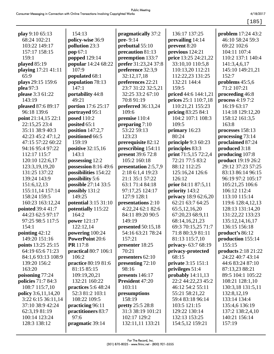4/18/2017

 $[185]$ 

| play 9:10 65:13<br>68:24 102:21<br>103:22 149:17<br>157:17 158:15<br>159:1 | 154:13<br>policy-wise 36:9<br>pollution 23:3<br>pop $67:1$<br><b>popped</b> 129:14 | pragmatically 37:2<br>$pre-9:14$<br>prebuttal 55:10<br>precaution 81:13<br>preemption 133:7 | 136:17 137:25<br>prevailing 14:14<br>prevent 8:20<br>previous 124:21<br>price 13:25 24:21,22 | <b>problem</b> 17:24 43:2<br>46:10 58:24 59:3<br>69:22 102:6<br>104:11 107:4<br>110:2 137:1 140:4 |
|----------------------------------------------------------------------------|------------------------------------------------------------------------------------|---------------------------------------------------------------------------------------------|----------------------------------------------------------------------------------------------|---------------------------------------------------------------------------------------------------|
| played 85:19                                                               | popular 14:24 68:22                                                                | prefer 31:23,24 37:8                                                                        | 33:10,10 110:5,8                                                                             | 141:3,4,6,17                                                                                      |
| playing 17:21 41:11                                                        | 107:9                                                                              | preference 32:3,9                                                                           | 110:13,20 112:21                                                                             | 145:10 149:21,21                                                                                  |
| 65:9                                                                       | populated 68:1                                                                     | 32:12,17,18                                                                                 | 112:22,23 131:25                                                                             | 152:7                                                                                             |
| plays 29:15 159:6                                                          | population 78:13                                                                   | preferences 22:21                                                                           | 132:21 144:4                                                                                 | problems $45:5,6$                                                                                 |
| plea 97:3                                                                  | 147:1                                                                              | 23:7 31:22 32:5,21                                                                          | 159:5                                                                                        | 71:2 107:21                                                                                       |
| please 3:3 61:22<br>143:19                                                 | portability 44:8<br>49:21                                                          | 32:25 33:2 67:10                                                                            | priced 44:6 144:1,21                                                                         | proceeding 46:8                                                                                   |
|                                                                            |                                                                                    | 70:8 91:19                                                                                  | prices 25:1 110:7,18<br>110:21,21 155:23                                                     | process 4:19 7:2<br>16:19 63:17                                                                   |
| pleased 87:6 89:17<br>96:18 139:6                                          | portion 17:6 25:17<br>portrayed 95:1                                               | preferred 36:13,24<br>109:6                                                                 |                                                                                              | 114:18 129:12,20                                                                                  |
| point 21:14,15 22:1                                                        | <b>posed</b> 110:2                                                                 |                                                                                             | pricing 83:25 84:1<br>104:2 107:1 108:3                                                      | 158:12 161:3,5                                                                                    |
|                                                                            |                                                                                    | premise 110:4                                                                               | 109:5                                                                                        | 163:8                                                                                             |
| 22:15,25 23:4<br>35:11 38:9 40:3                                           | posited 65:1<br>position $147:2,7$                                                 | preparing $7:10$<br>53:22 59:13                                                             |                                                                                              |                                                                                                   |
|                                                                            |                                                                                    | 123:23                                                                                      | primary 16:23<br>80:24                                                                       | processes 158:13                                                                                  |
| 42:23 45:2 47:1,2                                                          | positioned 66:5<br>159:19                                                          |                                                                                             |                                                                                              | processing 73:14                                                                                  |
| 47:15 57:22 60:22<br>94:16 95:4 97:22                                      |                                                                                    | prerequisite 82:12                                                                          | principle 9:3 60:23                                                                          | proclaimed 87:24                                                                                  |
|                                                                            | positive 32:15,16                                                                  | prescribing 154:11                                                                          | principles 83:3                                                                              | produced 3:18                                                                                     |
| 112:17 115:7                                                               | 143:1                                                                              | present 39:6 72:8                                                                           | print 71:5,15 72:2,4                                                                         | producing 107:8                                                                                   |
| 120:10 122:6,17                                                            | possessing 12:2                                                                    | 105:2 160:18                                                                                | 72:21 77:5 83:2                                                                              | <b>product</b> 19:19 26:2                                                                         |
| 123:3,19,19,20                                                             | possession 8:16 49:6                                                               | presentation 2:5,7,9                                                                        | 88:12 112:25                                                                                 | 29:12 37:23 57:25                                                                                 |
| 131:25 137:22                                                              | possibilities 154:22                                                               | 2:18 6:1,4 19:23                                                                            | 125:16,24 126:6<br>126:12                                                                    | 83:13 86:14 96:15                                                                                 |
| 139:24 143:9                                                               | possibility 5:6                                                                    | 21:1 35:1 57:22                                                                             |                                                                                              | 96:19 97:2 105:17                                                                                 |
| 151:6,12,13                                                                | possible 27:14 33:5                                                                | 63:1 71:4 84:18                                                                             | prior 84:11 87:5,11                                                                          | 105:21,25 106:6                                                                                   |
| 155:11,14 157:14                                                           | possibly 131:2<br>149:25                                                           | 97:17,25 124:17                                                                             | priority 143:2                                                                               | 106:12 112:4                                                                                      |
| 158:24 159:5                                                               |                                                                                    | 127:9 128:1                                                                                 | privacy 18:9 62:6,20                                                                         | 113:10 115:14                                                                                     |
| 160:23 163:12,24                                                           | potential 3:15 31:10                                                               | presentations 2:10                                                                          | 62:21 63:7 64:25                                                                             | 119:6 128:4,12,13                                                                                 |
| pointed 39:4 41:7                                                          | potentially 115:22                                                                 | 4:22,24 62:1 82:6                                                                           | 65:5,12,16,20                                                                                | 128:13 131:14,20                                                                                  |
| 44:23 62:5 97:17                                                           | 164:2                                                                              | 84:11 89:20 90:5                                                                            | 67:20,23 68:9,11                                                                             | 131:22,22 133:23                                                                                  |
| 97:25 98:5 117:5                                                           | power 121:17                                                                       | 149:19                                                                                      | 68:14,16,21,23                                                                               | 135:12,14,16,17                                                                                   |
| 154:1                                                                      | 122:12,14                                                                          | presented 50:15,18                                                                          | 69:3 70:15,25 71:7                                                                           | 136:15 156:18                                                                                     |
| pointing $42:12$                                                           | powering 100:24                                                                    | 54:16 63:21 78:24                                                                           | 71:8 80:3,9 81:11                                                                            | product's 86:12                                                                                   |
| 149:20 151:16                                                              | <b>PowerPoint 20:6</b><br>PR 117:8                                                 | 157:21                                                                                      | 81:13 115:7,10                                                                               | production 155:14<br>155:15                                                                       |
| points 13:25 25:15<br>64:19 65:6 71:23                                     | practical 80:7 106:1                                                               | presenter 18:25<br>70:21                                                                    | privacy-63:7 68:19                                                                           | <b>products</b> 2:18 21:22                                                                        |
|                                                                            | 106:2                                                                              |                                                                                             | privacy-protected<br>68:15                                                                   | 24:22 40:7 43:14                                                                                  |
| 84:1,6 93:13 108:9<br>139:20 156:2                                         |                                                                                    | presenters 62:10                                                                            |                                                                                              | 44:6 83:24 87:10                                                                                  |
| 163:20                                                                     | practice 80:19 81:6                                                                | presenting 72:10                                                                            | <b>private</b> 3:15 151:1                                                                    |                                                                                                   |
|                                                                            | 81:15 85:15                                                                        | 98:16                                                                                       | privileges 51:4                                                                              | 87:13,23 88:21<br>89:5 104:1 105:22                                                               |
| poisoning 77:24                                                            | 109:19,20,21                                                                       | presents 146:17<br>President 47:20                                                          | probably $14:11,13$                                                                          |                                                                                                   |
| policies 71:7 84:3<br>108:7 115:7,10                                       | 132:21 160:22                                                                      | 103:11                                                                                      | 22:2 44:22,23 45:2<br>46:12 54:2 55:11                                                       | 108:21 128:1,10                                                                                   |
|                                                                            | practices 5:6 48:24<br>52:3 81:2 103:1                                             |                                                                                             | 55:21 58:21,22                                                                               | 130:3,18 131:5,11                                                                                 |
| <b>policy</b> 3:6,11,14,20                                                 |                                                                                    | presumptions<br>158:19                                                                      |                                                                                              | 132:8, 12, 19                                                                                     |
| 3:22 6:15 36:11,14<br>37:10 38:9 42:24                                     | 108:22 109:5                                                                       |                                                                                             | 59:4 83:18 96:14<br>103:5 121:15                                                             | 133:14 134:4<br>135:4,6 136:19                                                                    |
|                                                                            | practicing 96:11                                                                   | <b>pretty</b> 25:5 28:8<br>31:3 38:19 101:21                                                |                                                                                              |                                                                                                   |
| 62:3,19 81:19                                                              | practitioners 83:7<br>97:6                                                         | 102:17 129:2                                                                                | 129:22 130:14                                                                                | 137:2 138:2,4,10                                                                                  |
| 100:14 123:24<br>128:3 138:12                                              |                                                                                    |                                                                                             | 132:13 153:25                                                                                | 140:21 156:14<br>157:19                                                                           |
|                                                                            | pragmatic 39:14                                                                    | 132:11,11 133:21                                                                            | 154:5,12 159:21                                                                              |                                                                                                   |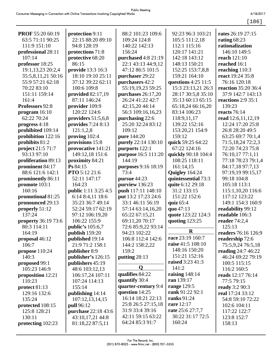[186]

| PROF 55:20 60:19            | protection 9:11                           | 88:2 101:23 109:6    | 92:23 96:3 103:21   | rates 26:19 27:15         |
|-----------------------------|-------------------------------------------|----------------------|---------------------|---------------------------|
| 63:5 71:11 90:25            | 22:15 88:20 89:10                         | 109:24 124:8         | 105:5 111:2,18      | rating $68:23$            |
| 111:9 151:10                | 94:8 128:19                               | 140:22 142:13        | 112:1 115:16        | rationalization           |
| professional 28:11          | protections 71:8                          | 156:24               | 120:17 141:21       | 146:10 149:5              |
| 107:14                      | protective 68:20                          | purchased 4:8 21:19  | 142:18 143:12       | reach 121:10              |
| professor 18:25             | 86:15                                     | 22:1 43:13 44:9,12   | 148:13 150:21       | reached 16:1              |
| 19:1,13,23 20:2,4           | provide 13:3 16:3                         | 47:12 86:5 101:5     | 152:25 153:7,8,8    | reaching 110:3            |
| 35:5,8,11,21 50:16          | 18:10 19:10 25:11                         | purchaser 29:22      | 159:21 164:10       | react 19:24 35:8          |
| 55:9 57:21 62:18            | 37:12 39:22 62:11                         | purchasers 42:2      | questions 4:25 11:5 | 76:16 120:18              |
| 70:22 83:10                 | 100:6 109:8                               | 55:19,19,23 59:25    | 15:3 23:13,21 26:3  | reaction 35:20 36:4       |
| 151:11 159:14               | provided $82:17,19$                       | purchases $26:17,20$ | 28:17 30:5,8 35:10  | 37:9 142:7 143:13         |
| 161:4                       | 87:11 146:24                              | 26:24 41:22 42:7     | 35:13 60:13 65:15   | reactions $2:9$ 35:1      |
| Professors 92:8             | provider 109:9                            | 42:15,20 44:14       | 65:18,24 66:16,20   | 139:23                    |
| program 16:10               | 120:22 124:6                              | 56:3 109:16,16,23    | 83:14 106:23        | reacts $76:14$            |
| 62:22 70:24                 | providers $51:5,6,8$                      | purchasing 22:6      | 118:9,11,17         | read 12:6,11,12,19        |
| progress 4:18               | provides 7:24 8:13                        | 25:20 32:24 83:12    | 139:22 152:16       | 12:24 17:20 25:8          |
| prohibited 109:14           | 121:1,2,8                                 | 109:12               | 153:20,21 154:9     | 26:8 28:20 49:5           |
| prohibition 122:16          | proving $102:4$                           | pure 144:20          | 159:12              | 63:25 69:7 70:1,4         |
| prohibits 81:2              | provisions 15:8                           | purely 22:14 130:10  | quick 59:25 64:22   | 71:5,18,24 72:2,3         |
| <b>project</b> 21:5 71:7    | provocative 141:21                        | purports 122:1       | 67:22 124:16        | 72:20 74:23 75:8          |
| 93:13 97:10                 | 149:12,18 151:6                           | purpose 16:5 111:20  | quickly 90:18 104:4 | 76:10,17 77:1,11          |
| proliferation 89:13         | proximity 84:21                           | 144:19               | 108:25 118:11       | 77:18 78:23 79:1,4        |
| prominent 84:17             | Ps 84:15                                  | purposes 9:16 18:19  | 161:14,15           | 84:17,18 97:7,13          |
| 88:6 121:6 142:1            | <b>PTO</b> 5:12 21:6                      | 73:4                 | Quigley 164:24      | 97:19,19 99:15,17         |
| prominently 86:11           | 52:11 147:17                              | pursue 44:23         | quintessential 73:3 | 99:18 104:8               |
| promote 103:1               | 164:23                                    | purview 136:23       | quite 6:12 29:18    | 105:18 113:1              |
| 160:16                      | public 1:11 3:25 4:5                      | push 117:11 148:10   | 31:2 133:15         | 115:1,10,20 116:6         |
| promotional 81:25           | 6:14 8:4,11 18:6                          | put 13:2 17:23 24:6  | 151:22 152:6        | 117:12 123:22             |
| pronounced 29:13            | 35:23 36:7 49:14                          | 33:1 46:11 56:19     | quiz $65:4$         | 149:1 154:3 160:9         |
| properly 51:12              | 52:24 59:17 62:19                         | 57:14 63:14,16,20    | quo 47:13           | readability 99:12         |
| 137:24                      | 97:12 106:19,20                           | 65:22 67:15,21       | quote 123:22 124:3  | readable 106:3            |
| <b>property</b> 36:19 73:6  | 106:22 155:9                              | 69:11,20 70:17       | quoting 123:25      | reader $74:2,4$           |
| 80:3 114:11                 |                                           | 72:6 85:9,22 93:14   |                     | 125:13                    |
| 164:19                      | <b>public's</b> 105:6,7<br>publish 159:20 | 94:23 102:22         | $\bf{R}$            | readers 76:16 126:9       |
|                             | published 19:14                           | 106:8 112:4 142:6    | race 23:19 160:7    | readership 72:6           |
| proposal 46:12<br>106:7     | 21:9 71:2 158:1                           | 144:2 158:2,22       | raise 41:5 108:10   | 75:5,9,24 76:5,18         |
| propose 110:24              | publisher 8:9                             | 159:2                | 148:16 150:20       | <b>reading</b> 24:7 46:22 |
| 140:3                       | publisher's 126:15                        | putting $28:13$      | 151:21 152:16       | 46:24 69:22 79:19         |
| proposed 99:1               | publishers 45:19                          |                      | raised 3:23 41:3    | 100:5 115:15              |
| 105:23 146:9                | 48:6 103:12,13                            | Q                    | 141:2               | 116:2 160:5               |
|                             |                                           | qualifies 84:22      | raising $148:14$    | reads 12:17 76:14         |
| proposition 12:21<br>110:23 | 106:17,24 107:11<br>107:24 114:13         | quantify 30:4        | ran 139:17          | 77:5 79:15                |
|                             |                                           | quarter-century 9:4  | range 129:5         |                           |
| $\text{protect } 81:13$     | 155:14                                    | question 14:25       | rank 91:22 92:1     | <b>ready</b> 3:2 90:3     |
| 129:16 132:6                | publishing 14:14                          | 16:14 18:21 22:13    | <b>ranks</b> 91:24  | real 17:24 33:12          |
| 135:24                      | 107:12,13,14,15                           | 25:8 26:5 27:15,18   | <b>rare</b> 12:17   | 54:8 59:10 72:22          |
| protected 108:15            | <b>pull</b> 96:12                         | 31:9 33:4 39:16      | rate 25:6 27:7,7    | 102:6 104:11              |
| 125:8 128:21                | purchase 22:18 43:6                       | 42:11 59:15 63:22    | 30:22 31:17 72:5    | 117:22 122:7              |
| 130:11                      | 43:10,17,21 44:8                          | 64:24 85:3 91:7      | 160:24              | 123:8 152:7               |
| protecting 102:23           | 81:18,22 87:5,11                          |                      |                     | 158:13                    |
|                             |                                           |                      |                     |                           |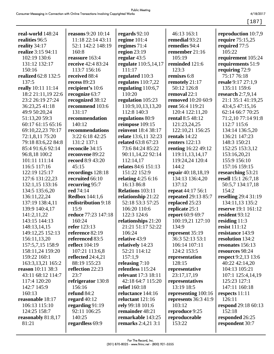4/18/2017  $[187]$ 

| real-world 148:24        | <b>reasons</b> 9:20 10:14 | regards $92:10$           | 46:13 163:1                | reproduction 10:7,9        |
|--------------------------|---------------------------|---------------------------|----------------------------|----------------------------|
| realities 96:5           | 11:18 22:14 43:11         | regime $101:4$            | remedial 93:21             | require 75:15,25           |
| reality 34:17            | 52:1 142:2 148:19         | regimes $71:4$            | remedies 94:4              | required 77:5              |
| realize 3:15 94:11       | 160:8                     | region $23:19$            | remember 21:16             | 105:22                     |
| 102:19 130:6             | reassure 163:4            | regular 43:5              | 105:19                     | requirement 105:24         |
| 131:12 132:17            | receive 42:4 83:24        | regulate 110:5,14,17      | reminded 121:6             | requirements 51:9          |
| 150:16                   | 113:7 156:16              | 111:17                    | 123:3                      | requiring 72:9             |
| realized 62:8 132:5      | received 88:4             | regulated 110:3           | remixes 6:8                | 75:17 76:18                |
| 137:5                    | recess 89:23              | regulates $110:7,22$      | remotely 21:17             | resale 9:17 27:1,9         |
| really 10:11 11:14       | recipient's 10:6          | regulating 110:6,7        | 50:12 126:8                | 135:11 159:6               |
| 18:2 21:11,19 22:6       | recognize 63:7            | 110:20                    | removal 22:1               | research $2:7,9,14$        |
| 23:2 26:19 27:24         | recognized 38:12          | regulation 105:23         | removed 10:20 60:9         | 21:1 35:1 41:19,25         |
| 36:23,25 41:18           | recommend 103:6           | 110:9,10,13,13,20         | rent 56:4 119:21           | 43:4,5 47:15,16            |
| 49:9 50:20,24            | 131:17                    | 112:8 140:3               | 120:4 122:11,20            | 62:14 66:7 70:25           |
| 51:13,20 59:3            | recommendation            | regulations 80:9          | <b>rental 8:5 48:12</b>    | 71:2,10 77:14 91:8         |
| 60:17 61:15 65:16        | 140:12                    | reimpose 109:15           | 121:23,24,25               | 112:7 115:6                |
| 69:10,22,23 70:17        | recommendations           | reinvent 18:4 38:17       | 122:10,21 156:25           | 134:14 136:5,20            |
| 72:1,8,11 75:20          | 3:22 6:18 42:25           | relate 13:6,11 32:23      | rentals 14:22              | 136:21 147:23              |
|                          | 131:2 137:1               | related 63:8 67:23        | <b>renters</b> 122:13      | 148:3 150:21               |
| 79:18 83:6,22 84:8       | reconcile 34:15           |                           |                            |                            |
| 85:4 91:6,6 92:14        |                           | 73:6 84:24 85:22          | <b>renting</b> 16:22 49:12 | 152:25 153:3,12            |
| 96:8,18 100:2            | reconvene 89:22           | 90:11,14,22 92:14         | 119:11,13,14,17            | 153:16,20,21               |
| 101:11 111:14            | record 8:9 43:20          | 112:14,17                 | 119:24,24 120:4            | 155:9 156:10               |
| 116:5 117:16             | 45:15                     | relates 84:6 151:13       | 144:2                      | 157:16 159:15              |
| 122:19 125:17            | recordings 128:18         | 151:22 152:9              | repair 40:18,18,19         | researching 53:21          |
| 127:6 131:22,23          | recruited 66:10           | relating $4:256:16$       | 134:13 136:4,20            | resell 15:1 26:7,18        |
| 132:1,15 133:16          | recurring 95:7            | 16:13 86:8                | 137:12                     | 50:5,7 134:17,18           |
| 134:5 135:6,20           | red 74:14                 | <b>Relations 103:11</b>   | repeat 44:17 56:1          | 154:2                      |
| 136:11,22,24             | <b>Redbox</b> 144:1,6     | relationship 21:22        | repeated 29:13 85:7        | reselling 29:4 31:19       |
| 137:19 138:4,11          | redistribution 9:18       | 52:18 53:3 57:25          | replaced 25:23             | 134:11,13 135:2            |
| 139:9 140:4,17           | 15:9                      | 106:20 110:6              | replicate 25:1             | reserve 19:1 161:12        |
| 141:2,11,22              | reduce 77:23 147:18       | 122:3 124:6               | report 60:9 69:7           | resident 93:12             |
| 143:15 144:13            | 160:24                    | relationships 21:20       | 100:19,21 127:10           | residing $11:3$            |
| 148:13,14,15             | refer 123:13              | 21:21 51:17 52:22         | 134:9                      | resist 111:12              |
| 149:12,25 152:13         | reference 82:19           | 106:24                    | represent 35:19            | resistance 143:9           |
| 156:11,13,20             | referenced 83:5           | relative 43:9             | 36:3 52:13 53:1            | resolution 134:2           |
| 157:5,7,15 158:9         | reflect 104:19            | relatively 14:23          | 106:14 107:11              | resonates 156:13           |
| 158:11,24 159:20         | 107:21 113:6,8            | 52:21 114:12              | 124:2 153:5                | resources 98:24            |
| 159:22 160:1             | reflected 24:4,21         | 157:1,9                   | representation             | <b>respect</b> 9:2,13 13:6 |
| 163:3, 13, 21 165:2      | 88:19 155:23              | releasing $7:10$          | 128:15                     | 40:22 42:14,20             |
| <b>reason</b> 10:11 38:3 | reflection 22:23          | relentless 115:24         | representative             | 104:13 105:21              |
| 43:11 68:12 114:7        | 23:7                      | relevant 17:3 18:11       | 23:17,17,19                | 107:1 125:4,14,19          |
| 117:4 120:20             | refrigerator 130:8        | 42:18 64:7 115:20         | representatives            | 125:23 127:1               |
| 142:7 145:9              | 156:16                    | relief 160:18             | 13:19 18:5                 | 147:11 160:18              |
| 160:13                   | refund 84:2               | reluctance 144:16         | representing 100:16        | respects $11:11$           |
| reasonable 18:17         | regard $40:12$            | reluctant $121:16$        | represents 36:3 41:9       | 126:11                     |
| 106:13 115:10            | regarding 91:19           | rely 99:18 101:6          | 103:12                     | <b>respond</b> 29:18 60:13 |
| 124:25 158:7             | 92:11 106:25              | remainder 48:21           | reproduce 9:25             | 152:18                     |
| reasonably 81:8,17       | 140:25                    | remarkable 143:25         | reproduceable              | responded 26:25            |
| 81:21                    | regardless 69:9           | <b>remarks</b> 2:4,21 3:1 | 153:22                     | respondent 30:7            |
|                          |                           |                           |                            |                            |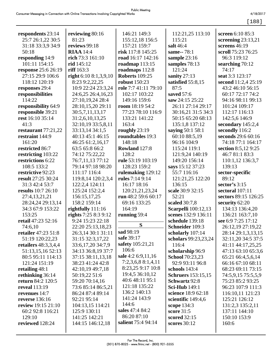[188]

| respondents 23:14         | reviewing 80:16        | 146:21 149:3          | 112:21,25 113:10           | screen 6:10 85:3     |
|---------------------------|------------------------|-----------------------|----------------------------|----------------------|
| 25:7 26:1,22 30:5         | 81:23                  | 155:12,18 156:5       | 115:21                     | screening $23:13,21$ |
| 31:18 33:3,9 34:9         | reviews 99:18          | 157:21 159:7          | salt 46:4                  | screens 46:19        |
| 50:18                     | <b>RIAA</b> 14:4       | risk 117:8 145:25     | same--78:1                 | scroll 75:23 76:25   |
| responding 14:9           | rich 73:3 161:10       | road 16:17 142:16     | sample 23:16               | 96:3 119:12          |
| 101:11 154:15             | rid 145:12             | roadmap $113:15$      | samples 78:13              | searching 70:12      |
| response 25:6 26:19       | riff 163:3             | roadmaps 112:8        | 121:24                     | 74:17                |
| 27:15 29:9 106:6          | right $6:108:1,3,9,10$ | <b>Roberts</b> 109:25 | sanity 27:13               | seat 3:3 123:17      |
| 118:12 120:19             | 8:23 9:2,22,25         | <b>robust</b> 150:23  | satisfied 55:8,15          | second 11:2,4 25:19  |
| responses 29:4            | 10:9 22:24 23:3,24     | role 7:7 41:11 79:10  | 87:5                       | 43:2 46:10 56:15     |
| responsibilities          | 24:6,25 26:4,16,23     | 102:17 103:22         | saved 57:6                 | 60:17 72:17 74:2     |
| 114:22                    | 27:10,19,24 28:4       | 149:16 159:6          | saw 24:15 25:22            | 94:16 98:11 99:13    |
| responsibility 64:9       | 28:10,15,20 29:11      | room 18:19 54:2       | 26:11 27:14 29:17          | 101:24 109:17        |
| responsible 39:21         | 30:5,7,11,13,17        | 77:23 78:10 116:9     | 30:16,21 31:5 34:3         | 112:17 116:13        |
| rest 16:10 35:14          | 31:2,6,10,13,25        | 133:21 141:22         | 50:15 65:20 68:13          | 142:5,6 146:9        |
| 41:3                      | 32:10,19 33:5,8,11     | 163:4                 | 135:1,8 137:12             | secondary 145:2,4    |
| restaurant $77:21,22$     | 33:13,14 34:1,5        | roughly 23:19         | saying 50:1 58:1           | secondly 116:2       |
| restraint 144:9           | 40:13 45:1 46:15       | roundtables 19:3      | 60:10 88:5,19              | seconds 29:6 60:16   |
| 161:20                    | 46:25 61:2,16,17       | 148:18                | 96:16 104:9                | 74:18 77:1 164:17    |
| restricted 86:7           | 63:5 65:8 66:2         | Rowland 127:8         | 115:24 119:1               | section 8:5,12 9:25  |
| restricting 103:22        | 74:12 75:22,22         | 128:2                 | 121:9,24 140:19            | 46:7 81:1 83:3       |
| restrictions 6:22         | 76:7,11,13 77:12       | rule 53:19 103:19     | 149:20 156:14              | 110:1,12 136:3,7     |
| 108:5 133:2               | 79:14 97:18 98:20      | 128:23 159:2          | says 15:12 37:23           | 139:13               |
| restrictive 92:23         | 111:17 116:4           | rulemaking 129:12     | 55:7 116:16                | sector-specific      |
| result 27:25 30:24        | 119:8,14 120:2,3,4     | rules 7:14 9:14       | 121:21,25 122:20           | 89:12                |
| 31:3 42:4 53:7            | 122:2,4 124:11         | 16:17 18:16           | 136:15                     | sector's $3:15$      |
| <b>results</b> 10:7 26:10 | 125:24 152:2,4         | 120:21,21,23,24       | scale 30:9 32:15           | sectoral 107:11      |
| 27:4,13,21,21             | 156:15,17,25           | run 48:2 59:6 60:17   | 52:21                      | sectors 89:15 126:25 |
| 28:24,24 29:13,14         | 158:2 159:14           | 69:16 133:25          | scaled 30:7,8              | security 62:20       |
| 34:3 67:9 153:22          | rightfully 111:16      | 164:19                | <b>Scarpelli</b> 100:12,13 | 134:13 136:4,20      |
| 153:25                    | rights 7:25 8:3 9:12   | running 59:4          | scenes 132:9 136:11        | 136:21 163:7,10      |
| retail 47:23 52:16        | 9:24 15:23 22:18       |                       | schedule 139:18            | see 6:9 7:25 17:12   |
| 74:6,10                   | 22:20 25:13,18,23      | S                     | Schneider 109:3            | 26:12,19 27:19,22    |
| retailer 47:23 51:8       | 26:3,14 30:1 31:11     | sad 98:19             | scholarly 107:14           | 28:14 29:1,3,13,15   |
| 51:19 120:22,23           | 31:15 32:3,17,22       | safe 39:17            | scholars 99:23,23,24       | 32:11,20 34:5 37:5   |
| retailers $48:3,3,4,4$    | 33:6,17,20 34:7,9      | safety 105:21,21      | 116:4                      | 41:11 44:17,25,25    |
| 51:13,15,16 52:13         | 34:13 36:8,19 37:7     | 106:6                 | scholarship 96:9           | 47:13 63:10 65:3,6   |
| 80:5 95:11 114:13         | 37:15 38:11,13,18      | sale 4:2 6:9,11,16    | <b>School</b> 70:23,23     | 65:21 66:4,5,6,14    |
| 121:24 151:19             | 38:23 41:24 42:8       | 7:2,3,6,8 8:1,4,11    | 92:9 93:11 96:8            | 66:16 67:10 68:11    |
| retailing $48:1$          | 42:10,19 49:7,18       | 8:23,25 9:17 10:8     | schools 143:4              | 68:23 69:11 73:15    |
| rethinking 36:14          | 50:19,22 51:6          | 19:4,5 36:10,12       | <b>Schruers</b> 153:15,15  | 74:5,9,15 75:5,5,9   |
| return 84:2 120:5         | 59:20 70:14,16         | 40:6 48:11 95:1       | Schwartz 92:8              | 75:23 85:2 93:25     |
| <b>reveal</b> 113:19      | 73:6 85:14 86:5,21     | 121:18 135:22         | <b>Sci-Hub</b> 149:1       | 96:23 107:9 111:3    |
| revenues 14:7             | 86:24 87:4 89:14       | 136:2 140:13          | science 18:9 62:18         | 116:10,11 121:23     |
| <b>reverse</b> 136:16     | 92:21 95:14            | 141:24 143:9          | scientific 149:4,6         | 125:21 126:12        |
| review 19:15 21:10        | 104:13,15 114:21       | 144:6                 | scope 134:3                | 131:2,3 135:2,11     |
| 60:2 92:8 116:21          | 125:9 130:11           | sales 47:4 84:2       | score 31:5                 | 137:11 144:10        |
| 129:10                    | 141:25 142:21          | 86:20 87:10           | scored 32:15               | 150:10 153:9         |
| reviewed 128:24           | 144:15 146:12,18       | salient 75:4 94:14    | scores $30:12$             | 160:6                |
|                           |                        |                       |                            |                      |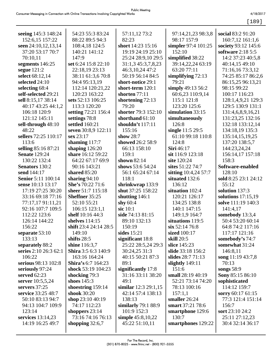[189]

| seeing 145:3 148:24       | 54:23 55:3 83:24           | 57:11,12 73:2         | 97:14,21,23 98:3,8   | social 83:2 91:20       |
|---------------------------|----------------------------|-----------------------|----------------------|-------------------------|
| 152:6,15 157:22           | 88:22 89:5 94:3            | 82:23                 | 98:17 157:9          | 160:7,12 161:1,6        |
| seen 24:10,12,13,14       | 108:4,18 124:5             | short 14:23 15:16     | simpler 97:4 101:25  | society 93:12 145:6     |
| 37:20 53:17 70:7          | 140:21 141:12              | 19:19 24:19 25:10     | 152:10               | software 2:18 5:5       |
| 70:10,11                  | 147:9                      | 25:24 28:9,10 29:5    | simplified 38:22     | 14:2 37:23 40:5,8       |
| segments 146:25           | set 6:24 15:8 22:10        | 31:1,3 45:3,7,8,23    | 39:14,22,24 63:19    | 40:14,15 49:10          |
| segue $121:2$             | 22:18,19 23:13             | 46:3, 10, 24 47:2     | 63:20 77:11          | 71:16,16 73:3,12        |
| select 68:12,14           | 38:11 61:3,6 70:8          | 50:19 56:14 84:5      | simplifying $72:13$  | 74:25 85:17 86:2,6      |
| selected 24:10            | 94:4 95:13,19              | short-notice 29:1     | 79:21                | 86:15,25 96:13,21       |
| selecting 68:4            | 112:14 120:21,22           | short-term 120:1      | simply 49:13 56:2    | 98:15 99:22             |
| self-selected 29:21       | 120:23 163:22              | shorten 77:11         | 60:6,23 110:9,14     | 100:17 116:23           |
| sell 8:15,17 38:14        | sets 52:13 106:25          | shortening 72:13      | 115:1 121:8          | 128:1,4,9,21 129:3      |
| 40:17 43:25 44:1,2        | 113:3 120:20               | 79:20                 | 123:20 125:6         | 129:5 130:9 131:1       |
| 106:18 120:9              | setting 72:21 156:4        | shorter 79:3 152:10   | simulation 33:15     | 131:4,6,8,9,16,21       |
| 121:12 145:11             | settings 78:8              | shorthand 61:10       | simultaneously       | 131:23,25 132:16        |
| sell-through 48:10        | settled 160:21             | shouldn't 117:11      | 126:8                | 132:18 133:12,14        |
| 48:22                     | seven 30:8,9 122:11        | 155:16                | single 11:5 29:5     | 134:18,19 135:3         |
| sellers 72:25 110:17      | sex 23:17                  | show $28:7$           | 61:10 99:18 110:8    | 135:14,15,19,25         |
| 113:6                     | shaming $117:7$            | showed 26:2 58:9      | 124:8                | 137:20 138:5,7          |
| selling 85:16 87:21       | shaping $126:20$           | 66:13 158:10          | Siri 46:17           | 144:23,24,24            |
| <b>Senate</b> 129:24      | share 16:12 59:22          | 159:1                 | sit 116:9 123:18     | 156:14,17 157:18        |
| 130:22 132:4              | 64:22 67:17 69:9           | shown $82:14$         | site 120:24          | 158:3                   |
| <b>Senators</b> 130:2     | 90:16 143:21               | shows 53:6 54:24      | sites 51:22 74:7     | Software-enabled        |
| send 144:17               | <b>shared</b> 85:20        | 56:1 65:24 67:14      | sitting 10:4,24 57:7 | 128:10                  |
| <b>Senior 5:11 100:14</b> | sharing $94:10$            | 118:1                 | situated 132:6       | sold 8:25 23:1 24:12    |
| sense 10:13 13:17         | She's 70:22 71:6           | shrinkwrap 133:9      | 136:12               | 55:12                   |
| 17:19 27:25 30:20         | sheer 51:7 115:18          | shut 37:25 158:22     | situation 102:4      | solution 137:3          |
| 33:16 69:18 77:16         | <b>Sheffner 35:25</b>      | shutting 146:1        | 120:21 126:17        | solutions $17:15,19$    |
| 77:17,17 91:11,21         | 52:10 55:21                | shy $60:4$            | 134:25 138:8         | solve 111:19 140:3      |
| 92:16 107:7 109:5         | 106:15 123:1,1             | sic $10:1$            | 140:1 147:15         | 141:4,17                |
| 112:22 123:6              | shelf 10:16 44:3           | side 74:13 81:15      | 149:1,9 164:7        | somebody 13:3,4         |
| 126:14 144:22             | shelves 114:15             | 89:10 132:13          | situations 119:5     | 50:4 53:20 60:14        |
| 156:22                    | shift 23:4 24:14 28:5      | 150:19                | six 52:14 76:8       | 64:8 74:2 117:16        |
| separate 53:10            | 149:10                     | sides $15:21$         | sized 100:17         | 117:17 121:16           |
| 133:13                    | shifts $28:5$              | significant 18:8      | skill 20:5           | somebody's 74:7         |
| separately 88:2           | shine 116:3,7              | 25:22 28:5,24 29:3    | slice 145:23         | somewhat 31:24          |
| series 2:10 26:3 62:1     | <b>Shira</b> 3:5 6:3 140:9 | 30:24,25 31:3         | slide 33:18 156:2    | 146:8,11                |
| 106:22                    | 163:16 164:24              | 40:15 50:21 87:3      | slides 28:7 71:13    | song 11:19 43:7,8       |
| serious 98:13 102:8       | Shira's 6:7 164:23         | 89:1                  | slightly $149:11$    | 70:13                   |
| seriously 97:24           | shock 53:19 104:23         | significantly 17:8    | 151:6                | songs $58:9$            |
| served $62:23$            | shocking 79:3              | 31:16 33:11 38:20     | small 28:19 40:19    | <b>Sony 85:15 86:10</b> |
| server 10:5,5,24          | shoes $145:3$              | 49:1                  | 52:21 73:14 74:20    | sophisticated           |
| servers $37:25$           | shoestring $159:14$        | similar $12:329:1,15$ | 78:13 100:16         | 114:12 159:7            |
| service 33:25 48:7        | shook 30:20                | 42:14 57:4 138:13     | 157:1,1              | sorry 60:17 61:15       |
| 50:10 83:13 94:7          | shop $23:1040:19$          | 138:13                | smaller 26:24        | 77:3 121:4 151:14       |
| 94:13 104:7 109:9         | 74:17 112:23               | similarly 79:1 88:9   | smart 37:21 78:6     | 156:7                   |
| 123:14                    | shoppers $23:14$           | 101:9 152:3           | smartphone 129:6     | sort 23:10 24:2         |
| services 13:14,23         | 73:16 74:16 76:13          | simple 45:8,10,22     | 130:7                | 25:11 27:12,23          |
| 14:19 16:25 49:7          | shopping $32:6,7$          | 45:22 51:10,11        | smartphones 129:22   | 30:4 32:14 36:17        |
|                           |                            |                       |                      |                         |
|                           |                            |                       |                      |                         |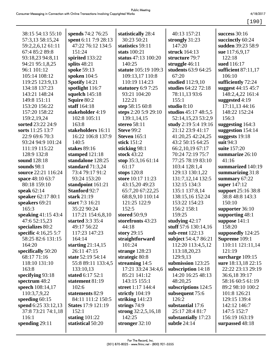[190]

| 38:15 54:13 55:10    | spends 74:2 76:25         | statistically 28:4    | 40:13 157:21           | success $30:16$     |
|----------------------|---------------------------|-----------------------|------------------------|---------------------|
| 57:3,13 58:15,24     | spent 6:11 7:9 28:13      | 30:23 50:21           | strongly 31:23         | succinctly 60:24    |
| 59:2,2,6,12 61:11    | 47:22 76:12 134:5         | statistics 59:11      | 147:20                 | sudden 39:23 58:9   |
| 67:4 85:2 89:8       | 151:24                    | stats 100:21          | struck 164:13          | sue 117:6,9,17      |
| 93:18,23 94:8,11     | spirited 133:22           | status 47:13 100:20   | structure 79:7         | 122:18              |
| 94:21 95:1,8,25      | splits $48:21$            | 140:25                | struggle 46:11         | sued 116:17         |
| 96:1 101:12          | spoke 59:13               | statute 105:19 109:3  | students 63:9 64:25    | sufficient 87:11,17 |
| 105:14 108:12        | spoken $104:5$            | 109:13,17 110:8       | 67:20                  | 106:10              |
| 119:25 123:9,13      | Spotify 14:21             | 110:19 114:23         | studied 112:9,10       | sufficiently 72:24  |
| 134:18 137:23        | spotlight 116:7           | statutory 6:9 7:25    | studies 64:22 72:18    | suggest 44:15 45:7  |
| 143:21 148:24        | squelch $145:18$          | 93:21 104:20          | 78:11,13 93:6          | 148:2,4,22 161:4    |
| 149:8 151:11         | Squire 80:2               | 122:21                | 155:1                  | suggested 4:19      |
| 153:20 156:22        | staff 164:18              | step 58:15 60:8       | studio 8:10            | 17:11,13 44:16      |
| 157:20 158:22        | stakeholder 4:19          | steps 2:20 5:9 29:10  | studios 45:17 48:5,5   | 148:22 152:24       |
| 159:2,19,24          | 102:8 105:11              | 139:1,14,15           | 52:14,15,23 53:2,9     | 156:3               |
| sorted 23:22 24:9    | 163:8                     | stereo 58:11          | study 2:19 5:4 19:16   | suggesting $164:3$  |
| sorts 11:25 13:7     | stakeholders 16:11        | <b>Steve 99:2</b>     | 21:12 23:9 41:17       | suggestion 154:14   |
| 22:9 69:6 70:3       | 16:22 106:8 137:9         | <b>Steven</b> 165:1   | 41:20,25 42:24,25      | suggests 19:18      |
| 93:24 94:9 101:24    | 140:5                     | stick 151:2           | 43:2 50:15 64:25       | suit 94:3           |
| 111:19 115:22        | stakes 89:16              | sticking 98:1         | 66:2,10,19 67:17       | suite 157:20        |
| 128:9 132:8          | stamped 121:18            | stock 43:22           | 70:24 72:19 75:7       | summarize 26:10     |
| sound 128:18         | standalone 128:25         | stop 35:3,16 61:14    | 77:25 78:19 83:10      | 41:16               |
| sounds $98:1$        | standard $71:3,24$        | 61:17                 | 103:4 128:1,4          | summarized 140:19   |
| source 22:21 116:24  | 73:4 79:17 91:2           | stops $120:8$         | 129:13 130:1,22        | summarizing 31:8    |
| space 48:10 63:7     | 93:24 153:20              | store 10:17 11:23     | 131:7, 12, 14 132:5    | summary 67:22       |
| 80:18 159:10         | standpoint 161:21         | 43:15,20 49:23        | 132:15 134:3           | super 147:12        |
| speak $62:14$        | <b>Stanford 92:7</b>      | 65:7,20 67:22,25      | 135:1 137:8,14         | support 25:16 38:8  |
| speaker 62:17 80:1   | stark 21:19               | 68:8,9,10 110:14      | 138:15,16 152:24       | 38:8 48:8 143:3     |
| speakers 69:21       | start 7:3 16:21           | 121:25 122:9          | 153:22 154:23          | 150:10              |
| 165:3                | 35:22 90:24               | 152:5                 | 156:2 158:1            | supporter 36:10     |
| speaking 41:15 43:4  | 117:21 154:6,8,10         | stored 50:9,9         | 159:25                 | supporting 48:1     |
| 47:6 52:15,23        | started 3:3 35:4          | storefronts 43:23     | studying $42:17$       | suppose $141:1$     |
| specializes 80:2     | 49:17 56:22               | 44:18                 | stuff 57:6 $130:14,16$ | 158:20              |
| specific 4:16,25 5:7 | 117:23 147:23             | story $29:15$         | sub-rent 122:13        | supposedly 124:25   |
| 58:25 82:6 131:15    | 164:14                    | straightforward       | subject 54:4,7 86:21   | Supreme 109:1       |
| 164:20               | starting $21:14,15$       | 101:24                | 112:20 113:4,5,12      | 110:11 121:11,14    |
| specifically 50:20   | 26:11 47:15               | strange $128:23$      | 113:18,20,23           | 121:19              |
| 68:17 71:16          | state 52:19 54:14         | strategic 80:8        | 129:9,13               | surcharge 109:15    |
| 118:10 131:10        | 55:8 89:11 133:4,5        | streaming $14:5$      | submission 123:25      | sure 18:13,18 22:15 |
| 163:8                | 133:10,13                 | 17:21 33:24 34:4,6    | subscription 14:18     | 22:22 23:13 29:19   |
| specifying 93:18     | stated 6:17 52:1          | 85:21 141:12          | 14:20 16:25 48:13      | 36:6,18 39:17       |
| spectrum 48:2        | statement 81:19           | 143:15 155:1          | 48:20,25               | 58:16 60:5 61:19    |
| speech 108:14,17     | 102:6                     | street 1:17 144:4     | subscriptions 124:5    | 89:2 98:10 100:2    |
| 110:3,7,9,22         | statements 82:9           | strictly 104:19       | subsequent 75:6        | 101:8 126:21        |
| speeding $60:15$     | 84:11 111:2 150:5         | striking $141:23$     | 126:2                  | 129:15 139:4        |
| spend 6:25 33:12,13  | <b>States</b> 17:9 121:19 | strings $74:9$        | substantial 17:6       | 142:12 146:7        |
| 37:8 73:21 74:1,18   | 152:1                     | strong $32:2,5,16,18$ | 25:17 28:4 81:7        | 147:5 152:7         |
| 116:1                | stating $101:22$          | 142:25                | substantially 17:23    | 156:19 163:19       |
| spending $29:11$     | statistical 50:20         | stronger $32:10$      | subtle 24:14           | surpassed 48:18     |
|                      |                           |                       |                        |                     |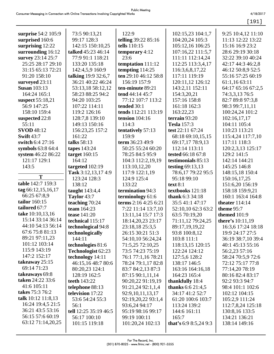[191]

| surprise 54:2 105:9    | 73:5 90:13,21             | 122:9                | 102:15,23 104:1,7        | 9:25 10:4,12 11:10             |
|------------------------|---------------------------|----------------------|--------------------------|--------------------------------|
| surprised 160:6        | 99:17 128:3               | telling 39:22 85:16  | 104:20,24 105:3          | 11:13 12:22 13:22              |
| surprising 12:22       | 142:15 150:10,25          | tells 110:15         | 105:12,16 106:25         | 15:16 16:9 23:2                |
| surrounding 16:12      | <b>talked</b> 45:23 46:14 | temporary 4:12       | 107:16,22 111:5,7        | 28:6 29:19 30:18               |
| survey 23:14 25:7      | 77:9 91:1 118:21          | 23:6                 | 111:11 112:14,24         | 32:22 39:10 40:24              |
| 25:25 28:17 29:10      | 133:20 135:18             | temptation 111:12    | 112:25 113:3,4,17        | 42:17 44:3 46:2,8              |
| 31:15 65:13 72:21      | 142:4,5,9 160:9           | tempting $114:25$    | 116:3,6,8,17,22          | 46:12 50:8,9 52:5              |
| 91:20 158:10           | talking 19:9 32:6,7       | ten 29:10 46:12 58:8 | 117:11 119:19            | 55:16 57:25 60:19              |
| surveyed 23:11         | 36:21 40:22 46:24         | 156:19 157:9         | 120:11,12 126:12         | 61:1,16 63:11                  |
| <b>Susan 103:13</b>    | 53:13,18 58:12,12         | ten-minute 89:21     | 143:2,11 152:11          | 64:17 65:16 67:2,5             |
| 164:24 165:1           | 58:23 88:25 94:2          | tend 44:14 45:7      | 154:3,20,21              | 74:3,3,13 76:5                 |
| suspect 55:18,21       | 94:20 103:25              | 77:12 107:7 113:2    | 157:16 158:8             | 82:7 89:8 97:3,8               |
| 56:9 147:25            | 107:22 114:11             | tended 30:1          | 161:18 162:3             | 98:3 99:7,11,11                |
| 158:10 159:4           | 119:2 126:16              | tends 112:21 113:19  | 163:22,23                | 100:24,24 101:2                |
| suspected 22:8         | 128:7,8 139:10            | tension $104:16$     | terrain 93:20            | 102:16,17,17                   |
| 55:11                  | 149:13 150:16             | 114:3                | <b>Tesla</b> 157:3       | 104:11 105:4                   |
| <b>SVOD</b> 48:12      | 156:23,25 157:2           | tentatively 57:13    | test 22:11 67:24         | 110:23 113:21                  |
| <b>Swift 43:7</b>      | 161:22                    | 159:9                | 68:18 69:10,15,15        | 115:4,24 117:7,10              |
| switch 6:4 27:16       | talks 58:13               | term 36:23 49:9      | 69:17,17 78:9,13         | 117:11 118:3                   |
| symbols 63:8 64:4      | tapes $143:24$            | 50:25 55:24 60:20    | 112:14 113:11            | 120:2,3,13 125:17              |
| system 46:22 86:22     | target $160:15$           | 78:25 84:5 95:9      | tested 66:18 67:8        | 129:2 141:5                    |
| 121:17 129:1           | 164:12                    | 104:3 112:2,19,19    | testimonials 85:13       | 142:14 144:21                  |
| 143:5                  | targeted $102:19$         | 113:10,12,20         | testing $69:13,13$       | 145:25 146:8                   |
|                        | Task 3:12,13,17 4:9       | 117:9 122:1,19       | 78:6,17 79:22 95:5       | 148:15,18 150:4                |
| T                      | 123:24 128:3              | 124:9 125:4          | 95:18 99:10              | 150:16,17,25                   |
| table 142:7 159:3      | 138:12                    | 133:22               | text $8:1$               | 151:6,20 156:19                |
| tag 66:12,15,16,17     | taught 143:4,4            | termination 94:3     | textbooks 121:18         | 158:18 159:9,21                |
| 66:25 67:8,9           | Taylor 43:7               | terminology 61:6     | thank 6:3 34:18          | 160:1 163:4 164:8              |
| tailor 160:15          | teaching 70:24            | terms 2:16 4:25 6:21 | 35:5 41:1 47:17          | theater $114:14$               |
| tailored 67:7          | team 164:23               | 7:22 11:14 13:7,10   | 52:10,10 62:3 63:2       | theme 95:7                     |
| take 10:10,13,16       | tease 141:20              | 13:11,14 15:7 17:3   | 63:5 70:19,20            | themed 101:9                   |
| 15:14 33:14 36:14      | technical 115:17          | 18:14,20,23 23:17    | 71:11,12 79:24,25        | there's 10:11,19               |
| 44:10 54:13 56:14      | technological 94:8        | 23:18,18 25:3,5      | 89:17,19,19,22           | 16:3,6 17:24 18:18             |
| 67:6 75:8 81:13        | technologically           | 26:15 30:21 51:3     | 93:8 100:8,12            | 19:9 24:17 27:5                |
| 89:21 97:11,23         | 144:11                    | 54:10,10 56:24,24    | 103:8 111:1              | 36:19 38:7,10 39:4             |
| 101:12 103:14          | technologies 81:6         | 71:5,25 72:10,25     | 118:13,15 120:15         | 40:1 45:13 55:16               |
| 115:9 143:19           | <b>Technologist 62:23</b> | 73:5 74:23 75:19     | 122:24 124:12            | 56:2,23 57:16                  |
| 147:2 152:17           | technology 14:11          | 76:1 77:1,16 78:21   | 127:5,6 128:2            | 58:24 70:5,9 72:6              |
| takeaway $25:15$       | 46:15,16 48:7 80:6        | 78:24 79:1,17 82:8   | 138:17 146:5             | 72:12 75:17 77:8               |
| 69:14 71:23            | 80:20,23 124:1            | 83:7 84:2,13 87:3    | 163:16 164:16,18         | 77:14,20 78:19                 |
| takeaways 69:8         | 128:19 162:5              | 87:15 90:1,11,14     | 164:23 165:4             | 80:16 82:4 83:17               |
| taken 24:22 33:6       | teeth 143:22              | 90:20,22 91:19,19    | thankfully 18:4          | 92:2 93:3 94:7                 |
| 41:6 105:11            | telephone 88:13           | 91:21,24 92:1,1,4    | <b>thanks</b> 6:6 21:4,5 | 98:4 101:1 102:6               |
| takes 75:3 76:2        | television 17:22          | 92:9,10,11,13,17     | 34:17 41:2 52:7          | 102:12 104:15                  |
| talk $10:12$ $11:8,13$ | 53:6 54:24 55:3           | 92:19,20,22 93:1,4   | 61:20 100:6 103:7        | 105:2,9 111:24                 |
| 16:24 19:4,5 21:5      | 56:1                      | 93:6,24 94:17        | 113:24 139:2             | 112:7,8,24 125:18              |
| 36:21 43:5 53:16       | tell 12:25 35:19 46:5     | 95:19 98:16 99:17    | 144:6 161:11             | 130:8,16 133:5                 |
| 56:15 57:6 60:19       |                           |                      |                          |                                |
|                        |                           |                      |                          |                                |
| 63:12 71:14,20,25      | 56:17 100:10              | 99:19 100:11         | 165:7                    | 134:21 136:21<br>138:14 149:16 |
|                        | 101:15 119:18             | 101:20,24 102:13     | that's 6:9 8:5,24 9:3    |                                |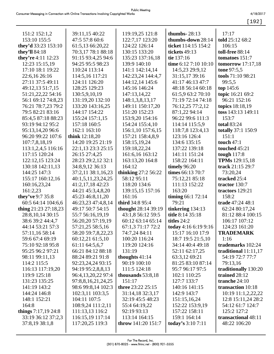| 151:2 152:1,2           | 39:11,15 40:22     | 119:19,25 121:8      | thumbs- $28:13$      | 17:17                  |
|-------------------------|--------------------|----------------------|----------------------|------------------------|
| 153:10 155:5            | 47:5 57:8 60:6     | 122:7,17 123:20      | thumbs-down 28:14    | told 25:12 68:2        |
| they'd 33:23 153:10     | 61:5,13 66:20,22   | 124:22 126:14        | ticket 114:15 154:2  | 106:15                 |
| they'll 84:18           | 70:3,17 78:1 88:18 | 130:15 133:20        | tickets 49:13        | toll-free 88:14        |
| they're 4:11 12:23      | 91:15 93:4,25 94:6 | 135:23 137:16,18     | tie 137:16           | tomatoes 151:7         |
| 12:23 15:15,19          | 94:25 95:5 98:23   | 139:9 140:10         | time 6:12 7:10 10:10 | tomorrow $17:17,18$    |
| 17:10 18:1 19:22        | 110:24 113:14      | 141:1 142:14,14      | 14:5,23 29:9,12      | tone 97:5,5            |
| 22:6,16 26:16           | 114:5,16 117:21    | 142:23,24 144:4,7    | 31:15,17 39:16       | tools 71:10 98:21      |
| 27:11 37:5 49:11        | 124:11 126:20      | 144:12,14 145:6      | 41:17 46:13 47:7     | 99:5,5                 |
| 49:12,13 51:7,15        | 128:25 129:23      | 145:16 146:24        | 48:18 56:14 60:18    | top 145:6              |
| 51:21,22,22 54:16       | 130:5,9,10,19      | 147:13,14,22         | 61:5,9 63:2 70:10    | topic 16:21 69:2       |
| 56:1 69:12 74:8,23      | 131:19,20 132:10   | 148:1,3,8,13,17      | 71:19 72:14 74:18    | 96:21 152:16           |
| 76:21 78:7,23 79:2      | 133:20 143:16,25   | 149:11 150:17,20     | 76:12,25 77:2,12     | topics 18:18,19        |
| 79:5 82:21 83:16        | 144:17 154:22      | 151:20 152:23        | 87:1,22 94:14        | toss 143:13 149:11     |
| 85:4,5 87:18 88:23      | 155:24 157:1,15    | 153:9,20 154:16      | 96:22 99:6 111:3     | 153:7                  |
| 93:19 94:12 95:2        | 157:18 160:5       | 154:24 155:4,10      | 114:14 115:5,9       | <b>total 83:24</b>     |
| 95:13,14,20 96:6        | 162:1 163:10       | 156:1,10 157:6,15    | 118:7,8 123:4,13     | totally 37:1 150:9     |
| 96:20 99:22 107:6       | think 12:18,20     | 157:21 158:4,8,9     | 123:16 126:4         | 151:1                  |
| 107:7,8,18,19           | 14:20 19:25 21:19  | 158:15,19,24         | 134:6 135:15         | touch $47:1$           |
| 113:1,2,4,5 116:16      | 22:1,13 23:3 25:15 | 159:18,22,24         | 137:22 139:18        | touched 45:21          |
| 117:15 120:24           | 26:15 27:4,25      | 161:6,16 163:12      | 141:11 151:24        | tough 117:8            |
| 122:12,15 123:24        | 28:23 29:2,12 32:1 | 163:13,20 164:8      | 158:22 164:11        | TPMs 129:15,18         |
| 130:18 142:11,13        | 34:8,9,12 36:13    | 164:12               | timely 96:20         | track 21:15 29:7       |
| 144:25 147:3            | 37:2,11 38:1,16,23 | thinking $27:256:22$ | times 66:13 70:7     | 73:20,24               |
| 155:17 160:12,16        | 40:1,5,11,23,24,25 | 58:12 95:11          | 75:12,21 85:18       | tracked 25:4           |
| 160:16,23,24            | 41:2,17,18 42:23   | 118:20 134:6         | 111:13 152:22        | tractor 130:7          |
| 161:2,23                | 44:21 45:3,4,8,20  | 139:15,15 157:16     | 163:20               | tractors 129:21        |
| they've 9:7 35:8        | 45:23 46:8,11,20   | 161:16               | timing $66:172:14$   | 158:2                  |
| 60:5 64:14 104:6,6      | 46:23,23 47:4,8,14 | third 34:8 95:4      | 79:21                | trade 47:24 48:1       |
| thing $21:23\ 27:18,23$ | 49:17 50:7 54:15   | thought 28:14 39:19  | tinkering $134:13$   | 62:24 80:17,24         |
| 28:8,10,14 30:15        | 55:7 56:16,19,19   | 43:1,8 56:12 59:5    | title 8:14 35:18     | 81:12 88:4 100:15      |
| 38:6 39:2 44:4,7        | 56:20,20 57:19,19  | 60:12 63:14 65:14    | titles 24:2          | 106:17 107:12          |
| 44:14 53:21 57:3        | 57:21,25 58:5,16   | 67:1,3 71:17 72:2    | today 4:16 6:19 9:16 | 124:23 161:20          |
| 57:11,16 58:14          | 58:20 59:7,8,22,23 | 74:7,24 84:11        | 15:17 16:10 17:9     | <b>TRADEMARK</b>       |
| 59:6 67:4 69:19         | 60:12,21 61:5,10   | 100:20 116:24        | 18:7 19:5 21:5,10    | 1:16                   |
| 75:10 92:18 95:8        | 61:11 64:5,6,7     | 119:20 124:16        | 34:14 40:4 49:18     | trademarks 102:24      |
| 95:25 96:2 97:21        | 66:21 84:12 88:18  | 131:19               | 52:11 62:17,25       | traditional $11:11,17$ |
| 98:11 99:11,13          | 88:24 89:21 91:8   | thoughts $41:14$     | 63:3,12 69:21        | 54:19 72:7 77:7        |
| 114:2 115:5             | 92:23,24,24 93:15  | 90:19 100:10         | 81:25 83:10 87:14    | 79:13,16               |
| 116:13 117:19,20        | 94:19 95:2,8,8,13  | 111:5 124:18         | 95:7 96:17 97:5      | traditionally 130:20   |
| 119:9 125:18            | 96:4,13,20,22 97:4 | thousands $53:8,18$  | 102:1 110:25         | trained 28:12          |
| 131:23 135:25           | 97:8,8,16,21,24,25 | 151:17               | 127:7 133:7          | tranche 24:10          |
| 141:19 143:2            | 98:6 99:8,14 102:3 | three 23:22 25:15    | 140:16 141:15        | transaction 10:18      |
| 144:24 146:8            | 102:3,11 103:3,5   | 31:14,18 32:3,17     | 142:9 143:7          | 10:19 11:1,2,22,22     |
| 148:1 152:21            | 104:11 107:5       | 32:19 45:5 48:23     | 151:15,16,24         | 12:8 15:11,24 28:2     |
| 164:8                   | 108:9,24 111:2,11  | 55:4 64:19,22        | 152:22 153:9,19      | 54:12 61:7 124:7       |
| things $7:17,19$ 24:8   | 111:13,13 116:2    | 92:19 93:13          | 157:22 158:11        | 125:2 127:2            |
| 33:19 36:12 37:2,3      | 116:15,19 117:14   | 113:14 164:15        | 159:1 164:14         | transactional 48:11    |
| 37:8,19 38:1,8          | 117:20,25 119:3    | throw 141:20 151:7   | today's $3:107:11$   | 48:22 106:20           |
|                         |                    |                      |                      |                        |
|                         |                    |                      |                      |                        |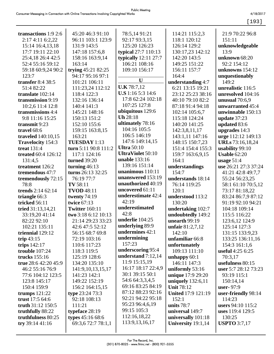[193]

| transactions 1:9 2:6                  | 45:20 46:3 91:10         | 78:5,14 91:21            | 114:21 115:2,3            | 21:9 70:22 96:8      |
|---------------------------------------|--------------------------|--------------------------|---------------------------|----------------------|
| 2:17 4:11 6:2,22                      | 96:11 103:1 123:9        | 92:17 93:3,15            | 118:1 120:12              | 151:11               |
| 15:14 16:4,13,18                      | 131:9 143:5              | 125:20 126:23            | 126:14 129:2              | unknowledgeable      |
| 17:7 19:11 22:10                      | 147:18 157:6,8           | typical 27:7 110:13      | 130:17,23 142:12          | 13:9                 |
| 25:4,18 26:4 42:5                     | 158:16 163:9,14          | typically $12:11$ $27:7$ | 142:20 143:5              | unknown 68:20        |
| 52:4 55:16 59:12                      | 163:14                   | 106:21 108:16            | 149:25 151:22             | 92:2 154:12          |
| 59:18 60:9,24 90:2                    | trying 45:21 82:25       | 109:10 156:17            | 156:11 157:7              | unknowns 154:12      |
| 123:7                                 | 94:17 95:16 97:1         |                          | 164:4                     | unquestionably       |
| transfer 8:4 38:5                     | 101:21 106:11            | $\mathbf U$              | understanding 4:7         | 149:2                |
| 51:4 82:22                            | 111:23,24 112:12         | <b>U.K</b> 78:7,12       | 6:21 13:15 19:21          | unrealistic 116:5    |
| translate 102:14                      | 118:4 122:3              | U.S 1:16 5:3 14:6        | 23:12 25:23 38:16         | unresolved 104:16    |
| transmission 9:19                     | 132:16 136:14            | 17:8 62:24 102:18        | 40:10 79:10 82:2          | unusual $70:6,9$     |
|                                       | 140:4 141:3              | 107:25 127:8             | 87:18 91:4 94:18          | unwarranted 45:4     |
| 10:2,6 11:4 12:8<br>transmissions 4:4 |                          | ubiquitous 129:6         |                           |                      |
|                                       | 145:21 148:16            | <b>Uh</b> 28:18          | 102:14 105:6,7            | unwinnable 150:13    |
| 9:8 11:16 15:25                       | 150:13 151:2             | ultimately 78:16         | 115:18 124:24             | update 37:23         |
| transmit 9:23                         | 152:10 155:6             | 104:16 105:5             | 140:20 141:25             | updated 83:6         |
| travel 68:6                           | 159:15 163:8,15          | 106:5 146:19             | 142:3,8,11,17             | upgrades 14:3        |
| traveled 140:10,15                    | 163:21                   | 147:6 149:14,15          | 143:1,11 147:16           | urge 112:12 149:13   |
| Travelocity 154:3                     | <b>TUESDAY</b> 1:13      | <b>Ultra</b> 50:10       | 148:15 150:7,23           | URLs 73:16,18,24     |
| <b>treat 131:4</b>                    | turn 5:11 90:8 111:2     |                          | 151:4 154:4 155:3         | usability 99:10      |
| treated 60:4 126:12                   | 117:1 124:16             | <b>UltraViolet 50:10</b> | 159:7 163:6,9,15          | <b>Usable 62:20</b>  |
| 131:4,5                               | <b>turned</b> 39:20      | unable 133:16            | 164:1                     | usage $51:4$         |
| treatment 126:2                       | turning $46:13$          | 139:16 151:14            | understandings            | use 26:21 27:3 37:24 |
| tremendous 47:7                       | turns 26:13 32:25        | unanimous 110:11         | 154:7                     | 41:21 42:8 49:7,7    |
| tremendously 72:15                    | 76:19 77:7               | unanswered 153:19        | understands 18:14         | 55:24 56:23,25       |
| 78:8                                  | TV 58:11                 | unauthorized 40:19       | 76:14 119:25              | 58:1 61:10 70:5,12   |
| trends 2:14 62:14                     | <b>TVOD</b> 48:11        | uncovered 61:11          | 120:1                     | 73:17 81:18,22       |
| triangle 66:3                         | twenty $74:19$           | underestimate 42:4       | understood 113:2          | 83:24 86:7,9 87:12   |
| tricked 56:11                         | twice 67:13              | 42:19                    | 130:20                    | 91:19 92:10 94:21    |
| tried 31:13,14,21                     | <b>Twitter</b> 160:11    | underestimated           | undertaking 102:7         | 104:18 109:14        |
| 33:19,20 41:14                        | two 3:18 6:12 10:13      | 42:8                     | undoubtedly 149:2         | 115:5 116:22         |
| 82:22 92:10                           | 21:14 29:23 33:23        | underlie 104:25          | unearth 99:19             | 123:6,12 124:9       |
| 102:21 135:11                         | 42:6 47:5 52:12          | <b>underlying 89:9</b>   | unfair $81:2,7,12$        | 125:14 127:3         |
| triennial 129:12                      | 56:15 68:7 69:8          | undermines 42:1          | 142:10                    | 131:15 133:9,23      |
| trip $43:15$                          | 72:19 103:16             | undermining              | unfamiliar 66:8           | 133:25 136:11,16     |
| trips $142:17$                        | 110:6 117:23             | 157:23                   | unfortunately             | 154:3 161:1,6        |
| trouble 107:24                        | 118:3 119:5              | underscoring 95:4        | 109:13 111:10             | useful 4:25 6:25     |
| trucks 155:16                         | 125:19 128:6             | understand $7:12,14$     | unhappy $60:1$            | 70:3,17              |
| true 28:6 42:20 45:9                  | 134:20 135:10            | 11:9 15:15,19            | 146:11 147:3              | usefulness 80:15     |
| 46:2 55:16 76:9                       | 141:9,10,13,15,17        | 16:17 18:17 22:4,9       | uniformly 53:16           | user 5:7 28:12 73:23 |
| 77:6 104:12 123:5                     | 141:23 142:1             | 30:1 39:15 50:1          | unique 17:9 29:20         | 93:19 115:1          |
| 123:8 145:17                          | 149:22 152:19            | 54:6 64:3,3,4,5          | uniquely $132:6,11$       | 150:14,14            |
| 150:4 159:9                           | 156:2 164:15,15          | 69:16 83:25 84:19        | <b>Unit 78:12</b>         | user-97:9            |
| trumps $121:22$                       | type 23:24 73:3          | 87:12 88:23 92:16        | <b>United 17:9 121:19</b> | user-friendly 98:14  |
| trust 17:5 64:6                       | 92:18 108:13             | 92:21 94:22 95:18        | 152:1                     | 114:23               |
| truth $31:12$ 150:5                   | 111:21                   | 95:23 96:4,6,19          | units 78:7                | users 94:10 115:2    |
| truthfully 88:22                      | typeface 28:19           | 99:15 105:3              | universal 149:7           | uses 119:4 129:5     |
| truthfulness 80:25                    | <b>types</b> $45:1668:6$ | 112:16,18,22             | universally 101:18        | 130:25               |
| try $39:1441:16$                      | 69:3,6 72:7 78:1,1       | 113:9, 13, 16, 17        | University 19:1,14        | <b>USPTO</b> 3:7,17  |
|                                       |                          |                          |                           |                      |
|                                       |                          |                          |                           |                      |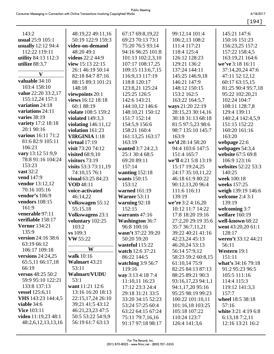|  |  | ۰. |  |  |
|--|--|----|--|--|
|--|--|----|--|--|

| 143:2                     | 48:19,22 49:11,16                    | 67:17 69:8,19,22                      | 99:12,14 101:4                        | 145:21 147:6                     |
|---------------------------|--------------------------------------|---------------------------------------|---------------------------------------|----------------------------------|
| usual 25:9 105:1          | 50:19 122:9 159:3                    | 69:23 70:13 73:1                      | 106:2,13 108:2                        | 150:16 151:23                    |
| usually 12:12 94:4        | video-on-demand                      | 75:20 76:5 93:14                      | 111:4 117:21                          | 156:23,25 157:2                  |
| 112:22 119:11             | 48:20 49:1                           | 94:16 96:25 101:8                     | 118:4 125:4                           | 157:22 158:4,5                   |
| utility 84:13 112:3       | videos 22:2 44:9                     | 101:13 102:2,3,10                     | 126:12 128:23                         | 163:19,21 164:6                  |
| utilize 88:3,7            | view 15:13 22:15                     | 107:17 108:17,25                      | 129:21 136:2                          | we've 3:18 16:11                 |
| $\mathbf{V}$              | 26:1 46:19 50:14<br>82:18 84:7 87:16 | 109:15 113:6,7,15                     | 137:24 144:11                         | 37:14,20,24 47:6                 |
| valuable 34:10            | 88:15 89:3 101:21                    | 116:9,13 117:19<br>118:8 120:17       | 145:25 146:9,18<br>146:21 147:9       | 47:11 52:12,12<br>60:17 63:15,15 |
| 103:4 158:10              | 148:18                               | 123:8,21 125:24                       | 148:12 150:15                         | 81:25 90:4 95:7,18               |
| value 22:20 33:2,17       | viewpoints 20:1                      | 125:25 126:5                          | 153:2 162:5                           | 95:22 102:20,21                  |
| 155:12,24 157:1           | views 16:12 18:18                    | 142:6 143:21                          | 163:22 164:5,7                        | 102:24 104:7                     |
| variation 24:18           | 60:1 88:19                           | 144:10,12 146:6                       | ways 21:20 22:19                      | 108:11 128:7,8                   |
| variations 24:11          | violate 108:5 159:2                  | 148:10,21 150:12                      | 28:15,23 30:14,16                     | 129:4 139:11                     |
| varies $38:19$            | violated $149:3,3$                   | 151:7 152:14                          | 30:18 31:13 68:18                     | 140:2,4 142:4,5,9                |
| variety 17:2 18:18        | violating $146:11,12$                | 154:5,9 156:6                         | 81:5 97:5,23 98:6                     | 151:15 152:22                    |
| 20:1 90:16                | violation 161:23                     | 158:21 160:4                          | 98:7 135:10 145:7                     | 160:20 161:16                    |
| various 16:11 71:2        | <b>VIRGINIA</b> 1:18                 | 161:13,25 163:17                      | 163:9                                 | 163:20                           |
| 81:6 82:9 105:11          | virtual $17:19$                      | 163:19                                | we'd 28:14 58:20                      | webpage 22:6                     |
| 106:23                    | visit 73:20 74:12                    | wanted 3:7 24:2,3                     | 94:4 103:6 147:5                      | webpages $54:3,4$                |
| vary 13:12 51:9,9         | visited $68:9,10$                    | 25:1 30:4 68:5                        | 151:4 165:7                           | website 67:5 69:8                |
| 78:8 91:16 104:24         | visitors $73:19$                     | 69:20 89:11                           | we'll 4:21 5:8 13:19                  | 106:9 123:16                     |
| 153:23                    | visits $53:373:11,19$                | 157:14                                | 15:17 19:24,25                        | websites 52:22 53:3              |
| <b>vast</b> 32:2          | 74:10,15 76:1                        | wanting $152:18$                      | 24:17 35:10,11,22                     | 140:25                           |
| <b>vend</b> 147:9         | visual 63:25 84:23                   | wants 150:15                          | 46:18 61:9 80:22                      | week 100:18                      |
| <b>vendor</b> 13:12,12    | <b>VOD</b> 48:11                     | 153:12                                | 90:12,13,20 96:4                      | weeks 157:25                     |
| 70:16 105:16              | voice-activated                      | warned 161:19                         | 111:6 116:11                          | weigh 139:19 146:6               |
| vendor's $106:9$          | 46:14,22                             | Warner $53:11$                        | 139:19                                | welcome 2:4 3:1                  |
| <b>vendors</b> 108:15     | <b>Volkswagen 55:12</b>              | warning 92:18                         | we're 3:2 4:16,20                     | 139:19                           |
| 161:9                     | 55:15,18                             | 152:15                                | 10:12 11:7 14:22                      | welcoming 3:7                    |
| venerable 97:11           | <b>Volkswagens 23:1</b>              | warrants 47:16                        | 17:8 18:20 19:16                      | welfare 160:19                   |
| verifiable 158:17         | voluntary 102:25                     | <b>Washington 36:7</b>                | 27:2,20 29:19 35:6                    | well-known 68:22                 |
| <b>Vernor</b> 134:21      | 103:2                                | 96:8 100:16                           | 35:7 36:7,11,21                       | went 43:20,20 61:1               |
| 135:9                     | vs 109:3                             | wasn't 37:22 39:20                    | 39:22 40:21 41:16                     | 128:17                           |
| version 24:16 38:6        | <b>VW</b> 55:22                      | 50:20 59:20                           | 42:23,24 45:13                        | weren't 33:12 44:21              |
| 63:19 66:12               | W                                    | wasteful 115:22                       | 46:20,24 53:13                        | 56:11                            |
| 106:17 109:18             |                                      | watch 12:6 37:21                      | 56:14 57:9,12                         | Western 19:1                     |
| versions 24:24,25         | walk 10:16<br>Walmart 43:21          | 86:22 144:5                           | 58:23 59:2 60:8,15                    | 151:11                           |
| 65:5,11 66:17,18<br>66:19 | 53:11                                | watching $3:956:7$                    | 61:10,14 75:9                         | what's 34:16 79:18               |
| versus 48:25 50:2         | Walmart/VUDU                         | 119:16                                | 82:25 84:13 87:13                     | 91:2 95:23 96:5                  |
| 59:9 95:10 122:21         | 53:1                                 | way 3:13 4:18 7:4                     | 88:25 89:21 90:3                      | 105:5 111:16                     |
| 133:8 137:13              | want 11:21 12:6                      | 11:10,11 16:23                        | 93:16,17,23 94:1,1                    | 114:4 115:3                      |
| vessel 125:6,11           | 13:16 16:20 18:13                    | 17:12 23:3 24:4                       | 94:1,17,20 95:16<br>95:25 98:19 99:23 | 119:12 141:3,3<br>157:7          |
| VHS 143:23 144:4,5        | 22:15, 17, 24 26:10                  | 29:18 31:21 33:5<br>33:20 34:15 52:23 | 100:22 101:10,11                      | wheel 18:5 38:18                 |
| viable $34:6$             | 39:21 41:5 43:12                     | 53:24 57:25 60:4                      | 101:16,18 103:25                      | 57:16                            |
| <b>Vice 103:11</b>        | 46:21, 23, 23 47:5                   | 63:22 64:15 67:24                     | 105:18 107:22                         | white 3:21 4:19 6:8              |
| video 11:19,23 48:1       | 50:5 53:22 54:9,9                    | 75:11 79:7,16,16                      | 110:24 123:7                          | 6:13,187:2,11                    |
| 48:2,6,12,13,13,16        | 56:19 61:7 63:13                     | 91:17 97:18 98:17                     | 126:4 141:3,6                         | 12:16 13:21 16:2                 |
|                           |                                      |                                       |                                       |                                  |
|                           |                                      |                                       |                                       |                                  |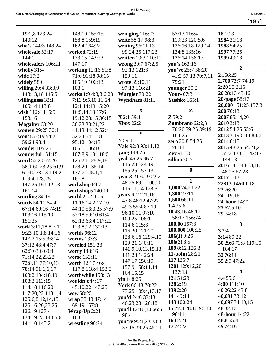4/18/2017

|                     |                       |                       |                     | [195]                   |
|---------------------|-----------------------|-----------------------|---------------------|-------------------------|
|                     |                       |                       |                     |                         |
| 19:2,8 123:24       | 148:10 155:15         | wringing $116:23$     | 57:13 116:4         | 181:13                  |
| 140:12              | 158:8 159:19          | write 58:17 98:3      | 119:23 120:5,6      | 1984 21:18              |
| who's 144:3 148:24  | 162:4 164:22          | writing 96:11,13      | 126:16,18 129:14    | 1988 54:25              |
| wholesale 52:17     | worked 72:19          | 99:24,25 117:23       | 134:8 135:16        | 1997 77:25              |
| 144:1               | 133:15 143:23         | written 19:3 110:12   | 136:14 156:17       | 1999 49:18              |
| wholesalers 106:21  | 147:17                | wrong 30:7 67:2,5     | you's 163:16        |                         |
| wholly $31:4$       | working 12:16 51:8    | 92:13 121:8           | you've 25:7 38:20   | $\mathbf{2}$            |
| wide 17:2           | 71:6 91:18 98:15      | 159:11                | 41:2 57:18 70:7,11  | 2 156:25                |
| widely 58:6         | 105:19 106:13         | wrote 39:10,11        | 75:21               | 2,700 73:7 74:19        |
| willing 29:4 33:3,9 | 108:1                 | 97:13 116:21          | younger 30:2        | 2:20 35:3,16            |
| 143:13,18 145:5     | works 1:9 4:3,8 6:23  | Wurgler 70:22         | Your- $67:3$        | 20 28:13 43:16          |
| willingness 33:1    | 7:13 9:5,10 11:24     | Wyndham 81:11         | <b>Yushko</b> 165:1 | 20-page 58:17           |
| 105:14 113:8        | 12:1 14:19 15:20      |                       |                     | 20,000 151:25 157:3     |
| wish 112:4 115:5    | 16:5, 14, 18 17:6     | $\mathbf X$           | $\mathbf{Z}$        | 200 76:13               |
| 153:16              | 19:12 28:15 36:15     | X 2:1 59:1            | $Z$ 59:2            | 2007 85:14,20           |
| Wogalter 63:20      | 36:23 38:21,22        | <b>Xbox</b> 22:2      | Zambrano $62:2,3$   | 2010 3:13               |
| women 29:25 30:1    | 41:13 44:12 52:4      |                       | 70:20 79:25 89:19   | 2012 54:25 55:6         |
| won't 53:19 54:2    | 52:24 54:1,18         | Y                     | 164:25              | 2013 3:19 6:14 83:6     |
| 59:24 98:4          | 95:12 104:13          | $Y$ 59:1              | zero 30:8 54:25     | 2014 6:15               |
| wonder 105:25       | 105:1 106:18          | Yale 92:8 93:11,12    | 76:11               | 2015 48:25 54:21,21     |
| wonderful 151:15    | 107:8,9,18 118:5      | yang 148:25           | Zev 91:18           | 55:2 130:1 142:17       |
| word 56:20 57:20    | 126:24 128:9,18       | yeah 45:25 96:7       | zillion 70:7        | 148:18                  |
| 58:1 60:23,25 61:9  | 128:20 136:14         | 115:23 124:19         |                     | 2016 14:5 48:18,18      |
| 61:10 73:13 119:2   | 137:7 145:1,4         | 155:25 157:13         | $\boldsymbol{0}$    | 48:25 62:23             |
| 119:4 128:25        | 161:8                 | year 3:21 6:19 22:2   | $\mathbf{1}$        | 2017 1:13               |
| 147:25 161:12,13    | workshop 69:7         | 48:25 69:1 100:20     |                     | 22313-1450 1:18         |
| 161:14              | workshops 140:11      | 115:11,14 128:5       | 1,000 74:21,22      | 23 76:20                |
| wording $84:19$     | world 2:12 9:15       | years 6:12 21:16      | 1,300 23:11         | 24 119:16               |
| words 54:11 64:4    | 11:16 14:2 17:10      | 43:8 46:12 47:22      | 1,500 66:11         | 24-hour 14:21           |
| 67:14 69:16 74:19   | 44:10 56:3,25 57:9    | 49:3 55:4 87:19       | 1.425:6             | 27 67:5,10              |
| 103:16 115:19       | 57:18 59:10 61:4      | 96:10,11 97:10        | 1043:1648:17        | 29 74:18                |
| 151:25              | 62:13 63:4 117:22     | 100:25 108:1          | 58:17 156:24        |                         |
| work 3:11,18 8:7,11 | 123:8,12 130:13       | 114:6 115:8           | 100,00 157:3        | $\mathbf{3}$            |
| 9:23 10:1,8 14:16   | worlds 96:12          | 116:20 121:20         | 100,000 100:25      | 32:4                    |
| 14:22 15:5 36:14    | worms $133:3$         | 128:6,16 129:4,10     | $106(1)$ 9:25       | 3:14 89:22              |
| 37:12 43:4 47:7     | <b>worried</b> 151:23 | 129:21 140:11         | 106(3) 8:5          | 30 29:6 73:8 119:15     |
| 62:5 63:6 69:4      | worry 143:16          | 141:9, 10, 13, 15, 18 | 109 8:12 136:3      | 164:17                  |
| 71:14,22,23,23      | worse 133:11          | 141:23 142:24         | 11-point 28:21      | 32 76:11                |
| 72:8,11 77:10,13    | worth 42:17 46:4      | 147:17 156:19         | 117 136:7           | 35 2:9 47:22            |
| 78:14 91:1,6,17     | 117:8 118:4 153:3     | 157:9 158:11,14       | 1201 129:12,20      |                         |
| 103:2 104:18,19     | worthwhile 153:13     | 164:15,15             | 137:13              | $\overline{\mathbf{4}}$ |
| 108:3 113:15        | wouldn't $44:17$      | $\sin 148:25$         | 121 54:23           | 4.4 55:6                |
| 114:18 116:20       | 45:10,22 147:25       | York 66:13 70:22      | 128 2:19            | 4:00 111:10             |
| 117:20,22 118:1,4   | wow 58:25             | 77:25 109:4,13,17     | 139 2:20            | 40 26:22 43:8           |
| 125:6,8,12,14,15    | wrap 33:18 47:14      | you'd 24:6 33:13      | 14 149:14           | 40,091 73:12            |
| 125:16,20,23,25     | 69:19 157:8           | 46:23,23 126:18       | 143 100:24          | 40,697 74:10,15         |
| 126:19 127:4        | Wrap- $Up$ 2:21       | you'll 12:10,10 66:5  | 15 27:8 28:13 96:10 | 48 32:13                |
| 134:19,23 140:5,6   | 163:1                 | 98:4                  | 96:11               | 48-hour 14:22           |
| 141:10 145:21       | wrestling 96:24       | you're 9:21,23 33:8   | 163 2:21            | 48.8 55:4               |
|                     |                       | 37:15 39:25 45:21     | 17 74:22            | 49 74:16                |
|                     |                       |                       |                     |                         |